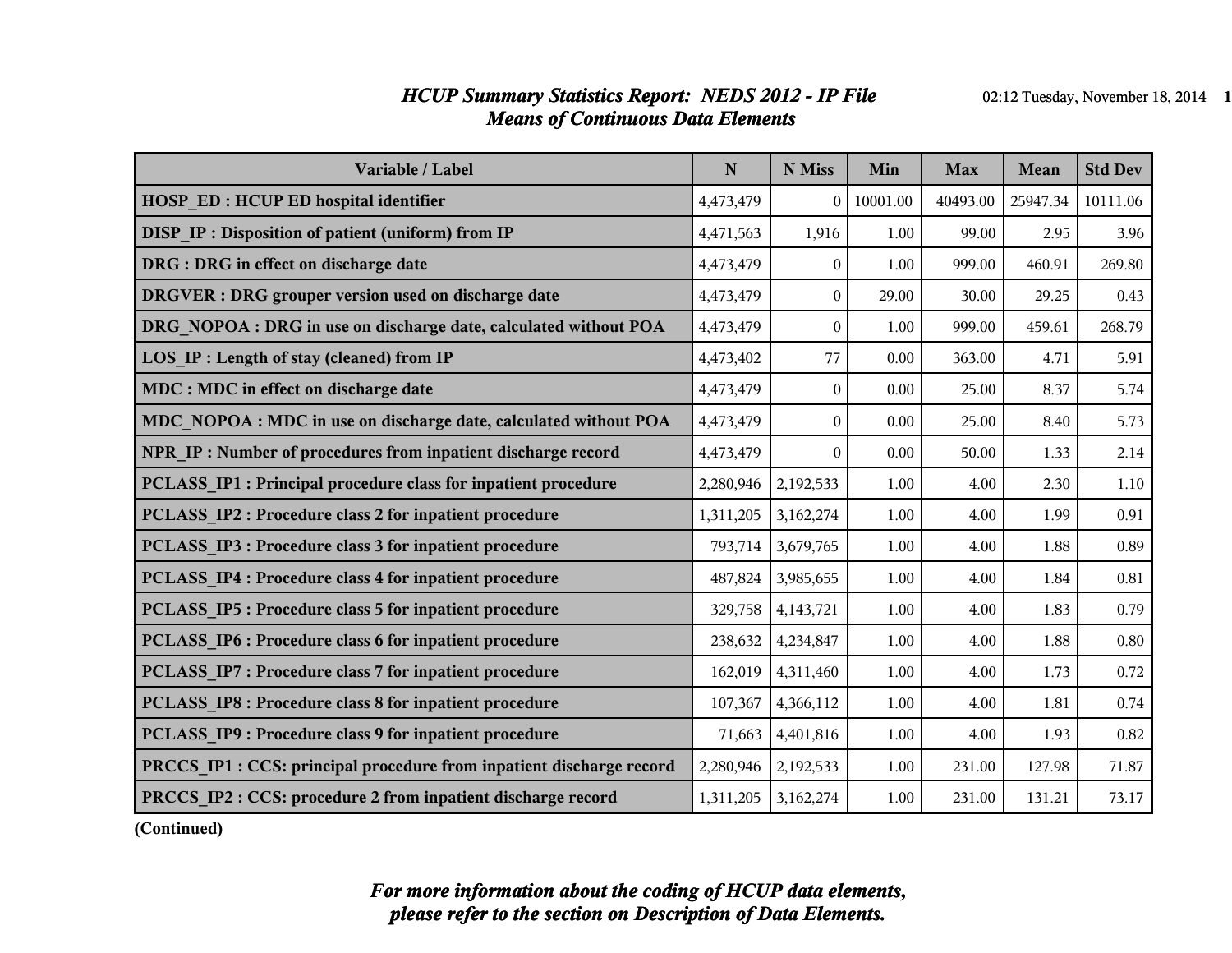#### *HCUP Summary Statistics Report: NEDS 2012 - IP File* 02:12 Tuesday, November 18, 2014 1 *Means of Continuous Data Elements*

| Variable / Label                                                     | ${\bf N}$ | N Miss           | Min      | <b>Max</b> | Mean     | <b>Std Dev</b> |
|----------------------------------------------------------------------|-----------|------------------|----------|------------|----------|----------------|
| <b>HOSP ED: HCUP ED hospital identifier</b>                          | 4,473,479 | $\overline{0}$   | 10001.00 | 40493.00   | 25947.34 | 10111.06       |
| <b>DISP IP: Disposition of patient (uniform) from IP</b>             | 4,471,563 | 1,916            | 1.00     | 99.00      | 2.95     | 3.96           |
| DRG : DRG in effect on discharge date                                | 4,473,479 | $\theta$         | 1.00     | 999.00     | 460.91   | 269.80         |
| DRGVER : DRG grouper version used on discharge date                  | 4,473,479 | $\overline{0}$   | 29.00    | 30.00      | 29.25    | 0.43           |
| DRG NOPOA : DRG in use on discharge date, calculated without POA     | 4,473,479 | $\boldsymbol{0}$ | 1.00     | 999.00     | 459.61   | 268.79         |
| LOS_IP : Length of stay (cleaned) from IP                            | 4,473,402 | 77               | 0.00     | 363.00     | 4.71     | 5.91           |
| MDC : MDC in effect on discharge date                                | 4,473,479 | $\boldsymbol{0}$ | 0.00     | 25.00      | 8.37     | 5.74           |
| MDC NOPOA : MDC in use on discharge date, calculated without POA     | 4,473,479 | $\mathbf{0}$     | 0.00     | 25.00      | 8.40     | 5.73           |
| NPR IP: Number of procedures from inpatient discharge record         | 4,473,479 | $\theta$         | 0.00     | 50.00      | 1.33     | 2.14           |
| PCLASS IP1 : Principal procedure class for inpatient procedure       | 2,280,946 | 2,192,533        | 1.00     | 4.00       | 2.30     | $1.10\,$       |
| PCLASS IP2 : Procedure class 2 for inpatient procedure               | 1,311,205 | 3,162,274        | 1.00     | 4.00       | 1.99     | 0.91           |
| PCLASS IP3 : Procedure class 3 for inpatient procedure               | 793,714   | 3,679,765        | 1.00     | 4.00       | 1.88     | 0.89           |
| PCLASS IP4 : Procedure class 4 for inpatient procedure               | 487,824   | 3,985,655        | 1.00     | 4.00       | 1.84     | 0.81           |
| PCLASS IP5 : Procedure class 5 for inpatient procedure               | 329,758   | 4,143,721        | 1.00     | 4.00       | 1.83     | 0.79           |
| PCLASS IP6 : Procedure class 6 for inpatient procedure               | 238,632   | 4,234,847        | 1.00     | 4.00       | 1.88     | 0.80           |
| <b>PCLASS IP7: Procedure class 7 for inpatient procedure</b>         | 162,019   | 4,311,460        | 1.00     | 4.00       | 1.73     | 0.72           |
| PCLASS IP8 : Procedure class 8 for inpatient procedure               | 107,367   | 4,366,112        | 1.00     | 4.00       | 1.81     | 0.74           |
| PCLASS IP9 : Procedure class 9 for inpatient procedure               | 71,663    | 4,401,816        | 1.00     | 4.00       | 1.93     | 0.82           |
| PRCCS IP1 : CCS: principal procedure from inpatient discharge record | 2,280,946 | 2,192,533        | 1.00     | 231.00     | 127.98   | 71.87          |
| PRCCS_IP2: CCS: procedure 2 from inpatient discharge record          | 1,311,205 | 3,162,274        | 1.00     | 231.00     | 131.21   | 73.17          |

**(Continued)**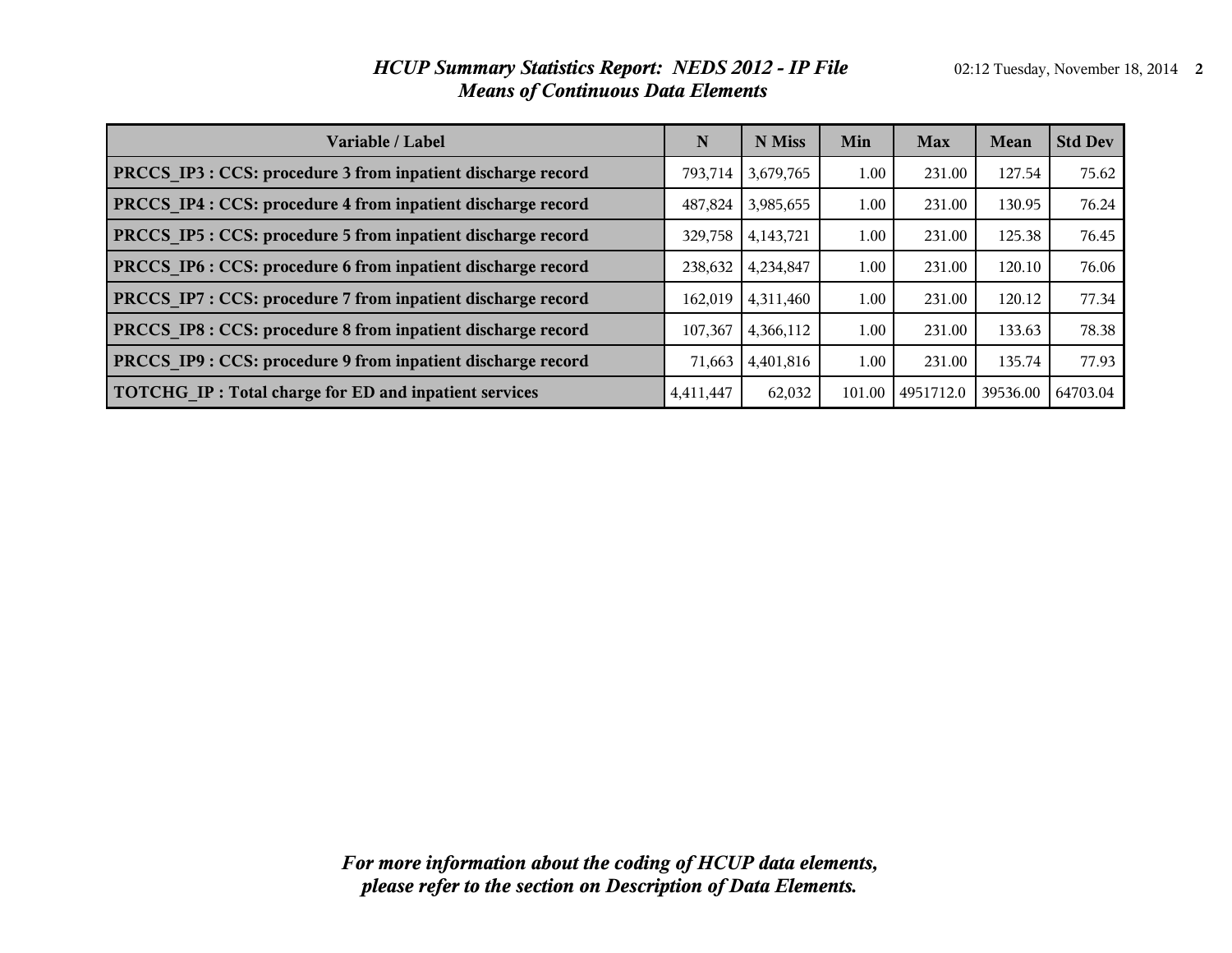#### *HCUP Summary Statistics Report: NEDS 2012 - IP File* 02:12 Tuesday, November 18, 2014 2 *Means of Continuous Data Elements*

| Variable / Label                                             | N         | N Miss    | Min    | <b>Max</b> | Mean     | <b>Std Dev</b> |
|--------------------------------------------------------------|-----------|-----------|--------|------------|----------|----------------|
| PRCCS IP3 : CCS: procedure 3 from inpatient discharge record | 793.714   | 3,679,765 | 1.00   | 231.00     | 127.54   | 75.62          |
| PRCCS IP4 : CCS: procedure 4 from inpatient discharge record | 487.824   | 3,985,655 | 1.00   | 231.00     | 130.95   | 76.24          |
| PRCCS IP5 : CCS: procedure 5 from inpatient discharge record | 329,758   | 4,143,721 | 1.00   | 231.00     | 125.38   | 76.45          |
| PRCCS IP6 : CCS: procedure 6 from inpatient discharge record | 238,632   | 4,234,847 | 1.00   | 231.00     | 120.10   | 76.06          |
| PRCCS IP7 : CCS: procedure 7 from inpatient discharge record | 162,019   | 4,311,460 | 1.00   | 231.00     | 120.12   | 77.34          |
| PRCCS IP8 : CCS: procedure 8 from inpatient discharge record | 107,367   | 4,366,112 | 1.00   | 231.00     | 133.63   | 78.38          |
| PRCCS IP9 : CCS: procedure 9 from inpatient discharge record | 71,663    | 4,401,816 | 1.00   | 231.00     | 135.74   | 77.93          |
| TOTCHG IP: Total charge for ED and inpatient services        | 4,411,447 | 62,032    | 101.00 | 4951712.0  | 39536.00 | 64703.04       |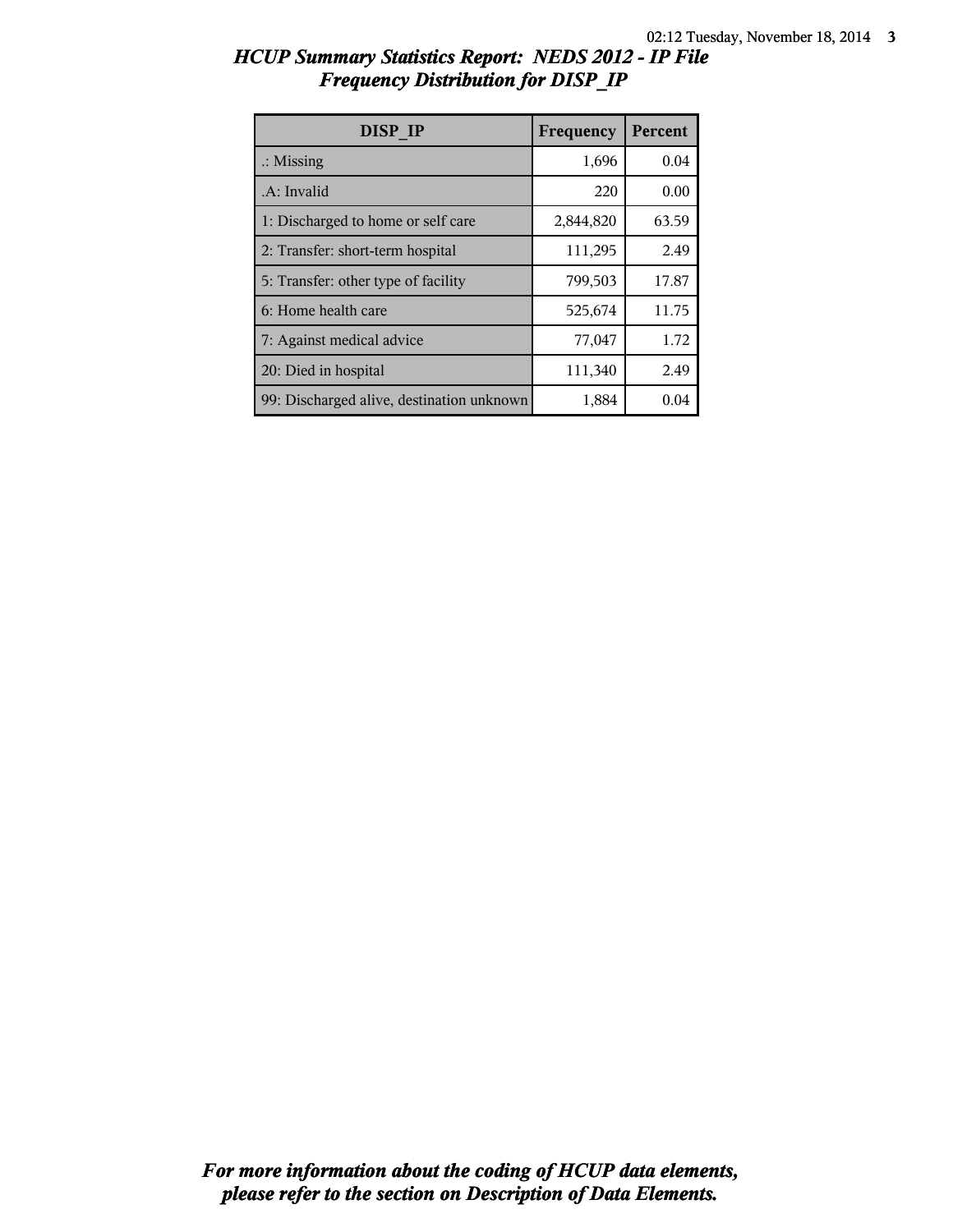| <b>HCUP Summary Statistics Report: NEDS 2012 - IP File</b> |  |  |
|------------------------------------------------------------|--|--|
| <b>Frequency Distribution for DISP IP</b>                  |  |  |

| <b>DISP IP</b>                            | Frequency | Percent |
|-------------------------------------------|-----------|---------|
| $\therefore$ Missing                      | 1,696     | 0.04    |
| .A: Invalid                               | 220       | 0.00    |
| 1: Discharged to home or self care        | 2,844,820 | 63.59   |
| 2: Transfer: short-term hospital          | 111,295   | 2.49    |
| 5: Transfer: other type of facility       | 799,503   | 17.87   |
| 6: Home health care                       | 525,674   | 11.75   |
| 7: Against medical advice                 | 77,047    | 1.72    |
| 20: Died in hospital                      | 111,340   | 2.49    |
| 99: Discharged alive, destination unknown | 1,884     | 0.04    |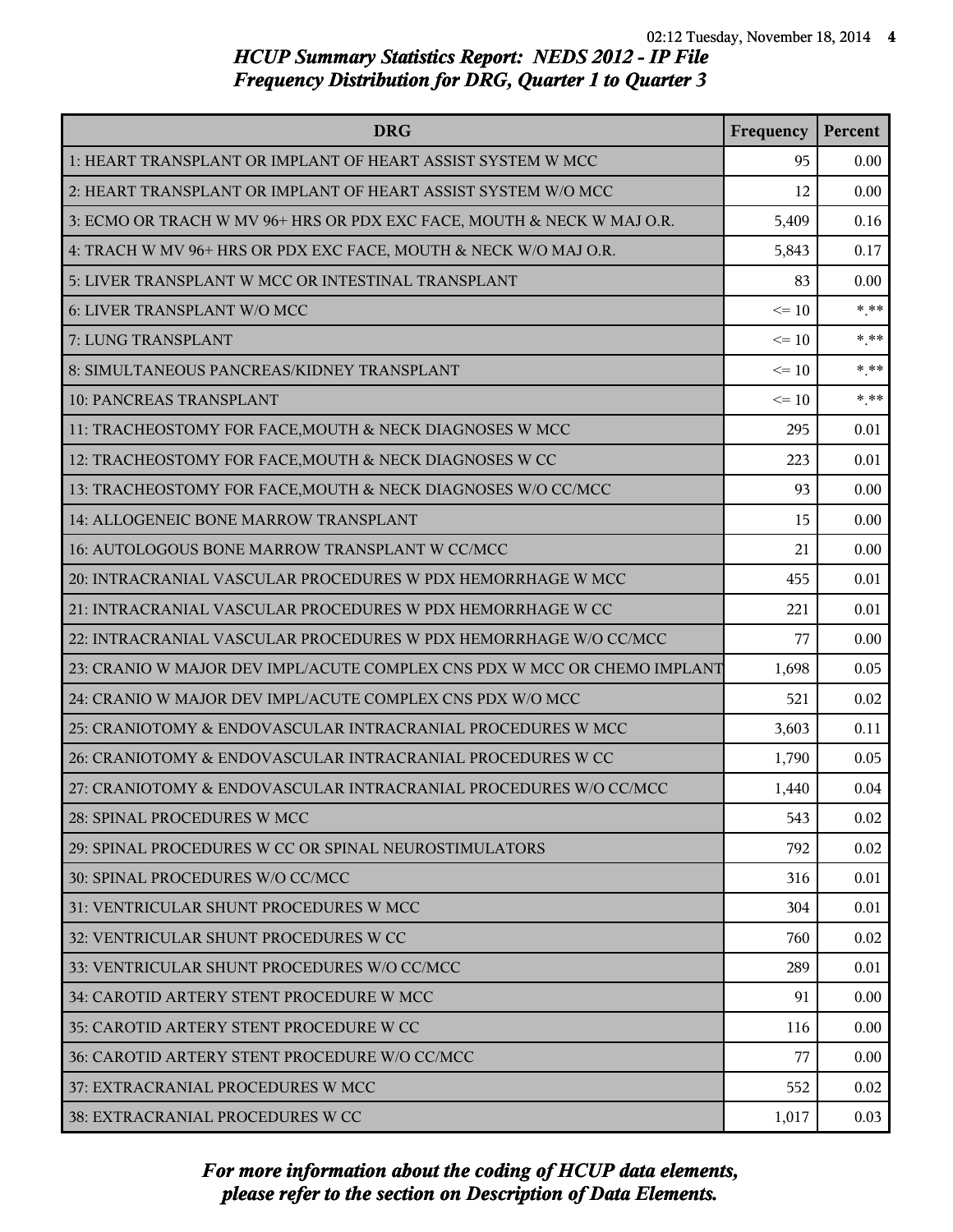| <b>DRG</b>                                                               | Frequency | Percent |
|--------------------------------------------------------------------------|-----------|---------|
| 1: HEART TRANSPLANT OR IMPLANT OF HEART ASSIST SYSTEM W MCC              | 95        | 0.00    |
| 2: HEART TRANSPLANT OR IMPLANT OF HEART ASSIST SYSTEM W/O MCC            | 12        | 0.00    |
| 3: ECMO OR TRACH W MV 96+ HRS OR PDX EXC FACE, MOUTH & NECK W MAJ O.R.   | 5,409     | 0.16    |
| 4: TRACH W MV 96+ HRS OR PDX EXC FACE, MOUTH & NECK W/O MAJ O.R.         | 5,843     | 0.17    |
| 5: LIVER TRANSPLANT W MCC OR INTESTINAL TRANSPLANT                       | 83        | 0.00    |
| 6: LIVER TRANSPLANT W/O MCC                                              | $\leq 10$ | $***$   |
| 7: LUNG TRANSPLANT                                                       | $\leq 10$ | $***$   |
| 8: SIMULTANEOUS PANCREAS/KIDNEY TRANSPLANT                               | $\leq 10$ | $* * *$ |
| 10: PANCREAS TRANSPLANT                                                  | $\leq 10$ | $***$   |
| 11: TRACHEOSTOMY FOR FACE, MOUTH & NECK DIAGNOSES W MCC                  | 295       | 0.01    |
| 12: TRACHEOSTOMY FOR FACE, MOUTH & NECK DIAGNOSES W CC                   | 223       | 0.01    |
| 13: TRACHEOSTOMY FOR FACE, MOUTH & NECK DIAGNOSES W/O CC/MCC             | 93        | 0.00    |
| 14: ALLOGENEIC BONE MARROW TRANSPLANT                                    | 15        | 0.00    |
| 16: AUTOLOGOUS BONE MARROW TRANSPLANT W CC/MCC                           | 21        | 0.00    |
| 20: INTRACRANIAL VASCULAR PROCEDURES W PDX HEMORRHAGE W MCC              | 455       | 0.01    |
| 21: INTRACRANIAL VASCULAR PROCEDURES W PDX HEMORRHAGE W CC               | 221       | 0.01    |
| 22: INTRACRANIAL VASCULAR PROCEDURES W PDX HEMORRHAGE W/O CC/MCC         | 77        | 0.00    |
| 23: CRANIO W MAJOR DEV IMPL/ACUTE COMPLEX CNS PDX W MCC OR CHEMO IMPLANT | 1,698     | 0.05    |
| 24: CRANIO W MAJOR DEV IMPL/ACUTE COMPLEX CNS PDX W/O MCC                | 521       | 0.02    |
| 25: CRANIOTOMY & ENDOVASCULAR INTRACRANIAL PROCEDURES W MCC              | 3,603     | 0.11    |
| 26: CRANIOTOMY & ENDOVASCULAR INTRACRANIAL PROCEDURES W CC               | 1,790     | 0.05    |
| 27: CRANIOTOMY & ENDOVASCULAR INTRACRANIAL PROCEDURES W/O CC/MCC         | 1,440     | 0.04    |
| 28: SPINAL PROCEDURES W MCC                                              | 543       | 0.02    |
| 29: SPINAL PROCEDURES W CC OR SPINAL NEUROSTIMULATORS                    | 792       | 0.02    |
| 30: SPINAL PROCEDURES W/O CC/MCC                                         | 316       | 0.01    |
| 31: VENTRICULAR SHUNT PROCEDURES W MCC                                   | 304       | 0.01    |
| 32: VENTRICULAR SHUNT PROCEDURES W CC                                    | 760       | 0.02    |
| 33: VENTRICULAR SHUNT PROCEDURES W/O CC/MCC                              | 289       | 0.01    |
| 34: CAROTID ARTERY STENT PROCEDURE W MCC                                 | 91        | 0.00    |
| 35: CAROTID ARTERY STENT PROCEDURE W CC                                  | 116       | 0.00    |
| 36: CAROTID ARTERY STENT PROCEDURE W/O CC/MCC                            | 77        | 0.00    |
| 37: EXTRACRANIAL PROCEDURES W MCC                                        | 552       | 0.02    |
| 38: EXTRACRANIAL PROCEDURES W CC                                         | 1,017     | 0.03    |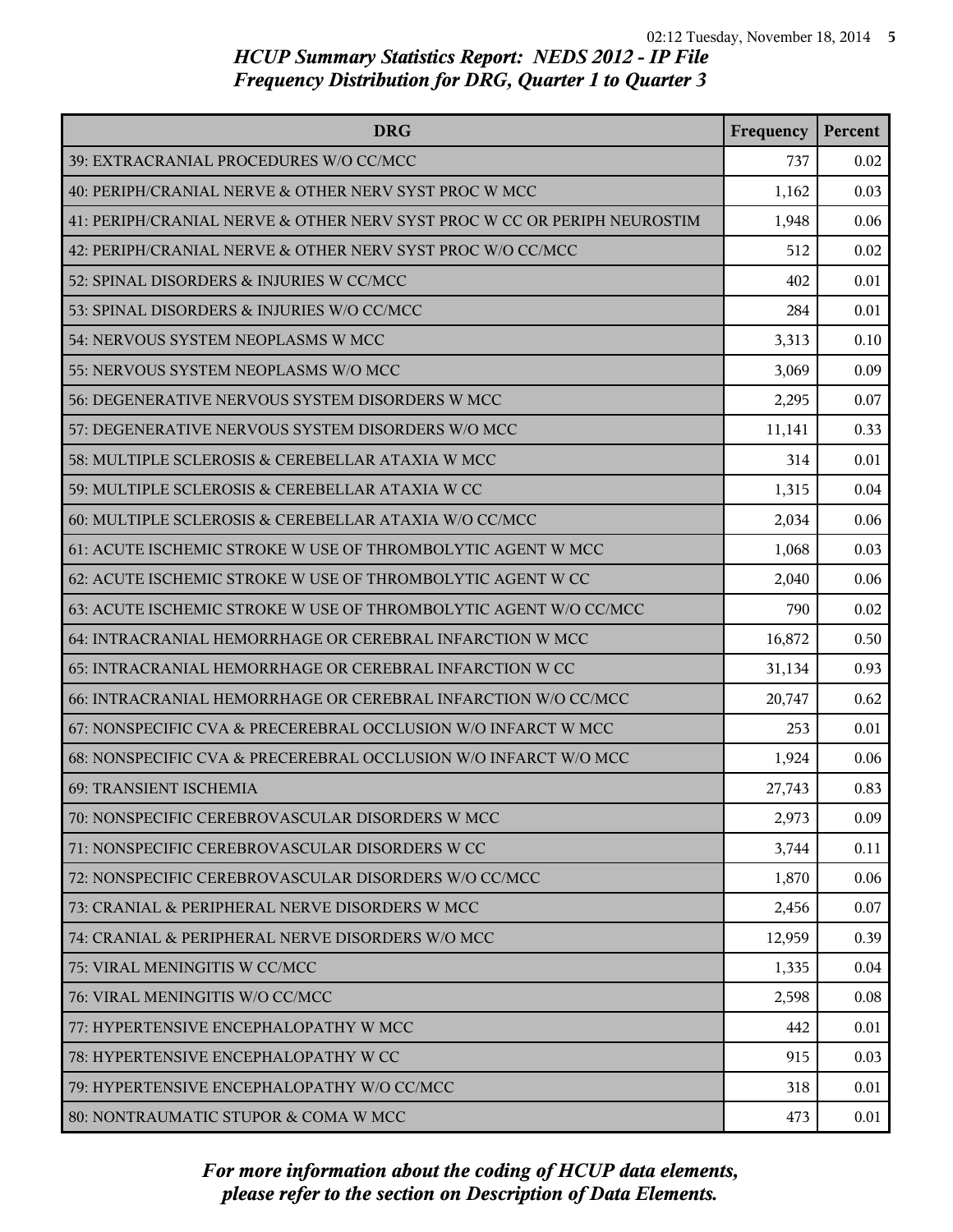| <b>DRG</b>                                                               | Frequency | Percent |
|--------------------------------------------------------------------------|-----------|---------|
| 39: EXTRACRANIAL PROCEDURES W/O CC/MCC                                   | 737       | 0.02    |
| 40: PERIPH/CRANIAL NERVE & OTHER NERV SYST PROC W MCC                    | 1,162     | 0.03    |
| 41: PERIPH/CRANIAL NERVE & OTHER NERV SYST PROC W CC OR PERIPH NEUROSTIM | 1,948     | 0.06    |
| 42: PERIPH/CRANIAL NERVE & OTHER NERV SYST PROC W/O CC/MCC               | 512       | 0.02    |
| 52: SPINAL DISORDERS & INJURIES W CC/MCC                                 | 402       | 0.01    |
| 53: SPINAL DISORDERS & INJURIES W/O CC/MCC                               | 284       | 0.01    |
| 54: NERVOUS SYSTEM NEOPLASMS W MCC                                       | 3,313     | 0.10    |
| 55: NERVOUS SYSTEM NEOPLASMS W/O MCC                                     | 3,069     | 0.09    |
| 56: DEGENERATIVE NERVOUS SYSTEM DISORDERS W MCC                          | 2,295     | 0.07    |
| 57: DEGENERATIVE NERVOUS SYSTEM DISORDERS W/O MCC                        | 11,141    | 0.33    |
| 58: MULTIPLE SCLEROSIS & CEREBELLAR ATAXIA W MCC                         | 314       | 0.01    |
| 59: MULTIPLE SCLEROSIS & CEREBELLAR ATAXIA W CC                          | 1,315     | 0.04    |
| 60: MULTIPLE SCLEROSIS & CEREBELLAR ATAXIA W/O CC/MCC                    | 2,034     | 0.06    |
| 61: ACUTE ISCHEMIC STROKE W USE OF THROMBOLYTIC AGENT W MCC              | 1,068     | 0.03    |
| 62: ACUTE ISCHEMIC STROKE W USE OF THROMBOLYTIC AGENT W CC               | 2,040     | 0.06    |
| 63: ACUTE ISCHEMIC STROKE W USE OF THROMBOLYTIC AGENT W/O CC/MCC         | 790       | 0.02    |
| 64: INTRACRANIAL HEMORRHAGE OR CEREBRAL INFARCTION W MCC                 | 16,872    | 0.50    |
| 65: INTRACRANIAL HEMORRHAGE OR CEREBRAL INFARCTION W CC                  | 31,134    | 0.93    |
| 66: INTRACRANIAL HEMORRHAGE OR CEREBRAL INFARCTION W/O CC/MCC            | 20,747    | 0.62    |
| 67: NONSPECIFIC CVA & PRECEREBRAL OCCLUSION W/O INFARCT W MCC            | 253       | 0.01    |
| 68: NONSPECIFIC CVA & PRECEREBRAL OCCLUSION W/O INFARCT W/O MCC          | 1,924     | 0.06    |
| 69: TRANSIENT ISCHEMIA                                                   | 27,743    | 0.83    |
| 70: NONSPECIFIC CEREBROVASCULAR DISORDERS W MCC                          | 2,973     | 0.09    |
| 71: NONSPECIFIC CEREBROVASCULAR DISORDERS W CC                           | 3,744     | 0.11    |
| 72: NONSPECIFIC CEREBROVASCULAR DISORDERS W/O CC/MCC                     | 1,870     | 0.06    |
| 73: CRANIAL & PERIPHERAL NERVE DISORDERS W MCC                           | 2,456     | 0.07    |
| 74: CRANIAL & PERIPHERAL NERVE DISORDERS W/O MCC                         | 12,959    | 0.39    |
| 75: VIRAL MENINGITIS W CC/MCC                                            | 1,335     | 0.04    |
| 76: VIRAL MENINGITIS W/O CC/MCC                                          | 2,598     | 0.08    |
| 77: HYPERTENSIVE ENCEPHALOPATHY W MCC                                    | 442       | 0.01    |
| 78: HYPERTENSIVE ENCEPHALOPATHY W CC                                     | 915       | 0.03    |
| 79: HYPERTENSIVE ENCEPHALOPATHY W/O CC/MCC                               | 318       | 0.01    |
| 80: NONTRAUMATIC STUPOR & COMA W MCC                                     | 473       | 0.01    |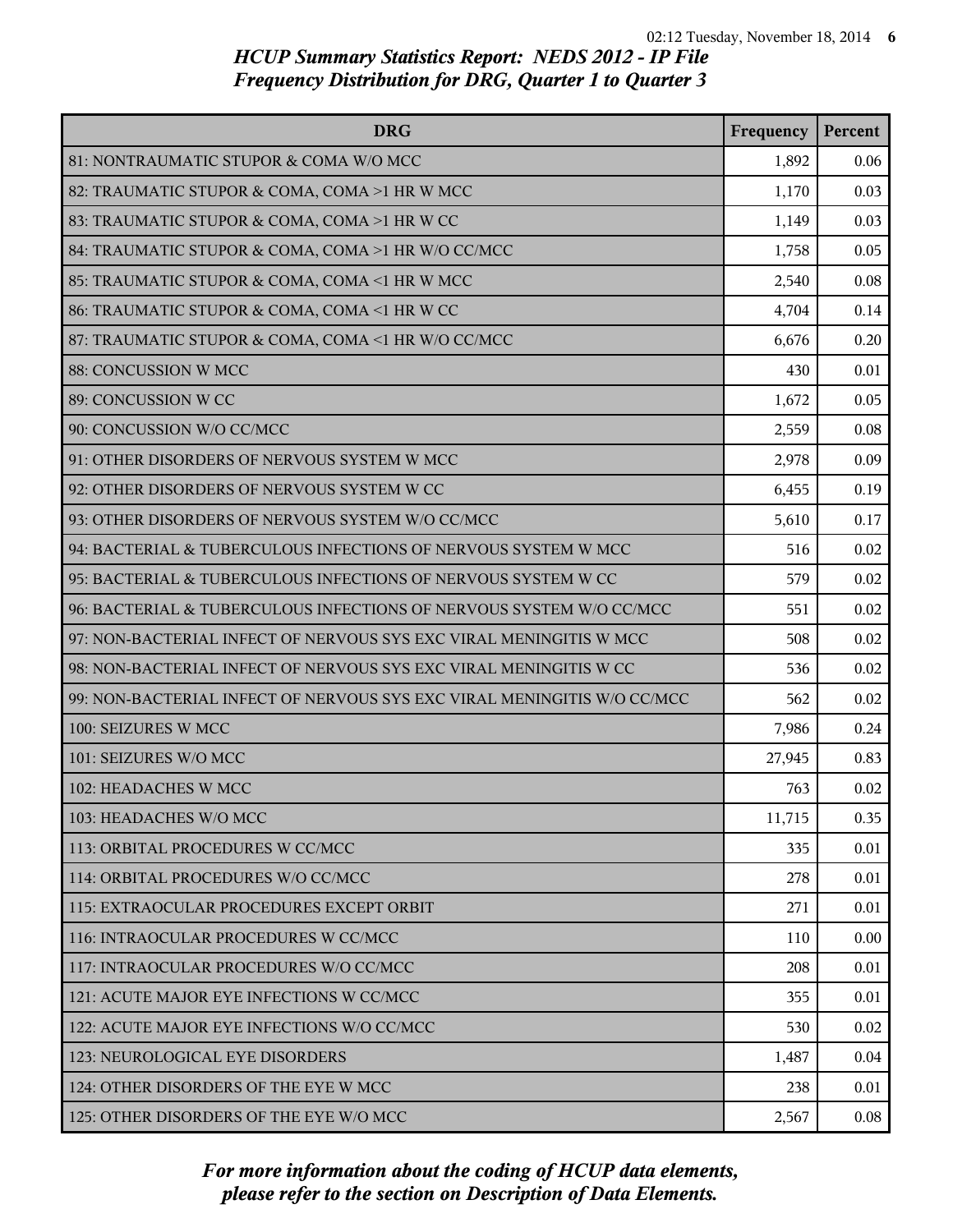| <b>DRG</b>                                                              | Frequency | Percent |
|-------------------------------------------------------------------------|-----------|---------|
| 81: NONTRAUMATIC STUPOR & COMA W/O MCC                                  | 1,892     | 0.06    |
| 82: TRAUMATIC STUPOR & COMA, COMA >1 HR W MCC                           | 1,170     | 0.03    |
| 83: TRAUMATIC STUPOR & COMA, COMA >1 HR W CC                            | 1,149     | 0.03    |
| 84: TRAUMATIC STUPOR & COMA, COMA >1 HR W/O CC/MCC                      | 1,758     | 0.05    |
| 85: TRAUMATIC STUPOR & COMA, COMA <1 HR W MCC                           | 2,540     | 0.08    |
| 86: TRAUMATIC STUPOR & COMA, COMA <1 HR W CC                            | 4,704     | 0.14    |
| 87: TRAUMATIC STUPOR & COMA, COMA <1 HR W/O CC/MCC                      | 6,676     | 0.20    |
| 88: CONCUSSION W MCC                                                    | 430       | 0.01    |
| 89: CONCUSSION W CC                                                     | 1,672     | 0.05    |
| 90: CONCUSSION W/O CC/MCC                                               | 2,559     | 0.08    |
| 91: OTHER DISORDERS OF NERVOUS SYSTEM W MCC                             | 2,978     | 0.09    |
| 92: OTHER DISORDERS OF NERVOUS SYSTEM W CC                              | 6,455     | 0.19    |
| 93: OTHER DISORDERS OF NERVOUS SYSTEM W/O CC/MCC                        | 5,610     | 0.17    |
| 94: BACTERIAL & TUBERCULOUS INFECTIONS OF NERVOUS SYSTEM W MCC          | 516       | 0.02    |
| 95: BACTERIAL & TUBERCULOUS INFECTIONS OF NERVOUS SYSTEM W CC           | 579       | 0.02    |
| 96: BACTERIAL & TUBERCULOUS INFECTIONS OF NERVOUS SYSTEM W/O CC/MCC     | 551       | 0.02    |
| 97: NON-BACTERIAL INFECT OF NERVOUS SYS EXC VIRAL MENINGITIS W MCC      | 508       | 0.02    |
| 98: NON-BACTERIAL INFECT OF NERVOUS SYS EXC VIRAL MENINGITIS W CC       | 536       | 0.02    |
| 99: NON-BACTERIAL INFECT OF NERVOUS SYS EXC VIRAL MENINGITIS W/O CC/MCC | 562       | 0.02    |
| 100: SEIZURES W MCC                                                     | 7,986     | 0.24    |
| 101: SEIZURES W/O MCC                                                   | 27,945    | 0.83    |
| 102: HEADACHES W MCC                                                    | 763       | 0.02    |
| 103: HEADACHES W/O MCC                                                  | 11,715    | 0.35    |
| 113: ORBITAL PROCEDURES W CC/MCC                                        | 335       | 0.01    |
| 114: ORBITAL PROCEDURES W/O CC/MCC                                      | 278       | 0.01    |
| 115: EXTRAOCULAR PROCEDURES EXCEPT ORBIT                                | 271       | 0.01    |
| 116: INTRAOCULAR PROCEDURES W CC/MCC                                    | 110       | 0.00    |
| 117: INTRAOCULAR PROCEDURES W/O CC/MCC                                  | 208       | 0.01    |
| 121: ACUTE MAJOR EYE INFECTIONS W CC/MCC                                | 355       | 0.01    |
| 122: ACUTE MAJOR EYE INFECTIONS W/O CC/MCC                              | 530       | 0.02    |
| 123: NEUROLOGICAL EYE DISORDERS                                         | 1,487     | 0.04    |
| 124: OTHER DISORDERS OF THE EYE W MCC                                   | 238       | 0.01    |
| 125: OTHER DISORDERS OF THE EYE W/O MCC                                 | 2,567     | 0.08    |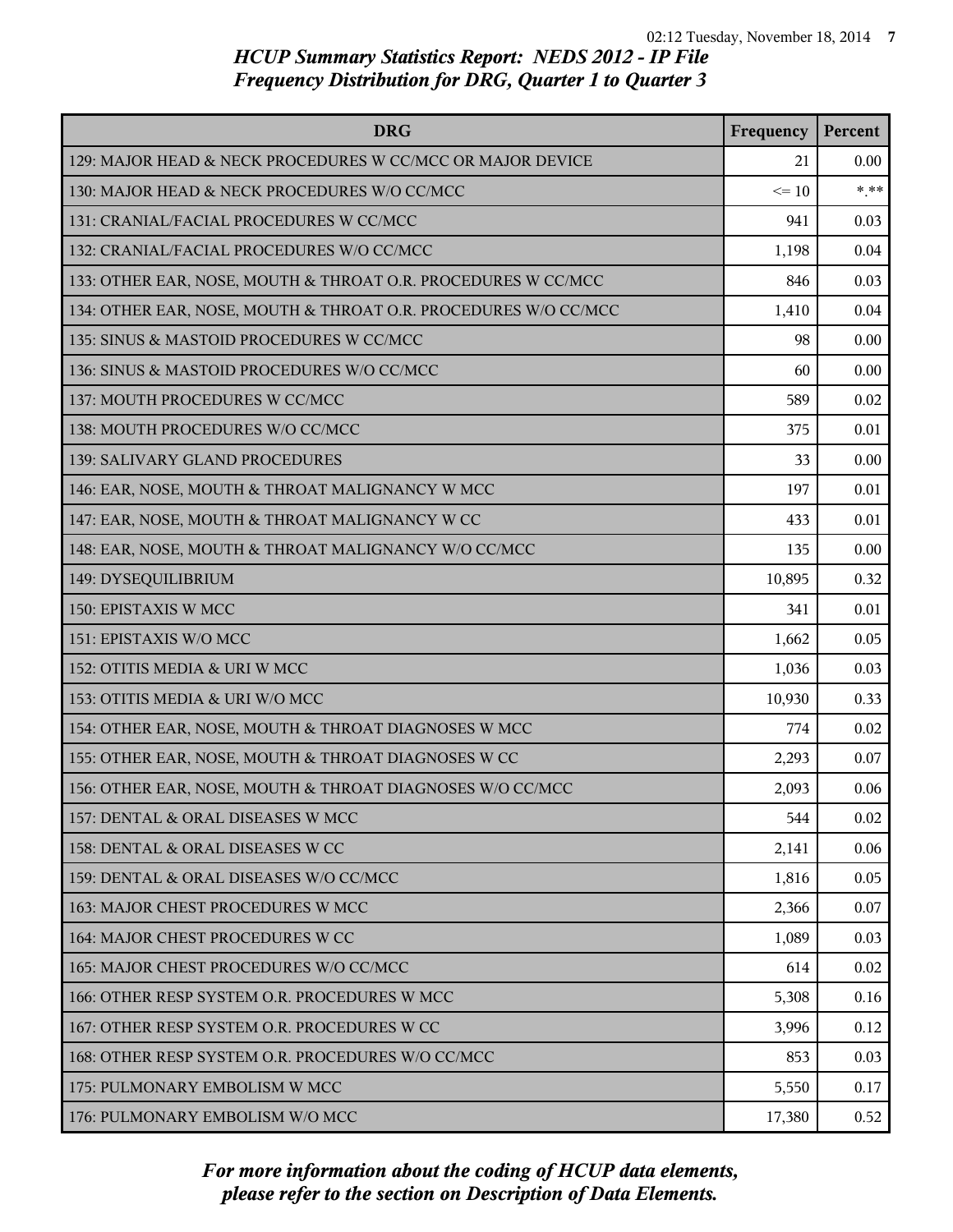| <b>DRG</b>                                                      | Frequency | Percent |
|-----------------------------------------------------------------|-----------|---------|
| 129: MAJOR HEAD & NECK PROCEDURES W CC/MCC OR MAJOR DEVICE      | 21        | 0.00    |
| 130: MAJOR HEAD & NECK PROCEDURES W/O CC/MCC                    | $\leq$ 10 | $***$   |
| 131: CRANIAL/FACIAL PROCEDURES W CC/MCC                         | 941       | 0.03    |
| 132: CRANIAL/FACIAL PROCEDURES W/O CC/MCC                       | 1,198     | 0.04    |
| 133: OTHER EAR, NOSE, MOUTH & THROAT O.R. PROCEDURES W CC/MCC   | 846       | 0.03    |
| 134: OTHER EAR, NOSE, MOUTH & THROAT O.R. PROCEDURES W/O CC/MCC | 1,410     | 0.04    |
| 135: SINUS & MASTOID PROCEDURES W CC/MCC                        | 98        | 0.00    |
| 136: SINUS & MASTOID PROCEDURES W/O CC/MCC                      | 60        | 0.00    |
| 137: MOUTH PROCEDURES W CC/MCC                                  | 589       | 0.02    |
| 138: MOUTH PROCEDURES W/O CC/MCC                                | 375       | 0.01    |
| 139: SALIVARY GLAND PROCEDURES                                  | 33        | 0.00    |
| 146: EAR, NOSE, MOUTH & THROAT MALIGNANCY W MCC                 | 197       | 0.01    |
| 147: EAR, NOSE, MOUTH & THROAT MALIGNANCY W CC                  | 433       | 0.01    |
| 148: EAR, NOSE, MOUTH & THROAT MALIGNANCY W/O CC/MCC            | 135       | 0.00    |
| 149: DYSEQUILIBRIUM                                             | 10,895    | 0.32    |
| 150: EPISTAXIS W MCC                                            | 341       | 0.01    |
| 151: EPISTAXIS W/O MCC                                          | 1,662     | 0.05    |
| 152: OTITIS MEDIA & URI W MCC                                   | 1,036     | 0.03    |
| 153: OTITIS MEDIA & URI W/O MCC                                 | 10,930    | 0.33    |
| 154: OTHER EAR, NOSE, MOUTH & THROAT DIAGNOSES W MCC            | 774       | 0.02    |
| 155: OTHER EAR, NOSE, MOUTH & THROAT DIAGNOSES W CC             | 2,293     | 0.07    |
| 156: OTHER EAR, NOSE, MOUTH & THROAT DIAGNOSES W/O CC/MCC       | 2,093     | 0.06    |
| 157: DENTAL & ORAL DISEASES W MCC                               | 544       | 0.02    |
| 158: DENTAL & ORAL DISEASES W CC                                | 2,141     | 0.06    |
| 159: DENTAL & ORAL DISEASES W/O CC/MCC                          | 1,816     | 0.05    |
| 163: MAJOR CHEST PROCEDURES W MCC                               | 2,366     | 0.07    |
| 164: MAJOR CHEST PROCEDURES W CC                                | 1,089     | 0.03    |
| 165: MAJOR CHEST PROCEDURES W/O CC/MCC                          | 614       | 0.02    |
| 166: OTHER RESP SYSTEM O.R. PROCEDURES W MCC                    | 5,308     | 0.16    |
| 167: OTHER RESP SYSTEM O.R. PROCEDURES W CC                     | 3,996     | 0.12    |
| 168: OTHER RESP SYSTEM O.R. PROCEDURES W/O CC/MCC               | 853       | 0.03    |
| 175: PULMONARY EMBOLISM W MCC                                   | 5,550     | 0.17    |
| 176: PULMONARY EMBOLISM W/O MCC                                 | 17,380    | 0.52    |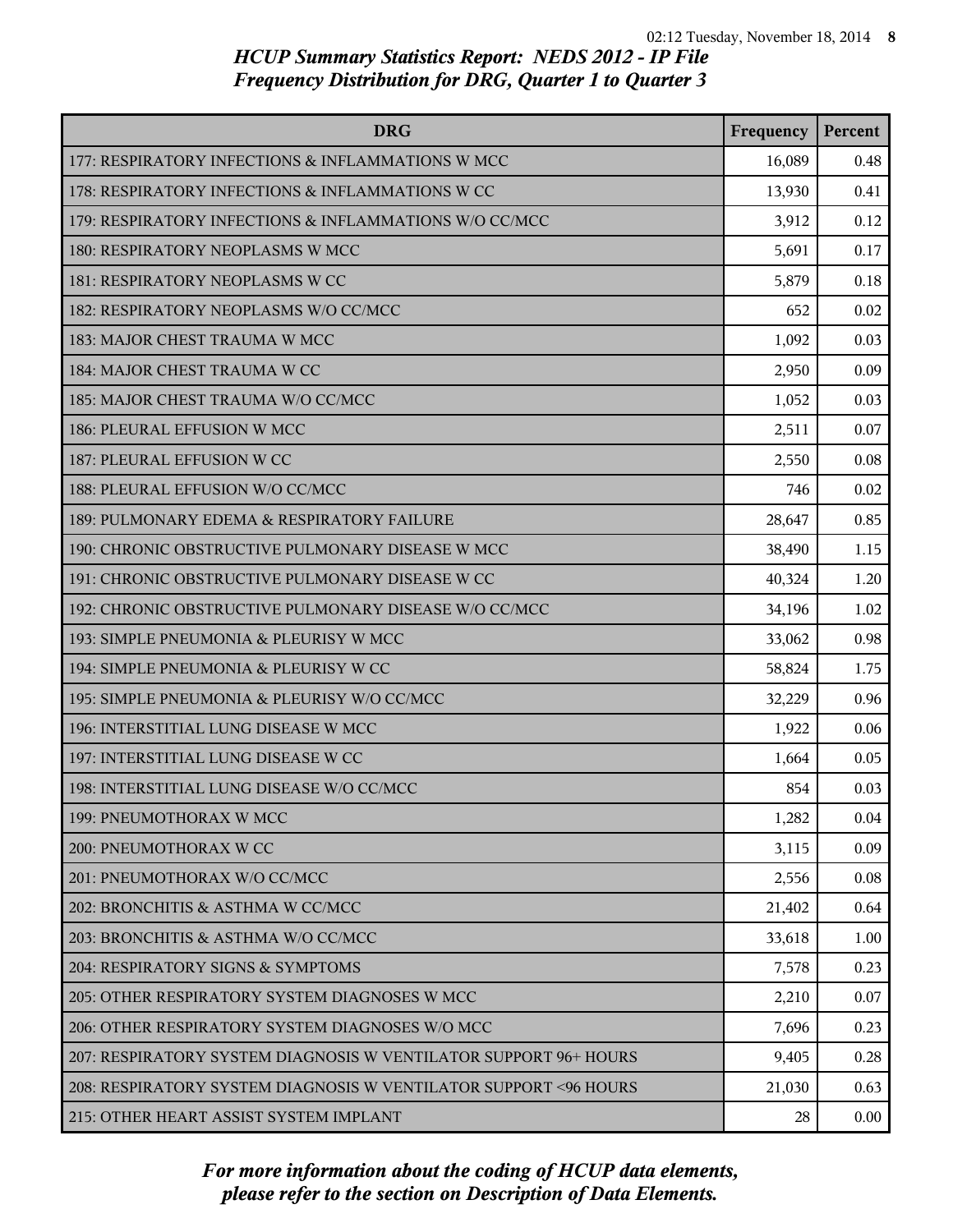| <b>DRG</b>                                                        | Frequency | Percent |
|-------------------------------------------------------------------|-----------|---------|
| 177: RESPIRATORY INFECTIONS & INFLAMMATIONS W MCC                 | 16,089    | 0.48    |
| 178: RESPIRATORY INFECTIONS & INFLAMMATIONS W CC                  | 13,930    | 0.41    |
| 179: RESPIRATORY INFECTIONS & INFLAMMATIONS W/O CC/MCC            | 3,912     | 0.12    |
| 180: RESPIRATORY NEOPLASMS W MCC                                  | 5,691     | 0.17    |
| 181: RESPIRATORY NEOPLASMS W CC                                   | 5,879     | 0.18    |
| 182: RESPIRATORY NEOPLASMS W/O CC/MCC                             | 652       | 0.02    |
| 183: MAJOR CHEST TRAUMA W MCC                                     | 1,092     | 0.03    |
| 184: MAJOR CHEST TRAUMA W CC                                      | 2,950     | 0.09    |
| 185: MAJOR CHEST TRAUMA W/O CC/MCC                                | 1,052     | 0.03    |
| 186: PLEURAL EFFUSION W MCC                                       | 2,511     | 0.07    |
| 187: PLEURAL EFFUSION W CC                                        | 2,550     | 0.08    |
| 188: PLEURAL EFFUSION W/O CC/MCC                                  | 746       | 0.02    |
| 189: PULMONARY EDEMA & RESPIRATORY FAILURE                        | 28,647    | 0.85    |
| 190: CHRONIC OBSTRUCTIVE PULMONARY DISEASE W MCC                  | 38,490    | 1.15    |
| 191: CHRONIC OBSTRUCTIVE PULMONARY DISEASE W CC                   | 40,324    | 1.20    |
| 192: CHRONIC OBSTRUCTIVE PULMONARY DISEASE W/O CC/MCC             | 34,196    | 1.02    |
| 193: SIMPLE PNEUMONIA & PLEURISY W MCC                            | 33,062    | 0.98    |
| 194: SIMPLE PNEUMONIA & PLEURISY W CC                             | 58,824    | 1.75    |
| 195: SIMPLE PNEUMONIA & PLEURISY W/O CC/MCC                       | 32,229    | 0.96    |
| 196: INTERSTITIAL LUNG DISEASE W MCC                              | 1,922     | 0.06    |
| 197: INTERSTITIAL LUNG DISEASE W CC                               | 1,664     | 0.05    |
| 198: INTERSTITIAL LUNG DISEASE W/O CC/MCC                         | 854       | 0.03    |
| 199: PNEUMOTHORAX W MCC                                           | 1,282     | 0.04    |
| 200: PNEUMOTHORAX W CC                                            | 3,115     | 0.09    |
| 201: PNEUMOTHORAX W/O CC/MCC                                      | 2,556     | 0.08    |
| 202: BRONCHITIS & ASTHMA W CC/MCC                                 | 21,402    | 0.64    |
| 203: BRONCHITIS & ASTHMA W/O CC/MCC                               | 33,618    | 1.00    |
| 204: RESPIRATORY SIGNS & SYMPTOMS                                 | 7,578     | 0.23    |
| 205: OTHER RESPIRATORY SYSTEM DIAGNOSES W MCC                     | 2,210     | 0.07    |
| 206: OTHER RESPIRATORY SYSTEM DIAGNOSES W/O MCC                   | 7,696     | 0.23    |
| 207: RESPIRATORY SYSTEM DIAGNOSIS W VENTILATOR SUPPORT 96+ HOURS  | 9,405     | 0.28    |
| 208: RESPIRATORY SYSTEM DIAGNOSIS W VENTILATOR SUPPORT < 96 HOURS | 21,030    | 0.63    |
| 215: OTHER HEART ASSIST SYSTEM IMPLANT                            | 28        | 0.00    |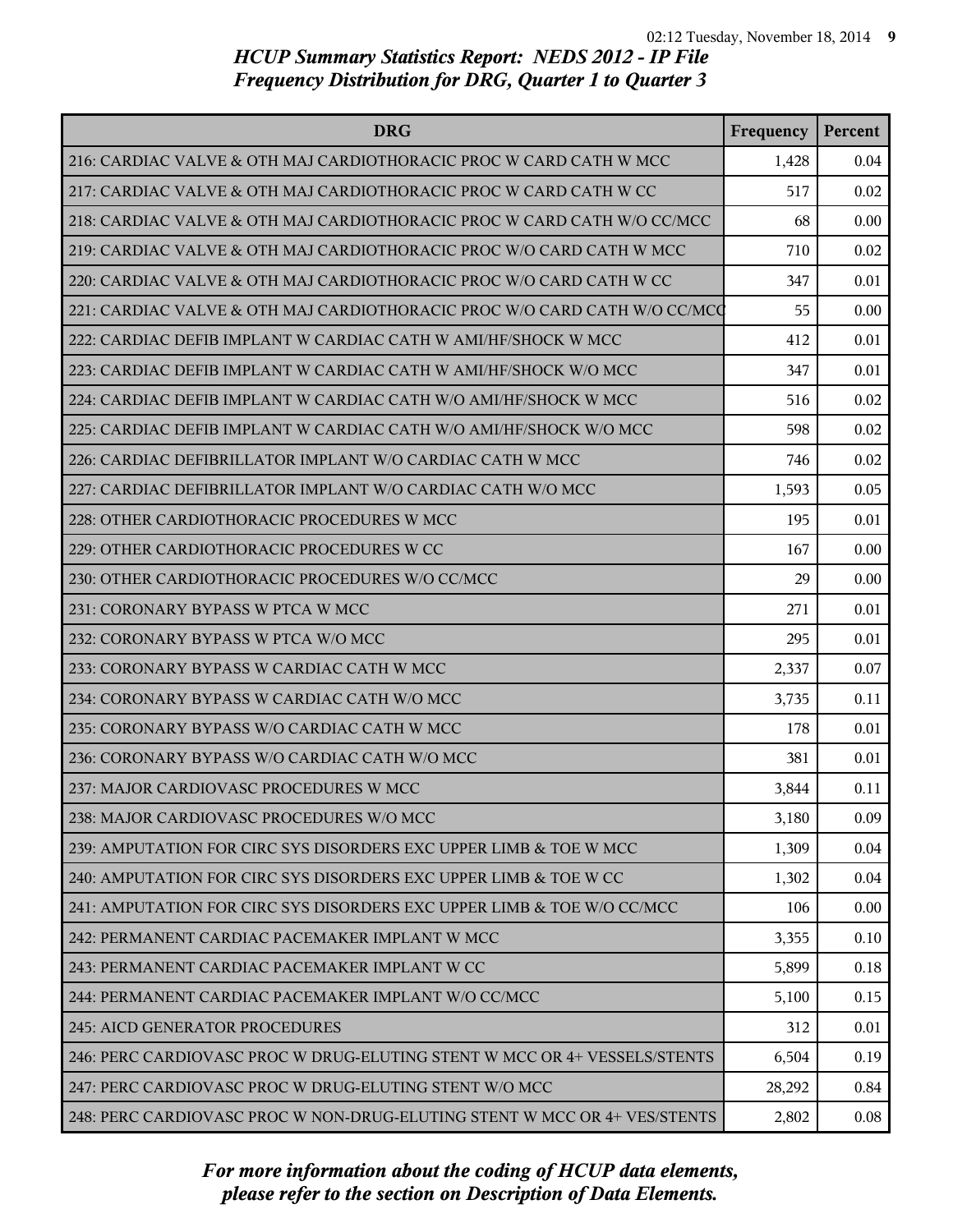| <b>DRG</b>                                                                | Frequency | Percent |
|---------------------------------------------------------------------------|-----------|---------|
| 216: CARDIAC VALVE & OTH MAJ CARDIOTHORACIC PROC W CARD CATH W MCC        | 1,428     | 0.04    |
| 217: CARDIAC VALVE & OTH MAJ CARDIOTHORACIC PROC W CARD CATH W CC         | 517       | 0.02    |
| 218: CARDIAC VALVE & OTH MAJ CARDIOTHORACIC PROC W CARD CATH W/O CC/MCC   | 68        | 0.00    |
| 219: CARDIAC VALVE & OTH MAJ CARDIOTHORACIC PROC W/O CARD CATH W MCC      | 710       | 0.02    |
| 220: CARDIAC VALVE & OTH MAJ CARDIOTHORACIC PROC W/O CARD CATH W CC       | 347       | 0.01    |
| 221: CARDIAC VALVE & OTH MAJ CARDIOTHORACIC PROC W/O CARD CATH W/O CC/MCQ | 55        | 0.00    |
| 222: CARDIAC DEFIB IMPLANT W CARDIAC CATH W AMI/HF/SHOCK W MCC            | 412       | 0.01    |
| 223: CARDIAC DEFIB IMPLANT W CARDIAC CATH W AMI/HF/SHOCK W/O MCC          | 347       | 0.01    |
| 224: CARDIAC DEFIB IMPLANT W CARDIAC CATH W/O AMI/HF/SHOCK W MCC          | 516       | 0.02    |
| 225: CARDIAC DEFIB IMPLANT W CARDIAC CATH W/O AMI/HF/SHOCK W/O MCC        | 598       | 0.02    |
| 226: CARDIAC DEFIBRILLATOR IMPLANT W/O CARDIAC CATH W MCC                 | 746       | 0.02    |
| 227: CARDIAC DEFIBRILLATOR IMPLANT W/O CARDIAC CATH W/O MCC               | 1,593     | 0.05    |
| 228: OTHER CARDIOTHORACIC PROCEDURES W MCC                                | 195       | 0.01    |
| 229: OTHER CARDIOTHORACIC PROCEDURES W CC                                 | 167       | 0.00    |
| 230: OTHER CARDIOTHORACIC PROCEDURES W/O CC/MCC                           | 29        | 0.00    |
| 231: CORONARY BYPASS W PTCA W MCC                                         | 271       | 0.01    |
| 232: CORONARY BYPASS W PTCA W/O MCC                                       | 295       | 0.01    |
| 233: CORONARY BYPASS W CARDIAC CATH W MCC                                 | 2,337     | 0.07    |
| 234: CORONARY BYPASS W CARDIAC CATH W/O MCC                               | 3,735     | 0.11    |
| 235: CORONARY BYPASS W/O CARDIAC CATH W MCC                               | 178       | 0.01    |
| 236: CORONARY BYPASS W/O CARDIAC CATH W/O MCC                             | 381       | 0.01    |
| 237: MAJOR CARDIOVASC PROCEDURES W MCC                                    | 3,844     | 0.11    |
| 238: MAJOR CARDIOVASC PROCEDURES W/O MCC                                  | 3,180     | 0.09    |
| 239: AMPUTATION FOR CIRC SYS DISORDERS EXC UPPER LIMB & TOE W MCC         | 1,309     | 0.04    |
| 240: AMPUTATION FOR CIRC SYS DISORDERS EXC UPPER LIMB & TOE W CC          | 1,302     | 0.04    |
| 241: AMPUTATION FOR CIRC SYS DISORDERS EXC UPPER LIMB & TOE W/O CC/MCC    | 106       | 0.00    |
| 242: PERMANENT CARDIAC PACEMAKER IMPLANT W MCC                            | 3,355     | 0.10    |
| 243: PERMANENT CARDIAC PACEMAKER IMPLANT W CC                             | 5,899     | 0.18    |
| 244: PERMANENT CARDIAC PACEMAKER IMPLANT W/O CC/MCC                       | 5,100     | 0.15    |
| 245: AICD GENERATOR PROCEDURES                                            | 312       | 0.01    |
| 246: PERC CARDIOVASC PROC W DRUG-ELUTING STENT W MCC OR 4+ VESSELS/STENTS | 6,504     | 0.19    |
| 247: PERC CARDIOVASC PROC W DRUG-ELUTING STENT W/O MCC                    | 28,292    | 0.84    |
| 248: PERC CARDIOVASC PROC W NON-DRUG-ELUTING STENT W MCC OR 4+ VES/STENTS | 2,802     | 0.08    |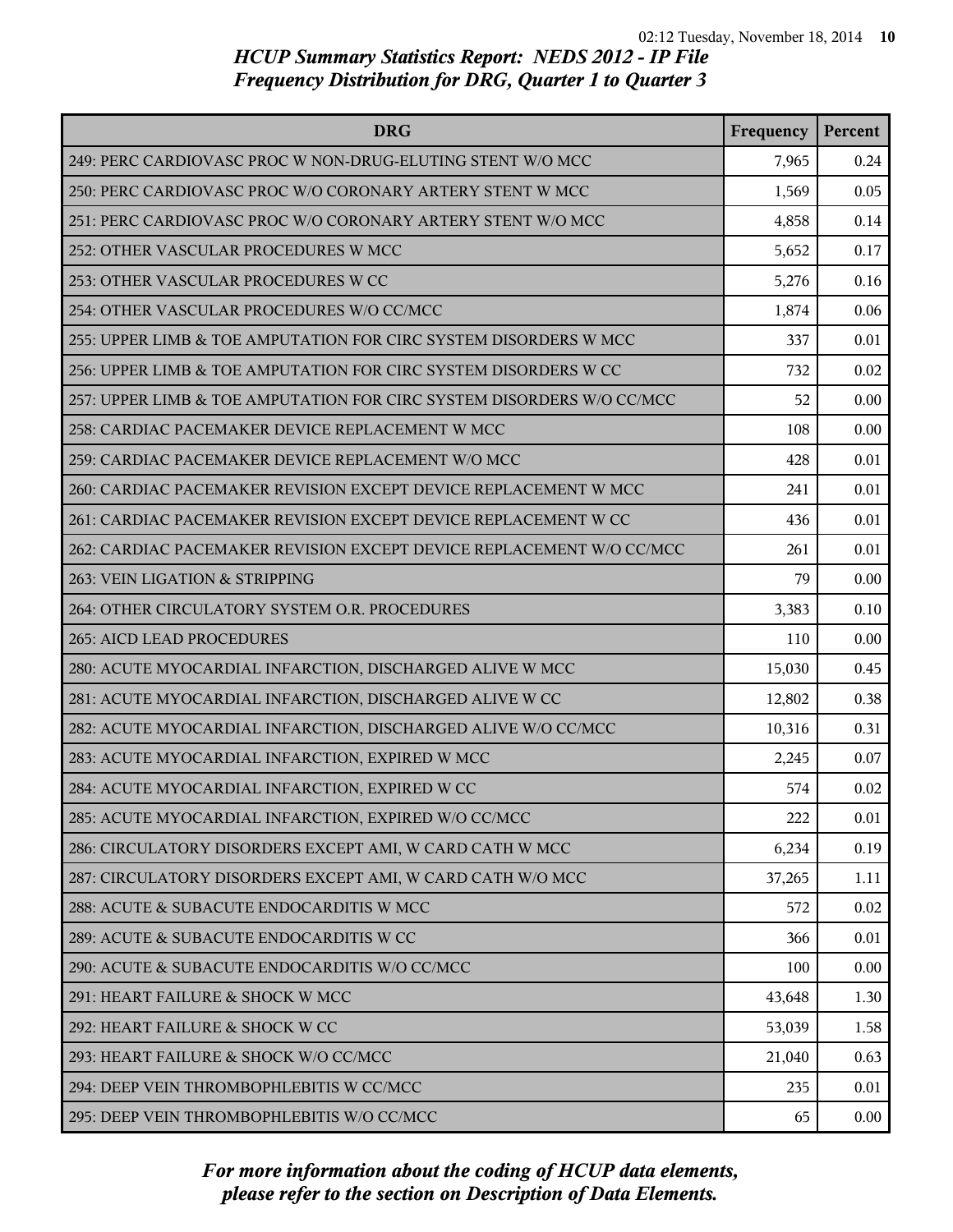| <b>DRG</b>                                                            | Frequency | Percent  |
|-----------------------------------------------------------------------|-----------|----------|
| 249: PERC CARDIOVASC PROC W NON-DRUG-ELUTING STENT W/O MCC            | 7,965     | 0.24     |
| 250: PERC CARDIOVASC PROC W/O CORONARY ARTERY STENT W MCC             | 1,569     | 0.05     |
| 251: PERC CARDIOVASC PROC W/O CORONARY ARTERY STENT W/O MCC           | 4,858     | 0.14     |
| 252: OTHER VASCULAR PROCEDURES W MCC                                  | 5,652     | 0.17     |
| 253: OTHER VASCULAR PROCEDURES W CC                                   | 5,276     | 0.16     |
| 254: OTHER VASCULAR PROCEDURES W/O CC/MCC                             | 1,874     | 0.06     |
| 255: UPPER LIMB & TOE AMPUTATION FOR CIRC SYSTEM DISORDERS W MCC      | 337       | 0.01     |
| 256: UPPER LIMB & TOE AMPUTATION FOR CIRC SYSTEM DISORDERS W CC       | 732       | 0.02     |
| 257: UPPER LIMB & TOE AMPUTATION FOR CIRC SYSTEM DISORDERS W/O CC/MCC | 52        | 0.00     |
| 258: CARDIAC PACEMAKER DEVICE REPLACEMENT W MCC                       | 108       | 0.00     |
| 259: CARDIAC PACEMAKER DEVICE REPLACEMENT W/O MCC                     | 428       | 0.01     |
| 260: CARDIAC PACEMAKER REVISION EXCEPT DEVICE REPLACEMENT W MCC       | 241       | 0.01     |
| 261: CARDIAC PACEMAKER REVISION EXCEPT DEVICE REPLACEMENT W CC        | 436       | 0.01     |
| 262: CARDIAC PACEMAKER REVISION EXCEPT DEVICE REPLACEMENT W/O CC/MCC  | 261       | 0.01     |
| 263: VEIN LIGATION & STRIPPING                                        | 79        | 0.00     |
| 264: OTHER CIRCULATORY SYSTEM O.R. PROCEDURES                         | 3,383     | 0.10     |
| 265: AICD LEAD PROCEDURES                                             | 110       | 0.00     |
| 280: ACUTE MYOCARDIAL INFARCTION, DISCHARGED ALIVE W MCC              | 15,030    | 0.45     |
| 281: ACUTE MYOCARDIAL INFARCTION, DISCHARGED ALIVE W CC               | 12,802    | 0.38     |
| 282: ACUTE MYOCARDIAL INFARCTION, DISCHARGED ALIVE W/O CC/MCC         | 10,316    | 0.31     |
| 283: ACUTE MYOCARDIAL INFARCTION, EXPIRED W MCC                       | 2,245     | 0.07     |
| 284: ACUTE MYOCARDIAL INFARCTION, EXPIRED W CC                        | 574       | 0.02     |
| 285: ACUTE MYOCARDIAL INFARCTION, EXPIRED W/O CC/MCC                  | 222       | 0.01     |
| 286: CIRCULATORY DISORDERS EXCEPT AMI, W CARD CATH W MCC              | 6,234     | 0.19     |
| 287: CIRCULATORY DISORDERS EXCEPT AMI, W CARD CATH W/O MCC            | 37,265    | 1.11     |
| 288: ACUTE & SUBACUTE ENDOCARDITIS W MCC                              | 572       | 0.02     |
| 289: ACUTE & SUBACUTE ENDOCARDITIS W CC                               | 366       | 0.01     |
| 290: ACUTE & SUBACUTE ENDOCARDITIS W/O CC/MCC                         | 100       | 0.00     |
| 291: HEART FAILURE & SHOCK W MCC                                      | 43,648    | 1.30     |
| 292: HEART FAILURE & SHOCK W CC                                       | 53,039    | 1.58     |
| 293: HEART FAILURE & SHOCK W/O CC/MCC                                 | 21,040    | 0.63     |
| 294: DEEP VEIN THROMBOPHLEBITIS W CC/MCC                              | 235       | 0.01     |
| 295: DEEP VEIN THROMBOPHLEBITIS W/O CC/MCC                            | 65        | $0.00\,$ |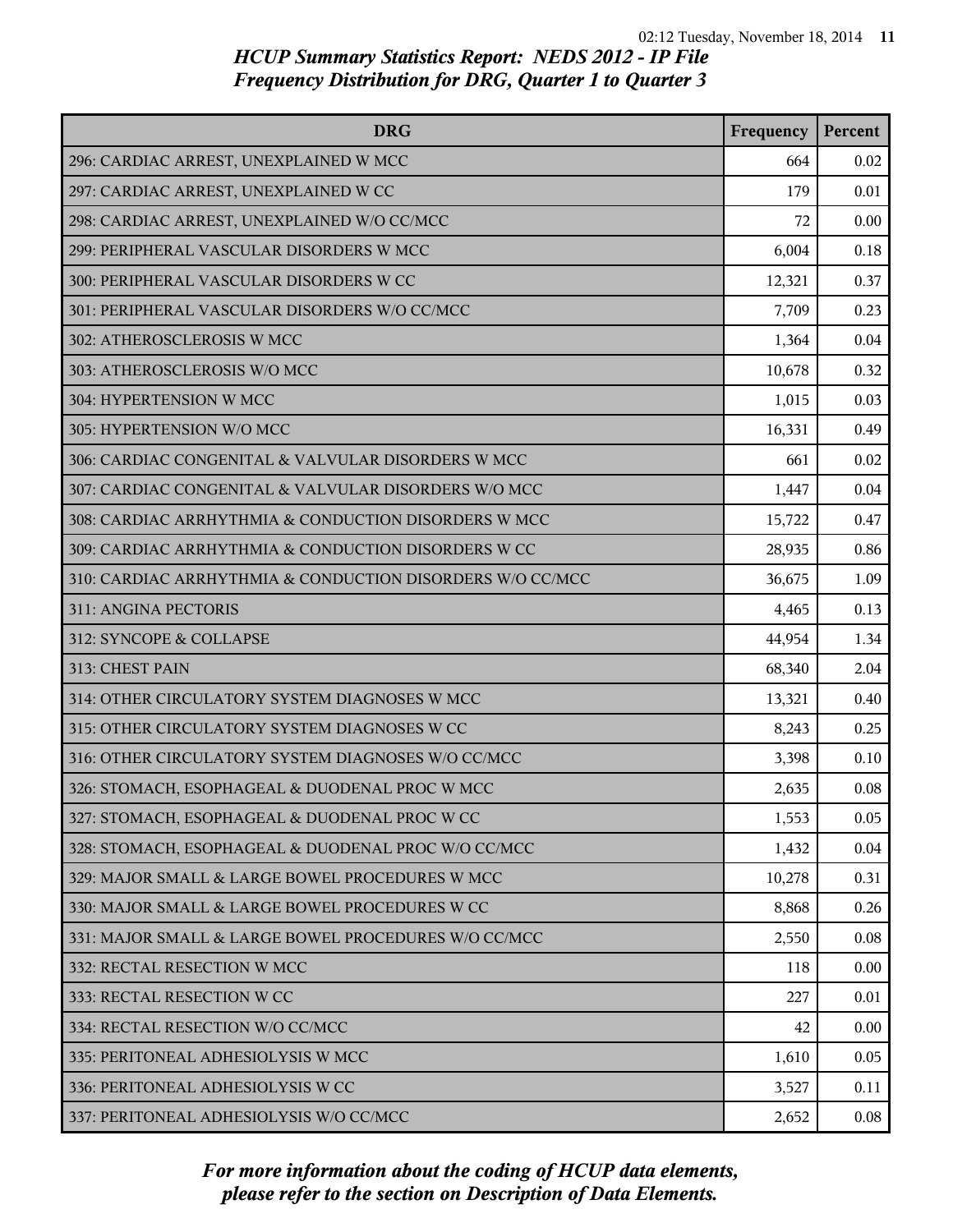| <b>DRG</b>                                                | Frequency | Percent |
|-----------------------------------------------------------|-----------|---------|
| 296: CARDIAC ARREST, UNEXPLAINED W MCC                    | 664       | 0.02    |
| 297: CARDIAC ARREST, UNEXPLAINED W CC                     | 179       | 0.01    |
| 298: CARDIAC ARREST, UNEXPLAINED W/O CC/MCC               | 72        | 0.00    |
| 299: PERIPHERAL VASCULAR DISORDERS W MCC                  | 6,004     | 0.18    |
| 300: PERIPHERAL VASCULAR DISORDERS W CC                   | 12,321    | 0.37    |
| 301: PERIPHERAL VASCULAR DISORDERS W/O CC/MCC             | 7,709     | 0.23    |
| 302: ATHEROSCLEROSIS W MCC                                | 1,364     | 0.04    |
| 303: ATHEROSCLEROSIS W/O MCC                              | 10,678    | 0.32    |
| 304: HYPERTENSION W MCC                                   | 1,015     | 0.03    |
| 305: HYPERTENSION W/O MCC                                 | 16,331    | 0.49    |
| 306: CARDIAC CONGENITAL & VALVULAR DISORDERS W MCC        | 661       | 0.02    |
| 307: CARDIAC CONGENITAL & VALVULAR DISORDERS W/O MCC      | 1,447     | 0.04    |
| 308: CARDIAC ARRHYTHMIA & CONDUCTION DISORDERS W MCC      | 15,722    | 0.47    |
| 309: CARDIAC ARRHYTHMIA & CONDUCTION DISORDERS W CC       | 28,935    | 0.86    |
| 310: CARDIAC ARRHYTHMIA & CONDUCTION DISORDERS W/O CC/MCC | 36,675    | 1.09    |
| 311: ANGINA PECTORIS                                      | 4,465     | 0.13    |
| 312: SYNCOPE & COLLAPSE                                   | 44,954    | 1.34    |
| 313: CHEST PAIN                                           | 68,340    | 2.04    |
| 314: OTHER CIRCULATORY SYSTEM DIAGNOSES W MCC             | 13,321    | 0.40    |
| 315: OTHER CIRCULATORY SYSTEM DIAGNOSES W CC              | 8,243     | 0.25    |
| 316: OTHER CIRCULATORY SYSTEM DIAGNOSES W/O CC/MCC        | 3,398     | 0.10    |
| 326: STOMACH, ESOPHAGEAL & DUODENAL PROC W MCC            | 2,635     | 0.08    |
| 327: STOMACH, ESOPHAGEAL & DUODENAL PROC W CC             | 1,553     | 0.05    |
| 328: STOMACH, ESOPHAGEAL & DUODENAL PROC W/O CC/MCC       | 1,432     | 0.04    |
| 329: MAJOR SMALL & LARGE BOWEL PROCEDURES W MCC           | 10,278    | 0.31    |
| 330: MAJOR SMALL & LARGE BOWEL PROCEDURES W CC            | 8,868     | 0.26    |
| 331: MAJOR SMALL & LARGE BOWEL PROCEDURES W/O CC/MCC      | 2,550     | 0.08    |
| 332: RECTAL RESECTION W MCC                               | 118       | 0.00    |
| 333: RECTAL RESECTION W CC                                | 227       | 0.01    |
| 334: RECTAL RESECTION W/O CC/MCC                          | 42        | 0.00    |
| 335: PERITONEAL ADHESIOLYSIS W MCC                        | 1,610     | 0.05    |
| 336: PERITONEAL ADHESIOLYSIS W CC                         | 3,527     | 0.11    |
| 337: PERITONEAL ADHESIOLYSIS W/O CC/MCC                   | 2,652     | 0.08    |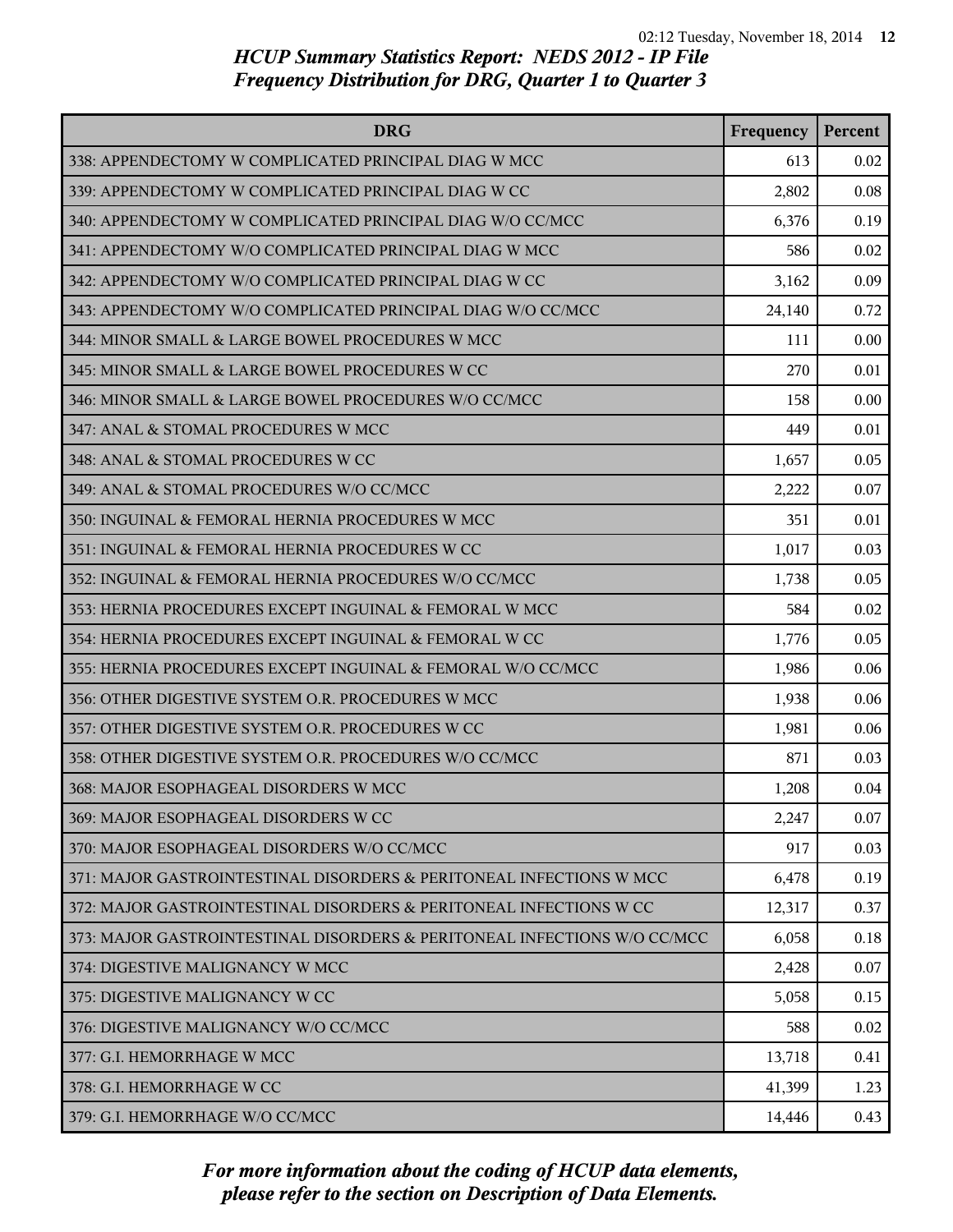| <b>DRG</b>                                                               | Frequency | Percent |
|--------------------------------------------------------------------------|-----------|---------|
| 338: APPENDECTOMY W COMPLICATED PRINCIPAL DIAG W MCC                     | 613       | 0.02    |
| 339: APPENDECTOMY W COMPLICATED PRINCIPAL DIAG W CC                      | 2,802     | 0.08    |
| 340: APPENDECTOMY W COMPLICATED PRINCIPAL DIAG W/O CC/MCC                | 6,376     | 0.19    |
| 341: APPENDECTOMY W/O COMPLICATED PRINCIPAL DIAG W MCC                   | 586       | 0.02    |
| 342: APPENDECTOMY W/O COMPLICATED PRINCIPAL DIAG W CC                    | 3,162     | 0.09    |
| 343: APPENDECTOMY W/O COMPLICATED PRINCIPAL DIAG W/O CC/MCC              | 24,140    | 0.72    |
| 344: MINOR SMALL & LARGE BOWEL PROCEDURES W MCC                          | 111       | 0.00    |
| 345: MINOR SMALL & LARGE BOWEL PROCEDURES W CC                           | 270       | 0.01    |
| 346: MINOR SMALL & LARGE BOWEL PROCEDURES W/O CC/MCC                     | 158       | 0.00    |
| 347: ANAL & STOMAL PROCEDURES W MCC                                      | 449       | 0.01    |
| 348: ANAL & STOMAL PROCEDURES W CC                                       | 1,657     | 0.05    |
| 349: ANAL & STOMAL PROCEDURES W/O CC/MCC                                 | 2,222     | 0.07    |
| 350: INGUINAL & FEMORAL HERNIA PROCEDURES W MCC                          | 351       | 0.01    |
| 351: INGUINAL & FEMORAL HERNIA PROCEDURES W CC                           | 1,017     | 0.03    |
| 352: INGUINAL & FEMORAL HERNIA PROCEDURES W/O CC/MCC                     | 1,738     | 0.05    |
| 353: HERNIA PROCEDURES EXCEPT INGUINAL & FEMORAL W MCC                   | 584       | 0.02    |
| 354: HERNIA PROCEDURES EXCEPT INGUINAL & FEMORAL W CC                    | 1,776     | 0.05    |
| 355: HERNIA PROCEDURES EXCEPT INGUINAL & FEMORAL W/O CC/MCC              | 1,986     | 0.06    |
| 356: OTHER DIGESTIVE SYSTEM O.R. PROCEDURES W MCC                        | 1,938     | 0.06    |
| 357: OTHER DIGESTIVE SYSTEM O.R. PROCEDURES W CC                         | 1,981     | 0.06    |
| 358: OTHER DIGESTIVE SYSTEM O.R. PROCEDURES W/O CC/MCC                   | 871       | 0.03    |
| 368: MAJOR ESOPHAGEAL DISORDERS W MCC                                    | 1,208     | 0.04    |
| 369: MAJOR ESOPHAGEAL DISORDERS W CC                                     | 2,247     | 0.07    |
| 370: MAJOR ESOPHAGEAL DISORDERS W/O CC/MCC                               | 917       | 0.03    |
| 371: MAJOR GASTROINTESTINAL DISORDERS & PERITONEAL INFECTIONS W MCC      | 6,478     | 0.19    |
| 372: MAJOR GASTROINTESTINAL DISORDERS & PERITONEAL INFECTIONS W CC       | 12,317    | 0.37    |
| 373: MAJOR GASTROINTESTINAL DISORDERS & PERITONEAL INFECTIONS W/O CC/MCC | 6,058     | 0.18    |
| 374: DIGESTIVE MALIGNANCY W MCC                                          | 2,428     | 0.07    |
| 375: DIGESTIVE MALIGNANCY W CC                                           | 5,058     | 0.15    |
| 376: DIGESTIVE MALIGNANCY W/O CC/MCC                                     | 588       | 0.02    |
| 377: G.I. HEMORRHAGE W MCC                                               | 13,718    | 0.41    |
| 378: G.I. HEMORRHAGE W CC                                                | 41,399    | 1.23    |
| 379: G.I. HEMORRHAGE W/O CC/MCC                                          | 14,446    | 0.43    |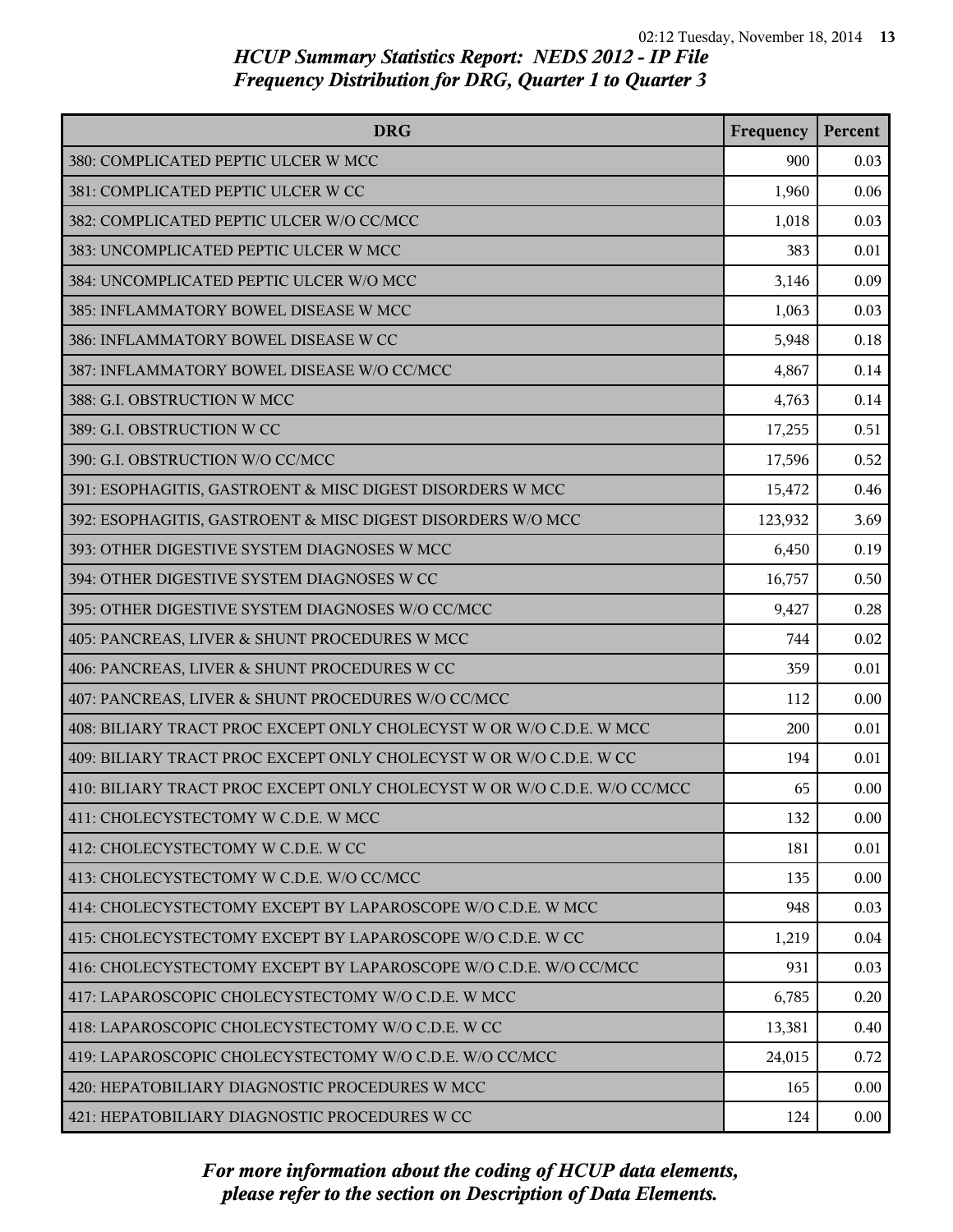| <b>DRG</b>                                                               | Frequency | Percent |
|--------------------------------------------------------------------------|-----------|---------|
| 380: COMPLICATED PEPTIC ULCER W MCC                                      | 900       | 0.03    |
| 381: COMPLICATED PEPTIC ULCER W CC                                       | 1,960     | 0.06    |
| 382: COMPLICATED PEPTIC ULCER W/O CC/MCC                                 | 1,018     | 0.03    |
| 383: UNCOMPLICATED PEPTIC ULCER W MCC                                    | 383       | 0.01    |
| 384: UNCOMPLICATED PEPTIC ULCER W/O MCC                                  | 3,146     | 0.09    |
| 385: INFLAMMATORY BOWEL DISEASE W MCC                                    | 1,063     | 0.03    |
| 386: INFLAMMATORY BOWEL DISEASE W CC                                     | 5,948     | 0.18    |
| 387: INFLAMMATORY BOWEL DISEASE W/O CC/MCC                               | 4,867     | 0.14    |
| 388: G.I. OBSTRUCTION W MCC                                              | 4,763     | 0.14    |
| 389: G.I. OBSTRUCTION W CC                                               | 17,255    | 0.51    |
| 390: G.I. OBSTRUCTION W/O CC/MCC                                         | 17,596    | 0.52    |
| 391: ESOPHAGITIS, GASTROENT & MISC DIGEST DISORDERS W MCC                | 15,472    | 0.46    |
| 392: ESOPHAGITIS, GASTROENT & MISC DIGEST DISORDERS W/O MCC              | 123,932   | 3.69    |
| 393: OTHER DIGESTIVE SYSTEM DIAGNOSES W MCC                              | 6,450     | 0.19    |
| 394: OTHER DIGESTIVE SYSTEM DIAGNOSES W CC                               | 16,757    | 0.50    |
| 395: OTHER DIGESTIVE SYSTEM DIAGNOSES W/O CC/MCC                         | 9,427     | 0.28    |
| 405: PANCREAS, LIVER & SHUNT PROCEDURES W MCC                            | 744       | 0.02    |
| 406: PANCREAS, LIVER & SHUNT PROCEDURES W CC                             | 359       | 0.01    |
| 407: PANCREAS, LIVER & SHUNT PROCEDURES W/O CC/MCC                       | 112       | 0.00    |
| 408: BILIARY TRACT PROC EXCEPT ONLY CHOLECYST W OR W/O C.D.E. W MCC      | 200       | 0.01    |
| 409: BILIARY TRACT PROC EXCEPT ONLY CHOLECYST W OR W/O C.D.E. W CC       | 194       | 0.01    |
| 410: BILIARY TRACT PROC EXCEPT ONLY CHOLECYST W OR W/O C.D.E. W/O CC/MCC | 65        | 0.00    |
| 411: CHOLECYSTECTOMY W C.D.E. W MCC                                      | 132       | 0.00    |
| 412: CHOLECYSTECTOMY W C.D.E. W CC                                       | 181       | 0.01    |
| 413: CHOLECYSTECTOMY W C.D.E. W/O CC/MCC                                 | 135       | 0.00    |
| 414: CHOLECYSTECTOMY EXCEPT BY LAPAROSCOPE W/O C.D.E. W MCC              | 948       | 0.03    |
| 415: CHOLECYSTECTOMY EXCEPT BY LAPAROSCOPE W/O C.D.E. W CC               | 1,219     | 0.04    |
| 416: CHOLECYSTECTOMY EXCEPT BY LAPAROSCOPE W/O C.D.E. W/O CC/MCC         | 931       | 0.03    |
| 417: LAPAROSCOPIC CHOLECYSTECTOMY W/O C.D.E. W MCC                       | 6,785     | 0.20    |
| 418: LAPAROSCOPIC CHOLECYSTECTOMY W/O C.D.E. W CC                        | 13,381    | 0.40    |
| 419: LAPAROSCOPIC CHOLECYSTECTOMY W/O C.D.E. W/O CC/MCC                  | 24,015    | 0.72    |
| 420: HEPATOBILIARY DIAGNOSTIC PROCEDURES W MCC                           | 165       | 0.00    |
| 421: HEPATOBILIARY DIAGNOSTIC PROCEDURES W CC                            | 124       | 0.00    |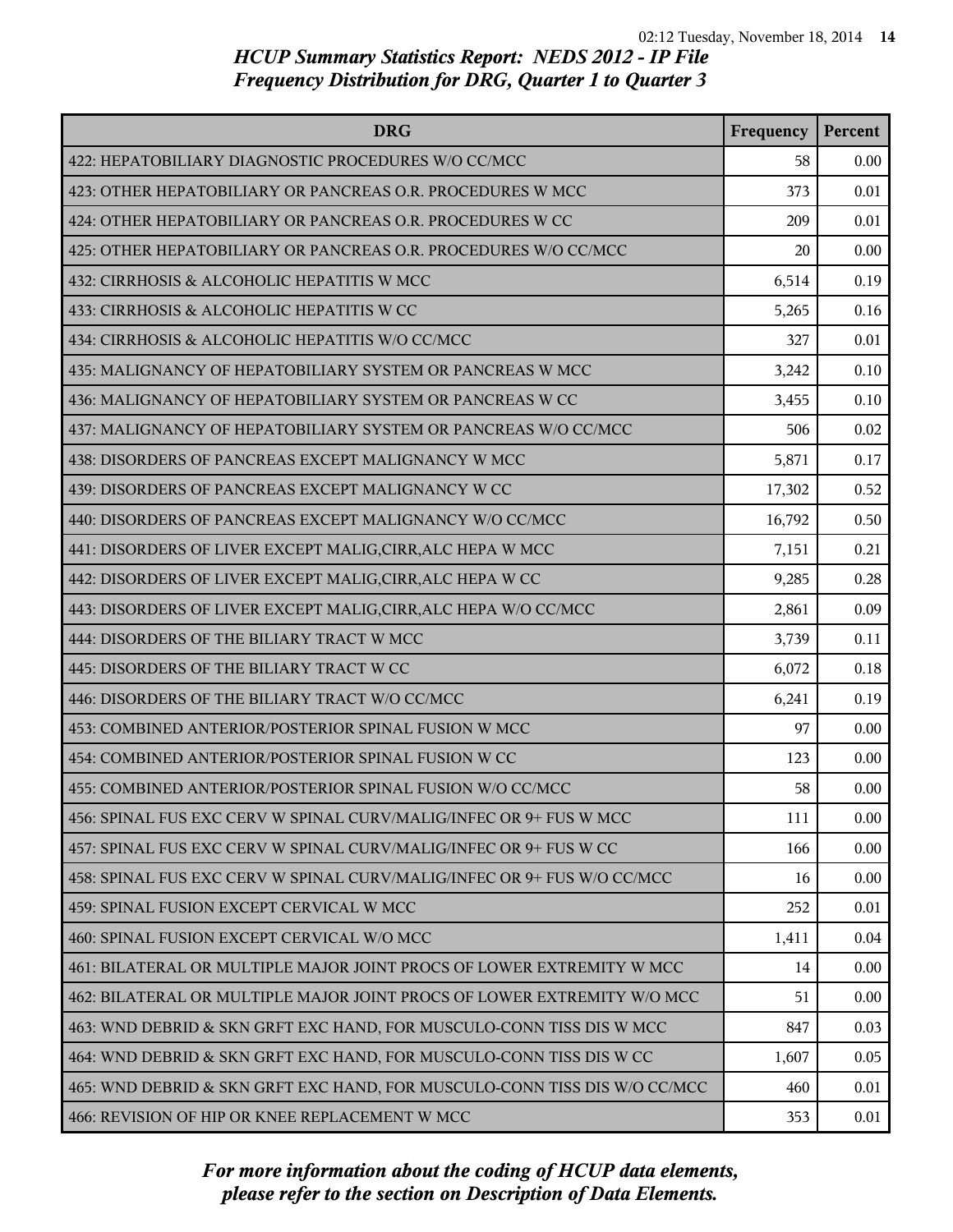| <b>DRG</b>                                                                | Frequency | Percent |
|---------------------------------------------------------------------------|-----------|---------|
| 422: HEPATOBILIARY DIAGNOSTIC PROCEDURES W/O CC/MCC                       | 58        | 0.00    |
| 423: OTHER HEPATOBILIARY OR PANCREAS O.R. PROCEDURES W MCC                | 373       | 0.01    |
| 424: OTHER HEPATOBILIARY OR PANCREAS O.R. PROCEDURES W CC                 | 209       | 0.01    |
| 425: OTHER HEPATOBILIARY OR PANCREAS O.R. PROCEDURES W/O CC/MCC           | 20        | 0.00    |
| 432: CIRRHOSIS & ALCOHOLIC HEPATITIS W MCC                                | 6,514     | 0.19    |
| 433: CIRRHOSIS & ALCOHOLIC HEPATITIS W CC                                 | 5,265     | 0.16    |
| 434: CIRRHOSIS & ALCOHOLIC HEPATITIS W/O CC/MCC                           | 327       | 0.01    |
| 435: MALIGNANCY OF HEPATOBILIARY SYSTEM OR PANCREAS W MCC                 | 3,242     | 0.10    |
| 436: MALIGNANCY OF HEPATOBILIARY SYSTEM OR PANCREAS W CC                  | 3,455     | 0.10    |
| 437: MALIGNANCY OF HEPATOBILIARY SYSTEM OR PANCREAS W/O CC/MCC            | 506       | 0.02    |
| 438: DISORDERS OF PANCREAS EXCEPT MALIGNANCY W MCC                        | 5,871     | 0.17    |
| 439: DISORDERS OF PANCREAS EXCEPT MALIGNANCY W CC                         | 17,302    | 0.52    |
| 440: DISORDERS OF PANCREAS EXCEPT MALIGNANCY W/O CC/MCC                   | 16,792    | 0.50    |
| 441: DISORDERS OF LIVER EXCEPT MALIG, CIRR, ALC HEPA W MCC                | 7,151     | 0.21    |
| 442: DISORDERS OF LIVER EXCEPT MALIG, CIRR, ALC HEPA W CC                 | 9,285     | 0.28    |
| 443: DISORDERS OF LIVER EXCEPT MALIG, CIRR, ALC HEPA W/O CC/MCC           | 2,861     | 0.09    |
| 444: DISORDERS OF THE BILIARY TRACT W MCC                                 | 3,739     | 0.11    |
| 445: DISORDERS OF THE BILIARY TRACT W CC                                  | 6,072     | 0.18    |
| 446: DISORDERS OF THE BILIARY TRACT W/O CC/MCC                            | 6,241     | 0.19    |
| 453: COMBINED ANTERIOR/POSTERIOR SPINAL FUSION W MCC                      | 97        | 0.00    |
| 454: COMBINED ANTERIOR/POSTERIOR SPINAL FUSION W CC                       | 123       | 0.00    |
| 455: COMBINED ANTERIOR/POSTERIOR SPINAL FUSION W/O CC/MCC                 | 58        | 0.00    |
| 456: SPINAL FUS EXC CERV W SPINAL CURV/MALIG/INFEC OR 9+ FUS W MCC        | 111       | 0.00    |
| 457: SPINAL FUS EXC CERV W SPINAL CURV/MALIG/INFEC OR 9+ FUS W CC         | 166       | 0.00    |
| 458: SPINAL FUS EXC CERV W SPINAL CURV/MALIG/INFEC OR 9+ FUS W/O CC/MCC   | 16        | 0.00    |
| 459: SPINAL FUSION EXCEPT CERVICAL W MCC                                  | 252       | 0.01    |
| 460: SPINAL FUSION EXCEPT CERVICAL W/O MCC                                | 1,411     | 0.04    |
| 461: BILATERAL OR MULTIPLE MAJOR JOINT PROCS OF LOWER EXTREMITY W MCC     | 14        | 0.00    |
| 462: BILATERAL OR MULTIPLE MAJOR JOINT PROCS OF LOWER EXTREMITY W/O MCC   | 51        | 0.00    |
| 463: WND DEBRID & SKN GRFT EXC HAND, FOR MUSCULO-CONN TISS DIS W MCC      | 847       | 0.03    |
| 464: WND DEBRID & SKN GRFT EXC HAND, FOR MUSCULO-CONN TISS DIS W CC       | 1,607     | 0.05    |
| 465: WND DEBRID & SKN GRFT EXC HAND, FOR MUSCULO-CONN TISS DIS W/O CC/MCC | 460       | 0.01    |
| 466: REVISION OF HIP OR KNEE REPLACEMENT W MCC                            | 353       | 0.01    |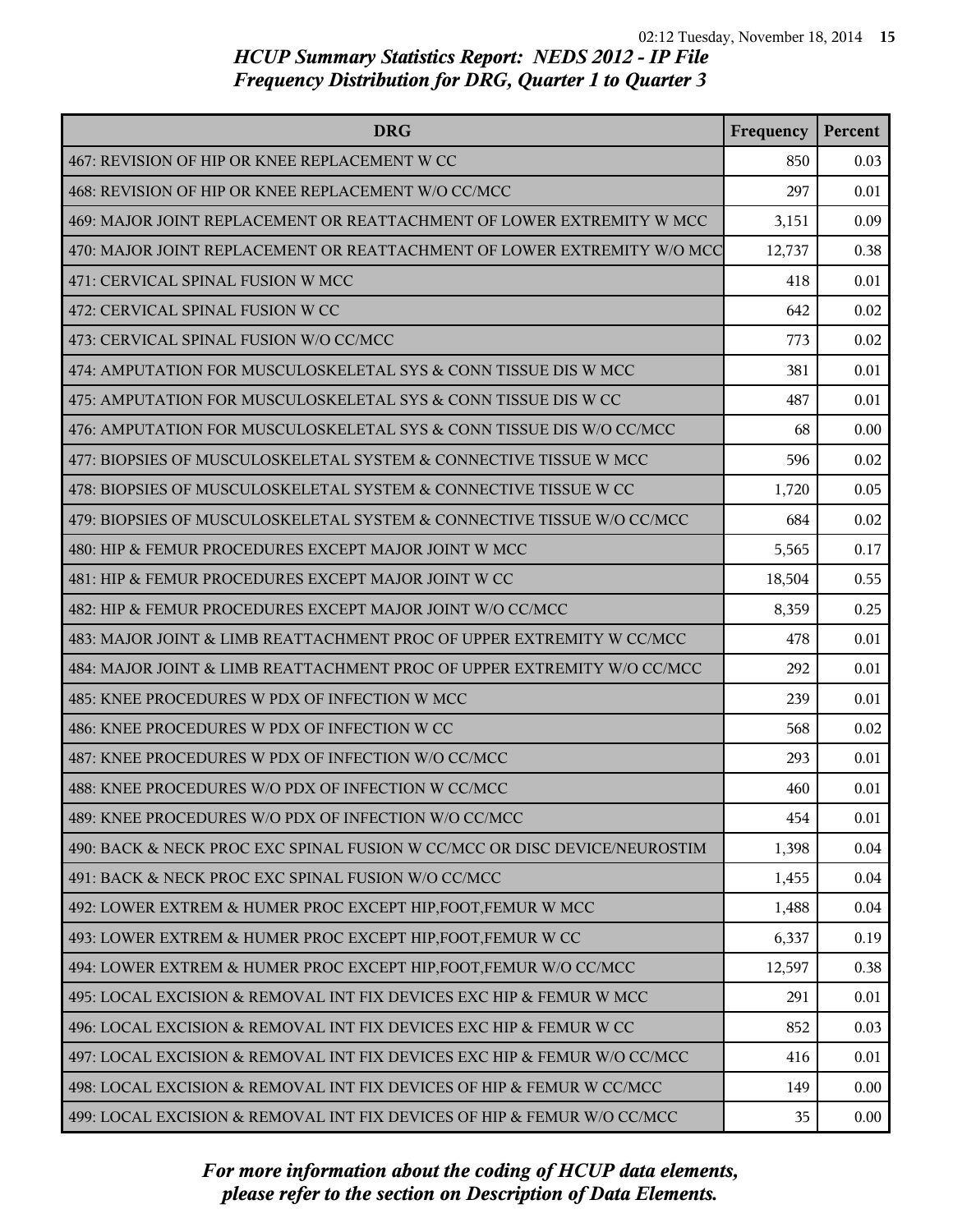| <b>DRG</b>                                                                | Frequency | Percent |
|---------------------------------------------------------------------------|-----------|---------|
| 467: REVISION OF HIP OR KNEE REPLACEMENT W CC                             | 850       | 0.03    |
| 468: REVISION OF HIP OR KNEE REPLACEMENT W/O CC/MCC                       | 297       | 0.01    |
| 469: MAJOR JOINT REPLACEMENT OR REATTACHMENT OF LOWER EXTREMITY W MCC     | 3,151     | 0.09    |
| 470: MAJOR JOINT REPLACEMENT OR REATTACHMENT OF LOWER EXTREMITY W/O MCC   | 12,737    | 0.38    |
| 471: CERVICAL SPINAL FUSION W MCC                                         | 418       | 0.01    |
| 472: CERVICAL SPINAL FUSION W CC                                          | 642       | 0.02    |
| 473: CERVICAL SPINAL FUSION W/O CC/MCC                                    | 773       | 0.02    |
| 474: AMPUTATION FOR MUSCULOSKELETAL SYS & CONN TISSUE DIS W MCC           | 381       | 0.01    |
| 475: AMPUTATION FOR MUSCULOSKELETAL SYS & CONN TISSUE DIS W CC            | 487       | 0.01    |
| 476: AMPUTATION FOR MUSCULOSKELETAL SYS & CONN TISSUE DIS W/O CC/MCC      | 68        | 0.00    |
| 477: BIOPSIES OF MUSCULOSKELETAL SYSTEM & CONNECTIVE TISSUE W MCC         | 596       | 0.02    |
| 478: BIOPSIES OF MUSCULOSKELETAL SYSTEM & CONNECTIVE TISSUE W CC          | 1,720     | 0.05    |
| 479: BIOPSIES OF MUSCULOSKELETAL SYSTEM & CONNECTIVE TISSUE W/O CC/MCC    | 684       | 0.02    |
| 480: HIP & FEMUR PROCEDURES EXCEPT MAJOR JOINT W MCC                      | 5,565     | 0.17    |
| 481: HIP & FEMUR PROCEDURES EXCEPT MAJOR JOINT W CC                       | 18,504    | 0.55    |
| 482: HIP & FEMUR PROCEDURES EXCEPT MAJOR JOINT W/O CC/MCC                 | 8,359     | 0.25    |
| 483: MAJOR JOINT & LIMB REATTACHMENT PROC OF UPPER EXTREMITY W CC/MCC     | 478       | 0.01    |
| 484: MAJOR JOINT & LIMB REATTACHMENT PROC OF UPPER EXTREMITY W/O CC/MCC   | 292       | 0.01    |
| 485: KNEE PROCEDURES W PDX OF INFECTION W MCC                             | 239       | 0.01    |
| 486: KNEE PROCEDURES W PDX OF INFECTION W CC                              | 568       | 0.02    |
| 487: KNEE PROCEDURES W PDX OF INFECTION W/O CC/MCC                        | 293       | 0.01    |
| 488: KNEE PROCEDURES W/O PDX OF INFECTION W CC/MCC                        | 460       | 0.01    |
| 489: KNEE PROCEDURES W/O PDX OF INFECTION W/O CC/MCC                      | 454       | 0.01    |
| 490: BACK & NECK PROC EXC SPINAL FUSION W CC/MCC OR DISC DEVICE/NEUROSTIM | 1,398     | 0.04    |
| 491: BACK & NECK PROC EXC SPINAL FUSION W/O CC/MCC                        | 1,455     | 0.04    |
| 492: LOWER EXTREM & HUMER PROC EXCEPT HIP, FOOT, FEMUR W MCC              | 1,488     | 0.04    |
| 493: LOWER EXTREM & HUMER PROC EXCEPT HIP, FOOT, FEMUR W CC               | 6,337     | 0.19    |
| 494: LOWER EXTREM & HUMER PROC EXCEPT HIP, FOOT, FEMUR W/O CC/MCC         | 12,597    | 0.38    |
| 495: LOCAL EXCISION & REMOVAL INT FIX DEVICES EXC HIP & FEMUR W MCC       | 291       | 0.01    |
| 496: LOCAL EXCISION & REMOVAL INT FIX DEVICES EXC HIP & FEMUR W CC        | 852       | 0.03    |
| 497: LOCAL EXCISION & REMOVAL INT FIX DEVICES EXC HIP & FEMUR W/O CC/MCC  | 416       | 0.01    |
| 498: LOCAL EXCISION & REMOVAL INT FIX DEVICES OF HIP & FEMUR W CC/MCC     | 149       | 0.00    |
| 499: LOCAL EXCISION & REMOVAL INT FIX DEVICES OF HIP & FEMUR W/O CC/MCC   | 35        | 0.00    |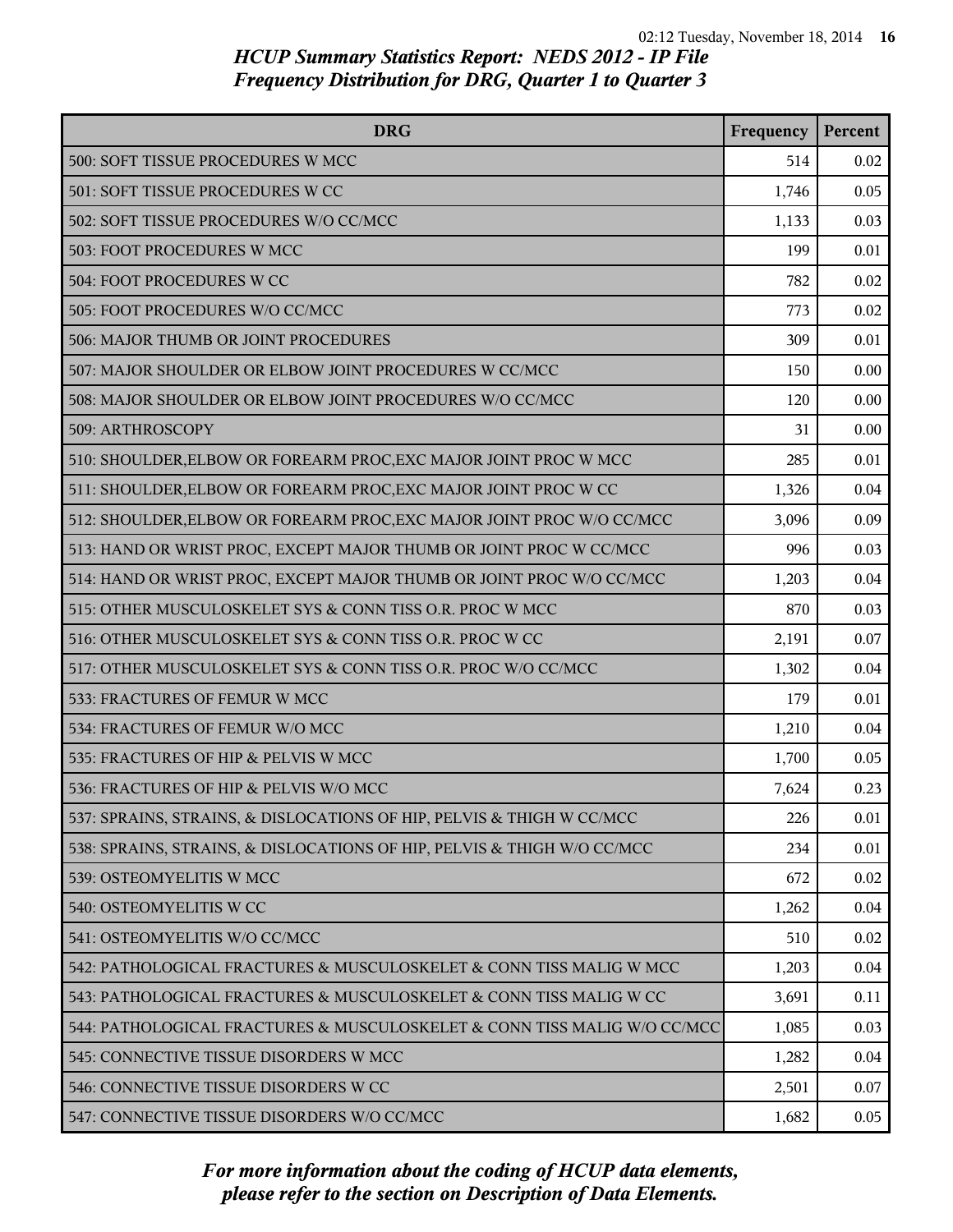| <b>DRG</b>                                                               | Frequency | Percent |
|--------------------------------------------------------------------------|-----------|---------|
| 500: SOFT TISSUE PROCEDURES W MCC                                        | 514       | 0.02    |
| 501: SOFT TISSUE PROCEDURES W CC                                         | 1,746     | 0.05    |
| 502: SOFT TISSUE PROCEDURES W/O CC/MCC                                   | 1,133     | 0.03    |
| 503: FOOT PROCEDURES W MCC                                               | 199       | 0.01    |
| 504: FOOT PROCEDURES W CC                                                | 782       | 0.02    |
| 505: FOOT PROCEDURES W/O CC/MCC                                          | 773       | 0.02    |
| 506: MAJOR THUMB OR JOINT PROCEDURES                                     | 309       | 0.01    |
| 507: MAJOR SHOULDER OR ELBOW JOINT PROCEDURES W CC/MCC                   | 150       | 0.00    |
| 508: MAJOR SHOULDER OR ELBOW JOINT PROCEDURES W/O CC/MCC                 | 120       | 0.00    |
| 509: ARTHROSCOPY                                                         | 31        | 0.00    |
| 510: SHOULDER, ELBOW OR FOREARM PROC, EXC MAJOR JOINT PROC W MCC         | 285       | 0.01    |
| 511: SHOULDER, ELBOW OR FOREARM PROC, EXC MAJOR JOINT PROC W CC          | 1,326     | 0.04    |
| 512: SHOULDER, ELBOW OR FOREARM PROC, EXC MAJOR JOINT PROC W/O CC/MCC    | 3,096     | 0.09    |
| 513: HAND OR WRIST PROC, EXCEPT MAJOR THUMB OR JOINT PROC W CC/MCC       | 996       | 0.03    |
| 514: HAND OR WRIST PROC, EXCEPT MAJOR THUMB OR JOINT PROC W/O CC/MCC     | 1,203     | 0.04    |
| 515: OTHER MUSCULOSKELET SYS & CONN TISS O.R. PROC W MCC                 | 870       | 0.03    |
| 516: OTHER MUSCULOSKELET SYS & CONN TISS O.R. PROC W CC                  | 2,191     | 0.07    |
| 517: OTHER MUSCULOSKELET SYS & CONN TISS O.R. PROC W/O CC/MCC            | 1,302     | 0.04    |
| 533: FRACTURES OF FEMUR W MCC                                            | 179       | 0.01    |
| 534: FRACTURES OF FEMUR W/O MCC                                          | 1,210     | 0.04    |
| 535: FRACTURES OF HIP & PELVIS W MCC                                     | 1,700     | 0.05    |
| 536: FRACTURES OF HIP & PELVIS W/O MCC                                   | 7,624     | 0.23    |
| 537: SPRAINS, STRAINS, & DISLOCATIONS OF HIP, PELVIS & THIGH W CC/MCC    | 226       | 0.01    |
| 538: SPRAINS, STRAINS, & DISLOCATIONS OF HIP, PELVIS & THIGH W/O CC/MCC  | 234       | 0.01    |
| 539: OSTEOMYELITIS W MCC                                                 | 672       | 0.02    |
| 540: OSTEOMYELITIS W CC                                                  | 1,262     | 0.04    |
| 541: OSTEOMYELITIS W/O CC/MCC                                            | 510       | 0.02    |
| 542: PATHOLOGICAL FRACTURES & MUSCULOSKELET & CONN TISS MALIG W MCC      | 1,203     | 0.04    |
| 543: PATHOLOGICAL FRACTURES & MUSCULOSKELET & CONN TISS MALIG W CC       | 3,691     | 0.11    |
| 544: PATHOLOGICAL FRACTURES & MUSCULOSKELET & CONN TISS MALIG W/O CC/MCC | 1,085     | 0.03    |
| 545: CONNECTIVE TISSUE DISORDERS W MCC                                   | 1,282     | 0.04    |
| 546: CONNECTIVE TISSUE DISORDERS W CC                                    | 2,501     | 0.07    |
| 547: CONNECTIVE TISSUE DISORDERS W/O CC/MCC                              | 1,682     | 0.05    |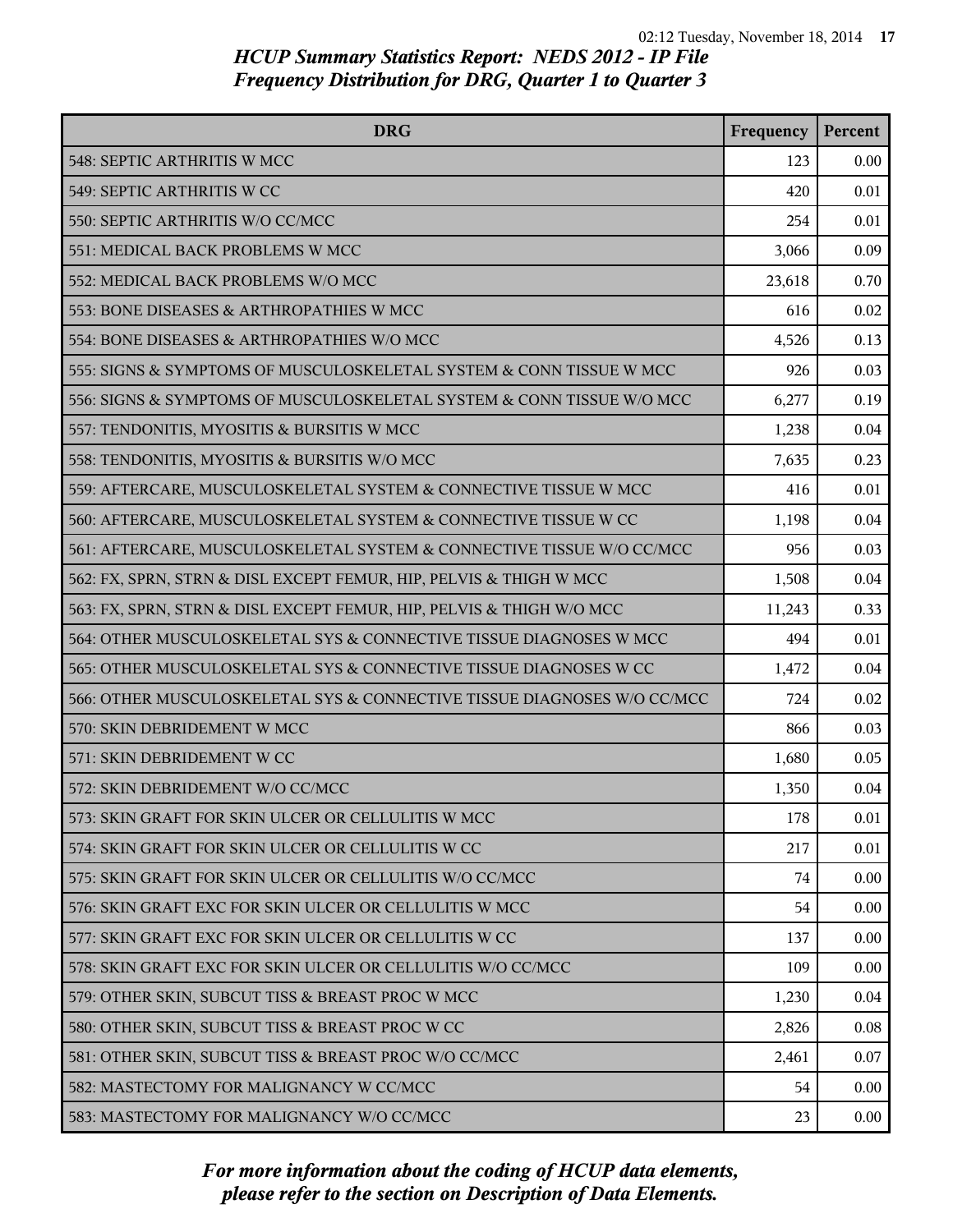| <b>DRG</b>                                                              | Frequency | Percent |
|-------------------------------------------------------------------------|-----------|---------|
| 548: SEPTIC ARTHRITIS W MCC                                             | 123       | 0.00    |
| 549: SEPTIC ARTHRITIS W CC                                              | 420       | 0.01    |
| 550: SEPTIC ARTHRITIS W/O CC/MCC                                        | 254       | 0.01    |
| 551: MEDICAL BACK PROBLEMS W MCC                                        | 3,066     | 0.09    |
| 552: MEDICAL BACK PROBLEMS W/O MCC                                      | 23,618    | 0.70    |
| 553: BONE DISEASES & ARTHROPATHIES W MCC                                | 616       | 0.02    |
| 554: BONE DISEASES & ARTHROPATHIES W/O MCC                              | 4,526     | 0.13    |
| 555: SIGNS & SYMPTOMS OF MUSCULOSKELETAL SYSTEM & CONN TISSUE W MCC     | 926       | 0.03    |
| 556: SIGNS & SYMPTOMS OF MUSCULOSKELETAL SYSTEM & CONN TISSUE W/O MCC   | 6,277     | 0.19    |
| 557: TENDONITIS, MYOSITIS & BURSITIS W MCC                              | 1,238     | 0.04    |
| 558: TENDONITIS, MYOSITIS & BURSITIS W/O MCC                            | 7,635     | 0.23    |
| 559: AFTERCARE, MUSCULOSKELETAL SYSTEM & CONNECTIVE TISSUE W MCC        | 416       | 0.01    |
| 560: AFTERCARE, MUSCULOSKELETAL SYSTEM & CONNECTIVE TISSUE W CC         | 1,198     | 0.04    |
| 561: AFTERCARE, MUSCULOSKELETAL SYSTEM & CONNECTIVE TISSUE W/O CC/MCC   | 956       | 0.03    |
| 562: FX, SPRN, STRN & DISL EXCEPT FEMUR, HIP, PELVIS & THIGH W MCC      | 1,508     | 0.04    |
| 563: FX, SPRN, STRN & DISL EXCEPT FEMUR, HIP, PELVIS & THIGH W/O MCC    | 11,243    | 0.33    |
| 564: OTHER MUSCULOSKELETAL SYS & CONNECTIVE TISSUE DIAGNOSES W MCC      | 494       | 0.01    |
| 565: OTHER MUSCULOSKELETAL SYS & CONNECTIVE TISSUE DIAGNOSES W CC       | 1,472     | 0.04    |
| 566: OTHER MUSCULOSKELETAL SYS & CONNECTIVE TISSUE DIAGNOSES W/O CC/MCC | 724       | 0.02    |
| 570: SKIN DEBRIDEMENT W MCC                                             | 866       | 0.03    |
| 571: SKIN DEBRIDEMENT W CC                                              | 1,680     | 0.05    |
| 572: SKIN DEBRIDEMENT W/O CC/MCC                                        | 1,350     | 0.04    |
| 573: SKIN GRAFT FOR SKIN ULCER OR CELLULITIS W MCC                      | 178       | 0.01    |
| 574: SKIN GRAFT FOR SKIN ULCER OR CELLULITIS W CC                       | 217       | 0.01    |
| 575: SKIN GRAFT FOR SKIN ULCER OR CELLULITIS W/O CC/MCC                 | 74        | 0.00    |
| 576: SKIN GRAFT EXC FOR SKIN ULCER OR CELLULITIS W MCC                  | 54        | 0.00    |
| 577: SKIN GRAFT EXC FOR SKIN ULCER OR CELLULITIS W CC                   | 137       | 0.00    |
| 578: SKIN GRAFT EXC FOR SKIN ULCER OR CELLULITIS W/O CC/MCC             | 109       | 0.00    |
| 579: OTHER SKIN, SUBCUT TISS & BREAST PROC W MCC                        | 1,230     | 0.04    |
| 580: OTHER SKIN, SUBCUT TISS & BREAST PROC W CC                         | 2,826     | 0.08    |
| 581: OTHER SKIN, SUBCUT TISS & BREAST PROC W/O CC/MCC                   | 2,461     | 0.07    |
| 582: MASTECTOMY FOR MALIGNANCY W CC/MCC                                 | 54        | 0.00    |
| 583: MASTECTOMY FOR MALIGNANCY W/O CC/MCC                               | 23        | 0.00    |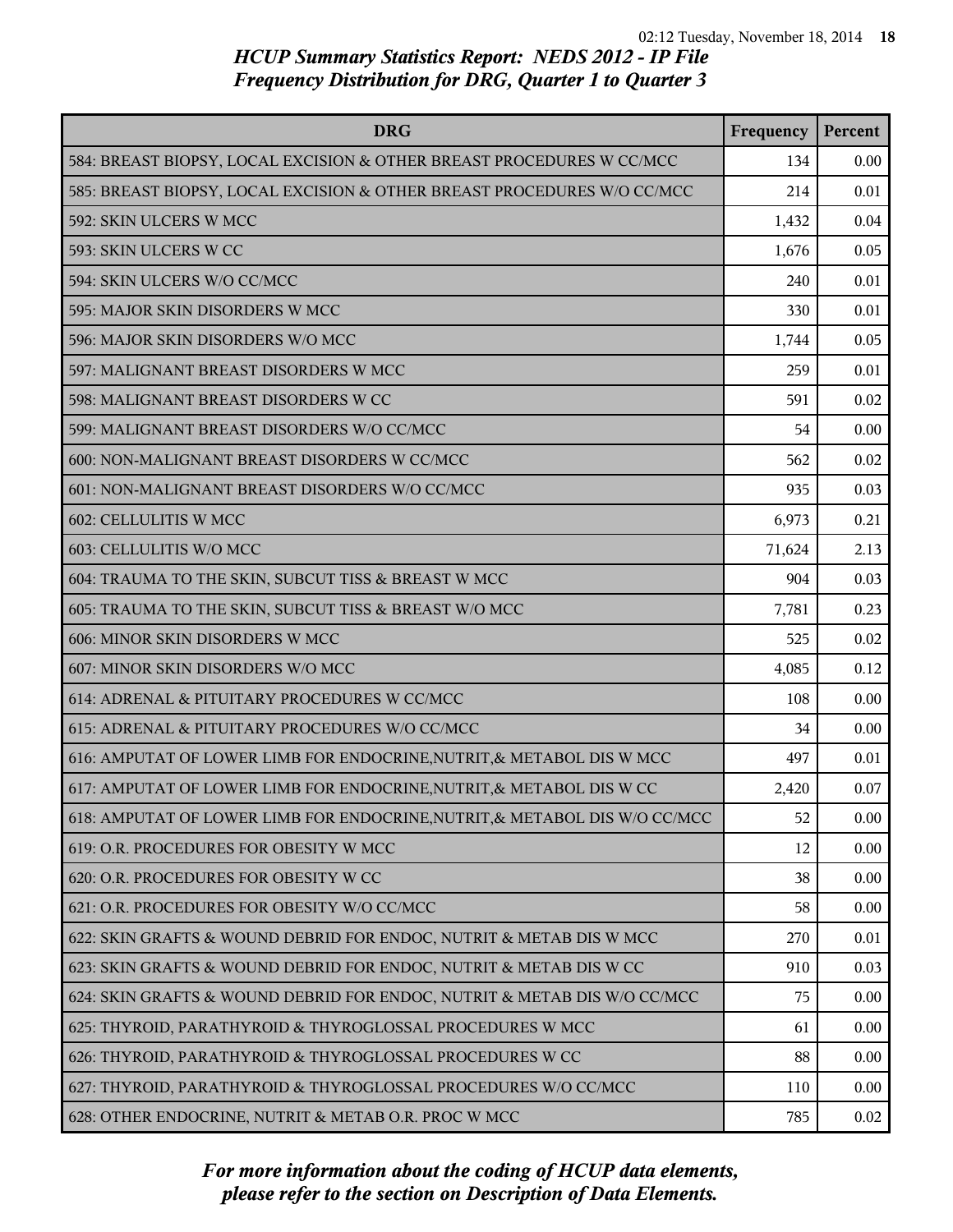| <b>DRG</b>                                                                 | Frequency | Percent |
|----------------------------------------------------------------------------|-----------|---------|
| 584: BREAST BIOPSY, LOCAL EXCISION & OTHER BREAST PROCEDURES W CC/MCC      | 134       | 0.00    |
| 585: BREAST BIOPSY, LOCAL EXCISION & OTHER BREAST PROCEDURES W/O CC/MCC    | 214       | 0.01    |
| 592: SKIN ULCERS W MCC                                                     | 1,432     | 0.04    |
| 593: SKIN ULCERS W CC                                                      | 1,676     | 0.05    |
| 594: SKIN ULCERS W/O CC/MCC                                                | 240       | 0.01    |
| 595: MAJOR SKIN DISORDERS W MCC                                            | 330       | 0.01    |
| 596: MAJOR SKIN DISORDERS W/O MCC                                          | 1,744     | 0.05    |
| 597: MALIGNANT BREAST DISORDERS W MCC                                      | 259       | 0.01    |
| 598: MALIGNANT BREAST DISORDERS W CC                                       | 591       | 0.02    |
| 599: MALIGNANT BREAST DISORDERS W/O CC/MCC                                 | 54        | 0.00    |
| 600: NON-MALIGNANT BREAST DISORDERS W CC/MCC                               | 562       | 0.02    |
| 601: NON-MALIGNANT BREAST DISORDERS W/O CC/MCC                             | 935       | 0.03    |
| 602: CELLULITIS W MCC                                                      | 6,973     | 0.21    |
| 603: CELLULITIS W/O MCC                                                    | 71,624    | 2.13    |
| 604: TRAUMA TO THE SKIN, SUBCUT TISS & BREAST W MCC                        | 904       | 0.03    |
| 605: TRAUMA TO THE SKIN, SUBCUT TISS & BREAST W/O MCC                      | 7,781     | 0.23    |
| 606: MINOR SKIN DISORDERS W MCC                                            | 525       | 0.02    |
| 607: MINOR SKIN DISORDERS W/O MCC                                          | 4,085     | 0.12    |
| 614: ADRENAL & PITUITARY PROCEDURES W CC/MCC                               | 108       | 0.00    |
| 615: ADRENAL & PITUITARY PROCEDURES W/O CC/MCC                             | 34        | 0.00    |
| 616: AMPUTAT OF LOWER LIMB FOR ENDOCRINE, NUTRIT, & METABOL DIS W MCC      | 497       | 0.01    |
| 617: AMPUTAT OF LOWER LIMB FOR ENDOCRINE, NUTRIT, & METABOL DIS W CC       | 2,420     | 0.07    |
| 618: AMPUTAT OF LOWER LIMB FOR ENDOCRINE, NUTRIT, & METABOL DIS W/O CC/MCC | 52        | 0.00    |
| 619: O.R. PROCEDURES FOR OBESITY W MCC                                     | 12        | 0.00    |
| 620: O.R. PROCEDURES FOR OBESITY W CC                                      | 38        | 0.00    |
| 621: O.R. PROCEDURES FOR OBESITY W/O CC/MCC                                | 58        | 0.00    |
| 622: SKIN GRAFTS & WOUND DEBRID FOR ENDOC, NUTRIT & METAB DIS W MCC        | 270       | 0.01    |
| 623: SKIN GRAFTS & WOUND DEBRID FOR ENDOC, NUTRIT & METAB DIS W CC         | 910       | 0.03    |
| 624: SKIN GRAFTS & WOUND DEBRID FOR ENDOC, NUTRIT & METAB DIS W/O CC/MCC   | 75        | 0.00    |
| 625: THYROID, PARATHYROID & THYROGLOSSAL PROCEDURES W MCC                  | 61        | 0.00    |
| 626: THYROID, PARATHYROID & THYROGLOSSAL PROCEDURES W CC                   | 88        | 0.00    |
| 627: THYROID, PARATHYROID & THYROGLOSSAL PROCEDURES W/O CC/MCC             | 110       | 0.00    |
| 628: OTHER ENDOCRINE, NUTRIT & METAB O.R. PROC W MCC                       | 785       | 0.02    |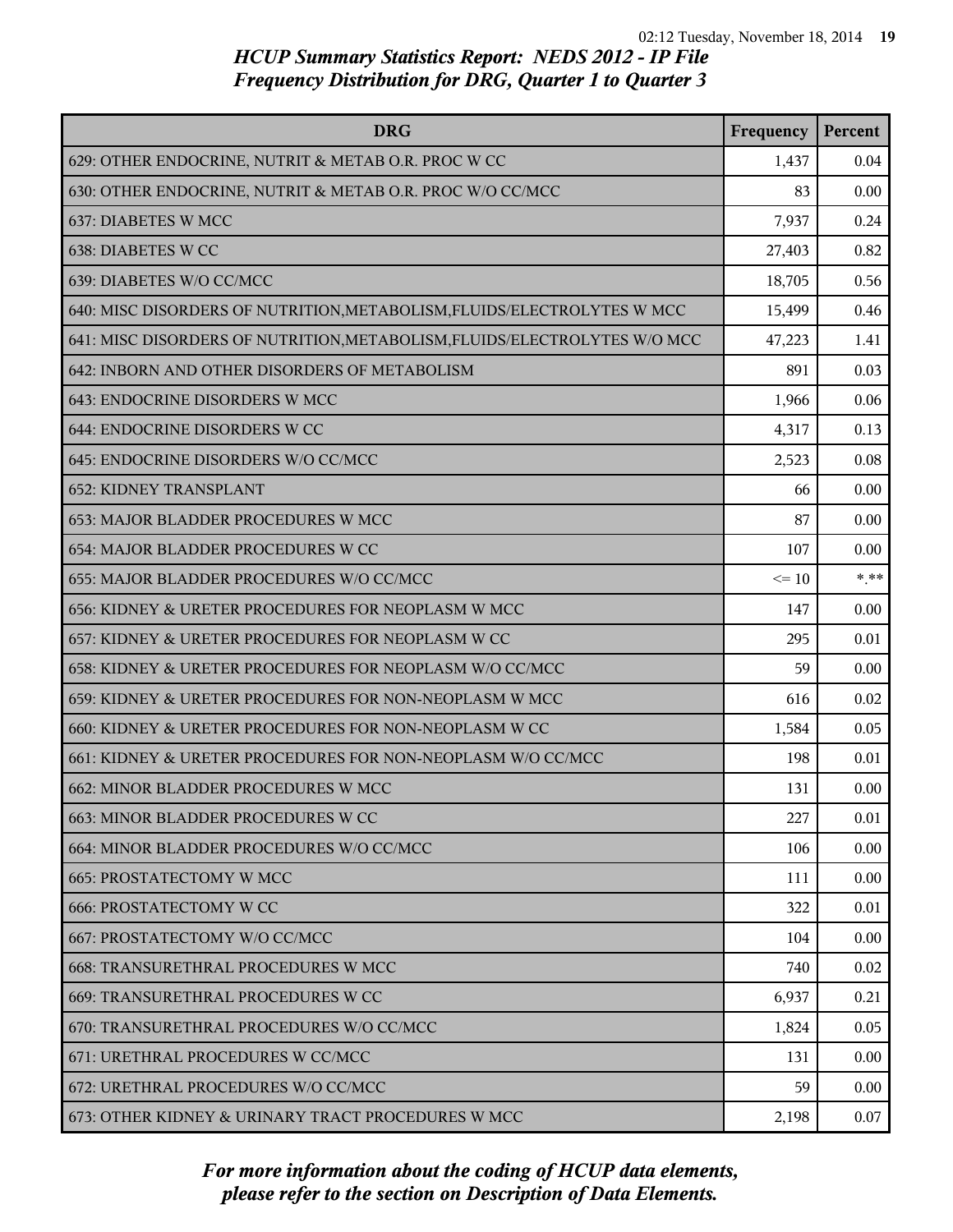| <b>DRG</b>                                                                | Frequency | Percent |
|---------------------------------------------------------------------------|-----------|---------|
| 629: OTHER ENDOCRINE, NUTRIT & METAB O.R. PROC W CC                       | 1,437     | 0.04    |
| 630: OTHER ENDOCRINE, NUTRIT & METAB O.R. PROC W/O CC/MCC                 | 83        | 0.00    |
| 637: DIABETES W MCC                                                       | 7,937     | 0.24    |
| 638: DIABETES W CC                                                        | 27,403    | 0.82    |
| 639: DIABETES W/O CC/MCC                                                  | 18,705    | 0.56    |
| 640: MISC DISORDERS OF NUTRITION, METABOLISM, FLUIDS/ELECTROLYTES W MCC   | 15,499    | 0.46    |
| 641: MISC DISORDERS OF NUTRITION, METABOLISM, FLUIDS/ELECTROLYTES W/O MCC | 47,223    | 1.41    |
| 642: INBORN AND OTHER DISORDERS OF METABOLISM                             | 891       | 0.03    |
| 643: ENDOCRINE DISORDERS W MCC                                            | 1,966     | 0.06    |
| 644: ENDOCRINE DISORDERS W CC                                             | 4,317     | 0.13    |
| 645: ENDOCRINE DISORDERS W/O CC/MCC                                       | 2,523     | 0.08    |
| <b>652: KIDNEY TRANSPLANT</b>                                             | 66        | 0.00    |
| 653: MAJOR BLADDER PROCEDURES W MCC                                       | 87        | 0.00    |
| 654: MAJOR BLADDER PROCEDURES W CC                                        | 107       | 0.00    |
| 655: MAJOR BLADDER PROCEDURES W/O CC/MCC                                  | $\leq 10$ | $* * *$ |
| 656: KIDNEY & URETER PROCEDURES FOR NEOPLASM W MCC                        | 147       | 0.00    |
| 657: KIDNEY & URETER PROCEDURES FOR NEOPLASM W CC                         | 295       | 0.01    |
| 658: KIDNEY & URETER PROCEDURES FOR NEOPLASM W/O CC/MCC                   | 59        | 0.00    |
| 659: KIDNEY & URETER PROCEDURES FOR NON-NEOPLASM W MCC                    | 616       | 0.02    |
| 660: KIDNEY & URETER PROCEDURES FOR NON-NEOPLASM W CC                     | 1,584     | 0.05    |
| 661: KIDNEY & URETER PROCEDURES FOR NON-NEOPLASM W/O CC/MCC               | 198       | 0.01    |
| 662: MINOR BLADDER PROCEDURES W MCC                                       | 131       | 0.00    |
| 663: MINOR BLADDER PROCEDURES W CC                                        | 227       | 0.01    |
| 664: MINOR BLADDER PROCEDURES W/O CC/MCC                                  | 106       | 0.00    |
| <b>665: PROSTATECTOMY W MCC</b>                                           | 111       | 0.00    |
| <b>666: PROSTATECTOMY W CC</b>                                            | 322       | 0.01    |
| 667: PROSTATECTOMY W/O CC/MCC                                             | 104       | 0.00    |
| 668: TRANSURETHRAL PROCEDURES W MCC                                       | 740       | 0.02    |
| 669: TRANSURETHRAL PROCEDURES W CC                                        | 6,937     | 0.21    |
| 670: TRANSURETHRAL PROCEDURES W/O CC/MCC                                  | 1,824     | 0.05    |
| 671: URETHRAL PROCEDURES W CC/MCC                                         | 131       | 0.00    |
| 672: URETHRAL PROCEDURES W/O CC/MCC                                       | 59        | 0.00    |
| 673: OTHER KIDNEY & URINARY TRACT PROCEDURES W MCC                        | 2,198     | 0.07    |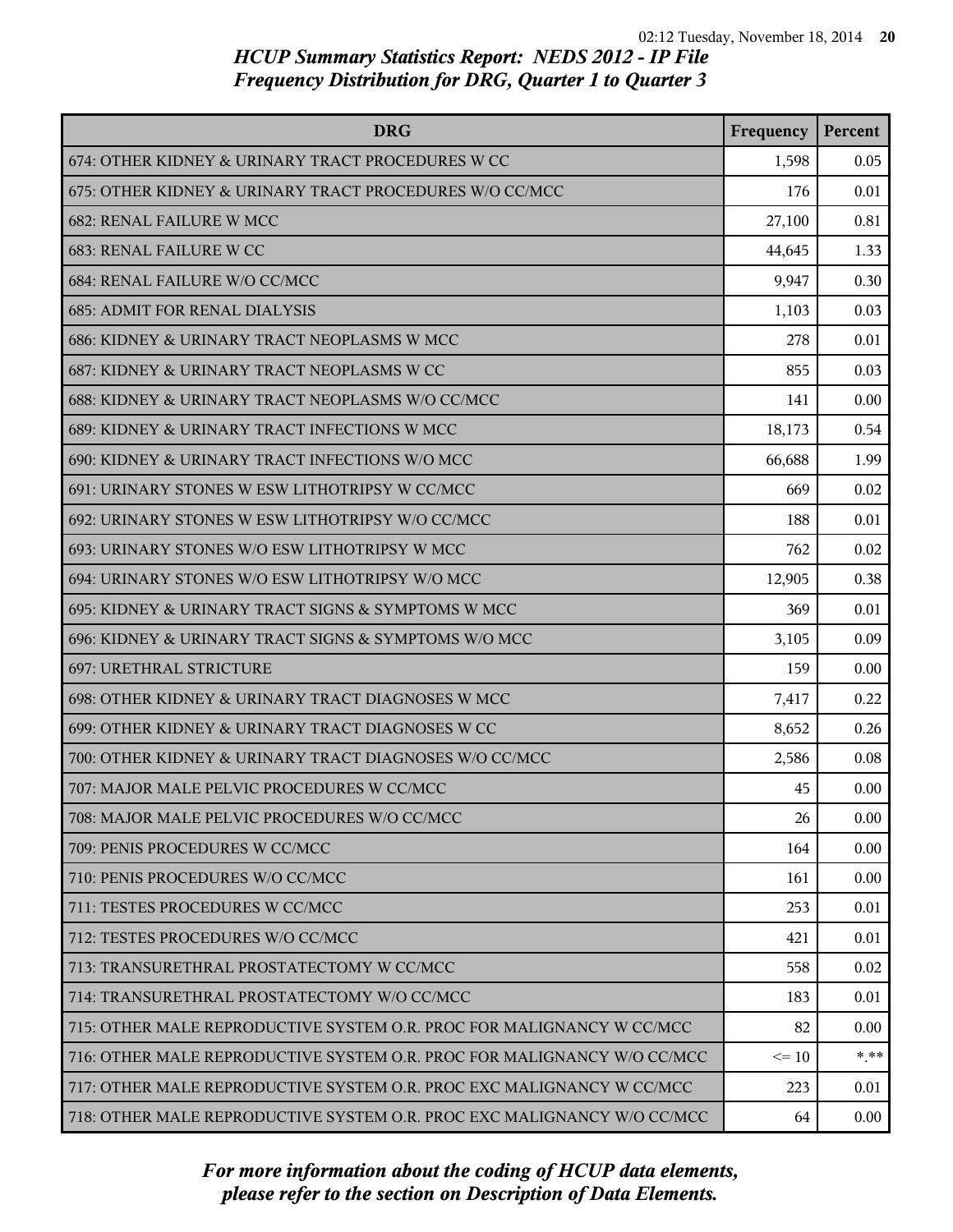| <b>DRG</b>                                                              | Frequency | Percent  |
|-------------------------------------------------------------------------|-----------|----------|
| 674: OTHER KIDNEY & URINARY TRACT PROCEDURES W CC                       | 1,598     | 0.05     |
| 675: OTHER KIDNEY & URINARY TRACT PROCEDURES W/O CC/MCC                 | 176       | 0.01     |
| <b>682: RENAL FAILURE W MCC</b>                                         | 27,100    | 0.81     |
| <b>683: RENAL FAILURE W CC</b>                                          | 44,645    | 1.33     |
| 684: RENAL FAILURE W/O CC/MCC                                           | 9,947     | 0.30     |
| <b>685: ADMIT FOR RENAL DIALYSIS</b>                                    | 1,103     | 0.03     |
| 686: KIDNEY & URINARY TRACT NEOPLASMS W MCC                             | 278       | 0.01     |
| 687: KIDNEY & URINARY TRACT NEOPLASMS W CC                              | 855       | 0.03     |
| 688: KIDNEY & URINARY TRACT NEOPLASMS W/O CC/MCC                        | 141       | 0.00     |
| 689: KIDNEY & URINARY TRACT INFECTIONS W MCC                            | 18,173    | 0.54     |
| 690: KIDNEY & URINARY TRACT INFECTIONS W/O MCC                          | 66,688    | 1.99     |
| 691: URINARY STONES W ESW LITHOTRIPSY W CC/MCC                          | 669       | 0.02     |
| 692: URINARY STONES W ESW LITHOTRIPSY W/O CC/MCC                        | 188       | 0.01     |
| 693: URINARY STONES W/O ESW LITHOTRIPSY W MCC                           | 762       | 0.02     |
| 694: URINARY STONES W/O ESW LITHOTRIPSY W/O MCC                         | 12,905    | 0.38     |
| 695: KIDNEY & URINARY TRACT SIGNS & SYMPTOMS W MCC                      | 369       | 0.01     |
| 696: KIDNEY & URINARY TRACT SIGNS & SYMPTOMS W/O MCC                    | 3,105     | 0.09     |
| 697: URETHRAL STRICTURE                                                 | 159       | 0.00     |
| 698: OTHER KIDNEY & URINARY TRACT DIAGNOSES W MCC                       | 7,417     | 0.22     |
| 699: OTHER KIDNEY & URINARY TRACT DIAGNOSES W CC                        | 8,652     | 0.26     |
| 700: OTHER KIDNEY & URINARY TRACT DIAGNOSES W/O CC/MCC                  | 2,586     | 0.08     |
| 707: MAJOR MALE PELVIC PROCEDURES W CC/MCC                              | 45        | 0.00     |
| 708: MAJOR MALE PELVIC PROCEDURES W/O CC/MCC                            | 26        | 0.00     |
| 709: PENIS PROCEDURES W CC/MCC                                          | 164       | 0.00     |
| 710: PENIS PROCEDURES W/O CC/MCC                                        | 161       | 0.00     |
| 711: TESTES PROCEDURES W CC/MCC                                         | 253       | 0.01     |
| 712: TESTES PROCEDURES W/O CC/MCC                                       | 421       | 0.01     |
| 713: TRANSURETHRAL PROSTATECTOMY W CC/MCC                               | 558       | 0.02     |
| 714: TRANSURETHRAL PROSTATECTOMY W/O CC/MCC                             | 183       | 0.01     |
| 715: OTHER MALE REPRODUCTIVE SYSTEM O.R. PROC FOR MALIGNANCY W CC/MCC   | 82        | 0.00     |
| 716: OTHER MALE REPRODUCTIVE SYSTEM O.R. PROC FOR MALIGNANCY W/O CC/MCC | $\leq$ 10 | * **     |
| 717: OTHER MALE REPRODUCTIVE SYSTEM O.R. PROC EXC MALIGNANCY W CC/MCC   | 223       | 0.01     |
| 718: OTHER MALE REPRODUCTIVE SYSTEM O.R. PROC EXC MALIGNANCY W/O CC/MCC | 64        | $0.00\,$ |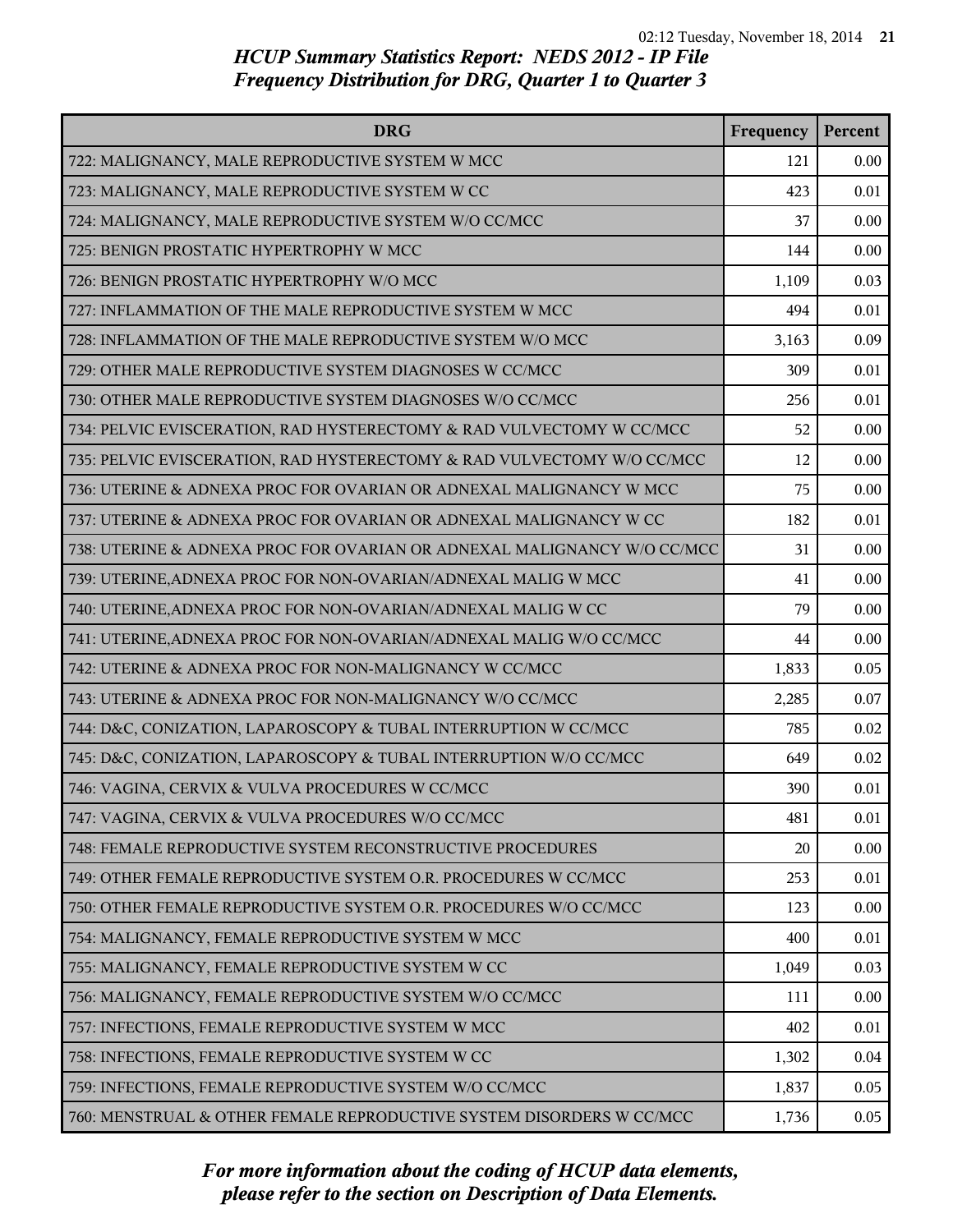| <b>DRG</b>                                                              | Frequency | Percent |
|-------------------------------------------------------------------------|-----------|---------|
| 722: MALIGNANCY, MALE REPRODUCTIVE SYSTEM W MCC                         | 121       | 0.00    |
| 723: MALIGNANCY, MALE REPRODUCTIVE SYSTEM W CC                          | 423       | 0.01    |
| 724: MALIGNANCY, MALE REPRODUCTIVE SYSTEM W/O CC/MCC                    | 37        | 0.00    |
| 725: BENIGN PROSTATIC HYPERTROPHY W MCC                                 | 144       | 0.00    |
| 726: BENIGN PROSTATIC HYPERTROPHY W/O MCC                               | 1,109     | 0.03    |
| 727: INFLAMMATION OF THE MALE REPRODUCTIVE SYSTEM W MCC                 | 494       | 0.01    |
| 728: INFLAMMATION OF THE MALE REPRODUCTIVE SYSTEM W/O MCC               | 3,163     | 0.09    |
| 729: OTHER MALE REPRODUCTIVE SYSTEM DIAGNOSES W CC/MCC                  | 309       | 0.01    |
| 730: OTHER MALE REPRODUCTIVE SYSTEM DIAGNOSES W/O CC/MCC                | 256       | 0.01    |
| 734: PELVIC EVISCERATION, RAD HYSTERECTOMY & RAD VULVECTOMY W CC/MCC    | 52        | 0.00    |
| 735: PELVIC EVISCERATION, RAD HYSTERECTOMY & RAD VULVECTOMY W/O CC/MCC  | 12        | 0.00    |
| 736: UTERINE & ADNEXA PROC FOR OVARIAN OR ADNEXAL MALIGNANCY W MCC      | 75        | 0.00    |
| 737: UTERINE & ADNEXA PROC FOR OVARIAN OR ADNEXAL MALIGNANCY W CC       | 182       | 0.01    |
| 738: UTERINE & ADNEXA PROC FOR OVARIAN OR ADNEXAL MALIGNANCY W/O CC/MCC | 31        | 0.00    |
| 739: UTERINE, ADNEXA PROC FOR NON-OVARIAN/ADNEXAL MALIG W MCC           | 41        | 0.00    |
| 740: UTERINE, ADNEXA PROC FOR NON-OVARIAN/ADNEXAL MALIG W CC            | 79        | 0.00    |
| 741: UTERINE, ADNEXA PROC FOR NON-OVARIAN/ADNEXAL MALIG W/O CC/MCC      | 44        | 0.00    |
| 742: UTERINE & ADNEXA PROC FOR NON-MALIGNANCY W CC/MCC                  | 1,833     | 0.05    |
| 743: UTERINE & ADNEXA PROC FOR NON-MALIGNANCY W/O CC/MCC                | 2,285     | 0.07    |
| 744: D&C, CONIZATION, LAPAROSCOPY & TUBAL INTERRUPTION W CC/MCC         | 785       | 0.02    |
| 745: D&C, CONIZATION, LAPAROSCOPY & TUBAL INTERRUPTION W/O CC/MCC       | 649       | 0.02    |
| 746: VAGINA, CERVIX & VULVA PROCEDURES W CC/MCC                         | 390       | 0.01    |
| 747: VAGINA, CERVIX & VULVA PROCEDURES W/O CC/MCC                       | 481       | 0.01    |
| 748: FEMALE REPRODUCTIVE SYSTEM RECONSTRUCTIVE PROCEDURES               | 20        | 0.00    |
| 749: OTHER FEMALE REPRODUCTIVE SYSTEM O.R. PROCEDURES W CC/MCC          | 253       | 0.01    |
| 750: OTHER FEMALE REPRODUCTIVE SYSTEM O.R. PROCEDURES W/O CC/MCC        | 123       | 0.00    |
| 754: MALIGNANCY, FEMALE REPRODUCTIVE SYSTEM W MCC                       | 400       | 0.01    |
| 755: MALIGNANCY, FEMALE REPRODUCTIVE SYSTEM W CC                        | 1,049     | 0.03    |
| 756: MALIGNANCY, FEMALE REPRODUCTIVE SYSTEM W/O CC/MCC                  | 111       | 0.00    |
| 757: INFECTIONS, FEMALE REPRODUCTIVE SYSTEM W MCC                       | 402       | 0.01    |
| 758: INFECTIONS, FEMALE REPRODUCTIVE SYSTEM W CC                        | 1,302     | 0.04    |
| 759: INFECTIONS, FEMALE REPRODUCTIVE SYSTEM W/O CC/MCC                  | 1,837     | 0.05    |
| 760: MENSTRUAL & OTHER FEMALE REPRODUCTIVE SYSTEM DISORDERS W CC/MCC    | 1,736     | 0.05    |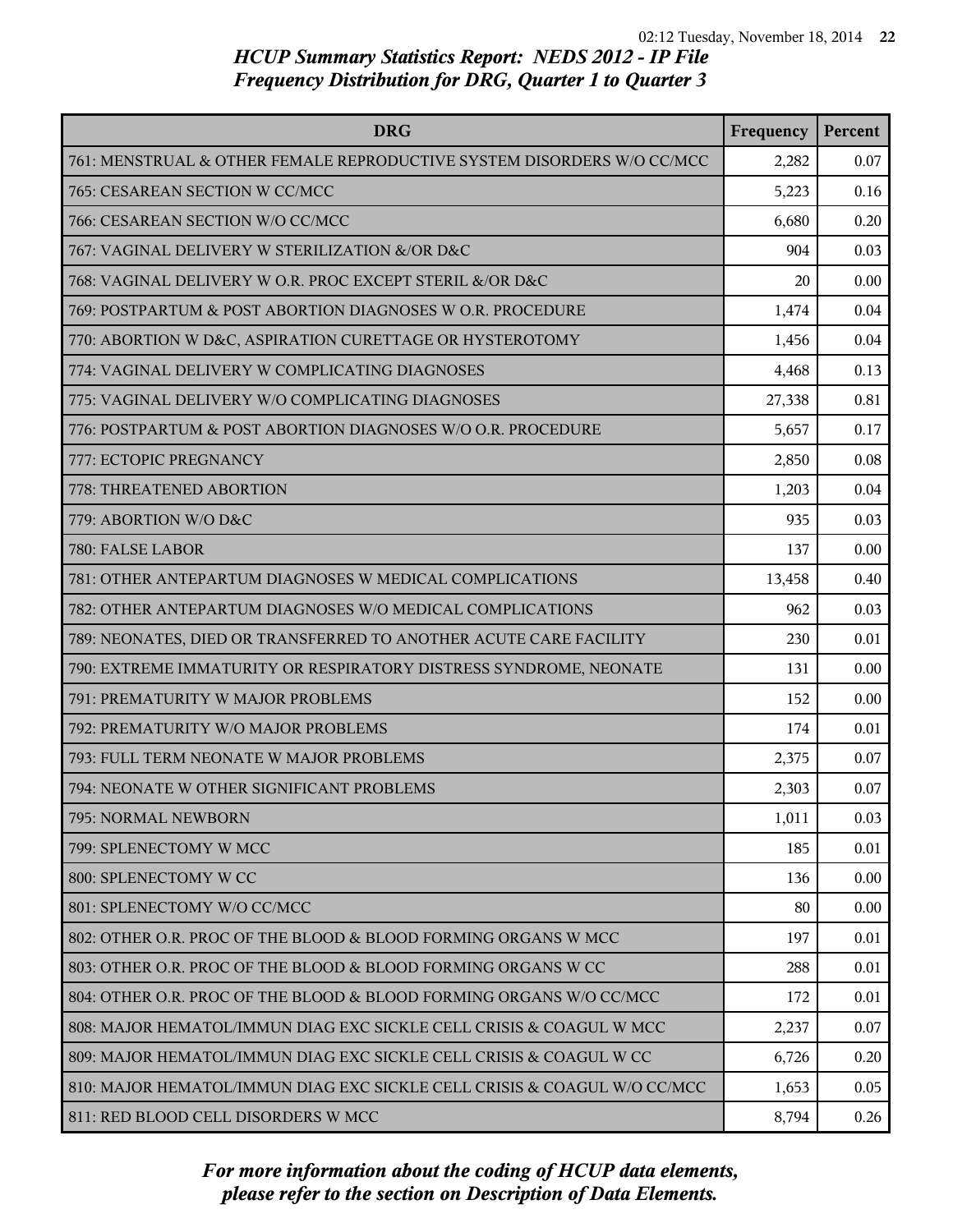| <b>DRG</b>                                                               | Frequency | Percent |
|--------------------------------------------------------------------------|-----------|---------|
| 761: MENSTRUAL & OTHER FEMALE REPRODUCTIVE SYSTEM DISORDERS W/O CC/MCC   | 2,282     | 0.07    |
| 765: CESAREAN SECTION W CC/MCC                                           | 5,223     | 0.16    |
| 766: CESAREAN SECTION W/O CC/MCC                                         | 6,680     | 0.20    |
| 767: VAGINAL DELIVERY W STERILIZATION &/OR D&C                           | 904       | 0.03    |
| 768: VAGINAL DELIVERY W O.R. PROC EXCEPT STERIL &/OR D&C                 | 20        | 0.00    |
| 769: POSTPARTUM & POST ABORTION DIAGNOSES W O.R. PROCEDURE               | 1,474     | 0.04    |
| 770: ABORTION W D&C, ASPIRATION CURETTAGE OR HYSTEROTOMY                 | 1,456     | 0.04    |
| 774: VAGINAL DELIVERY W COMPLICATING DIAGNOSES                           | 4,468     | 0.13    |
| 775: VAGINAL DELIVERY W/O COMPLICATING DIAGNOSES                         | 27,338    | 0.81    |
| 776: POSTPARTUM & POST ABORTION DIAGNOSES W/O O.R. PROCEDURE             | 5,657     | 0.17    |
| 777: ECTOPIC PREGNANCY                                                   | 2,850     | 0.08    |
| 778: THREATENED ABORTION                                                 | 1,203     | 0.04    |
| 779: ABORTION W/O D&C                                                    | 935       | 0.03    |
| 780: FALSE LABOR                                                         | 137       | 0.00    |
| 781: OTHER ANTEPARTUM DIAGNOSES W MEDICAL COMPLICATIONS                  | 13,458    | 0.40    |
| 782: OTHER ANTEPARTUM DIAGNOSES W/O MEDICAL COMPLICATIONS                | 962       | 0.03    |
| 789: NEONATES, DIED OR TRANSFERRED TO ANOTHER ACUTE CARE FACILITY        | 230       | 0.01    |
| 790: EXTREME IMMATURITY OR RESPIRATORY DISTRESS SYNDROME, NEONATE        | 131       | 0.00    |
| 791: PREMATURITY W MAJOR PROBLEMS                                        | 152       | 0.00    |
| 792: PREMATURITY W/O MAJOR PROBLEMS                                      | 174       | 0.01    |
| 793: FULL TERM NEONATE W MAJOR PROBLEMS                                  | 2,375     | 0.07    |
| 794: NEONATE W OTHER SIGNIFICANT PROBLEMS                                | 2,303     | 0.07    |
| 795: NORMAL NEWBORN                                                      | 1,011     | 0.03    |
| 799: SPLENECTOMY W MCC                                                   | 185       | 0.01    |
| 800: SPLENECTOMY W CC                                                    | 136       | 0.00    |
| 801: SPLENECTOMY W/O CC/MCC                                              | 80        | 0.00    |
| 802: OTHER O.R. PROC OF THE BLOOD & BLOOD FORMING ORGANS W MCC           | 197       | 0.01    |
| 803: OTHER O.R. PROC OF THE BLOOD & BLOOD FORMING ORGANS W CC            | 288       | 0.01    |
| 804: OTHER O.R. PROC OF THE BLOOD & BLOOD FORMING ORGANS W/O CC/MCC      | 172       | 0.01    |
| 808: MAJOR HEMATOL/IMMUN DIAG EXC SICKLE CELL CRISIS & COAGUL W MCC      | 2,237     | 0.07    |
| 809: MAJOR HEMATOL/IMMUN DIAG EXC SICKLE CELL CRISIS & COAGUL W CC       | 6,726     | 0.20    |
| 810: MAJOR HEMATOL/IMMUN DIAG EXC SICKLE CELL CRISIS & COAGUL W/O CC/MCC | 1,653     | 0.05    |
| 811: RED BLOOD CELL DISORDERS W MCC                                      | 8,794     | 0.26    |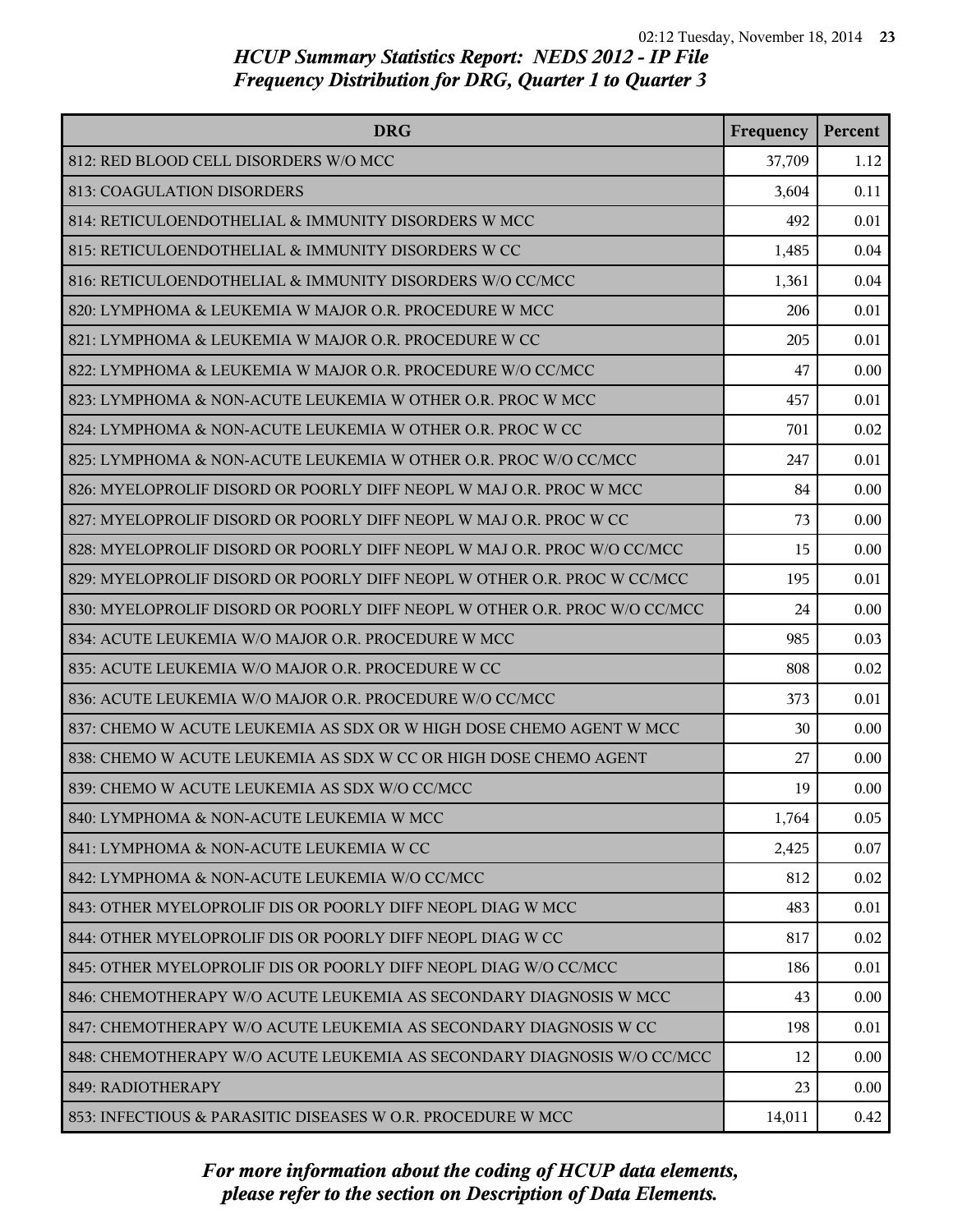| <b>DRG</b>                                                                | Frequency | Percent |
|---------------------------------------------------------------------------|-----------|---------|
| 812: RED BLOOD CELL DISORDERS W/O MCC                                     | 37,709    | 1.12    |
| 813: COAGULATION DISORDERS                                                | 3,604     | 0.11    |
| 814: RETICULOENDOTHELIAL & IMMUNITY DISORDERS W MCC                       | 492       | 0.01    |
| 815: RETICULOENDOTHELIAL & IMMUNITY DISORDERS W CC                        | 1,485     | 0.04    |
| 816: RETICULOENDOTHELIAL & IMMUNITY DISORDERS W/O CC/MCC                  | 1,361     | 0.04    |
| 820: LYMPHOMA & LEUKEMIA W MAJOR O.R. PROCEDURE W MCC                     | 206       | 0.01    |
| 821: LYMPHOMA & LEUKEMIA W MAJOR O.R. PROCEDURE W CC                      | 205       | 0.01    |
| 822: LYMPHOMA & LEUKEMIA W MAJOR O.R. PROCEDURE W/O CC/MCC                | 47        | 0.00    |
| 823: LYMPHOMA & NON-ACUTE LEUKEMIA W OTHER O.R. PROC W MCC                | 457       | 0.01    |
| 824: LYMPHOMA & NON-ACUTE LEUKEMIA W OTHER O.R. PROC W CC                 | 701       | 0.02    |
| 825: LYMPHOMA & NON-ACUTE LEUKEMIA W OTHER O.R. PROC W/O CC/MCC           | 247       | 0.01    |
| 826: MYELOPROLIF DISORD OR POORLY DIFF NEOPL W MAJ O.R. PROC W MCC        | 84        | 0.00    |
| 827: MYELOPROLIF DISORD OR POORLY DIFF NEOPL W MAJ O.R. PROC W CC         | 73        | 0.00    |
| 828: MYELOPROLIF DISORD OR POORLY DIFF NEOPL W MAJ O.R. PROC W/O CC/MCC   | 15        | 0.00    |
| 829: MYELOPROLIF DISORD OR POORLY DIFF NEOPL W OTHER O.R. PROC W CC/MCC   | 195       | 0.01    |
| 830: MYELOPROLIF DISORD OR POORLY DIFF NEOPL W OTHER O.R. PROC W/O CC/MCC | 24        | 0.00    |
| 834: ACUTE LEUKEMIA W/O MAJOR O.R. PROCEDURE W MCC                        | 985       | 0.03    |
| 835: ACUTE LEUKEMIA W/O MAJOR O.R. PROCEDURE W CC                         | 808       | 0.02    |
| 836: ACUTE LEUKEMIA W/O MAJOR O.R. PROCEDURE W/O CC/MCC                   | 373       | 0.01    |
| 837: CHEMO W ACUTE LEUKEMIA AS SDX OR W HIGH DOSE CHEMO AGENT W MCC       | 30        | 0.00    |
| 838: CHEMO W ACUTE LEUKEMIA AS SDX W CC OR HIGH DOSE CHEMO AGENT          | 27        | 0.00    |
| 839: CHEMO W ACUTE LEUKEMIA AS SDX W/O CC/MCC                             | 19        | 0.00    |
| 840: LYMPHOMA & NON-ACUTE LEUKEMIA W MCC                                  | 1,764     | 0.05    |
| 841: LYMPHOMA & NON-ACUTE LEUKEMIA W CC                                   | 2,425     | 0.07    |
| 842: LYMPHOMA & NON-ACUTE LEUKEMIA W/O CC/MCC                             | 812       | 0.02    |
| 843: OTHER MYELOPROLIF DIS OR POORLY DIFF NEOPL DIAG W MCC                | 483       | 0.01    |
| 844: OTHER MYELOPROLIF DIS OR POORLY DIFF NEOPL DIAG W CC                 | 817       | 0.02    |
| 845: OTHER MYELOPROLIF DIS OR POORLY DIFF NEOPL DIAG W/O CC/MCC           | 186       | 0.01    |
| 846: CHEMOTHERAPY W/O ACUTE LEUKEMIA AS SECONDARY DIAGNOSIS W MCC         | 43        | 0.00    |
| 847: CHEMOTHERAPY W/O ACUTE LEUKEMIA AS SECONDARY DIAGNOSIS W CC          | 198       | 0.01    |
| 848: CHEMOTHERAPY W/O ACUTE LEUKEMIA AS SECONDARY DIAGNOSIS W/O CC/MCC    | 12        | 0.00    |
| 849: RADIOTHERAPY                                                         | 23        | 0.00    |
| 853: INFECTIOUS & PARASITIC DISEASES W O.R. PROCEDURE W MCC               | 14,011    | 0.42    |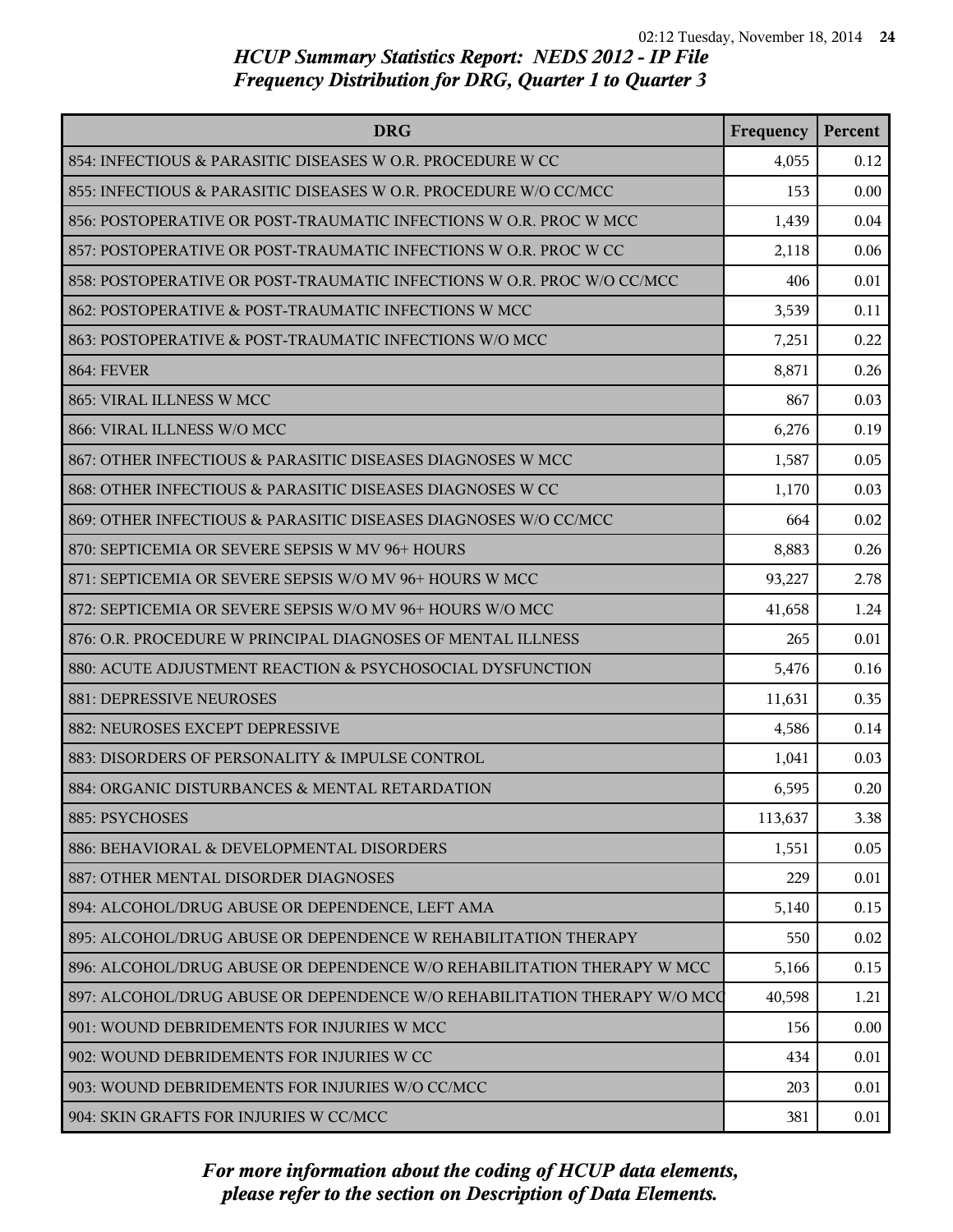| <b>DRG</b>                                                               | Frequency | Percent |
|--------------------------------------------------------------------------|-----------|---------|
| 854: INFECTIOUS & PARASITIC DISEASES W O.R. PROCEDURE W CC               | 4,055     | 0.12    |
| 855: INFECTIOUS & PARASITIC DISEASES W O.R. PROCEDURE W/O CC/MCC         | 153       | 0.00    |
| 856: POSTOPERATIVE OR POST-TRAUMATIC INFECTIONS W O.R. PROC W MCC        | 1,439     | 0.04    |
| 857: POSTOPERATIVE OR POST-TRAUMATIC INFECTIONS W O.R. PROC W CC         | 2,118     | 0.06    |
| 858: POSTOPERATIVE OR POST-TRAUMATIC INFECTIONS W O.R. PROC W/O CC/MCC   | 406       | 0.01    |
| 862: POSTOPERATIVE & POST-TRAUMATIC INFECTIONS W MCC                     | 3,539     | 0.11    |
| 863: POSTOPERATIVE & POST-TRAUMATIC INFECTIONS W/O MCC                   | 7,251     | 0.22    |
| <b>864: FEVER</b>                                                        | 8,871     | 0.26    |
| 865: VIRAL ILLNESS W MCC                                                 | 867       | 0.03    |
| 866: VIRAL ILLNESS W/O MCC                                               | 6,276     | 0.19    |
| 867: OTHER INFECTIOUS & PARASITIC DISEASES DIAGNOSES W MCC               | 1,587     | 0.05    |
| 868: OTHER INFECTIOUS & PARASITIC DISEASES DIAGNOSES W CC                | 1,170     | 0.03    |
| 869: OTHER INFECTIOUS & PARASITIC DISEASES DIAGNOSES W/O CC/MCC          | 664       | 0.02    |
| 870: SEPTICEMIA OR SEVERE SEPSIS W MV 96+ HOURS                          | 8,883     | 0.26    |
| 871: SEPTICEMIA OR SEVERE SEPSIS W/O MV 96+ HOURS W MCC                  | 93,227    | 2.78    |
| 872: SEPTICEMIA OR SEVERE SEPSIS W/O MV 96+ HOURS W/O MCC                | 41,658    | 1.24    |
| 876: O.R. PROCEDURE W PRINCIPAL DIAGNOSES OF MENTAL ILLNESS              | 265       | 0.01    |
| 880: ACUTE ADJUSTMENT REACTION & PSYCHOSOCIAL DYSFUNCTION                | 5,476     | 0.16    |
| 881: DEPRESSIVE NEUROSES                                                 | 11,631    | 0.35    |
| 882: NEUROSES EXCEPT DEPRESSIVE                                          | 4,586     | 0.14    |
| 883: DISORDERS OF PERSONALITY & IMPULSE CONTROL                          | 1,041     | 0.03    |
| 884: ORGANIC DISTURBANCES & MENTAL RETARDATION                           | 6,595     | 0.20    |
| 885: PSYCHOSES                                                           | 113,637   | 3.38    |
| 886: BEHAVIORAL & DEVELOPMENTAL DISORDERS                                | 1,551     | 0.05    |
| 887: OTHER MENTAL DISORDER DIAGNOSES                                     | 229       | 0.01    |
| 894: ALCOHOL/DRUG ABUSE OR DEPENDENCE, LEFT AMA                          | 5,140     | 0.15    |
| 895: ALCOHOL/DRUG ABUSE OR DEPENDENCE W REHABILITATION THERAPY           | 550       | 0.02    |
| 896: ALCOHOL/DRUG ABUSE OR DEPENDENCE W/O REHABILITATION THERAPY W MCC   | 5,166     | 0.15    |
| 897: ALCOHOL/DRUG ABUSE OR DEPENDENCE W/O REHABILITATION THERAPY W/O MCC | 40,598    | 1.21    |
| 901: WOUND DEBRIDEMENTS FOR INJURIES W MCC                               | 156       | 0.00    |
| 902: WOUND DEBRIDEMENTS FOR INJURIES W CC                                | 434       | 0.01    |
| 903: WOUND DEBRIDEMENTS FOR INJURIES W/O CC/MCC                          | 203       | 0.01    |
| 904: SKIN GRAFTS FOR INJURIES W CC/MCC                                   | 381       | 0.01    |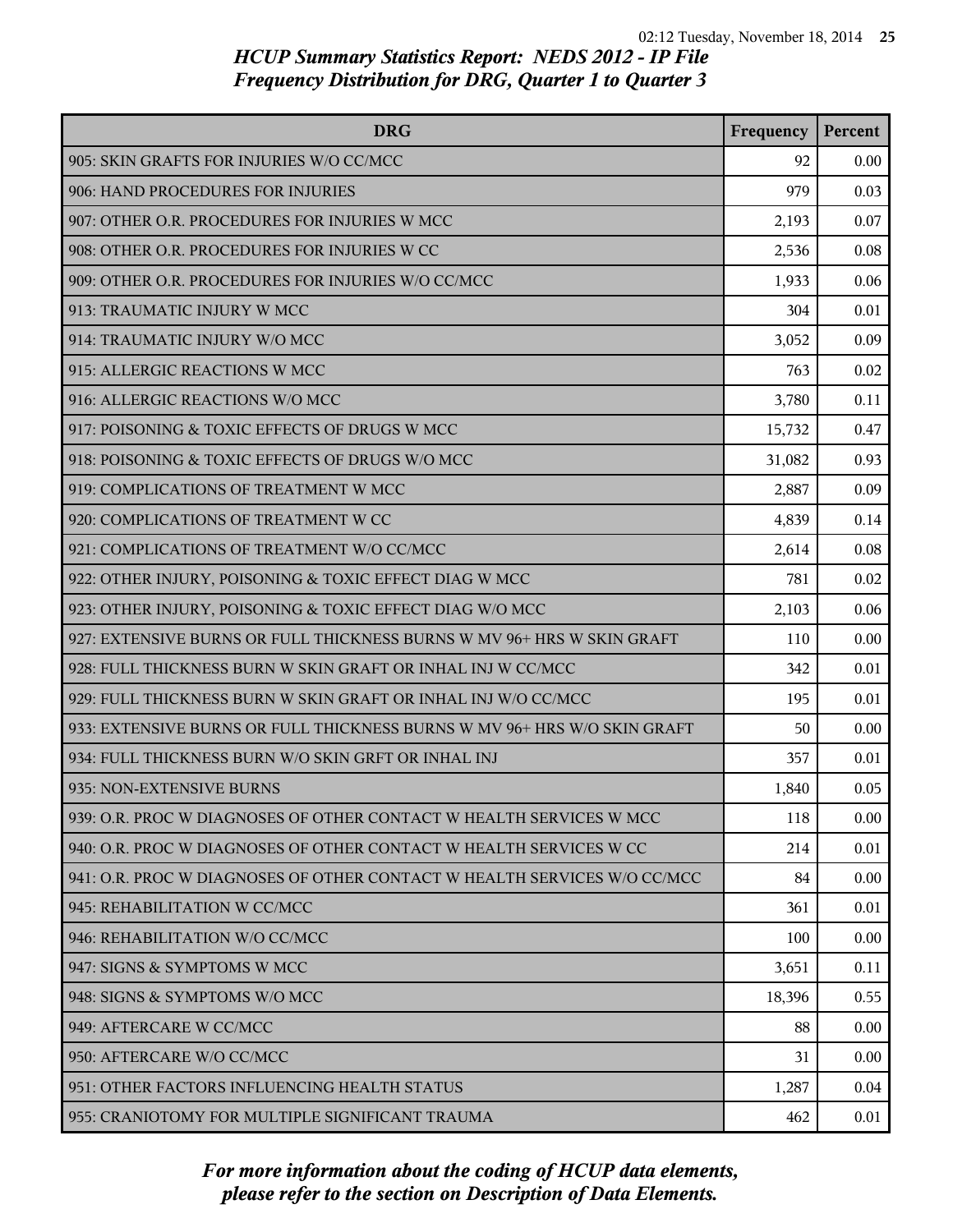| <b>DRG</b>                                                               | Frequency | Percent |
|--------------------------------------------------------------------------|-----------|---------|
| 905: SKIN GRAFTS FOR INJURIES W/O CC/MCC                                 | 92        | 0.00    |
| 906: HAND PROCEDURES FOR INJURIES                                        | 979       | 0.03    |
| 907: OTHER O.R. PROCEDURES FOR INJURIES W MCC                            | 2,193     | 0.07    |
| 908: OTHER O.R. PROCEDURES FOR INJURIES W CC                             | 2,536     | 0.08    |
| 909: OTHER O.R. PROCEDURES FOR INJURIES W/O CC/MCC                       | 1,933     | 0.06    |
| 913: TRAUMATIC INJURY W MCC                                              | 304       | 0.01    |
| 914: TRAUMATIC INJURY W/O MCC                                            | 3,052     | 0.09    |
| 915: ALLERGIC REACTIONS W MCC                                            | 763       | 0.02    |
| 916: ALLERGIC REACTIONS W/O MCC                                          | 3,780     | 0.11    |
| 917: POISONING & TOXIC EFFECTS OF DRUGS W MCC                            | 15,732    | 0.47    |
| 918: POISONING & TOXIC EFFECTS OF DRUGS W/O MCC                          | 31,082    | 0.93    |
| 919: COMPLICATIONS OF TREATMENT W MCC                                    | 2,887     | 0.09    |
| 920: COMPLICATIONS OF TREATMENT W CC                                     | 4,839     | 0.14    |
| 921: COMPLICATIONS OF TREATMENT W/O CC/MCC                               | 2,614     | 0.08    |
| 922: OTHER INJURY, POISONING & TOXIC EFFECT DIAG W MCC                   | 781       | 0.02    |
| 923: OTHER INJURY, POISONING & TOXIC EFFECT DIAG W/O MCC                 | 2,103     | 0.06    |
| 927: EXTENSIVE BURNS OR FULL THICKNESS BURNS W MV 96+ HRS W SKIN GRAFT   | 110       | 0.00    |
| 928: FULL THICKNESS BURN W SKIN GRAFT OR INHAL INJ W CC/MCC              | 342       | 0.01    |
| 929: FULL THICKNESS BURN W SKIN GRAFT OR INHAL INJ W/O CC/MCC            | 195       | 0.01    |
| 933: EXTENSIVE BURNS OR FULL THICKNESS BURNS W MV 96+ HRS W/O SKIN GRAFT | 50        | 0.00    |
| 934: FULL THICKNESS BURN W/O SKIN GRFT OR INHAL INJ                      | 357       | 0.01    |
| 935: NON-EXTENSIVE BURNS                                                 | 1,840     | 0.05    |
| 939: O.R. PROC W DIAGNOSES OF OTHER CONTACT W HEALTH SERVICES W MCC      | 118       | 0.00    |
| 940: O.R. PROC W DIAGNOSES OF OTHER CONTACT W HEALTH SERVICES W CC       | 214       | 0.01    |
| 941: O.R. PROC W DIAGNOSES OF OTHER CONTACT W HEALTH SERVICES W/O CC/MCC | 84        | 0.00    |
| 945: REHABILITATION W CC/MCC                                             | 361       | 0.01    |
| 946: REHABILITATION W/O CC/MCC                                           | 100       | 0.00    |
| 947: SIGNS & SYMPTOMS W MCC                                              | 3,651     | 0.11    |
| 948: SIGNS & SYMPTOMS W/O MCC                                            | 18,396    | 0.55    |
| 949: AFTERCARE W CC/MCC                                                  | 88        | 0.00    |
| 950: AFTERCARE W/O CC/MCC                                                | 31        | 0.00    |
| 951: OTHER FACTORS INFLUENCING HEALTH STATUS                             | 1,287     | 0.04    |
| 955: CRANIOTOMY FOR MULTIPLE SIGNIFICANT TRAUMA                          | 462       | 0.01    |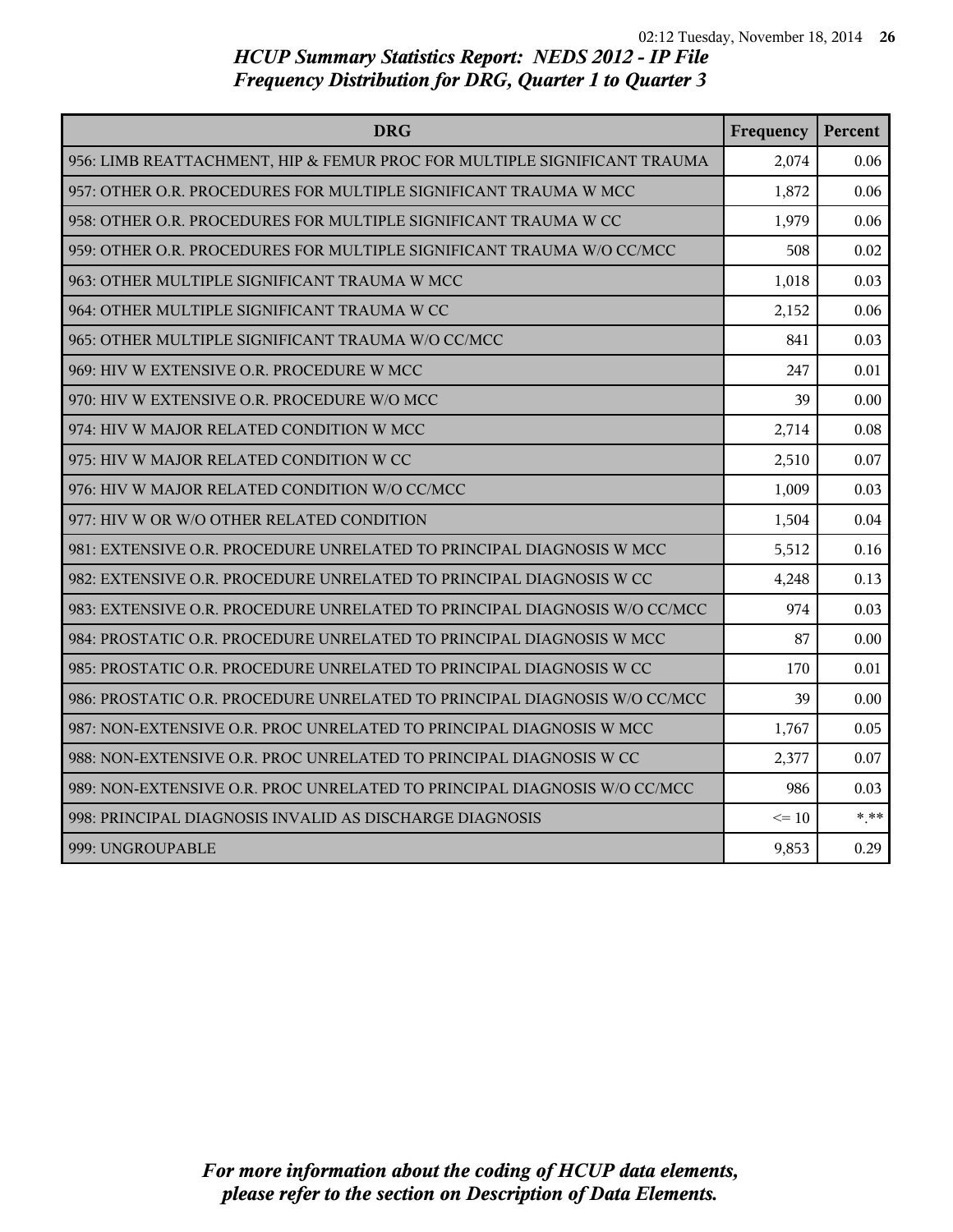| <b>DRG</b>                                                                | Frequency | Percent |
|---------------------------------------------------------------------------|-----------|---------|
| 956: LIMB REATTACHMENT, HIP & FEMUR PROC FOR MULTIPLE SIGNIFICANT TRAUMA  | 2,074     | 0.06    |
| 957: OTHER O.R. PROCEDURES FOR MULTIPLE SIGNIFICANT TRAUMA W MCC          | 1,872     | 0.06    |
| 958: OTHER O.R. PROCEDURES FOR MULTIPLE SIGNIFICANT TRAUMA W CC           | 1,979     | 0.06    |
| 959: OTHER O.R. PROCEDURES FOR MULTIPLE SIGNIFICANT TRAUMA W/O CC/MCC     | 508       | 0.02    |
| 963: OTHER MULTIPLE SIGNIFICANT TRAUMA W MCC                              | 1,018     | 0.03    |
| 964: OTHER MULTIPLE SIGNIFICANT TRAUMA W CC                               | 2,152     | 0.06    |
| 965: OTHER MULTIPLE SIGNIFICANT TRAUMA W/O CC/MCC                         | 841       | 0.03    |
| 969: HIV W EXTENSIVE O.R. PROCEDURE W MCC                                 | 247       | 0.01    |
| 970: HIV W EXTENSIVE O.R. PROCEDURE W/O MCC                               | 39        | 0.00    |
| 974: HIV W MAJOR RELATED CONDITION W MCC                                  | 2,714     | 0.08    |
| 975: HIV W MAJOR RELATED CONDITION W CC                                   | 2,510     | 0.07    |
| 976: HIV W MAJOR RELATED CONDITION W/O CC/MCC                             | 1,009     | 0.03    |
| 977: HIV W OR W/O OTHER RELATED CONDITION                                 | 1,504     | 0.04    |
| 981: EXTENSIVE O.R. PROCEDURE UNRELATED TO PRINCIPAL DIAGNOSIS W MCC      | 5,512     | 0.16    |
| 982: EXTENSIVE O.R. PROCEDURE UNRELATED TO PRINCIPAL DIAGNOSIS W CC       | 4,248     | 0.13    |
| 983: EXTENSIVE O.R. PROCEDURE UNRELATED TO PRINCIPAL DIAGNOSIS W/O CC/MCC | 974       | 0.03    |
| 984: PROSTATIC O.R. PROCEDURE UNRELATED TO PRINCIPAL DIAGNOSIS W MCC      | 87        | 0.00    |
| 985: PROSTATIC O.R. PROCEDURE UNRELATED TO PRINCIPAL DIAGNOSIS W CC       | 170       | 0.01    |
| 986: PROSTATIC O.R. PROCEDURE UNRELATED TO PRINCIPAL DIAGNOSIS W/O CC/MCC | 39        | 0.00    |
| 987: NON-EXTENSIVE O.R. PROC UNRELATED TO PRINCIPAL DIAGNOSIS W MCC       | 1,767     | 0.05    |
| 988: NON-EXTENSIVE O.R. PROC UNRELATED TO PRINCIPAL DIAGNOSIS W CC        | 2,377     | 0.07    |
| 989: NON-EXTENSIVE O.R. PROC UNRELATED TO PRINCIPAL DIAGNOSIS W/O CC/MCC  | 986       | 0.03    |
| 998: PRINCIPAL DIAGNOSIS INVALID AS DISCHARGE DIAGNOSIS                   | $\leq$ 10 | $* * *$ |
| 999: UNGROUPABLE                                                          | 9,853     | 0.29    |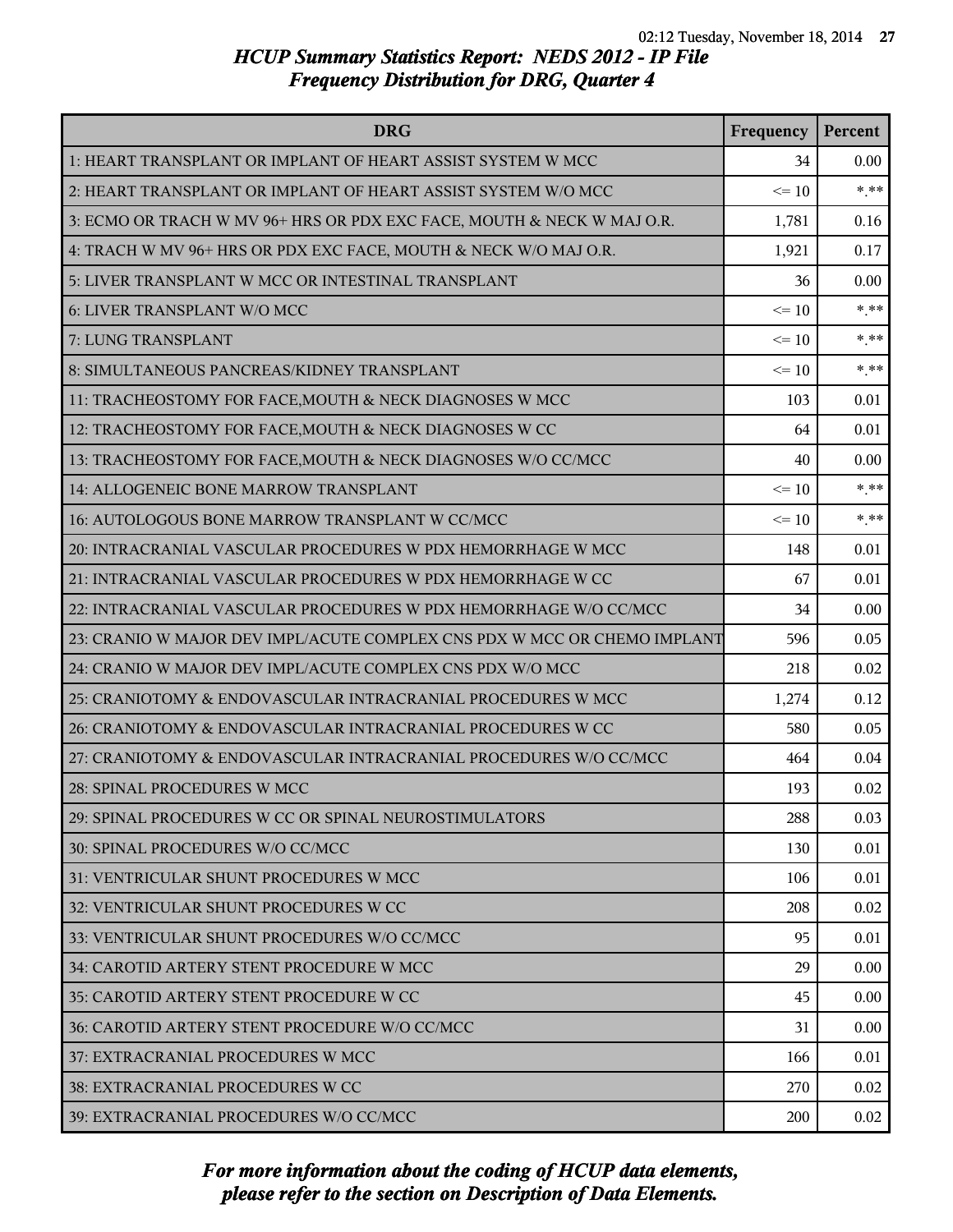| <b>DRG</b>                                                               | Frequency | Percent |
|--------------------------------------------------------------------------|-----------|---------|
| 1: HEART TRANSPLANT OR IMPLANT OF HEART ASSIST SYSTEM W MCC              | 34        | 0.00    |
| 2: HEART TRANSPLANT OR IMPLANT OF HEART ASSIST SYSTEM W/O MCC            | $\leq 10$ | $***$   |
| 3: ECMO OR TRACH W MV 96+ HRS OR PDX EXC FACE, MOUTH & NECK W MAJ O.R.   | 1,781     | 0.16    |
| 4: TRACH W MV 96+ HRS OR PDX EXC FACE, MOUTH & NECK W/O MAJ O.R.         | 1,921     | 0.17    |
| 5: LIVER TRANSPLANT W MCC OR INTESTINAL TRANSPLANT                       | 36        | 0.00    |
| 6: LIVER TRANSPLANT W/O MCC                                              | $\leq 10$ | $*$ **  |
| 7: LUNG TRANSPLANT                                                       | $\leq 10$ | $* * *$ |
| 8: SIMULTANEOUS PANCREAS/KIDNEY TRANSPLANT                               | $\leq 10$ | $***$   |
| 11: TRACHEOSTOMY FOR FACE, MOUTH & NECK DIAGNOSES W MCC                  | 103       | 0.01    |
| 12: TRACHEOSTOMY FOR FACE, MOUTH & NECK DIAGNOSES W CC                   | 64        | 0.01    |
| 13: TRACHEOSTOMY FOR FACE, MOUTH & NECK DIAGNOSES W/O CC/MCC             | 40        | 0.00    |
| 14: ALLOGENEIC BONE MARROW TRANSPLANT                                    | $\leq 10$ | $***$   |
| 16: AUTOLOGOUS BONE MARROW TRANSPLANT W CC/MCC                           | $\leq 10$ | $***$   |
| 20: INTRACRANIAL VASCULAR PROCEDURES W PDX HEMORRHAGE W MCC              | 148       | 0.01    |
| 21: INTRACRANIAL VASCULAR PROCEDURES W PDX HEMORRHAGE W CC               | 67        | 0.01    |
| 22: INTRACRANIAL VASCULAR PROCEDURES W PDX HEMORRHAGE W/O CC/MCC         | 34        | 0.00    |
| 23: CRANIO W MAJOR DEV IMPL/ACUTE COMPLEX CNS PDX W MCC OR CHEMO IMPLANT | 596       | 0.05    |
| 24: CRANIO W MAJOR DEV IMPL/ACUTE COMPLEX CNS PDX W/O MCC                | 218       | 0.02    |
| 25: CRANIOTOMY & ENDOVASCULAR INTRACRANIAL PROCEDURES W MCC              | 1,274     | 0.12    |
| 26: CRANIOTOMY & ENDOVASCULAR INTRACRANIAL PROCEDURES W CC               | 580       | 0.05    |
| 27: CRANIOTOMY & ENDOVASCULAR INTRACRANIAL PROCEDURES W/O CC/MCC         | 464       | 0.04    |
| 28: SPINAL PROCEDURES W MCC                                              | 193       | 0.02    |
| 29: SPINAL PROCEDURES W CC OR SPINAL NEUROSTIMULATORS                    | 288       | 0.03    |
| 30: SPINAL PROCEDURES W/O CC/MCC                                         | 130       | 0.01    |
| 31: VENTRICULAR SHUNT PROCEDURES W MCC                                   | 106       | 0.01    |
| 32: VENTRICULAR SHUNT PROCEDURES W CC                                    | 208       | 0.02    |
| 33: VENTRICULAR SHUNT PROCEDURES W/O CC/MCC                              | 95        | 0.01    |
| 34: CAROTID ARTERY STENT PROCEDURE W MCC                                 | 29        | 0.00    |
| 35: CAROTID ARTERY STENT PROCEDURE W CC                                  | 45        | 0.00    |
| 36: CAROTID ARTERY STENT PROCEDURE W/O CC/MCC                            | 31        | 0.00    |
| 37: EXTRACRANIAL PROCEDURES W MCC                                        | 166       | 0.01    |
| 38: EXTRACRANIAL PROCEDURES W CC                                         | 270       | 0.02    |
| 39: EXTRACRANIAL PROCEDURES W/O CC/MCC                                   | 200       | 0.02    |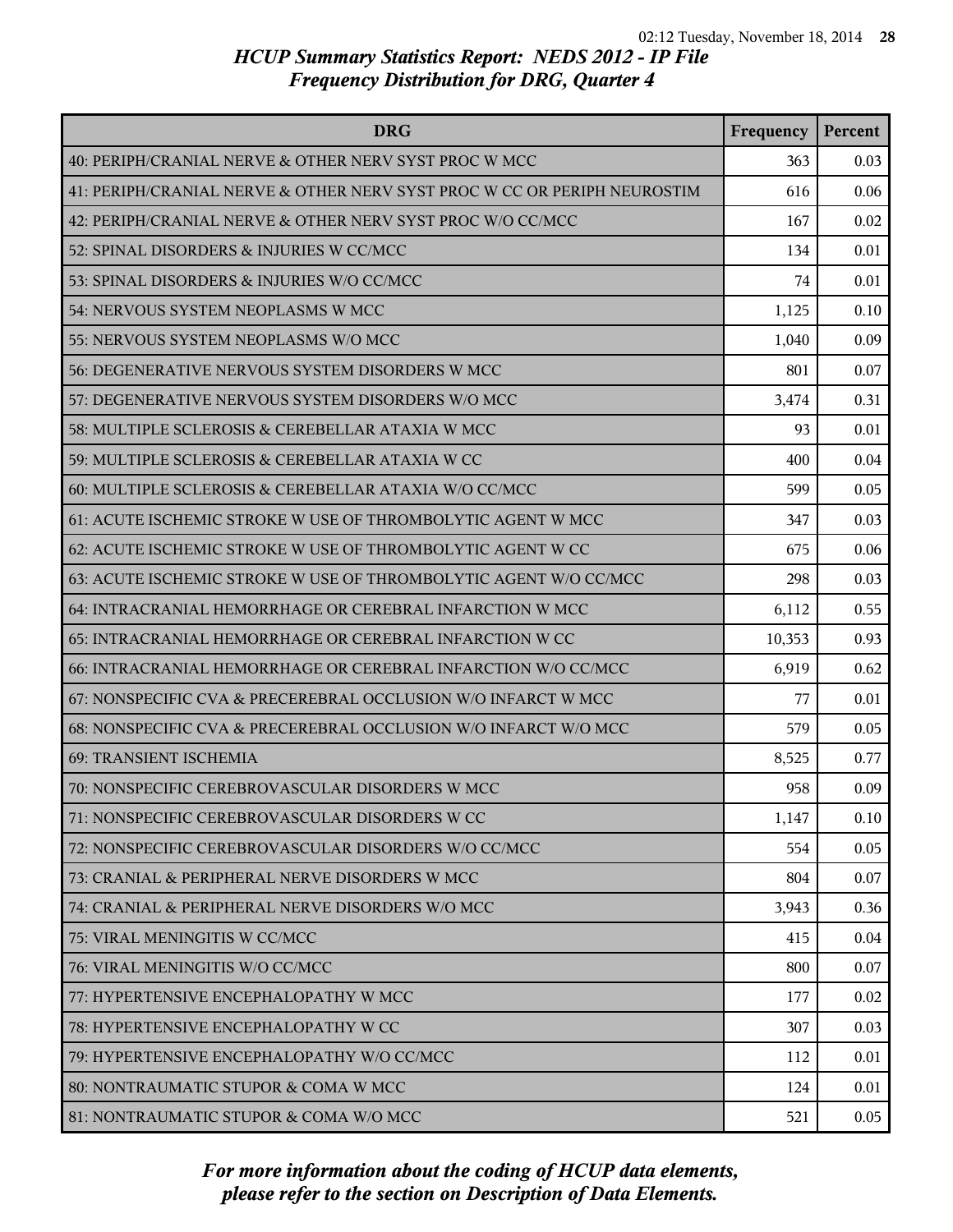| <b>DRG</b>                                                               | Frequency | Percent |
|--------------------------------------------------------------------------|-----------|---------|
| 40: PERIPH/CRANIAL NERVE & OTHER NERV SYST PROC W MCC                    | 363       | 0.03    |
| 41: PERIPH/CRANIAL NERVE & OTHER NERV SYST PROC W CC OR PERIPH NEUROSTIM | 616       | 0.06    |
| 42: PERIPH/CRANIAL NERVE & OTHER NERV SYST PROC W/O CC/MCC               | 167       | 0.02    |
| 52: SPINAL DISORDERS & INJURIES W CC/MCC                                 | 134       | 0.01    |
| 53: SPINAL DISORDERS & INJURIES W/O CC/MCC                               | 74        | 0.01    |
| 54: NERVOUS SYSTEM NEOPLASMS W MCC                                       | 1,125     | 0.10    |
| 55: NERVOUS SYSTEM NEOPLASMS W/O MCC                                     | 1,040     | 0.09    |
| 56: DEGENERATIVE NERVOUS SYSTEM DISORDERS W MCC                          | 801       | 0.07    |
| 57: DEGENERATIVE NERVOUS SYSTEM DISORDERS W/O MCC                        | 3,474     | 0.31    |
| 58: MULTIPLE SCLEROSIS & CEREBELLAR ATAXIA W MCC                         | 93        | 0.01    |
| 59: MULTIPLE SCLEROSIS & CEREBELLAR ATAXIA W CC                          | 400       | 0.04    |
| 60: MULTIPLE SCLEROSIS & CEREBELLAR ATAXIA W/O CC/MCC                    | 599       | 0.05    |
| 61: ACUTE ISCHEMIC STROKE W USE OF THROMBOLYTIC AGENT W MCC              | 347       | 0.03    |
| 62: ACUTE ISCHEMIC STROKE W USE OF THROMBOLYTIC AGENT W CC               | 675       | 0.06    |
| 63: ACUTE ISCHEMIC STROKE W USE OF THROMBOLYTIC AGENT W/O CC/MCC         | 298       | 0.03    |
| 64: INTRACRANIAL HEMORRHAGE OR CEREBRAL INFARCTION W MCC                 | 6,112     | 0.55    |
| 65: INTRACRANIAL HEMORRHAGE OR CEREBRAL INFARCTION W CC                  | 10,353    | 0.93    |
| 66: INTRACRANIAL HEMORRHAGE OR CEREBRAL INFARCTION W/O CC/MCC            | 6,919     | 0.62    |
| 67: NONSPECIFIC CVA & PRECEREBRAL OCCLUSION W/O INFARCT W MCC            | 77        | 0.01    |
| 68: NONSPECIFIC CVA & PRECEREBRAL OCCLUSION W/O INFARCT W/O MCC          | 579       | 0.05    |
| 69: TRANSIENT ISCHEMIA                                                   | 8,525     | 0.77    |
| 70: NONSPECIFIC CEREBROVASCULAR DISORDERS W MCC                          | 958       | 0.09    |
| 71: NONSPECIFIC CEREBROVASCULAR DISORDERS W CC                           | 1,147     | 0.10    |
| 72: NONSPECIFIC CEREBROVASCULAR DISORDERS W/O CC/MCC                     | 554       | 0.05    |
| 73: CRANIAL & PERIPHERAL NERVE DISORDERS W MCC                           | 804       | 0.07    |
| 74: CRANIAL & PERIPHERAL NERVE DISORDERS W/O MCC                         | 3,943     | 0.36    |
| 75: VIRAL MENINGITIS W CC/MCC                                            | 415       | 0.04    |
| 76: VIRAL MENINGITIS W/O CC/MCC                                          | 800       | 0.07    |
| 77: HYPERTENSIVE ENCEPHALOPATHY W MCC                                    | 177       | 0.02    |
| 78: HYPERTENSIVE ENCEPHALOPATHY W CC                                     | 307       | 0.03    |
| 79: HYPERTENSIVE ENCEPHALOPATHY W/O CC/MCC                               | 112       | 0.01    |
| 80: NONTRAUMATIC STUPOR & COMA W MCC                                     | 124       | 0.01    |
| 81: NONTRAUMATIC STUPOR & COMA W/O MCC                                   | 521       | 0.05    |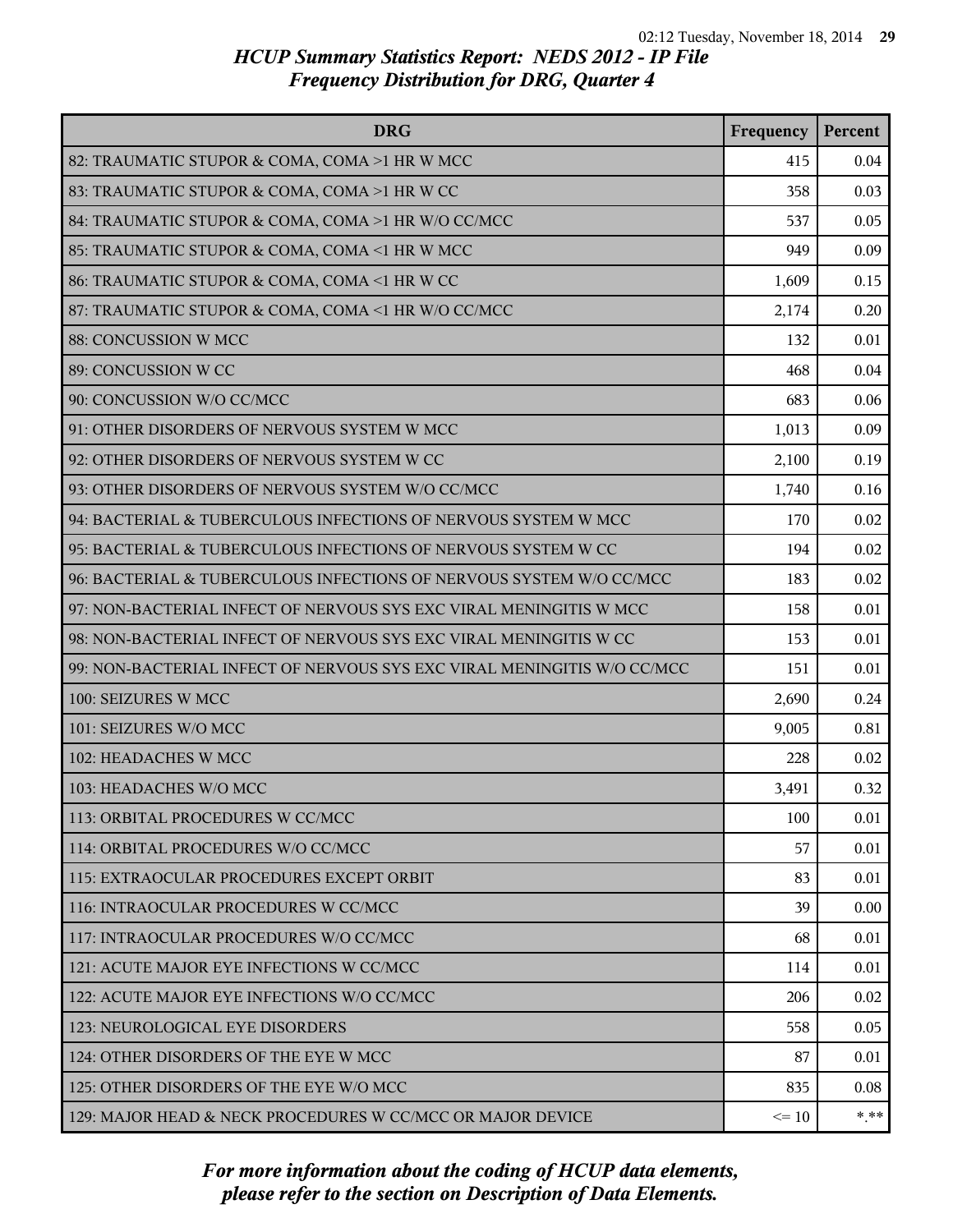| <b>DRG</b>                                                              | Frequency | Percent |
|-------------------------------------------------------------------------|-----------|---------|
| 82: TRAUMATIC STUPOR & COMA, COMA >1 HR W MCC                           | 415       | 0.04    |
| 83: TRAUMATIC STUPOR & COMA, COMA >1 HR W CC                            | 358       | 0.03    |
| 84: TRAUMATIC STUPOR & COMA, COMA >1 HR W/O CC/MCC                      | 537       | 0.05    |
| 85: TRAUMATIC STUPOR & COMA, COMA <1 HR W MCC                           | 949       | 0.09    |
| 86: TRAUMATIC STUPOR & COMA, COMA <1 HR W CC                            | 1,609     | 0.15    |
| 87: TRAUMATIC STUPOR & COMA, COMA <1 HR W/O CC/MCC                      | 2,174     | 0.20    |
| 88: CONCUSSION W MCC                                                    | 132       | 0.01    |
| 89: CONCUSSION W CC                                                     | 468       | 0.04    |
| 90: CONCUSSION W/O CC/MCC                                               | 683       | 0.06    |
| 91: OTHER DISORDERS OF NERVOUS SYSTEM W MCC                             | 1,013     | 0.09    |
| 92: OTHER DISORDERS OF NERVOUS SYSTEM W CC                              | 2,100     | 0.19    |
| 93: OTHER DISORDERS OF NERVOUS SYSTEM W/O CC/MCC                        | 1,740     | 0.16    |
| 94: BACTERIAL & TUBERCULOUS INFECTIONS OF NERVOUS SYSTEM W MCC          | 170       | 0.02    |
| 95: BACTERIAL & TUBERCULOUS INFECTIONS OF NERVOUS SYSTEM W CC           | 194       | 0.02    |
| 96: BACTERIAL & TUBERCULOUS INFECTIONS OF NERVOUS SYSTEM W/O CC/MCC     | 183       | 0.02    |
| 97: NON-BACTERIAL INFECT OF NERVOUS SYS EXC VIRAL MENINGITIS W MCC      | 158       | 0.01    |
| 98: NON-BACTERIAL INFECT OF NERVOUS SYS EXC VIRAL MENINGITIS W CC       | 153       | 0.01    |
| 99: NON-BACTERIAL INFECT OF NERVOUS SYS EXC VIRAL MENINGITIS W/O CC/MCC | 151       | 0.01    |
| 100: SEIZURES W MCC                                                     | 2,690     | 0.24    |
| 101: SEIZURES W/O MCC                                                   | 9,005     | 0.81    |
| 102: HEADACHES W MCC                                                    | 228       | 0.02    |
| 103: HEADACHES W/O MCC                                                  | 3,491     | 0.32    |
| 113: ORBITAL PROCEDURES W CC/MCC                                        | 100       | 0.01    |
| 114: ORBITAL PROCEDURES W/O CC/MCC                                      | 57        | 0.01    |
| 115: EXTRAOCULAR PROCEDURES EXCEPT ORBIT                                | 83        | 0.01    |
| 116: INTRAOCULAR PROCEDURES W CC/MCC                                    | 39        | 0.00    |
| 117: INTRAOCULAR PROCEDURES W/O CC/MCC                                  | 68        | 0.01    |
| 121: ACUTE MAJOR EYE INFECTIONS W CC/MCC                                | 114       | 0.01    |
| 122: ACUTE MAJOR EYE INFECTIONS W/O CC/MCC                              | 206       | 0.02    |
| 123: NEUROLOGICAL EYE DISORDERS                                         | 558       | 0.05    |
| 124: OTHER DISORDERS OF THE EYE W MCC                                   | 87        | 0.01    |
| 125: OTHER DISORDERS OF THE EYE W/O MCC                                 | 835       | 0.08    |
| 129: MAJOR HEAD & NECK PROCEDURES W CC/MCC OR MAJOR DEVICE              | $\leq 10$ | $* * *$ |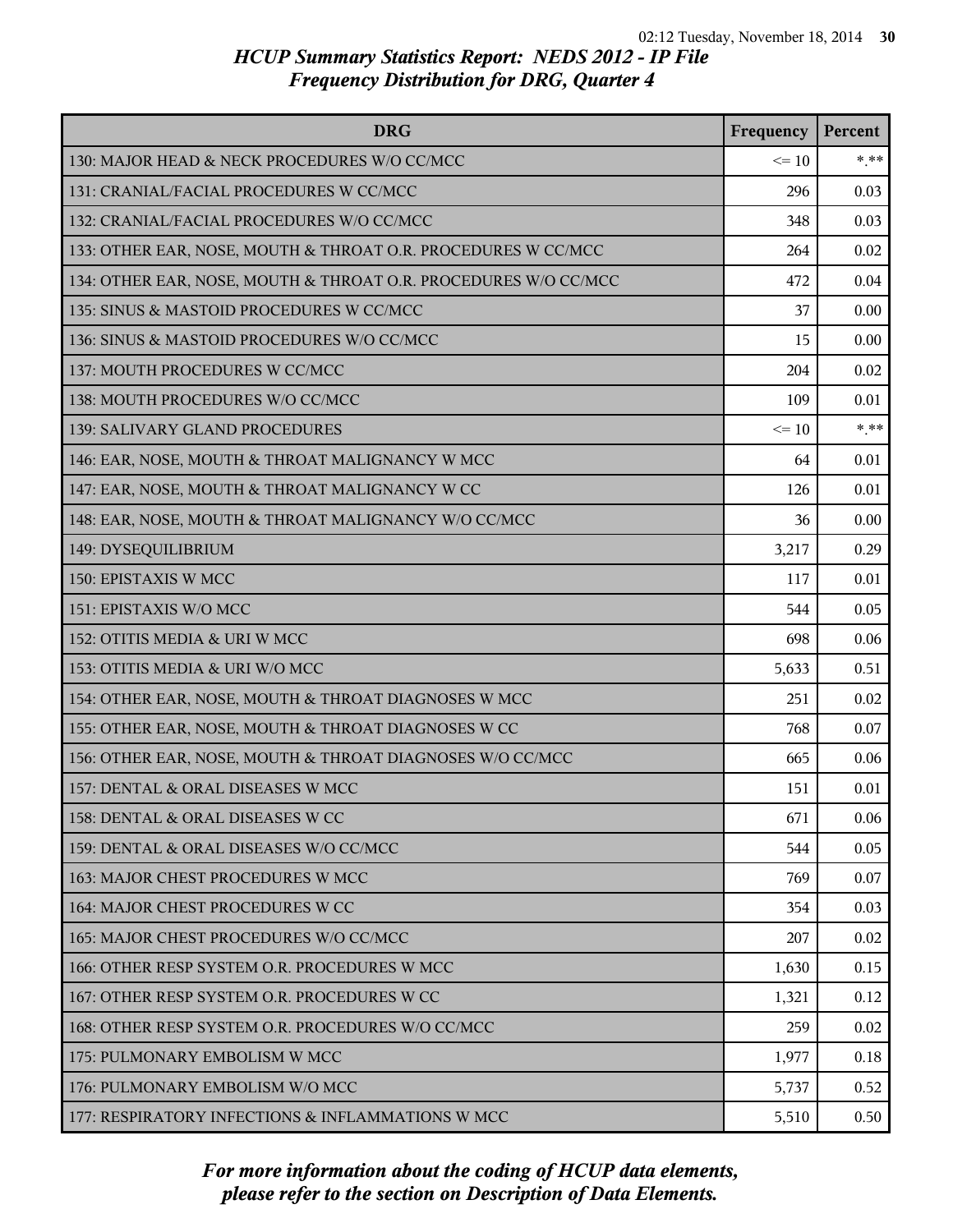| <b>DRG</b>                                                      | Frequency | Percent  |
|-----------------------------------------------------------------|-----------|----------|
| 130: MAJOR HEAD & NECK PROCEDURES W/O CC/MCC                    | $\leq 10$ | $*$ $**$ |
| 131: CRANIAL/FACIAL PROCEDURES W CC/MCC                         | 296       | 0.03     |
| 132: CRANIAL/FACIAL PROCEDURES W/O CC/MCC                       | 348       | 0.03     |
| 133: OTHER EAR, NOSE, MOUTH & THROAT O.R. PROCEDURES W CC/MCC   | 264       | 0.02     |
| 134: OTHER EAR, NOSE, MOUTH & THROAT O.R. PROCEDURES W/O CC/MCC | 472       | 0.04     |
| 135: SINUS & MASTOID PROCEDURES W CC/MCC                        | 37        | 0.00     |
| 136: SINUS & MASTOID PROCEDURES W/O CC/MCC                      | 15        | 0.00     |
| 137: MOUTH PROCEDURES W CC/MCC                                  | 204       | 0.02     |
| 138: MOUTH PROCEDURES W/O CC/MCC                                | 109       | 0.01     |
| 139: SALIVARY GLAND PROCEDURES                                  | $\leq$ 10 | $* * *$  |
| 146: EAR, NOSE, MOUTH & THROAT MALIGNANCY W MCC                 | 64        | 0.01     |
| 147: EAR, NOSE, MOUTH & THROAT MALIGNANCY W CC                  | 126       | 0.01     |
| 148: EAR, NOSE, MOUTH & THROAT MALIGNANCY W/O CC/MCC            | 36        | 0.00     |
| 149: DYSEQUILIBRIUM                                             | 3,217     | 0.29     |
| 150: EPISTAXIS W MCC                                            | 117       | 0.01     |
| 151: EPISTAXIS W/O MCC                                          | 544       | 0.05     |
| 152: OTITIS MEDIA & URI W MCC                                   | 698       | 0.06     |
| 153: OTITIS MEDIA & URI W/O MCC                                 | 5,633     | 0.51     |
| 154: OTHER EAR, NOSE, MOUTH & THROAT DIAGNOSES W MCC            | 251       | 0.02     |
| 155: OTHER EAR, NOSE, MOUTH & THROAT DIAGNOSES W CC             | 768       | 0.07     |
| 156: OTHER EAR, NOSE, MOUTH & THROAT DIAGNOSES W/O CC/MCC       | 665       | 0.06     |
| 157: DENTAL & ORAL DISEASES W MCC                               | 151       | 0.01     |
| 158: DENTAL & ORAL DISEASES W CC                                | 671       | 0.06     |
| 159: DENTAL & ORAL DISEASES W/O CC/MCC                          | 544       | 0.05     |
| 163: MAJOR CHEST PROCEDURES W MCC                               | 769       | 0.07     |
| 164: MAJOR CHEST PROCEDURES W CC                                | 354       | 0.03     |
| 165: MAJOR CHEST PROCEDURES W/O CC/MCC                          | 207       | 0.02     |
| 166: OTHER RESP SYSTEM O.R. PROCEDURES W MCC                    | 1,630     | 0.15     |
| 167: OTHER RESP SYSTEM O.R. PROCEDURES W CC                     | 1,321     | 0.12     |
| 168: OTHER RESP SYSTEM O.R. PROCEDURES W/O CC/MCC               | 259       | 0.02     |
| 175: PULMONARY EMBOLISM W MCC                                   | 1,977     | 0.18     |
| 176: PULMONARY EMBOLISM W/O MCC                                 | 5,737     | 0.52     |
| 177: RESPIRATORY INFECTIONS & INFLAMMATIONS W MCC               | 5,510     | 0.50     |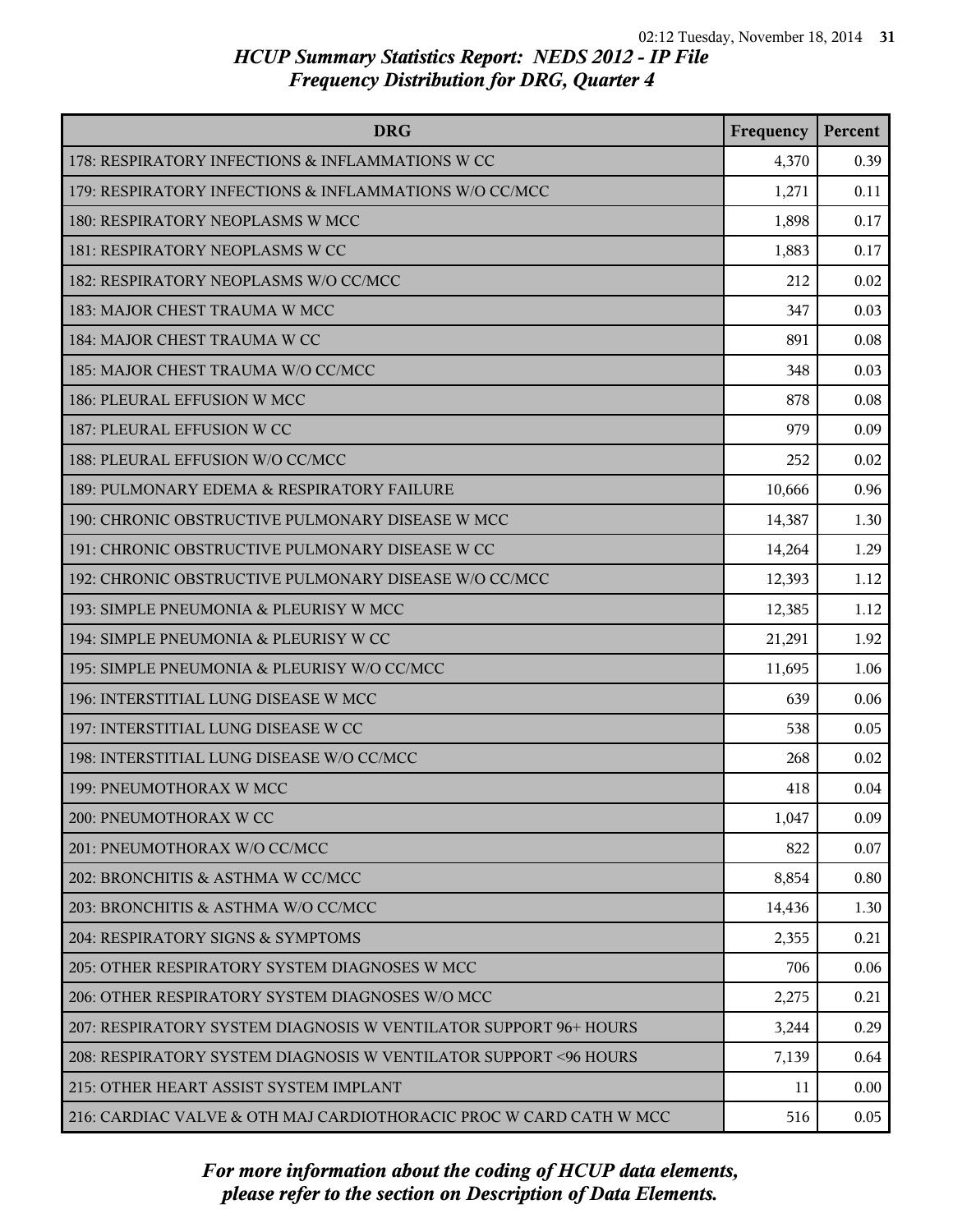| <b>DRG</b>                                                         | Frequency | Percent |
|--------------------------------------------------------------------|-----------|---------|
| 178: RESPIRATORY INFECTIONS & INFLAMMATIONS W CC                   | 4,370     | 0.39    |
| 179: RESPIRATORY INFECTIONS & INFLAMMATIONS W/O CC/MCC             | 1,271     | 0.11    |
| 180: RESPIRATORY NEOPLASMS W MCC                                   | 1,898     | 0.17    |
| 181: RESPIRATORY NEOPLASMS W CC                                    | 1,883     | 0.17    |
| 182: RESPIRATORY NEOPLASMS W/O CC/MCC                              | 212       | 0.02    |
| 183: MAJOR CHEST TRAUMA W MCC                                      | 347       | 0.03    |
| 184: MAJOR CHEST TRAUMA W CC                                       | 891       | 0.08    |
| 185: MAJOR CHEST TRAUMA W/O CC/MCC                                 | 348       | 0.03    |
| 186: PLEURAL EFFUSION W MCC                                        | 878       | 0.08    |
| 187: PLEURAL EFFUSION W CC                                         | 979       | 0.09    |
| 188: PLEURAL EFFUSION W/O CC/MCC                                   | 252       | 0.02    |
| 189: PULMONARY EDEMA & RESPIRATORY FAILURE                         | 10,666    | 0.96    |
| 190: CHRONIC OBSTRUCTIVE PULMONARY DISEASE W MCC                   | 14,387    | 1.30    |
| 191: CHRONIC OBSTRUCTIVE PULMONARY DISEASE W CC                    | 14,264    | 1.29    |
| 192: CHRONIC OBSTRUCTIVE PULMONARY DISEASE W/O CC/MCC              | 12,393    | 1.12    |
| 193: SIMPLE PNEUMONIA & PLEURISY W MCC                             | 12,385    | 1.12    |
| 194: SIMPLE PNEUMONIA & PLEURISY W CC                              | 21,291    | 1.92    |
| 195: SIMPLE PNEUMONIA & PLEURISY W/O CC/MCC                        | 11,695    | 1.06    |
| 196: INTERSTITIAL LUNG DISEASE W MCC                               | 639       | 0.06    |
| 197: INTERSTITIAL LUNG DISEASE W CC                                | 538       | 0.05    |
| 198: INTERSTITIAL LUNG DISEASE W/O CC/MCC                          | 268       | 0.02    |
| 199: PNEUMOTHORAX W MCC                                            | 418       | 0.04    |
| 200: PNEUMOTHORAX W CC                                             | 1,047     | 0.09    |
| 201: PNEUMOTHORAX W/O CC/MCC                                       | 822       | 0.07    |
| 202: BRONCHITIS & ASTHMA W CC/MCC                                  | 8,854     | 0.80    |
| 203: BRONCHITIS & ASTHMA W/O CC/MCC                                | 14,436    | 1.30    |
| 204: RESPIRATORY SIGNS & SYMPTOMS                                  | 2,355     | 0.21    |
| 205: OTHER RESPIRATORY SYSTEM DIAGNOSES W MCC                      | 706       | 0.06    |
| 206: OTHER RESPIRATORY SYSTEM DIAGNOSES W/O MCC                    | 2,275     | 0.21    |
| 207: RESPIRATORY SYSTEM DIAGNOSIS W VENTILATOR SUPPORT 96+ HOURS   | 3,244     | 0.29    |
| 208: RESPIRATORY SYSTEM DIAGNOSIS W VENTILATOR SUPPORT < 96 HOURS  | 7,139     | 0.64    |
| 215: OTHER HEART ASSIST SYSTEM IMPLANT                             | 11        | 0.00    |
| 216: CARDIAC VALVE & OTH MAJ CARDIOTHORACIC PROC W CARD CATH W MCC | 516       | 0.05    |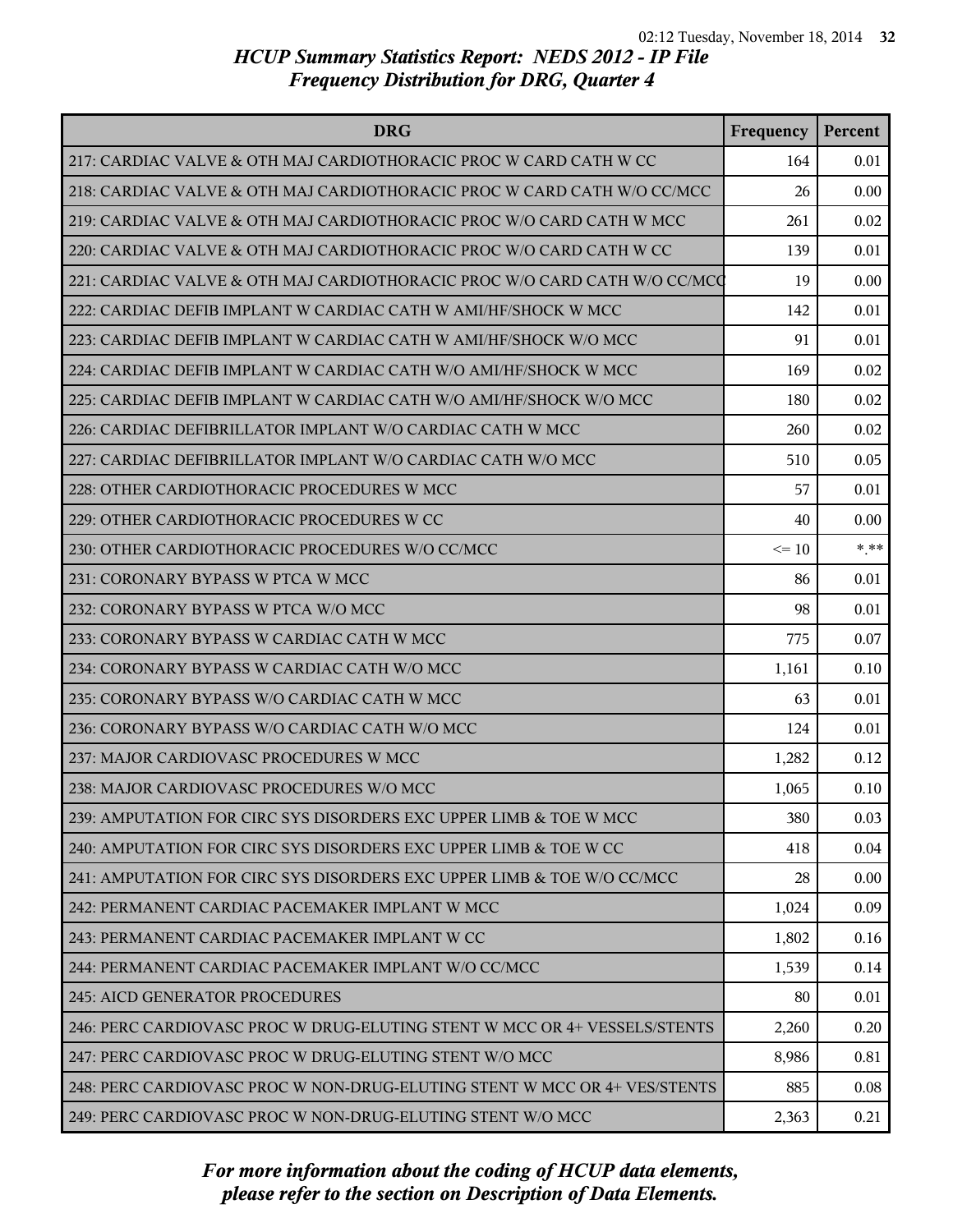| <b>DRG</b>                                                                | Frequency | Percent |
|---------------------------------------------------------------------------|-----------|---------|
| 217: CARDIAC VALVE & OTH MAJ CARDIOTHORACIC PROC W CARD CATH W CC         | 164       | 0.01    |
| 218: CARDIAC VALVE & OTH MAJ CARDIOTHORACIC PROC W CARD CATH W/O CC/MCC   | 26        | 0.00    |
| 219: CARDIAC VALVE & OTH MAJ CARDIOTHORACIC PROC W/O CARD CATH W MCC      | 261       | 0.02    |
| 220: CARDIAC VALVE & OTH MAJ CARDIOTHORACIC PROC W/O CARD CATH W CC       | 139       | 0.01    |
| 221: CARDIAC VALVE & OTH MAJ CARDIOTHORACIC PROC W/O CARD CATH W/O CC/MCC | 19        | 0.00    |
| 222: CARDIAC DEFIB IMPLANT W CARDIAC CATH W AMI/HF/SHOCK W MCC            | 142       | 0.01    |
| 223: CARDIAC DEFIB IMPLANT W CARDIAC CATH W AMI/HF/SHOCK W/O MCC          | 91        | 0.01    |
| 224: CARDIAC DEFIB IMPLANT W CARDIAC CATH W/O AMI/HF/SHOCK W MCC          | 169       | 0.02    |
| 225: CARDIAC DEFIB IMPLANT W CARDIAC CATH W/O AMI/HF/SHOCK W/O MCC        | 180       | 0.02    |
| 226: CARDIAC DEFIBRILLATOR IMPLANT W/O CARDIAC CATH W MCC                 | 260       | 0.02    |
| 227: CARDIAC DEFIBRILLATOR IMPLANT W/O CARDIAC CATH W/O MCC               | 510       | 0.05    |
| 228: OTHER CARDIOTHORACIC PROCEDURES W MCC                                | 57        | 0.01    |
| 229: OTHER CARDIOTHORACIC PROCEDURES W CC                                 | 40        | 0.00    |
| 230: OTHER CARDIOTHORACIC PROCEDURES W/O CC/MCC                           | $\leq 10$ | * **    |
| 231: CORONARY BYPASS W PTCA W MCC                                         | 86        | 0.01    |
| 232: CORONARY BYPASS W PTCA W/O MCC                                       | 98        | 0.01    |
| 233: CORONARY BYPASS W CARDIAC CATH W MCC                                 | 775       | 0.07    |
| 234: CORONARY BYPASS W CARDIAC CATH W/O MCC                               | 1,161     | 0.10    |
| 235: CORONARY BYPASS W/O CARDIAC CATH W MCC                               | 63        | 0.01    |
| 236: CORONARY BYPASS W/O CARDIAC CATH W/O MCC                             | 124       | 0.01    |
| 237: MAJOR CARDIOVASC PROCEDURES W MCC                                    | 1,282     | 0.12    |
| 238: MAJOR CARDIOVASC PROCEDURES W/O MCC                                  | 1,065     | 0.10    |
| 239: AMPUTATION FOR CIRC SYS DISORDERS EXC UPPER LIMB & TOE W MCC         | 380       | 0.03    |
| 240: AMPUTATION FOR CIRC SYS DISORDERS EXC UPPER LIMB & TOE W CC          | 418       | 0.04    |
| 241: AMPUTATION FOR CIRC SYS DISORDERS EXC UPPER LIMB & TOE W/O CC/MCC    | 28        | 0.00    |
| 242: PERMANENT CARDIAC PACEMAKER IMPLANT W MCC                            | 1,024     | 0.09    |
| 243: PERMANENT CARDIAC PACEMAKER IMPLANT W CC                             | 1,802     | 0.16    |
| 244: PERMANENT CARDIAC PACEMAKER IMPLANT W/O CC/MCC                       | 1,539     | 0.14    |
| 245: AICD GENERATOR PROCEDURES                                            | 80        | 0.01    |
| 246: PERC CARDIOVASC PROC W DRUG-ELUTING STENT W MCC OR 4+ VESSELS/STENTS | 2,260     | 0.20    |
| 247: PERC CARDIOVASC PROC W DRUG-ELUTING STENT W/O MCC                    | 8,986     | 0.81    |
| 248: PERC CARDIOVASC PROC W NON-DRUG-ELUTING STENT W MCC OR 4+ VES/STENTS | 885       | 0.08    |
| 249: PERC CARDIOVASC PROC W NON-DRUG-ELUTING STENT W/O MCC                | 2,363     | 0.21    |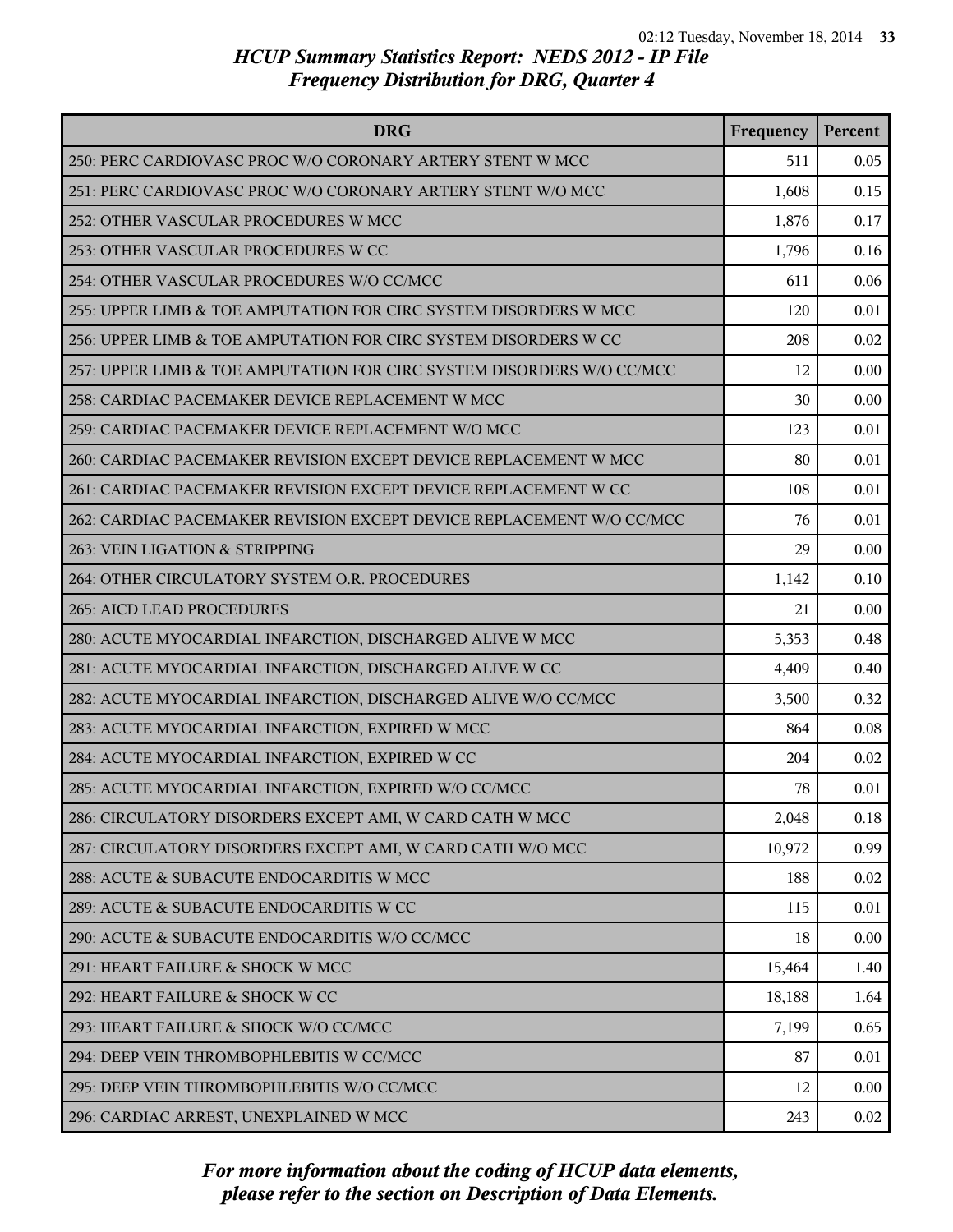| <b>DRG</b>                                                            | Frequency | Percent |
|-----------------------------------------------------------------------|-----------|---------|
| 250: PERC CARDIOVASC PROC W/O CORONARY ARTERY STENT W MCC             | 511       | 0.05    |
| 251: PERC CARDIOVASC PROC W/O CORONARY ARTERY STENT W/O MCC           | 1,608     | 0.15    |
| 252: OTHER VASCULAR PROCEDURES W MCC                                  | 1,876     | 0.17    |
| 253: OTHER VASCULAR PROCEDURES W CC                                   | 1,796     | 0.16    |
| 254: OTHER VASCULAR PROCEDURES W/O CC/MCC                             | 611       | 0.06    |
| 255: UPPER LIMB & TOE AMPUTATION FOR CIRC SYSTEM DISORDERS W MCC      | 120       | 0.01    |
| 256: UPPER LIMB & TOE AMPUTATION FOR CIRC SYSTEM DISORDERS W CC       | 208       | 0.02    |
| 257: UPPER LIMB & TOE AMPUTATION FOR CIRC SYSTEM DISORDERS W/O CC/MCC | 12        | 0.00    |
| 258: CARDIAC PACEMAKER DEVICE REPLACEMENT W MCC                       | 30        | 0.00    |
| 259: CARDIAC PACEMAKER DEVICE REPLACEMENT W/O MCC                     | 123       | 0.01    |
| 260: CARDIAC PACEMAKER REVISION EXCEPT DEVICE REPLACEMENT W MCC       | 80        | 0.01    |
| 261: CARDIAC PACEMAKER REVISION EXCEPT DEVICE REPLACEMENT W CC        | 108       | 0.01    |
| 262: CARDIAC PACEMAKER REVISION EXCEPT DEVICE REPLACEMENT W/O CC/MCC  | 76        | 0.01    |
| 263: VEIN LIGATION & STRIPPING                                        | 29        | 0.00    |
| 264: OTHER CIRCULATORY SYSTEM O.R. PROCEDURES                         | 1,142     | 0.10    |
| 265: AICD LEAD PROCEDURES                                             | 21        | 0.00    |
| 280: ACUTE MYOCARDIAL INFARCTION, DISCHARGED ALIVE W MCC              | 5,353     | 0.48    |
| 281: ACUTE MYOCARDIAL INFARCTION, DISCHARGED ALIVE W CC               | 4,409     | 0.40    |
| 282: ACUTE MYOCARDIAL INFARCTION, DISCHARGED ALIVE W/O CC/MCC         | 3,500     | 0.32    |
| 283: ACUTE MYOCARDIAL INFARCTION, EXPIRED W MCC                       | 864       | 0.08    |
| 284: ACUTE MYOCARDIAL INFARCTION, EXPIRED W CC                        | 204       | 0.02    |
| 285: ACUTE MYOCARDIAL INFARCTION, EXPIRED W/O CC/MCC                  | 78        | 0.01    |
| 286: CIRCULATORY DISORDERS EXCEPT AMI, W CARD CATH W MCC              | 2,048     | 0.18    |
| 287: CIRCULATORY DISORDERS EXCEPT AMI, W CARD CATH W/O MCC            | 10,972    | 0.99    |
| 288: ACUTE & SUBACUTE ENDOCARDITIS W MCC                              | 188       | 0.02    |
| 289: ACUTE & SUBACUTE ENDOCARDITIS W CC                               | 115       | 0.01    |
| 290: ACUTE & SUBACUTE ENDOCARDITIS W/O CC/MCC                         | 18        | 0.00    |
| 291: HEART FAILURE & SHOCK W MCC                                      | 15,464    | 1.40    |
| 292: HEART FAILURE & SHOCK W CC                                       | 18,188    | 1.64    |
| 293: HEART FAILURE & SHOCK W/O CC/MCC                                 | 7,199     | 0.65    |
| 294: DEEP VEIN THROMBOPHLEBITIS W CC/MCC                              | 87        | 0.01    |
| 295: DEEP VEIN THROMBOPHLEBITIS W/O CC/MCC                            | 12        | 0.00    |
| 296: CARDIAC ARREST, UNEXPLAINED W MCC                                | 243       | 0.02    |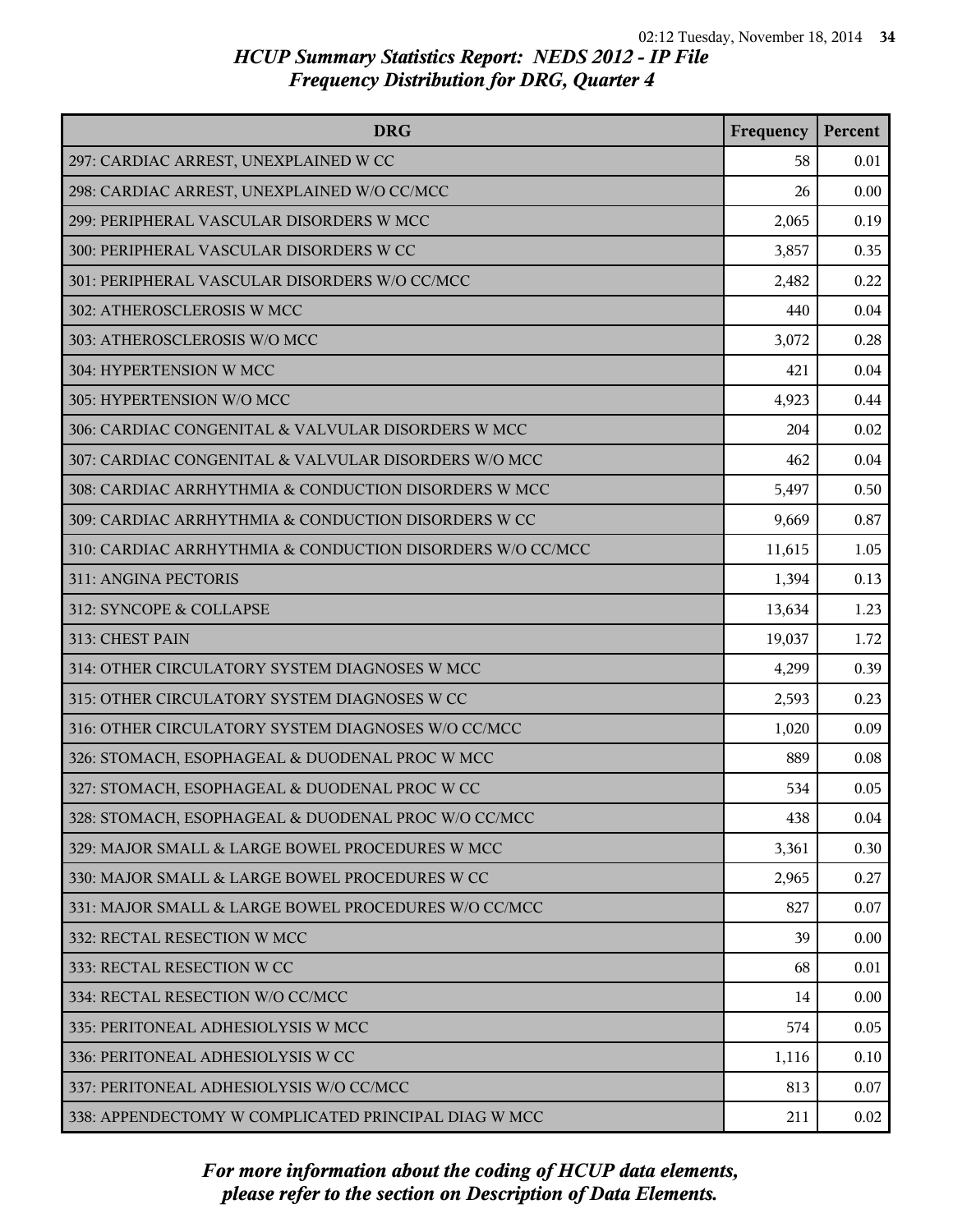| <b>DRG</b>                                                | Frequency | Percent |
|-----------------------------------------------------------|-----------|---------|
| 297: CARDIAC ARREST, UNEXPLAINED W CC                     | 58        | 0.01    |
| 298: CARDIAC ARREST, UNEXPLAINED W/O CC/MCC               | 26        | 0.00    |
| 299: PERIPHERAL VASCULAR DISORDERS W MCC                  | 2,065     | 0.19    |
| 300: PERIPHERAL VASCULAR DISORDERS W CC                   | 3,857     | 0.35    |
| 301: PERIPHERAL VASCULAR DISORDERS W/O CC/MCC             | 2,482     | 0.22    |
| 302: ATHEROSCLEROSIS W MCC                                | 440       | 0.04    |
| 303: ATHEROSCLEROSIS W/O MCC                              | 3,072     | 0.28    |
| 304: HYPERTENSION W MCC                                   | 421       | 0.04    |
| 305: HYPERTENSION W/O MCC                                 | 4,923     | 0.44    |
| 306: CARDIAC CONGENITAL & VALVULAR DISORDERS W MCC        | 204       | 0.02    |
| 307: CARDIAC CONGENITAL & VALVULAR DISORDERS W/O MCC      | 462       | 0.04    |
| 308: CARDIAC ARRHYTHMIA & CONDUCTION DISORDERS W MCC      | 5,497     | 0.50    |
| 309: CARDIAC ARRHYTHMIA & CONDUCTION DISORDERS W CC       | 9,669     | 0.87    |
| 310: CARDIAC ARRHYTHMIA & CONDUCTION DISORDERS W/O CC/MCC | 11,615    | 1.05    |
| 311: ANGINA PECTORIS                                      | 1,394     | 0.13    |
| 312: SYNCOPE & COLLAPSE                                   | 13,634    | 1.23    |
| 313: CHEST PAIN                                           | 19,037    | 1.72    |
| 314: OTHER CIRCULATORY SYSTEM DIAGNOSES W MCC             | 4,299     | 0.39    |
| 315: OTHER CIRCULATORY SYSTEM DIAGNOSES W CC              | 2,593     | 0.23    |
| 316: OTHER CIRCULATORY SYSTEM DIAGNOSES W/O CC/MCC        | 1,020     | 0.09    |
| 326: STOMACH, ESOPHAGEAL & DUODENAL PROC W MCC            | 889       | 0.08    |
| 327: STOMACH, ESOPHAGEAL & DUODENAL PROC W CC             | 534       | 0.05    |
| 328: STOMACH, ESOPHAGEAL & DUODENAL PROC W/O CC/MCC       | 438       | 0.04    |
| 329: MAJOR SMALL & LARGE BOWEL PROCEDURES W MCC           | 3,361     | 0.30    |
| 330: MAJOR SMALL & LARGE BOWEL PROCEDURES W CC            | 2,965     | 0.27    |
| 331: MAJOR SMALL & LARGE BOWEL PROCEDURES W/O CC/MCC      | 827       | 0.07    |
| 332: RECTAL RESECTION W MCC                               | 39        | 0.00    |
| 333: RECTAL RESECTION W CC                                | 68        | 0.01    |
| 334: RECTAL RESECTION W/O CC/MCC                          | 14        | 0.00    |
| 335: PERITONEAL ADHESIOLYSIS W MCC                        | 574       | 0.05    |
| 336: PERITONEAL ADHESIOLYSIS W CC                         | 1,116     | 0.10    |
| 337: PERITONEAL ADHESIOLYSIS W/O CC/MCC                   | 813       | 0.07    |
| 338: APPENDECTOMY W COMPLICATED PRINCIPAL DIAG W MCC      | 211       | 0.02    |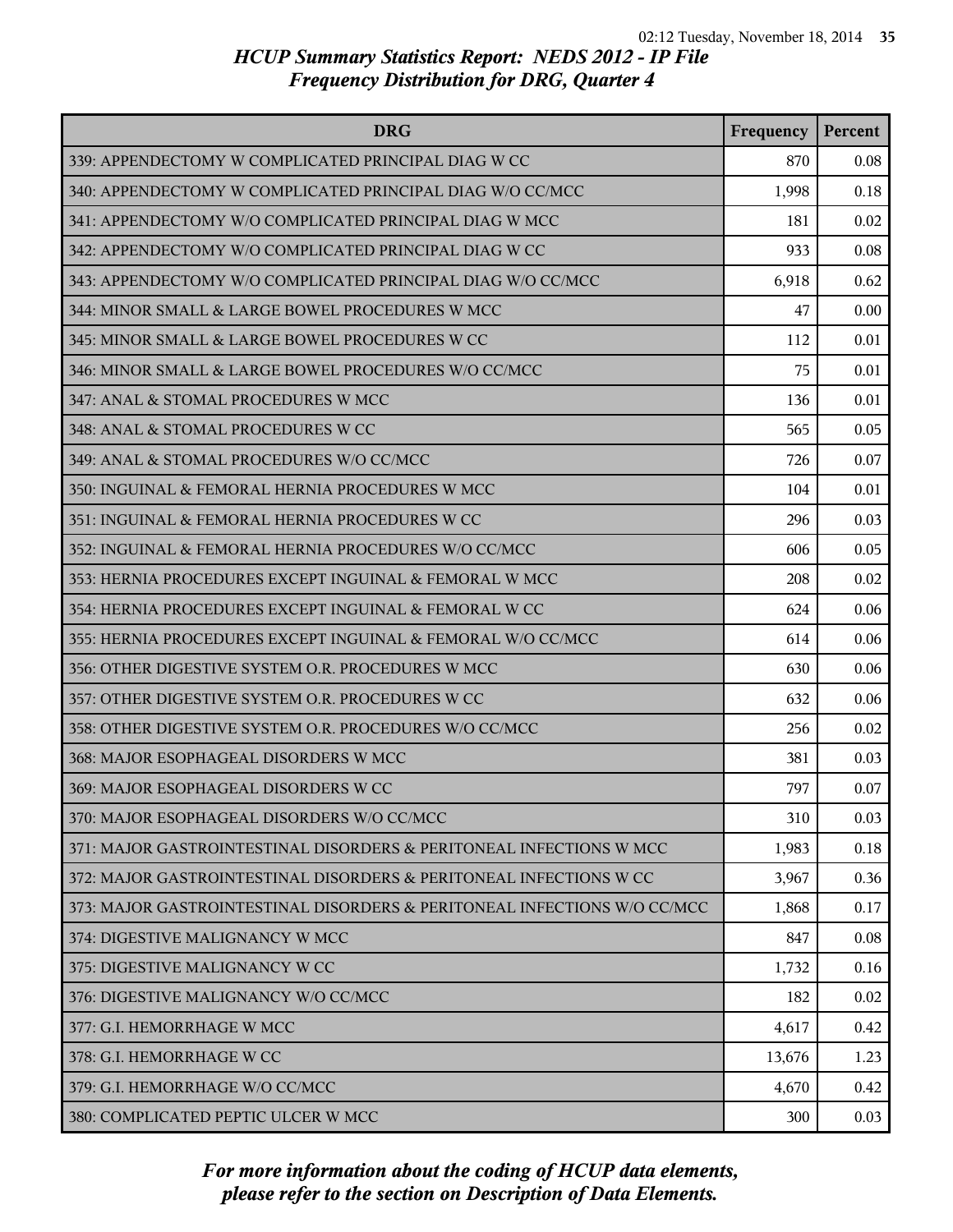| <b>DRG</b>                                                               | Frequency | Percent |
|--------------------------------------------------------------------------|-----------|---------|
| 339: APPENDECTOMY W COMPLICATED PRINCIPAL DIAG W CC                      | 870       | 0.08    |
| 340: APPENDECTOMY W COMPLICATED PRINCIPAL DIAG W/O CC/MCC                | 1,998     | 0.18    |
| 341: APPENDECTOMY W/O COMPLICATED PRINCIPAL DIAG W MCC                   | 181       | 0.02    |
| 342: APPENDECTOMY W/O COMPLICATED PRINCIPAL DIAG W CC                    | 933       | 0.08    |
| 343: APPENDECTOMY W/O COMPLICATED PRINCIPAL DIAG W/O CC/MCC              | 6,918     | 0.62    |
| 344: MINOR SMALL & LARGE BOWEL PROCEDURES W MCC                          | 47        | 0.00    |
| 345: MINOR SMALL & LARGE BOWEL PROCEDURES W CC                           | 112       | 0.01    |
| 346: MINOR SMALL & LARGE BOWEL PROCEDURES W/O CC/MCC                     | 75        | 0.01    |
| 347: ANAL & STOMAL PROCEDURES W MCC                                      | 136       | 0.01    |
| 348: ANAL & STOMAL PROCEDURES W CC                                       | 565       | 0.05    |
| 349: ANAL & STOMAL PROCEDURES W/O CC/MCC                                 | 726       | 0.07    |
| 350: INGUINAL & FEMORAL HERNIA PROCEDURES W MCC                          | 104       | 0.01    |
| 351: INGUINAL & FEMORAL HERNIA PROCEDURES W CC                           | 296       | 0.03    |
| 352: INGUINAL & FEMORAL HERNIA PROCEDURES W/O CC/MCC                     | 606       | 0.05    |
| 353: HERNIA PROCEDURES EXCEPT INGUINAL & FEMORAL W MCC                   | 208       | 0.02    |
| 354: HERNIA PROCEDURES EXCEPT INGUINAL & FEMORAL W CC                    | 624       | 0.06    |
| 355: HERNIA PROCEDURES EXCEPT INGUINAL & FEMORAL W/O CC/MCC              | 614       | 0.06    |
| 356: OTHER DIGESTIVE SYSTEM O.R. PROCEDURES W MCC                        | 630       | 0.06    |
| 357: OTHER DIGESTIVE SYSTEM O.R. PROCEDURES W CC                         | 632       | 0.06    |
| 358: OTHER DIGESTIVE SYSTEM O.R. PROCEDURES W/O CC/MCC                   | 256       | 0.02    |
| 368: MAJOR ESOPHAGEAL DISORDERS W MCC                                    | 381       | 0.03    |
| 369: MAJOR ESOPHAGEAL DISORDERS W CC                                     | 797       | 0.07    |
| 370: MAJOR ESOPHAGEAL DISORDERS W/O CC/MCC                               | 310       | 0.03    |
| 371: MAJOR GASTROINTESTINAL DISORDERS & PERITONEAL INFECTIONS W MCC      | 1,983     | 0.18    |
| 372: MAJOR GASTROINTESTINAL DISORDERS & PERITONEAL INFECTIONS W CC       | 3,967     | 0.36    |
| 373: MAJOR GASTROINTESTINAL DISORDERS & PERITONEAL INFECTIONS W/O CC/MCC | 1,868     | 0.17    |
| 374: DIGESTIVE MALIGNANCY W MCC                                          | 847       | 0.08    |
| 375: DIGESTIVE MALIGNANCY W CC                                           | 1,732     | 0.16    |
| 376: DIGESTIVE MALIGNANCY W/O CC/MCC                                     | 182       | 0.02    |
| 377: G.I. HEMORRHAGE W MCC                                               | 4,617     | 0.42    |
| 378: G.I. HEMORRHAGE W CC                                                | 13,676    | 1.23    |
| 379: G.I. HEMORRHAGE W/O CC/MCC                                          | 4,670     | 0.42    |
| 380: COMPLICATED PEPTIC ULCER W MCC                                      | 300       | 0.03    |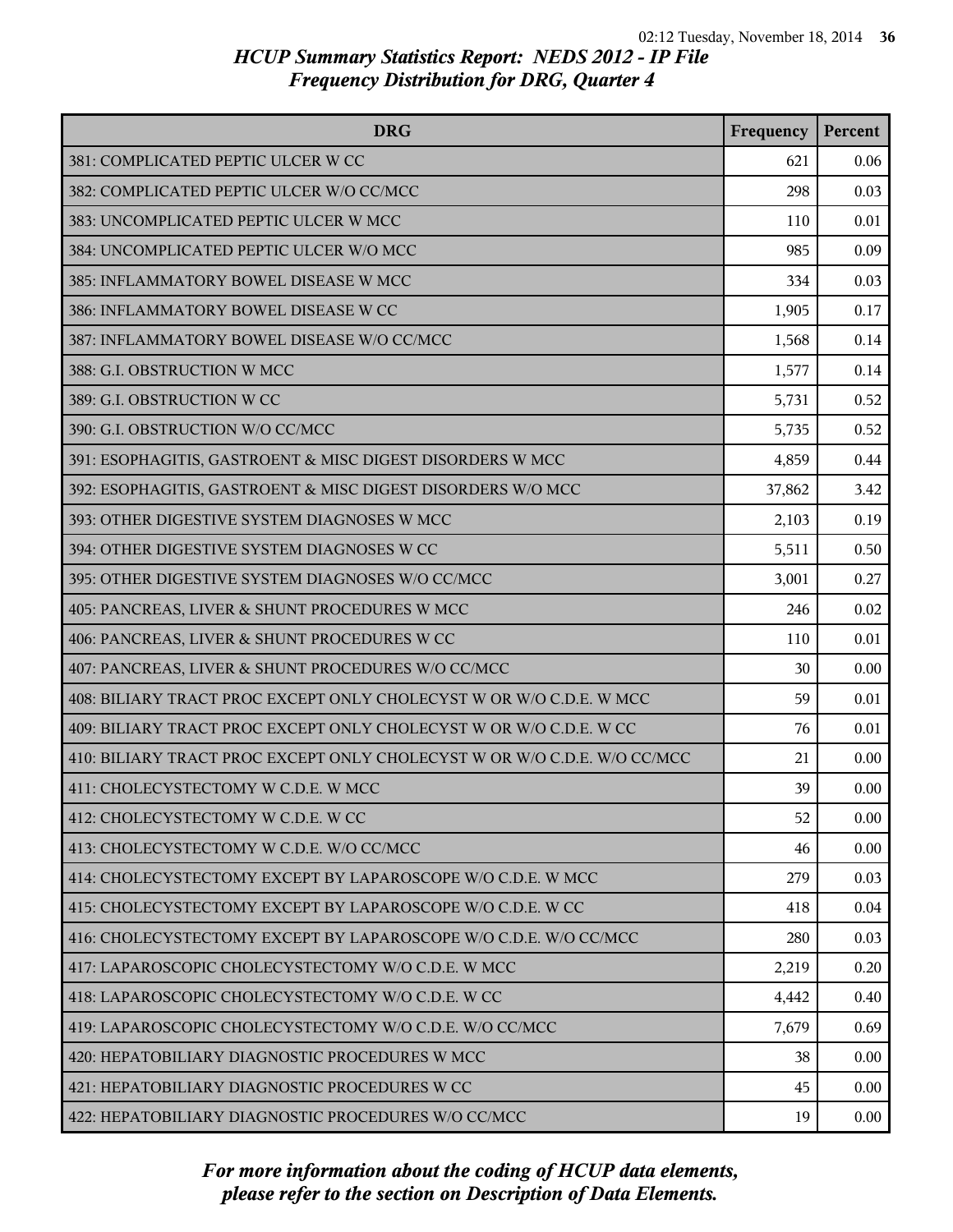| <b>DRG</b>                                                               | Frequency | Percent |
|--------------------------------------------------------------------------|-----------|---------|
| 381: COMPLICATED PEPTIC ULCER W CC                                       | 621       | 0.06    |
| 382: COMPLICATED PEPTIC ULCER W/O CC/MCC                                 | 298       | 0.03    |
| 383: UNCOMPLICATED PEPTIC ULCER W MCC                                    | 110       | 0.01    |
| 384: UNCOMPLICATED PEPTIC ULCER W/O MCC                                  | 985       | 0.09    |
| 385: INFLAMMATORY BOWEL DISEASE W MCC                                    | 334       | 0.03    |
| 386: INFLAMMATORY BOWEL DISEASE W CC                                     | 1,905     | 0.17    |
| 387: INFLAMMATORY BOWEL DISEASE W/O CC/MCC                               | 1,568     | 0.14    |
| 388: G.I. OBSTRUCTION W MCC                                              | 1,577     | 0.14    |
| 389: G.I. OBSTRUCTION W CC                                               | 5,731     | 0.52    |
| 390: G.I. OBSTRUCTION W/O CC/MCC                                         | 5,735     | 0.52    |
| 391: ESOPHAGITIS, GASTROENT & MISC DIGEST DISORDERS W MCC                | 4,859     | 0.44    |
| 392: ESOPHAGITIS, GASTROENT & MISC DIGEST DISORDERS W/O MCC              | 37,862    | 3.42    |
| 393: OTHER DIGESTIVE SYSTEM DIAGNOSES W MCC                              | 2,103     | 0.19    |
| 394: OTHER DIGESTIVE SYSTEM DIAGNOSES W CC                               | 5,511     | 0.50    |
| 395: OTHER DIGESTIVE SYSTEM DIAGNOSES W/O CC/MCC                         | 3,001     | 0.27    |
| 405: PANCREAS, LIVER & SHUNT PROCEDURES W MCC                            | 246       | 0.02    |
| 406: PANCREAS, LIVER & SHUNT PROCEDURES W CC                             | 110       | 0.01    |
| 407: PANCREAS, LIVER & SHUNT PROCEDURES W/O CC/MCC                       | 30        | 0.00    |
| 408: BILIARY TRACT PROC EXCEPT ONLY CHOLECYST W OR W/O C.D.E. W MCC      | 59        | 0.01    |
| 409: BILIARY TRACT PROC EXCEPT ONLY CHOLECYST W OR W/O C.D.E. W CC       | 76        | 0.01    |
| 410: BILIARY TRACT PROC EXCEPT ONLY CHOLECYST W OR W/O C.D.E. W/O CC/MCC | 21        | 0.00    |
| 411: CHOLECYSTECTOMY W C.D.E. W MCC                                      | 39        | 0.00    |
| 412: CHOLECYSTECTOMY W C.D.E. W CC                                       | 52        | 0.00    |
| 413: CHOLECYSTECTOMY W C.D.E. W/O CC/MCC                                 | 46        | 0.00    |
| 414: CHOLECYSTECTOMY EXCEPT BY LAPAROSCOPE W/O C.D.E. W MCC              | 279       | 0.03    |
| 415: CHOLECYSTECTOMY EXCEPT BY LAPAROSCOPE W/O C.D.E. W CC               | 418       | 0.04    |
| 416: CHOLECYSTECTOMY EXCEPT BY LAPAROSCOPE W/O C.D.E. W/O CC/MCC         | 280       | 0.03    |
| 417: LAPAROSCOPIC CHOLECYSTECTOMY W/O C.D.E. W MCC                       | 2,219     | 0.20    |
| 418: LAPAROSCOPIC CHOLECYSTECTOMY W/O C.D.E. W CC                        | 4,442     | 0.40    |
| 419: LAPAROSCOPIC CHOLECYSTECTOMY W/O C.D.E. W/O CC/MCC                  | 7,679     | 0.69    |
| 420: HEPATOBILIARY DIAGNOSTIC PROCEDURES W MCC                           | 38        | 0.00    |
| 421: HEPATOBILIARY DIAGNOSTIC PROCEDURES W CC                            | 45        | 0.00    |
| 422: HEPATOBILIARY DIAGNOSTIC PROCEDURES W/O CC/MCC                      | 19        | 0.00    |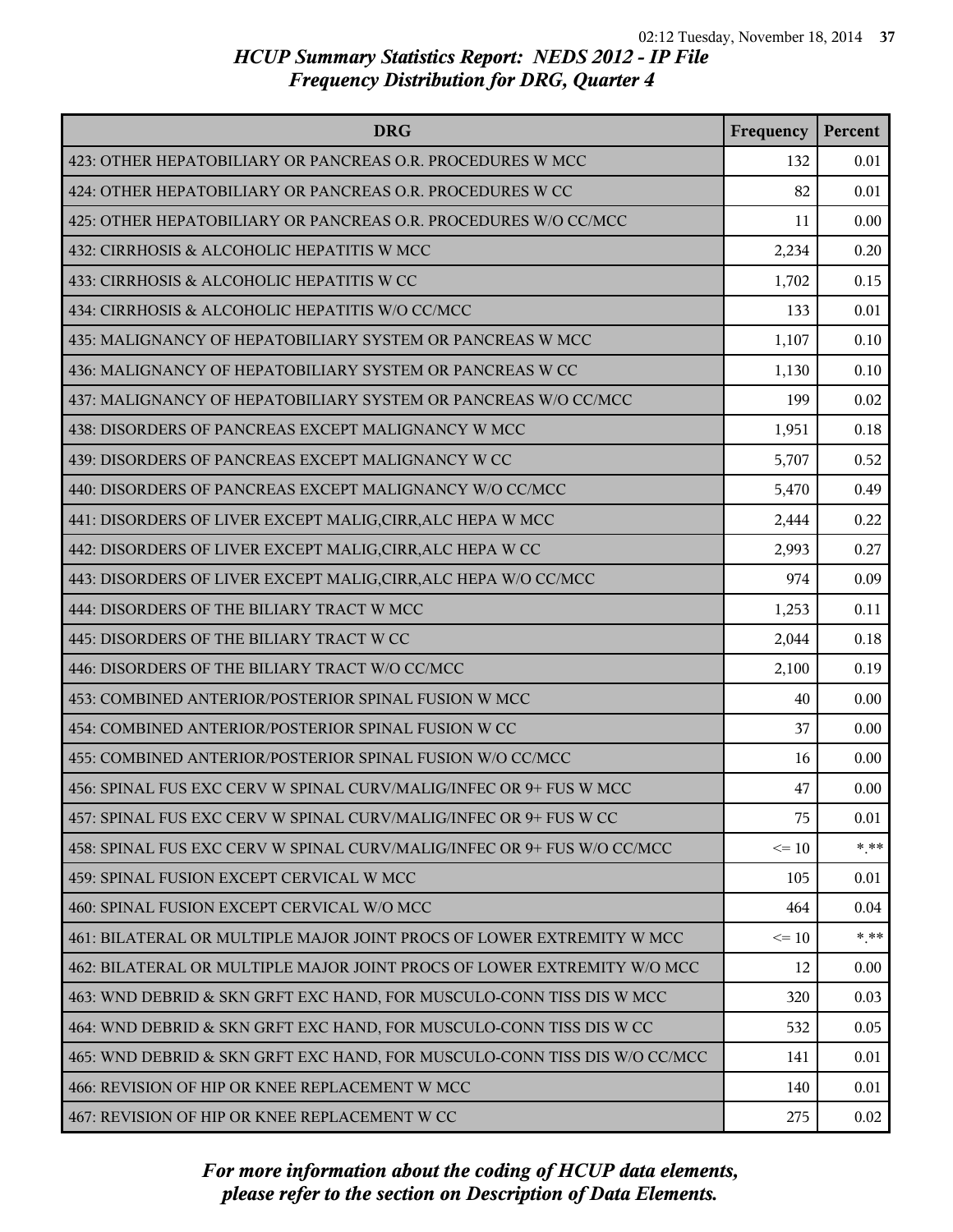| <b>DRG</b>                                                                | Frequency | Percent |
|---------------------------------------------------------------------------|-----------|---------|
| 423: OTHER HEPATOBILIARY OR PANCREAS O.R. PROCEDURES W MCC                | 132       | 0.01    |
| 424: OTHER HEPATOBILIARY OR PANCREAS O.R. PROCEDURES W CC                 | 82        | 0.01    |
| 425: OTHER HEPATOBILIARY OR PANCREAS O.R. PROCEDURES W/O CC/MCC           | 11        | 0.00    |
| 432: CIRRHOSIS & ALCOHOLIC HEPATITIS W MCC                                | 2,234     | 0.20    |
| 433: CIRRHOSIS & ALCOHOLIC HEPATITIS W CC                                 | 1,702     | 0.15    |
| 434: CIRRHOSIS & ALCOHOLIC HEPATITIS W/O CC/MCC                           | 133       | 0.01    |
| 435: MALIGNANCY OF HEPATOBILIARY SYSTEM OR PANCREAS W MCC                 | 1,107     | 0.10    |
| 436: MALIGNANCY OF HEPATOBILIARY SYSTEM OR PANCREAS W CC                  | 1,130     | 0.10    |
| 437: MALIGNANCY OF HEPATOBILIARY SYSTEM OR PANCREAS W/O CC/MCC            | 199       | 0.02    |
| 438: DISORDERS OF PANCREAS EXCEPT MALIGNANCY W MCC                        | 1,951     | 0.18    |
| 439: DISORDERS OF PANCREAS EXCEPT MALIGNANCY W CC                         | 5,707     | 0.52    |
| 440: DISORDERS OF PANCREAS EXCEPT MALIGNANCY W/O CC/MCC                   | 5,470     | 0.49    |
| 441: DISORDERS OF LIVER EXCEPT MALIG, CIRR, ALC HEPA W MCC                | 2,444     | 0.22    |
| 442: DISORDERS OF LIVER EXCEPT MALIG, CIRR, ALC HEPA W CC                 | 2,993     | 0.27    |
| 443: DISORDERS OF LIVER EXCEPT MALIG, CIRR, ALC HEPA W/O CC/MCC           | 974       | 0.09    |
| 444: DISORDERS OF THE BILIARY TRACT W MCC                                 | 1,253     | 0.11    |
| 445: DISORDERS OF THE BILIARY TRACT W CC                                  | 2,044     | 0.18    |
| 446: DISORDERS OF THE BILIARY TRACT W/O CC/MCC                            | 2,100     | 0.19    |
| 453: COMBINED ANTERIOR/POSTERIOR SPINAL FUSION W MCC                      | 40        | 0.00    |
| 454: COMBINED ANTERIOR/POSTERIOR SPINAL FUSION W CC                       | 37        | 0.00    |
| 455: COMBINED ANTERIOR/POSTERIOR SPINAL FUSION W/O CC/MCC                 | 16        | 0.00    |
| 456: SPINAL FUS EXC CERV W SPINAL CURV/MALIG/INFEC OR 9+ FUS W MCC        | 47        | 0.00    |
| 457: SPINAL FUS EXC CERV W SPINAL CURV/MALIG/INFEC OR 9+ FUS W CC         | 75        | 0.01    |
| 458: SPINAL FUS EXC CERV W SPINAL CURV/MALIG/INFEC OR 9+ FUS W/O CC/MCC   | $\leq 10$ | $* * *$ |
| 459: SPINAL FUSION EXCEPT CERVICAL W MCC                                  | 105       | 0.01    |
| 460: SPINAL FUSION EXCEPT CERVICAL W/O MCC                                | 464       | 0.04    |
| 461: BILATERAL OR MULTIPLE MAJOR JOINT PROCS OF LOWER EXTREMITY W MCC     | $\leq 10$ | $* * *$ |
| 462: BILATERAL OR MULTIPLE MAJOR JOINT PROCS OF LOWER EXTREMITY W/O MCC   | 12        | 0.00    |
| 463: WND DEBRID & SKN GRFT EXC HAND, FOR MUSCULO-CONN TISS DIS W MCC      | 320       | 0.03    |
| 464: WND DEBRID & SKN GRFT EXC HAND, FOR MUSCULO-CONN TISS DIS W CC       | 532       | 0.05    |
| 465: WND DEBRID & SKN GRFT EXC HAND, FOR MUSCULO-CONN TISS DIS W/O CC/MCC | 141       | 0.01    |
| 466: REVISION OF HIP OR KNEE REPLACEMENT W MCC                            | 140       | 0.01    |
| 467: REVISION OF HIP OR KNEE REPLACEMENT W CC                             | 275       | 0.02    |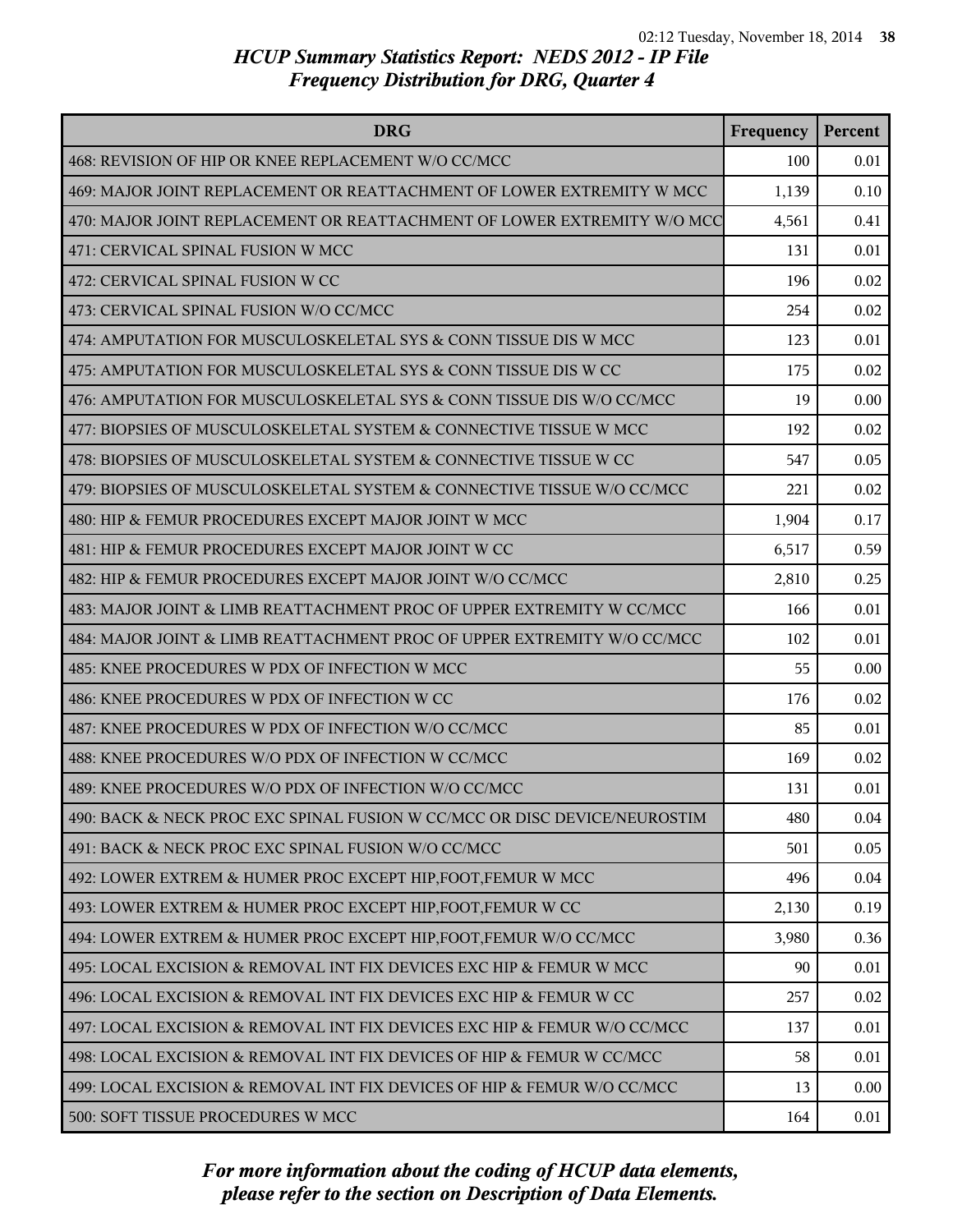| <b>DRG</b>                                                                | Frequency | Percent |
|---------------------------------------------------------------------------|-----------|---------|
| 468: REVISION OF HIP OR KNEE REPLACEMENT W/O CC/MCC                       | 100       | 0.01    |
| 469: MAJOR JOINT REPLACEMENT OR REATTACHMENT OF LOWER EXTREMITY W MCC     | 1,139     | 0.10    |
| 470: MAJOR JOINT REPLACEMENT OR REATTACHMENT OF LOWER EXTREMITY W/O MCC   | 4,561     | 0.41    |
| 471: CERVICAL SPINAL FUSION W MCC                                         | 131       | 0.01    |
| 472: CERVICAL SPINAL FUSION W CC                                          | 196       | 0.02    |
| 473: CERVICAL SPINAL FUSION W/O CC/MCC                                    | 254       | 0.02    |
| 474: AMPUTATION FOR MUSCULOSKELETAL SYS & CONN TISSUE DIS W MCC           | 123       | 0.01    |
| 475: AMPUTATION FOR MUSCULOSKELETAL SYS & CONN TISSUE DIS W CC            | 175       | 0.02    |
| 476: AMPUTATION FOR MUSCULOSKELETAL SYS & CONN TISSUE DIS W/O CC/MCC      | 19        | 0.00    |
| 477: BIOPSIES OF MUSCULOSKELETAL SYSTEM & CONNECTIVE TISSUE W MCC         | 192       | 0.02    |
| 478: BIOPSIES OF MUSCULOSKELETAL SYSTEM & CONNECTIVE TISSUE W CC          | 547       | 0.05    |
| 479: BIOPSIES OF MUSCULOSKELETAL SYSTEM & CONNECTIVE TISSUE W/O CC/MCC    | 221       | 0.02    |
| 480: HIP & FEMUR PROCEDURES EXCEPT MAJOR JOINT W MCC                      | 1,904     | 0.17    |
| 481: HIP & FEMUR PROCEDURES EXCEPT MAJOR JOINT W CC                       | 6,517     | 0.59    |
| 482: HIP & FEMUR PROCEDURES EXCEPT MAJOR JOINT W/O CC/MCC                 | 2,810     | 0.25    |
| 483: MAJOR JOINT & LIMB REATTACHMENT PROC OF UPPER EXTREMITY W CC/MCC     | 166       | 0.01    |
| 484: MAJOR JOINT & LIMB REATTACHMENT PROC OF UPPER EXTREMITY W/O CC/MCC   | 102       | 0.01    |
| 485: KNEE PROCEDURES W PDX OF INFECTION W MCC                             | 55        | 0.00    |
| 486: KNEE PROCEDURES W PDX OF INFECTION W CC                              | 176       | 0.02    |
| 487: KNEE PROCEDURES W PDX OF INFECTION W/O CC/MCC                        | 85        | 0.01    |
| 488: KNEE PROCEDURES W/O PDX OF INFECTION W CC/MCC                        | 169       | 0.02    |
| 489: KNEE PROCEDURES W/O PDX OF INFECTION W/O CC/MCC                      | 131       | 0.01    |
| 490: BACK & NECK PROC EXC SPINAL FUSION W CC/MCC OR DISC DEVICE/NEUROSTIM | 480       | 0.04    |
| 491: BACK & NECK PROC EXC SPINAL FUSION W/O CC/MCC                        | 501       | 0.05    |
| 492: LOWER EXTREM & HUMER PROC EXCEPT HIP, FOOT, FEMUR W MCC              | 496       | 0.04    |
| 493: LOWER EXTREM & HUMER PROC EXCEPT HIP, FOOT, FEMUR W CC               | 2,130     | 0.19    |
| 494: LOWER EXTREM & HUMER PROC EXCEPT HIP, FOOT, FEMUR W/O CC/MCC         | 3,980     | 0.36    |
| 495: LOCAL EXCISION & REMOVAL INT FIX DEVICES EXC HIP & FEMUR W MCC       | 90        | 0.01    |
| 496: LOCAL EXCISION & REMOVAL INT FIX DEVICES EXC HIP & FEMUR W CC        | 257       | 0.02    |
| 497: LOCAL EXCISION & REMOVAL INT FIX DEVICES EXC HIP & FEMUR W/O CC/MCC  | 137       | 0.01    |
| 498: LOCAL EXCISION & REMOVAL INT FIX DEVICES OF HIP & FEMUR W CC/MCC     | 58        | 0.01    |
| 499: LOCAL EXCISION & REMOVAL INT FIX DEVICES OF HIP & FEMUR W/O CC/MCC   | 13        | 0.00    |
| 500: SOFT TISSUE PROCEDURES W MCC                                         | 164       | 0.01    |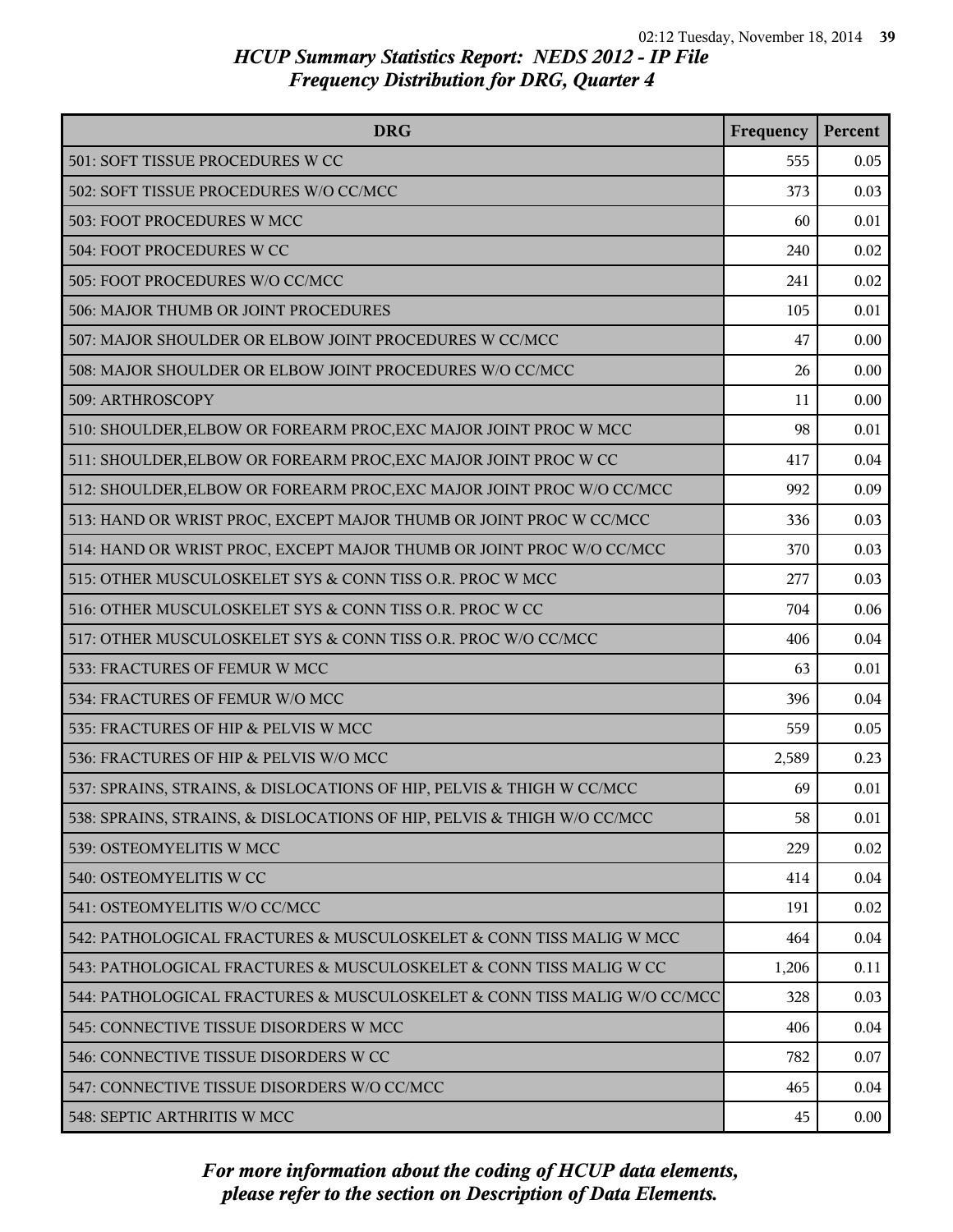| <b>DRG</b>                                                               | Frequency | Percent  |
|--------------------------------------------------------------------------|-----------|----------|
| 501: SOFT TISSUE PROCEDURES W CC                                         | 555       | 0.05     |
| 502: SOFT TISSUE PROCEDURES W/O CC/MCC                                   | 373       | 0.03     |
| 503: FOOT PROCEDURES W MCC                                               | 60        | 0.01     |
| 504: FOOT PROCEDURES W CC                                                | 240       | 0.02     |
| 505: FOOT PROCEDURES W/O CC/MCC                                          | 241       | 0.02     |
| 506: MAJOR THUMB OR JOINT PROCEDURES                                     | 105       | 0.01     |
| 507: MAJOR SHOULDER OR ELBOW JOINT PROCEDURES W CC/MCC                   | 47        | 0.00     |
| 508: MAJOR SHOULDER OR ELBOW JOINT PROCEDURES W/O CC/MCC                 | 26        | 0.00     |
| 509: ARTHROSCOPY                                                         | 11        | 0.00     |
| 510: SHOULDER, ELBOW OR FOREARM PROC, EXC MAJOR JOINT PROC W MCC         | 98        | 0.01     |
| 511: SHOULDER, ELBOW OR FOREARM PROC, EXC MAJOR JOINT PROC W CC          | 417       | 0.04     |
| 512: SHOULDER, ELBOW OR FOREARM PROC, EXC MAJOR JOINT PROC W/O CC/MCC    | 992       | 0.09     |
| 513: HAND OR WRIST PROC, EXCEPT MAJOR THUMB OR JOINT PROC W CC/MCC       | 336       | 0.03     |
| 514: HAND OR WRIST PROC, EXCEPT MAJOR THUMB OR JOINT PROC W/O CC/MCC     | 370       | 0.03     |
| 515: OTHER MUSCULOSKELET SYS & CONN TISS O.R. PROC W MCC                 | 277       | 0.03     |
| 516: OTHER MUSCULOSKELET SYS & CONN TISS O.R. PROC W CC                  | 704       | 0.06     |
| 517: OTHER MUSCULOSKELET SYS & CONN TISS O.R. PROC W/O CC/MCC            | 406       | 0.04     |
| 533: FRACTURES OF FEMUR W MCC                                            | 63        | 0.01     |
| 534: FRACTURES OF FEMUR W/O MCC                                          | 396       | 0.04     |
| 535: FRACTURES OF HIP & PELVIS W MCC                                     | 559       | 0.05     |
| 536: FRACTURES OF HIP & PELVIS W/O MCC                                   | 2,589     | 0.23     |
| 537: SPRAINS, STRAINS, & DISLOCATIONS OF HIP, PELVIS & THIGH W CC/MCC    | 69        | 0.01     |
| 538: SPRAINS, STRAINS, & DISLOCATIONS OF HIP, PELVIS & THIGH W/O CC/MCC  | 58        | 0.01     |
| 539: OSTEOMYELITIS W MCC                                                 | 229       | 0.02     |
| 540: OSTEOMYELITIS W CC                                                  | 414       | 0.04     |
| 541: OSTEOMYELITIS W/O CC/MCC                                            | 191       | 0.02     |
| 542: PATHOLOGICAL FRACTURES & MUSCULOSKELET & CONN TISS MALIG W MCC      | 464       | 0.04     |
| 543: PATHOLOGICAL FRACTURES & MUSCULOSKELET & CONN TISS MALIG W CC       | 1,206     | 0.11     |
| 544: PATHOLOGICAL FRACTURES & MUSCULOSKELET & CONN TISS MALIG W/O CC/MCC | 328       | 0.03     |
| 545: CONNECTIVE TISSUE DISORDERS W MCC                                   | 406       | 0.04     |
| 546: CONNECTIVE TISSUE DISORDERS W CC                                    | 782       | 0.07     |
| 547: CONNECTIVE TISSUE DISORDERS W/O CC/MCC                              | 465       | 0.04     |
| 548: SEPTIC ARTHRITIS W MCC                                              | 45        | $0.00\,$ |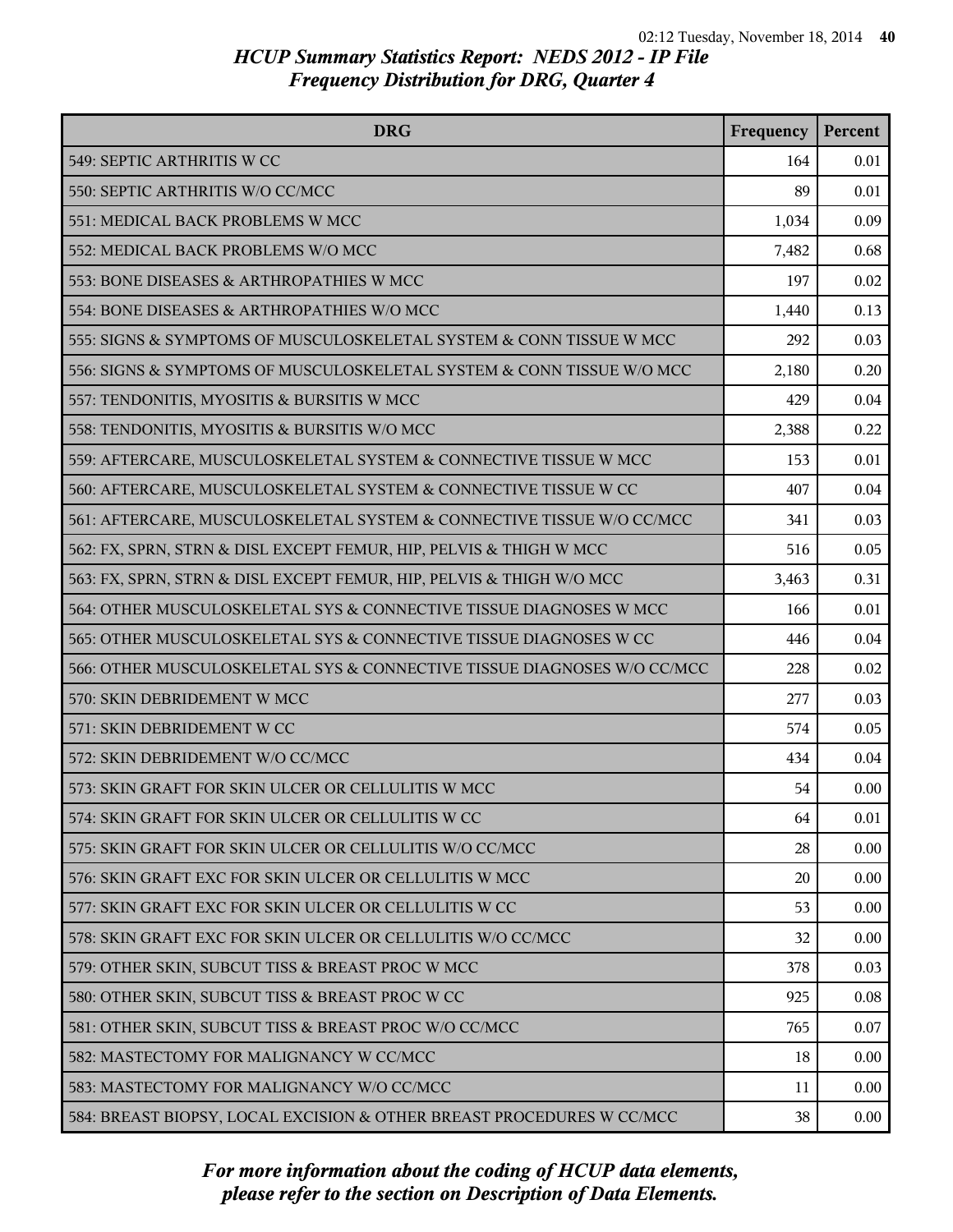| <b>DRG</b>                                                              | Frequency | Percent  |
|-------------------------------------------------------------------------|-----------|----------|
| 549: SEPTIC ARTHRITIS W CC                                              | 164       | 0.01     |
| 550: SEPTIC ARTHRITIS W/O CC/MCC                                        | 89        | 0.01     |
| 551: MEDICAL BACK PROBLEMS W MCC                                        | 1,034     | 0.09     |
| 552: MEDICAL BACK PROBLEMS W/O MCC                                      | 7,482     | 0.68     |
| 553: BONE DISEASES & ARTHROPATHIES W MCC                                | 197       | 0.02     |
| 554: BONE DISEASES & ARTHROPATHIES W/O MCC                              | 1,440     | 0.13     |
| 555: SIGNS & SYMPTOMS OF MUSCULOSKELETAL SYSTEM & CONN TISSUE W MCC     | 292       | 0.03     |
| 556: SIGNS & SYMPTOMS OF MUSCULOSKELETAL SYSTEM & CONN TISSUE W/O MCC   | 2,180     | 0.20     |
| 557: TENDONITIS, MYOSITIS & BURSITIS W MCC                              | 429       | 0.04     |
| 558: TENDONITIS, MYOSITIS & BURSITIS W/O MCC                            | 2,388     | 0.22     |
| 559: AFTERCARE, MUSCULOSKELETAL SYSTEM & CONNECTIVE TISSUE W MCC        | 153       | 0.01     |
| 560: AFTERCARE, MUSCULOSKELETAL SYSTEM & CONNECTIVE TISSUE W CC         | 407       | 0.04     |
| 561: AFTERCARE, MUSCULOSKELETAL SYSTEM & CONNECTIVE TISSUE W/O CC/MCC   | 341       | 0.03     |
| 562: FX, SPRN, STRN & DISL EXCEPT FEMUR, HIP, PELVIS & THIGH W MCC      | 516       | 0.05     |
| 563: FX, SPRN, STRN & DISL EXCEPT FEMUR, HIP, PELVIS & THIGH W/O MCC    | 3,463     | 0.31     |
| 564: OTHER MUSCULOSKELETAL SYS & CONNECTIVE TISSUE DIAGNOSES W MCC      | 166       | 0.01     |
| 565: OTHER MUSCULOSKELETAL SYS & CONNECTIVE TISSUE DIAGNOSES W CC       | 446       | 0.04     |
| 566: OTHER MUSCULOSKELETAL SYS & CONNECTIVE TISSUE DIAGNOSES W/O CC/MCC | 228       | 0.02     |
| 570: SKIN DEBRIDEMENT W MCC                                             | 277       | 0.03     |
| 571: SKIN DEBRIDEMENT W CC                                              | 574       | 0.05     |
| 572: SKIN DEBRIDEMENT W/O CC/MCC                                        | 434       | 0.04     |
| 573: SKIN GRAFT FOR SKIN ULCER OR CELLULITIS W MCC                      | 54        | 0.00     |
| 574: SKIN GRAFT FOR SKIN ULCER OR CELLULITIS W CC                       | 64        | 0.01     |
| 575: SKIN GRAFT FOR SKIN ULCER OR CELLULITIS W/O CC/MCC                 | 28        | 0.00     |
| 576: SKIN GRAFT EXC FOR SKIN ULCER OR CELLULITIS W MCC                  | 20        | 0.00     |
| 577: SKIN GRAFT EXC FOR SKIN ULCER OR CELLULITIS W CC                   | 53        | 0.00     |
| 578: SKIN GRAFT EXC FOR SKIN ULCER OR CELLULITIS W/O CC/MCC             | 32        | 0.00     |
| 579: OTHER SKIN, SUBCUT TISS & BREAST PROC W MCC                        | 378       | 0.03     |
| 580: OTHER SKIN, SUBCUT TISS & BREAST PROC W CC                         | 925       | 0.08     |
| 581: OTHER SKIN, SUBCUT TISS & BREAST PROC W/O CC/MCC                   | 765       | 0.07     |
| 582: MASTECTOMY FOR MALIGNANCY W CC/MCC                                 | 18        | 0.00     |
| 583: MASTECTOMY FOR MALIGNANCY W/O CC/MCC                               | 11        | 0.00     |
| 584: BREAST BIOPSY, LOCAL EXCISION & OTHER BREAST PROCEDURES W CC/MCC   | 38        | $0.00\,$ |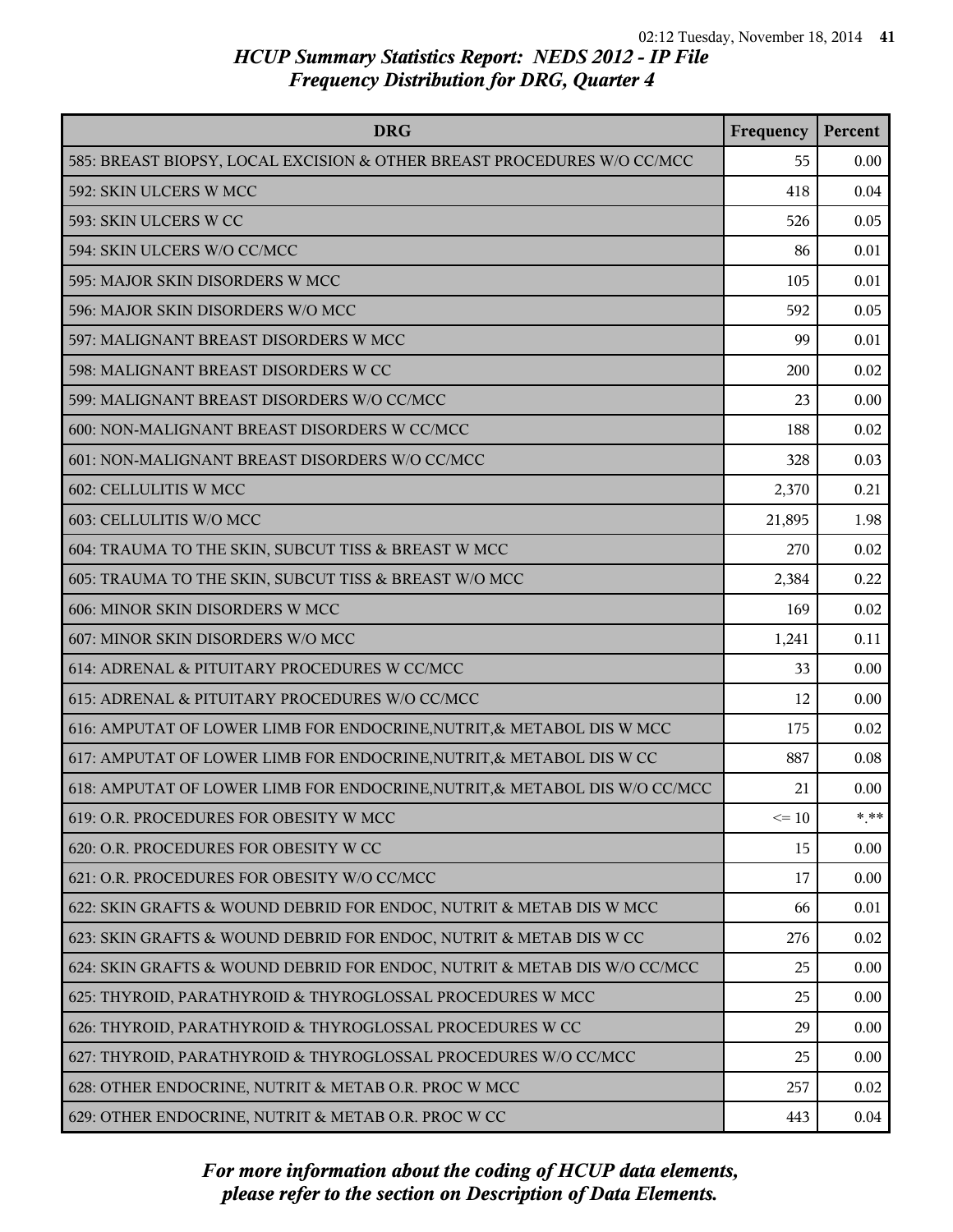| <b>DRG</b>                                                                 | Frequency | Percent |
|----------------------------------------------------------------------------|-----------|---------|
| 585: BREAST BIOPSY, LOCAL EXCISION & OTHER BREAST PROCEDURES W/O CC/MCC    | 55        | 0.00    |
| 592: SKIN ULCERS W MCC                                                     | 418       | 0.04    |
| 593: SKIN ULCERS W CC                                                      | 526       | 0.05    |
| 594: SKIN ULCERS W/O CC/MCC                                                | 86        | 0.01    |
| 595: MAJOR SKIN DISORDERS W MCC                                            | 105       | 0.01    |
| 596: MAJOR SKIN DISORDERS W/O MCC                                          | 592       | 0.05    |
| 597: MALIGNANT BREAST DISORDERS W MCC                                      | 99        | 0.01    |
| 598: MALIGNANT BREAST DISORDERS W CC                                       | 200       | 0.02    |
| 599: MALIGNANT BREAST DISORDERS W/O CC/MCC                                 | 23        | 0.00    |
| 600: NON-MALIGNANT BREAST DISORDERS W CC/MCC                               | 188       | 0.02    |
| 601: NON-MALIGNANT BREAST DISORDERS W/O CC/MCC                             | 328       | 0.03    |
| 602: CELLULITIS W MCC                                                      | 2,370     | 0.21    |
| 603: CELLULITIS W/O MCC                                                    | 21,895    | 1.98    |
| 604: TRAUMA TO THE SKIN, SUBCUT TISS & BREAST W MCC                        | 270       | 0.02    |
| 605: TRAUMA TO THE SKIN, SUBCUT TISS & BREAST W/O MCC                      | 2,384     | 0.22    |
| 606: MINOR SKIN DISORDERS W MCC                                            | 169       | 0.02    |
| 607: MINOR SKIN DISORDERS W/O MCC                                          | 1,241     | 0.11    |
| 614: ADRENAL & PITUITARY PROCEDURES W CC/MCC                               | 33        | 0.00    |
| 615: ADRENAL & PITUITARY PROCEDURES W/O CC/MCC                             | 12        | 0.00    |
| 616: AMPUTAT OF LOWER LIMB FOR ENDOCRINE, NUTRIT, & METABOL DIS W MCC      | 175       | 0.02    |
| 617: AMPUTAT OF LOWER LIMB FOR ENDOCRINE, NUTRIT, & METABOL DIS W CC       | 887       | 0.08    |
| 618: AMPUTAT OF LOWER LIMB FOR ENDOCRINE, NUTRIT, & METABOL DIS W/O CC/MCC | 21        | 0.00    |
| 619: O.R. PROCEDURES FOR OBESITY W MCC                                     | $\leq 10$ | * **    |
| 620: O.R. PROCEDURES FOR OBESITY W CC                                      | 15        | 0.00    |
| 621: O.R. PROCEDURES FOR OBESITY W/O CC/MCC                                | 17        | 0.00    |
| 622: SKIN GRAFTS & WOUND DEBRID FOR ENDOC, NUTRIT & METAB DIS W MCC        | 66        | 0.01    |
| 623: SKIN GRAFTS & WOUND DEBRID FOR ENDOC, NUTRIT & METAB DIS W CC         | 276       | 0.02    |
| 624: SKIN GRAFTS & WOUND DEBRID FOR ENDOC, NUTRIT & METAB DIS W/O CC/MCC   | 25        | 0.00    |
| 625: THYROID, PARATHYROID & THYROGLOSSAL PROCEDURES W MCC                  | 25        | 0.00    |
| 626: THYROID, PARATHYROID & THYROGLOSSAL PROCEDURES W CC                   | 29        | 0.00    |
| 627: THYROID, PARATHYROID & THYROGLOSSAL PROCEDURES W/O CC/MCC             | 25        | 0.00    |
| 628: OTHER ENDOCRINE, NUTRIT & METAB O.R. PROC W MCC                       | 257       | 0.02    |
| 629: OTHER ENDOCRINE, NUTRIT & METAB O.R. PROC W CC                        | 443       | 0.04    |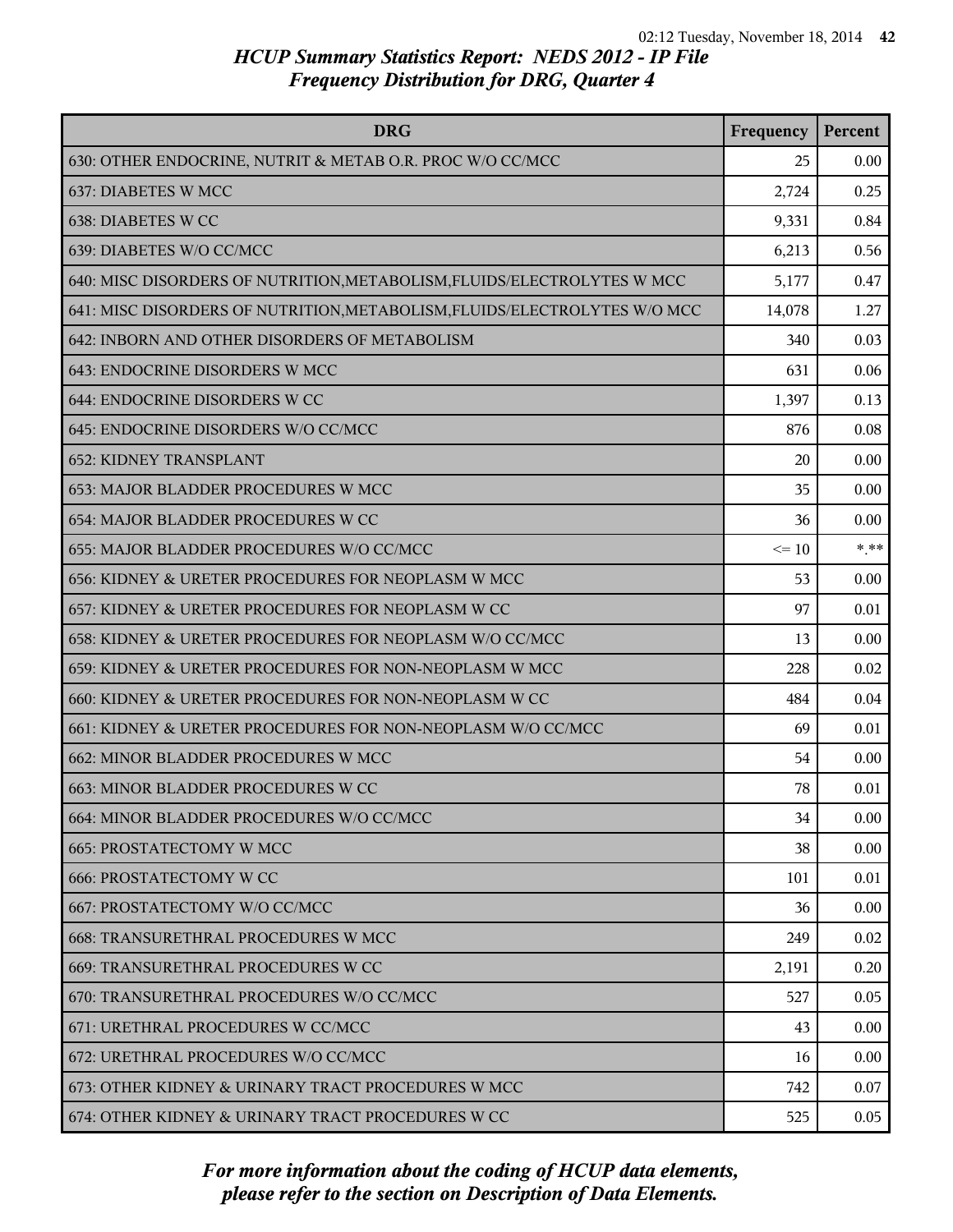| <b>DRG</b>                                                                | Frequency | Percent |
|---------------------------------------------------------------------------|-----------|---------|
| 630: OTHER ENDOCRINE, NUTRIT & METAB O.R. PROC W/O CC/MCC                 | 25        | 0.00    |
| 637: DIABETES W MCC                                                       | 2,724     | 0.25    |
| 638: DIABETES W CC                                                        | 9,331     | 0.84    |
| 639: DIABETES W/O CC/MCC                                                  | 6,213     | 0.56    |
| 640: MISC DISORDERS OF NUTRITION, METABOLISM, FLUIDS/ELECTROLYTES W MCC   | 5,177     | 0.47    |
| 641: MISC DISORDERS OF NUTRITION, METABOLISM, FLUIDS/ELECTROLYTES W/O MCC | 14,078    | 1.27    |
| 642: INBORN AND OTHER DISORDERS OF METABOLISM                             | 340       | 0.03    |
| 643: ENDOCRINE DISORDERS W MCC                                            | 631       | 0.06    |
| 644: ENDOCRINE DISORDERS W CC                                             | 1,397     | 0.13    |
| 645: ENDOCRINE DISORDERS W/O CC/MCC                                       | 876       | 0.08    |
| <b>652: KIDNEY TRANSPLANT</b>                                             | 20        | 0.00    |
| 653: MAJOR BLADDER PROCEDURES W MCC                                       | 35        | 0.00    |
| 654: MAJOR BLADDER PROCEDURES W CC                                        | 36        | 0.00    |
| 655: MAJOR BLADDER PROCEDURES W/O CC/MCC                                  | $\leq 10$ | $***$   |
| 656: KIDNEY & URETER PROCEDURES FOR NEOPLASM W MCC                        | 53        | 0.00    |
| 657: KIDNEY & URETER PROCEDURES FOR NEOPLASM W CC                         | 97        | 0.01    |
| 658: KIDNEY & URETER PROCEDURES FOR NEOPLASM W/O CC/MCC                   | 13        | 0.00    |
| 659: KIDNEY & URETER PROCEDURES FOR NON-NEOPLASM W MCC                    | 228       | 0.02    |
| 660: KIDNEY & URETER PROCEDURES FOR NON-NEOPLASM W CC                     | 484       | 0.04    |
| 661: KIDNEY & URETER PROCEDURES FOR NON-NEOPLASM W/O CC/MCC               | 69        | 0.01    |
| 662: MINOR BLADDER PROCEDURES W MCC                                       | 54        | 0.00    |
| 663: MINOR BLADDER PROCEDURES W CC                                        | 78        | 0.01    |
| 664: MINOR BLADDER PROCEDURES W/O CC/MCC                                  | 34        | 0.00    |
| <b>665: PROSTATECTOMY W MCC</b>                                           | 38        | 0.00    |
| <b>666: PROSTATECTOMY W CC</b>                                            | 101       | 0.01    |
| 667: PROSTATECTOMY W/O CC/MCC                                             | 36        | 0.00    |
| <b>668: TRANSURETHRAL PROCEDURES W MCC</b>                                | 249       | 0.02    |
| 669: TRANSURETHRAL PROCEDURES W CC                                        | 2,191     | 0.20    |
| 670: TRANSURETHRAL PROCEDURES W/O CC/MCC                                  | 527       | 0.05    |
| 671: URETHRAL PROCEDURES W CC/MCC                                         | 43        | 0.00    |
| 672: URETHRAL PROCEDURES W/O CC/MCC                                       | 16        | 0.00    |
| 673: OTHER KIDNEY & URINARY TRACT PROCEDURES W MCC                        | 742       | 0.07    |
| 674: OTHER KIDNEY & URINARY TRACT PROCEDURES W CC                         | 525       | 0.05    |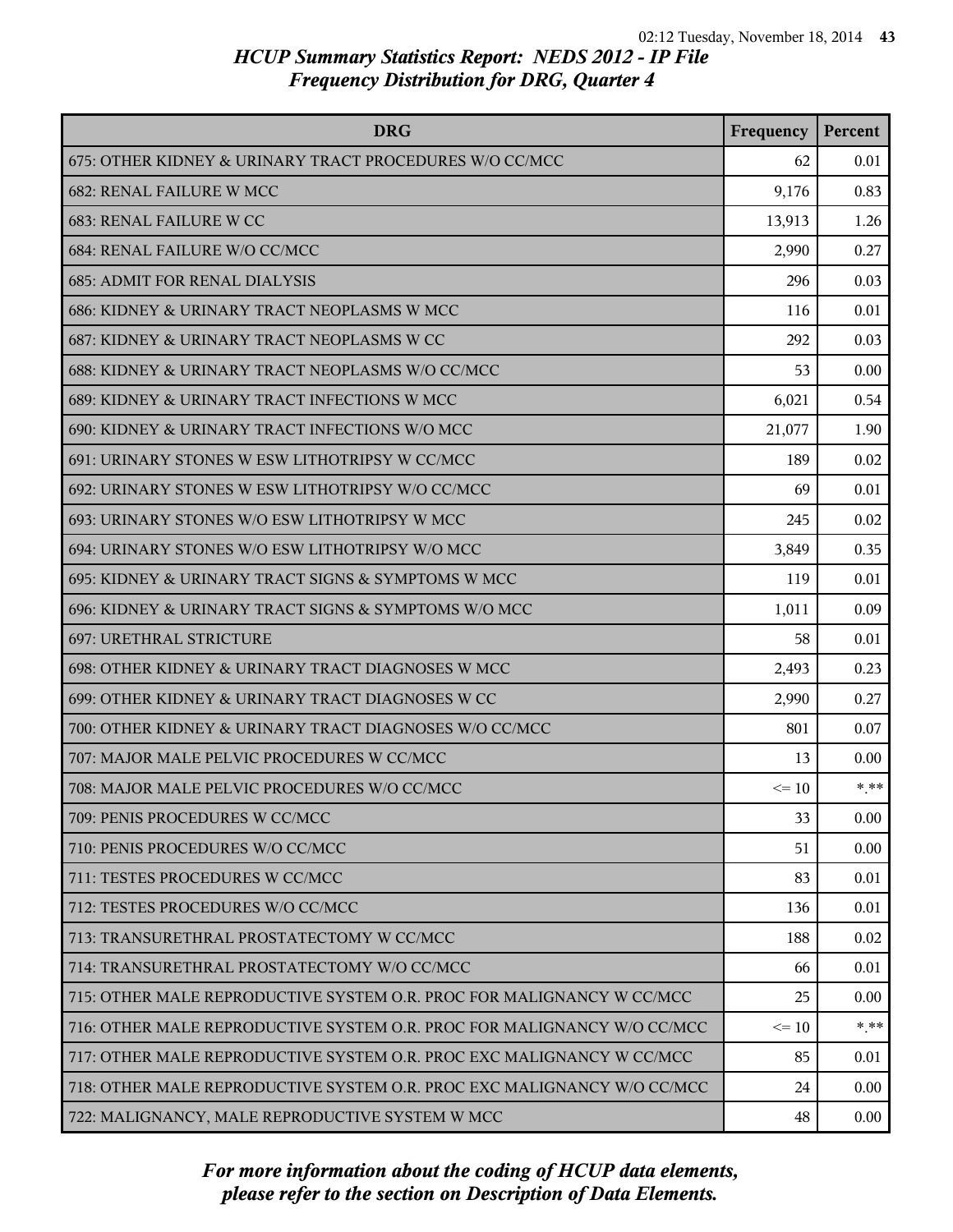| <b>DRG</b>                                                              | Frequency | Percent |
|-------------------------------------------------------------------------|-----------|---------|
| 675: OTHER KIDNEY & URINARY TRACT PROCEDURES W/O CC/MCC                 | 62        | 0.01    |
| <b>682: RENAL FAILURE W MCC</b>                                         | 9,176     | 0.83    |
| 683: RENAL FAILURE W CC                                                 | 13,913    | 1.26    |
| 684: RENAL FAILURE W/O CC/MCC                                           | 2,990     | 0.27    |
| <b>685: ADMIT FOR RENAL DIALYSIS</b>                                    | 296       | 0.03    |
| 686: KIDNEY & URINARY TRACT NEOPLASMS W MCC                             | 116       | 0.01    |
| 687: KIDNEY & URINARY TRACT NEOPLASMS W CC                              | 292       | 0.03    |
| 688: KIDNEY & URINARY TRACT NEOPLASMS W/O CC/MCC                        | 53        | 0.00    |
| 689: KIDNEY & URINARY TRACT INFECTIONS W MCC                            | 6,021     | 0.54    |
| 690: KIDNEY & URINARY TRACT INFECTIONS W/O MCC                          | 21,077    | 1.90    |
| 691: URINARY STONES W ESW LITHOTRIPSY W CC/MCC                          | 189       | 0.02    |
| 692: URINARY STONES W ESW LITHOTRIPSY W/O CC/MCC                        | 69        | 0.01    |
| 693: URINARY STONES W/O ESW LITHOTRIPSY W MCC                           | 245       | 0.02    |
| 694: URINARY STONES W/O ESW LITHOTRIPSY W/O MCC                         | 3,849     | 0.35    |
| 695: KIDNEY & URINARY TRACT SIGNS & SYMPTOMS W MCC                      | 119       | 0.01    |
| 696: KIDNEY & URINARY TRACT SIGNS & SYMPTOMS W/O MCC                    | 1,011     | 0.09    |
| <b>697: URETHRAL STRICTURE</b>                                          | 58        | 0.01    |
| 698: OTHER KIDNEY & URINARY TRACT DIAGNOSES W MCC                       | 2,493     | 0.23    |
| 699: OTHER KIDNEY & URINARY TRACT DIAGNOSES W CC                        | 2,990     | 0.27    |
| 700: OTHER KIDNEY & URINARY TRACT DIAGNOSES W/O CC/MCC                  | 801       | 0.07    |
| 707: MAJOR MALE PELVIC PROCEDURES W CC/MCC                              | 13        | 0.00    |
| 708: MAJOR MALE PELVIC PROCEDURES W/O CC/MCC                            | $\leq 10$ | $* * *$ |
| 709: PENIS PROCEDURES W CC/MCC                                          | 33        | 0.00    |
| 710: PENIS PROCEDURES W/O CC/MCC                                        | 51        | 0.00    |
| 711: TESTES PROCEDURES W CC/MCC                                         | 83        | 0.01    |
| 712: TESTES PROCEDURES W/O CC/MCC                                       | 136       | 0.01    |
| 713: TRANSURETHRAL PROSTATECTOMY W CC/MCC                               | 188       | 0.02    |
| 714: TRANSURETHRAL PROSTATECTOMY W/O CC/MCC                             | 66        | 0.01    |
| 715: OTHER MALE REPRODUCTIVE SYSTEM O.R. PROC FOR MALIGNANCY W CC/MCC   | 25        | 0.00    |
| 716: OTHER MALE REPRODUCTIVE SYSTEM O.R. PROC FOR MALIGNANCY W/O CC/MCC | $\leq 10$ | * **    |
| 717: OTHER MALE REPRODUCTIVE SYSTEM O.R. PROC EXC MALIGNANCY W CC/MCC   | 85        | 0.01    |
| 718: OTHER MALE REPRODUCTIVE SYSTEM O.R. PROC EXC MALIGNANCY W/O CC/MCC | 24        | 0.00    |
| 722: MALIGNANCY, MALE REPRODUCTIVE SYSTEM W MCC                         | 48        | 0.00    |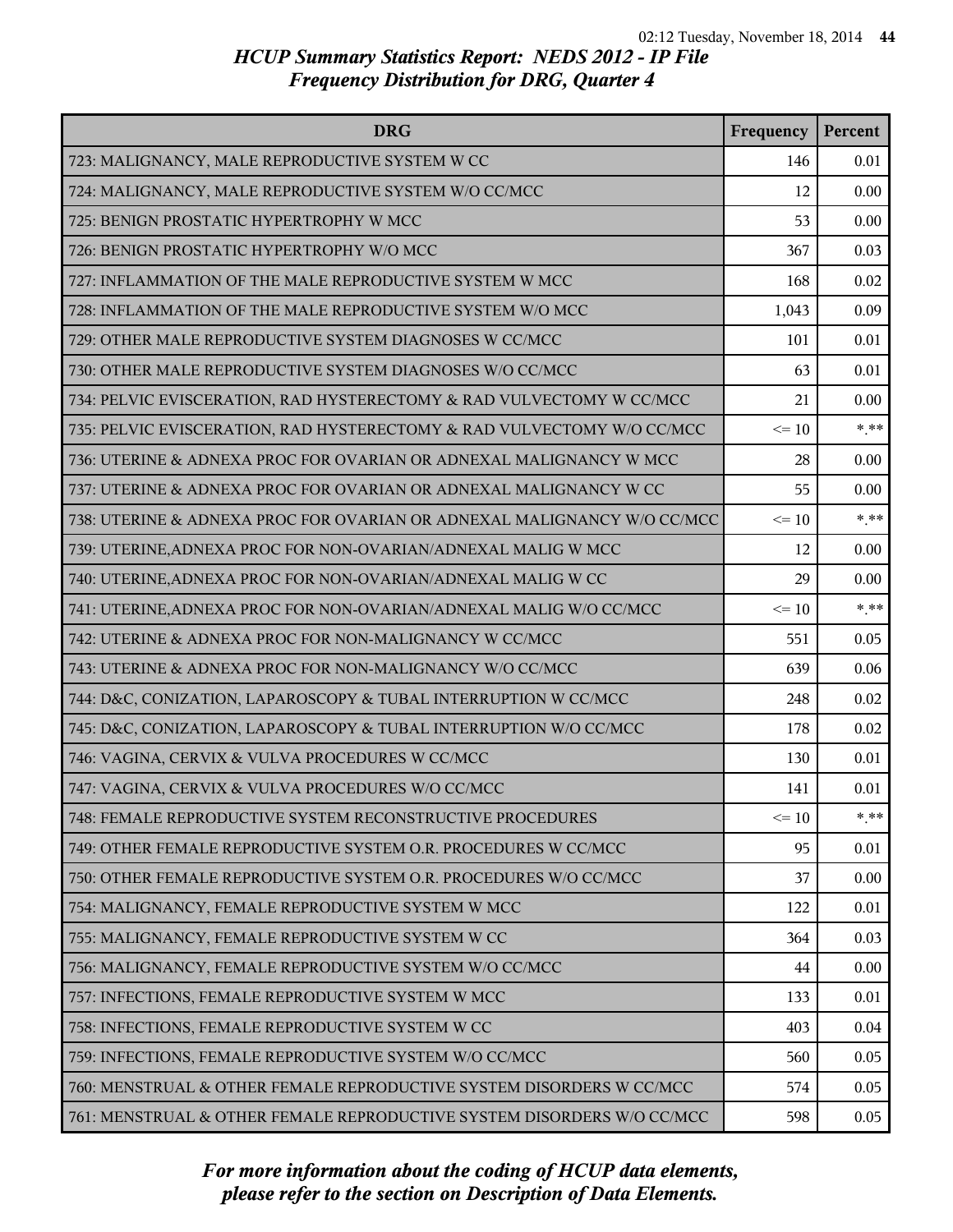| <b>DRG</b>                                                              | Frequency | Percent |
|-------------------------------------------------------------------------|-----------|---------|
| 723: MALIGNANCY, MALE REPRODUCTIVE SYSTEM W CC                          | 146       | 0.01    |
| 724: MALIGNANCY, MALE REPRODUCTIVE SYSTEM W/O CC/MCC                    | 12        | 0.00    |
| 725: BENIGN PROSTATIC HYPERTROPHY W MCC                                 | 53        | 0.00    |
| 726: BENIGN PROSTATIC HYPERTROPHY W/O MCC                               | 367       | 0.03    |
| 727: INFLAMMATION OF THE MALE REPRODUCTIVE SYSTEM W MCC                 | 168       | 0.02    |
| 728: INFLAMMATION OF THE MALE REPRODUCTIVE SYSTEM W/O MCC               | 1,043     | 0.09    |
| 729: OTHER MALE REPRODUCTIVE SYSTEM DIAGNOSES W CC/MCC                  | 101       | 0.01    |
| 730: OTHER MALE REPRODUCTIVE SYSTEM DIAGNOSES W/O CC/MCC                | 63        | 0.01    |
| 734: PELVIC EVISCERATION, RAD HYSTERECTOMY & RAD VULVECTOMY W CC/MCC    | 21        | 0.00    |
| 735: PELVIC EVISCERATION, RAD HYSTERECTOMY & RAD VULVECTOMY W/O CC/MCC  | $\leq 10$ | $***$   |
| 736: UTERINE & ADNEXA PROC FOR OVARIAN OR ADNEXAL MALIGNANCY W MCC      | 28        | 0.00    |
| 737: UTERINE & ADNEXA PROC FOR OVARIAN OR ADNEXAL MALIGNANCY W CC       | 55        | 0.00    |
| 738: UTERINE & ADNEXA PROC FOR OVARIAN OR ADNEXAL MALIGNANCY W/O CC/MCC | $\leq 10$ | $* * *$ |
| 739: UTERINE, ADNEXA PROC FOR NON-OVARIAN/ADNEXAL MALIG W MCC           | 12        | 0.00    |
| 740: UTERINE, ADNEXA PROC FOR NON-OVARIAN/ADNEXAL MALIG W CC            | 29        | 0.00    |
| 741: UTERINE, ADNEXA PROC FOR NON-OVARIAN/ADNEXAL MALIG W/O CC/MCC      | $\leq 10$ | $* * *$ |
| 742: UTERINE & ADNEXA PROC FOR NON-MALIGNANCY W CC/MCC                  | 551       | 0.05    |
| 743: UTERINE & ADNEXA PROC FOR NON-MALIGNANCY W/O CC/MCC                | 639       | 0.06    |
| 744: D&C, CONIZATION, LAPAROSCOPY & TUBAL INTERRUPTION W CC/MCC         | 248       | 0.02    |
| 745: D&C, CONIZATION, LAPAROSCOPY & TUBAL INTERRUPTION W/O CC/MCC       | 178       | 0.02    |
| 746: VAGINA, CERVIX & VULVA PROCEDURES W CC/MCC                         | 130       | 0.01    |
| 747: VAGINA, CERVIX & VULVA PROCEDURES W/O CC/MCC                       | 141       | 0.01    |
| 748: FEMALE REPRODUCTIVE SYSTEM RECONSTRUCTIVE PROCEDURES               | $\leq 10$ | * **    |
| 749: OTHER FEMALE REPRODUCTIVE SYSTEM O.R. PROCEDURES W CC/MCC          | 95        | 0.01    |
| 750: OTHER FEMALE REPRODUCTIVE SYSTEM O.R. PROCEDURES W/O CC/MCC        | 37        | 0.00    |
| 754: MALIGNANCY, FEMALE REPRODUCTIVE SYSTEM W MCC                       | 122       | 0.01    |
| 755: MALIGNANCY, FEMALE REPRODUCTIVE SYSTEM W CC                        | 364       | 0.03    |
| 756: MALIGNANCY, FEMALE REPRODUCTIVE SYSTEM W/O CC/MCC                  | 44        | 0.00    |
| 757: INFECTIONS, FEMALE REPRODUCTIVE SYSTEM W MCC                       | 133       | 0.01    |
| 758: INFECTIONS, FEMALE REPRODUCTIVE SYSTEM W CC                        | 403       | 0.04    |
| 759: INFECTIONS, FEMALE REPRODUCTIVE SYSTEM W/O CC/MCC                  | 560       | 0.05    |
| 760: MENSTRUAL & OTHER FEMALE REPRODUCTIVE SYSTEM DISORDERS W CC/MCC    | 574       | 0.05    |
| 761: MENSTRUAL & OTHER FEMALE REPRODUCTIVE SYSTEM DISORDERS W/O CC/MCC  | 598       | 0.05    |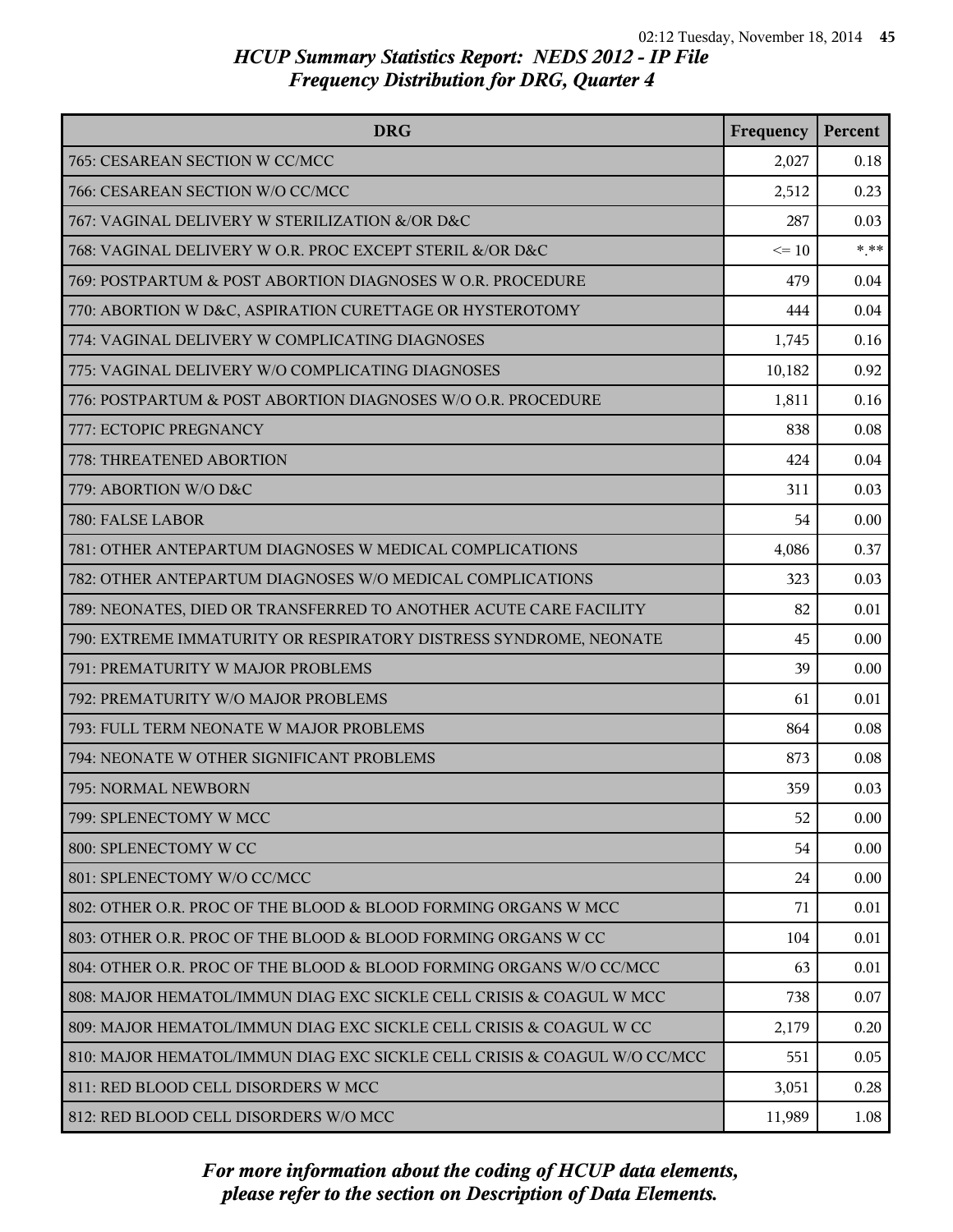| <b>DRG</b>                                                               | Frequency | Percent |
|--------------------------------------------------------------------------|-----------|---------|
| 765: CESAREAN SECTION W CC/MCC                                           | 2,027     | 0.18    |
| 766: CESAREAN SECTION W/O CC/MCC                                         | 2,512     | 0.23    |
| 767: VAGINAL DELIVERY W STERILIZATION &/OR D&C                           | 287       | 0.03    |
| 768: VAGINAL DELIVERY W O.R. PROC EXCEPT STERIL &/OR D&C                 | $\leq$ 10 | $***$   |
| 769: POSTPARTUM & POST ABORTION DIAGNOSES W O.R. PROCEDURE               | 479       | 0.04    |
| 770: ABORTION W D&C, ASPIRATION CURETTAGE OR HYSTEROTOMY                 | 444       | 0.04    |
| 774: VAGINAL DELIVERY W COMPLICATING DIAGNOSES                           | 1,745     | 0.16    |
| 775: VAGINAL DELIVERY W/O COMPLICATING DIAGNOSES                         | 10,182    | 0.92    |
| 776: POSTPARTUM & POST ABORTION DIAGNOSES W/O O.R. PROCEDURE             | 1,811     | 0.16    |
| 777: ECTOPIC PREGNANCY                                                   | 838       | 0.08    |
| 778: THREATENED ABORTION                                                 | 424       | 0.04    |
| 779: ABORTION W/O D&C                                                    | 311       | 0.03    |
| 780: FALSE LABOR                                                         | 54        | 0.00    |
| 781: OTHER ANTEPARTUM DIAGNOSES W MEDICAL COMPLICATIONS                  | 4,086     | 0.37    |
| 782: OTHER ANTEPARTUM DIAGNOSES W/O MEDICAL COMPLICATIONS                | 323       | 0.03    |
| 789: NEONATES, DIED OR TRANSFERRED TO ANOTHER ACUTE CARE FACILITY        | 82        | 0.01    |
| 790: EXTREME IMMATURITY OR RESPIRATORY DISTRESS SYNDROME, NEONATE        | 45        | 0.00    |
| 791: PREMATURITY W MAJOR PROBLEMS                                        | 39        | 0.00    |
| 792: PREMATURITY W/O MAJOR PROBLEMS                                      | 61        | 0.01    |
| 793: FULL TERM NEONATE W MAJOR PROBLEMS                                  | 864       | 0.08    |
| 794: NEONATE W OTHER SIGNIFICANT PROBLEMS                                | 873       | 0.08    |
| 795: NORMAL NEWBORN                                                      | 359       | 0.03    |
| 799: SPLENECTOMY W MCC                                                   | 52        | 0.00    |
| 800: SPLENECTOMY W CC                                                    | 54        | 0.00    |
| 801: SPLENECTOMY W/O CC/MCC                                              | 24        | 0.00    |
| 802: OTHER O.R. PROC OF THE BLOOD & BLOOD FORMING ORGANS W MCC           | 71        | 0.01    |
| 803: OTHER O.R. PROC OF THE BLOOD & BLOOD FORMING ORGANS W CC            | 104       | 0.01    |
| 804: OTHER O.R. PROC OF THE BLOOD & BLOOD FORMING ORGANS W/O CC/MCC      | 63        | 0.01    |
| 808: MAJOR HEMATOL/IMMUN DIAG EXC SICKLE CELL CRISIS & COAGUL W MCC      | 738       | 0.07    |
| 809: MAJOR HEMATOL/IMMUN DIAG EXC SICKLE CELL CRISIS & COAGUL W CC       | 2,179     | 0.20    |
| 810: MAJOR HEMATOL/IMMUN DIAG EXC SICKLE CELL CRISIS & COAGUL W/O CC/MCC | 551       | 0.05    |
| 811: RED BLOOD CELL DISORDERS W MCC                                      | 3,051     | 0.28    |
| 812: RED BLOOD CELL DISORDERS W/O MCC                                    | 11,989    | 1.08    |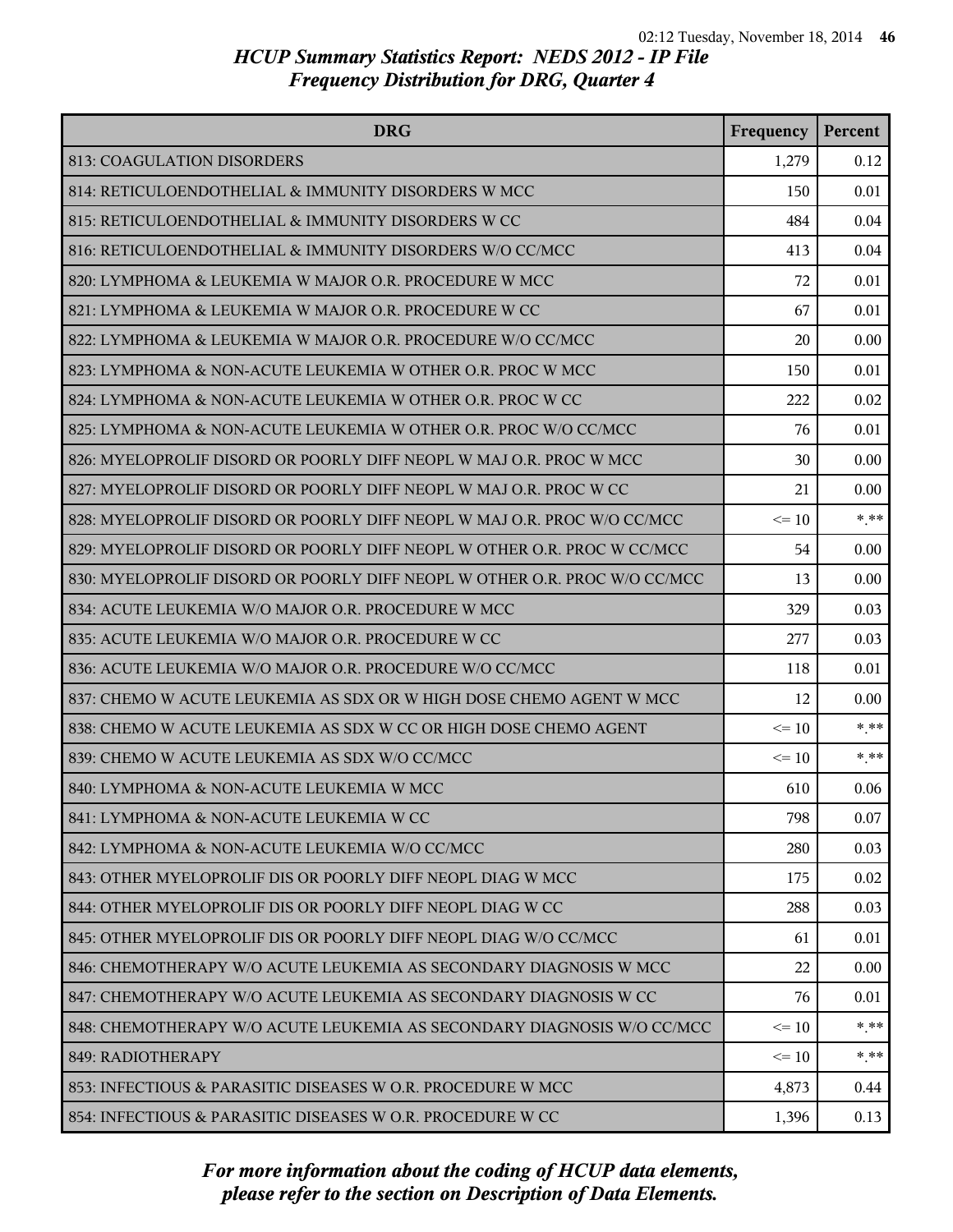| <b>DRG</b>                                                                | Frequency | Percent  |
|---------------------------------------------------------------------------|-----------|----------|
| 813: COAGULATION DISORDERS                                                | 1,279     | 0.12     |
| 814: RETICULOENDOTHELIAL & IMMUNITY DISORDERS W MCC                       | 150       | 0.01     |
| 815: RETICULOENDOTHELIAL & IMMUNITY DISORDERS W CC                        | 484       | 0.04     |
| 816: RETICULOENDOTHELIAL & IMMUNITY DISORDERS W/O CC/MCC                  | 413       | 0.04     |
| 820: LYMPHOMA & LEUKEMIA W MAJOR O.R. PROCEDURE W MCC                     | 72        | 0.01     |
| 821: LYMPHOMA & LEUKEMIA W MAJOR O.R. PROCEDURE W CC                      | 67        | 0.01     |
| 822: LYMPHOMA & LEUKEMIA W MAJOR O.R. PROCEDURE W/O CC/MCC                | 20        | 0.00     |
| 823: LYMPHOMA & NON-ACUTE LEUKEMIA W OTHER O.R. PROC W MCC                | 150       | 0.01     |
| 824: LYMPHOMA & NON-ACUTE LEUKEMIA W OTHER O.R. PROC W CC                 | 222       | 0.02     |
| 825: LYMPHOMA & NON-ACUTE LEUKEMIA W OTHER O.R. PROC W/O CC/MCC           | 76        | 0.01     |
| 826: MYELOPROLIF DISORD OR POORLY DIFF NEOPL W MAJ O.R. PROC W MCC        | 30        | 0.00     |
| 827: MYELOPROLIF DISORD OR POORLY DIFF NEOPL W MAJ O.R. PROC W CC         | 21        | 0.00     |
| 828: MYELOPROLIF DISORD OR POORLY DIFF NEOPL W MAJ O.R. PROC W/O CC/MCC   | $\leq 10$ | $***$    |
| 829: MYELOPROLIF DISORD OR POORLY DIFF NEOPL W OTHER O.R. PROC W CC/MCC   | 54        | 0.00     |
| 830: MYELOPROLIF DISORD OR POORLY DIFF NEOPL W OTHER O.R. PROC W/O CC/MCC | 13        | 0.00     |
| 834: ACUTE LEUKEMIA W/O MAJOR O.R. PROCEDURE W MCC                        | 329       | 0.03     |
| 835: ACUTE LEUKEMIA W/O MAJOR O.R. PROCEDURE W CC                         | 277       | 0.03     |
| 836: ACUTE LEUKEMIA W/O MAJOR O.R. PROCEDURE W/O CC/MCC                   | 118       | 0.01     |
| 837: CHEMO W ACUTE LEUKEMIA AS SDX OR W HIGH DOSE CHEMO AGENT W MCC       | 12        | 0.00     |
| 838: CHEMO W ACUTE LEUKEMIA AS SDX W CC OR HIGH DOSE CHEMO AGENT          | $\leq 10$ | $* * *$  |
| 839: CHEMO W ACUTE LEUKEMIA AS SDX W/O CC/MCC                             | $\leq 10$ | * **     |
| 840: LYMPHOMA & NON-ACUTE LEUKEMIA W MCC                                  | 610       | 0.06     |
| 841: LYMPHOMA & NON-ACUTE LEUKEMIA W CC                                   | 798       | 0.07     |
| 842: LYMPHOMA & NON-ACUTE LEUKEMIA W/O CC/MCC                             | 280       | 0.03     |
| 843: OTHER MYELOPROLIF DIS OR POORLY DIFF NEOPL DIAG W MCC                | 175       | 0.02     |
| 844: OTHER MYELOPROLIF DIS OR POORLY DIFF NEOPL DIAG W CC                 | 288       | 0.03     |
| 845: OTHER MYELOPROLIF DIS OR POORLY DIFF NEOPL DIAG W/O CC/MCC           | 61        | $0.01\,$ |
| 846: CHEMOTHERAPY W/O ACUTE LEUKEMIA AS SECONDARY DIAGNOSIS W MCC         | 22        | 0.00     |
| 847: CHEMOTHERAPY W/O ACUTE LEUKEMIA AS SECONDARY DIAGNOSIS W CC          | 76        | 0.01     |
| 848: CHEMOTHERAPY W/O ACUTE LEUKEMIA AS SECONDARY DIAGNOSIS W/O CC/MCC    | $\leq$ 10 | * **     |
| 849: RADIOTHERAPY                                                         | $\leq$ 10 | * **     |
| 853: INFECTIOUS & PARASITIC DISEASES W O.R. PROCEDURE W MCC               | 4,873     | 0.44     |
| 854: INFECTIOUS & PARASITIC DISEASES W O.R. PROCEDURE W CC                | 1,396     | 0.13     |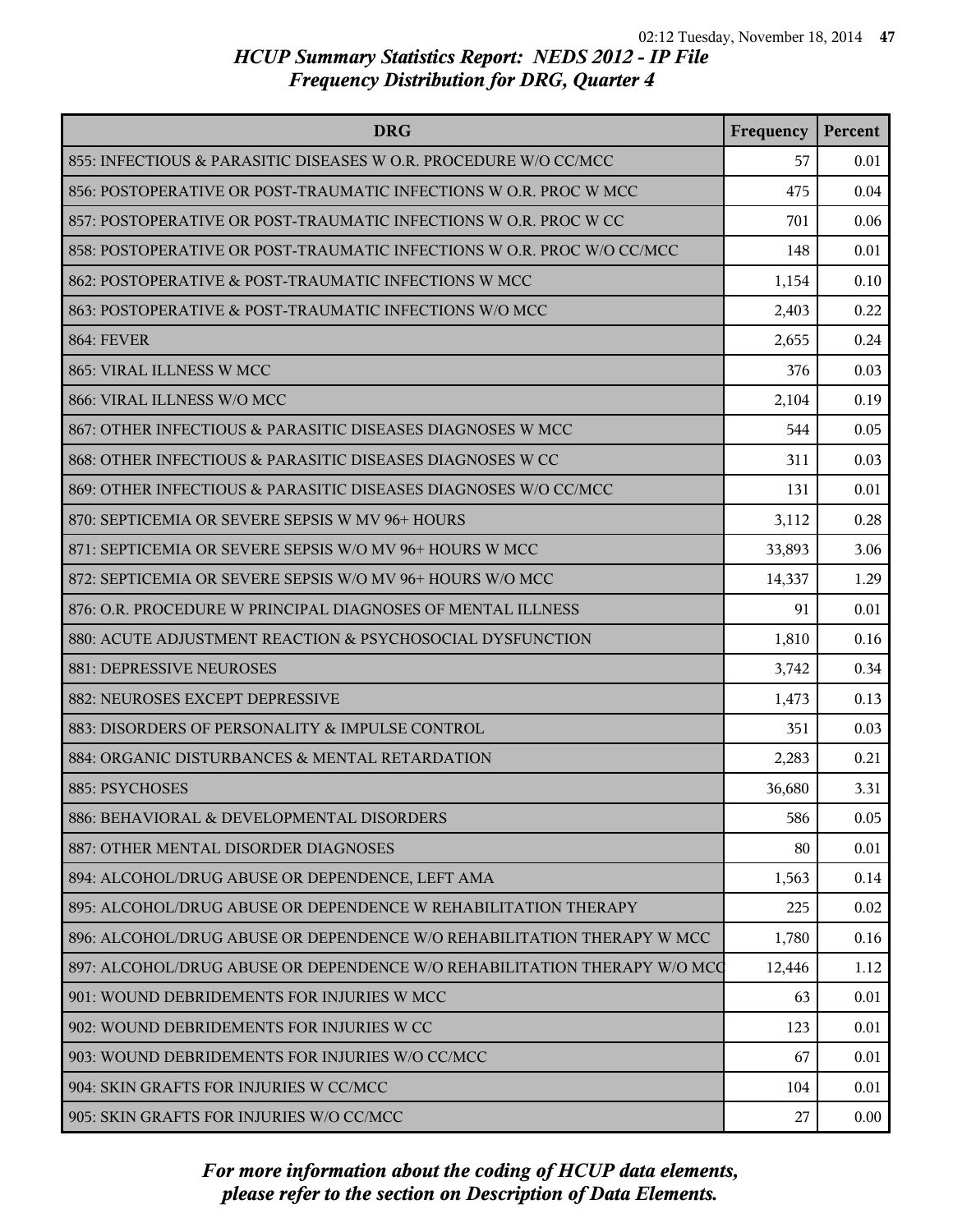| <b>DRG</b>                                                               | Frequency | Percent  |
|--------------------------------------------------------------------------|-----------|----------|
| 855: INFECTIOUS & PARASITIC DISEASES W O.R. PROCEDURE W/O CC/MCC         | 57        | 0.01     |
| 856: POSTOPERATIVE OR POST-TRAUMATIC INFECTIONS W O.R. PROC W MCC        | 475       | 0.04     |
| 857: POSTOPERATIVE OR POST-TRAUMATIC INFECTIONS W O.R. PROC W CC         | 701       | 0.06     |
| 858: POSTOPERATIVE OR POST-TRAUMATIC INFECTIONS W O.R. PROC W/O CC/MCC   | 148       | 0.01     |
| 862: POSTOPERATIVE & POST-TRAUMATIC INFECTIONS W MCC                     | 1,154     | 0.10     |
| 863: POSTOPERATIVE & POST-TRAUMATIC INFECTIONS W/O MCC                   | 2,403     | 0.22     |
| <b>864: FEVER</b>                                                        | 2,655     | 0.24     |
| 865: VIRAL ILLNESS W MCC                                                 | 376       | 0.03     |
| 866: VIRAL ILLNESS W/O MCC                                               | 2,104     | 0.19     |
| 867: OTHER INFECTIOUS & PARASITIC DISEASES DIAGNOSES W MCC               | 544       | 0.05     |
| 868: OTHER INFECTIOUS & PARASITIC DISEASES DIAGNOSES W CC                | 311       | 0.03     |
| 869: OTHER INFECTIOUS & PARASITIC DISEASES DIAGNOSES W/O CC/MCC          | 131       | 0.01     |
| 870: SEPTICEMIA OR SEVERE SEPSIS W MV 96+ HOURS                          | 3,112     | 0.28     |
| 871: SEPTICEMIA OR SEVERE SEPSIS W/O MV 96+ HOURS W MCC                  | 33,893    | 3.06     |
| 872: SEPTICEMIA OR SEVERE SEPSIS W/O MV 96+ HOURS W/O MCC                | 14,337    | 1.29     |
| 876: O.R. PROCEDURE W PRINCIPAL DIAGNOSES OF MENTAL ILLNESS              | 91        | 0.01     |
| 880: ACUTE ADJUSTMENT REACTION & PSYCHOSOCIAL DYSFUNCTION                | 1,810     | 0.16     |
| 881: DEPRESSIVE NEUROSES                                                 | 3,742     | 0.34     |
| 882: NEUROSES EXCEPT DEPRESSIVE                                          | 1,473     | 0.13     |
| 883: DISORDERS OF PERSONALITY & IMPULSE CONTROL                          | 351       | 0.03     |
| 884: ORGANIC DISTURBANCES & MENTAL RETARDATION                           | 2,283     | 0.21     |
| 885: PSYCHOSES                                                           | 36,680    | 3.31     |
| 886: BEHAVIORAL & DEVELOPMENTAL DISORDERS                                | 586       | 0.05     |
| 887: OTHER MENTAL DISORDER DIAGNOSES                                     | 80        | 0.01     |
| 894: ALCOHOL/DRUG ABUSE OR DEPENDENCE, LEFT AMA                          | 1,563     | 0.14     |
| 895: ALCOHOL/DRUG ABUSE OR DEPENDENCE W REHABILITATION THERAPY           | 225       | 0.02     |
| 896: ALCOHOL/DRUG ABUSE OR DEPENDENCE W/O REHABILITATION THERAPY W MCC   | 1,780     | 0.16     |
| 897: ALCOHOL/DRUG ABUSE OR DEPENDENCE W/O REHABILITATION THERAPY W/O MCC | 12,446    | 1.12     |
| 901: WOUND DEBRIDEMENTS FOR INJURIES W MCC                               | 63        | 0.01     |
| 902: WOUND DEBRIDEMENTS FOR INJURIES W CC                                | 123       | 0.01     |
| 903: WOUND DEBRIDEMENTS FOR INJURIES W/O CC/MCC                          | 67        | 0.01     |
| 904: SKIN GRAFTS FOR INJURIES W CC/MCC                                   | 104       | 0.01     |
| 905: SKIN GRAFTS FOR INJURIES W/O CC/MCC                                 | 27        | $0.00\,$ |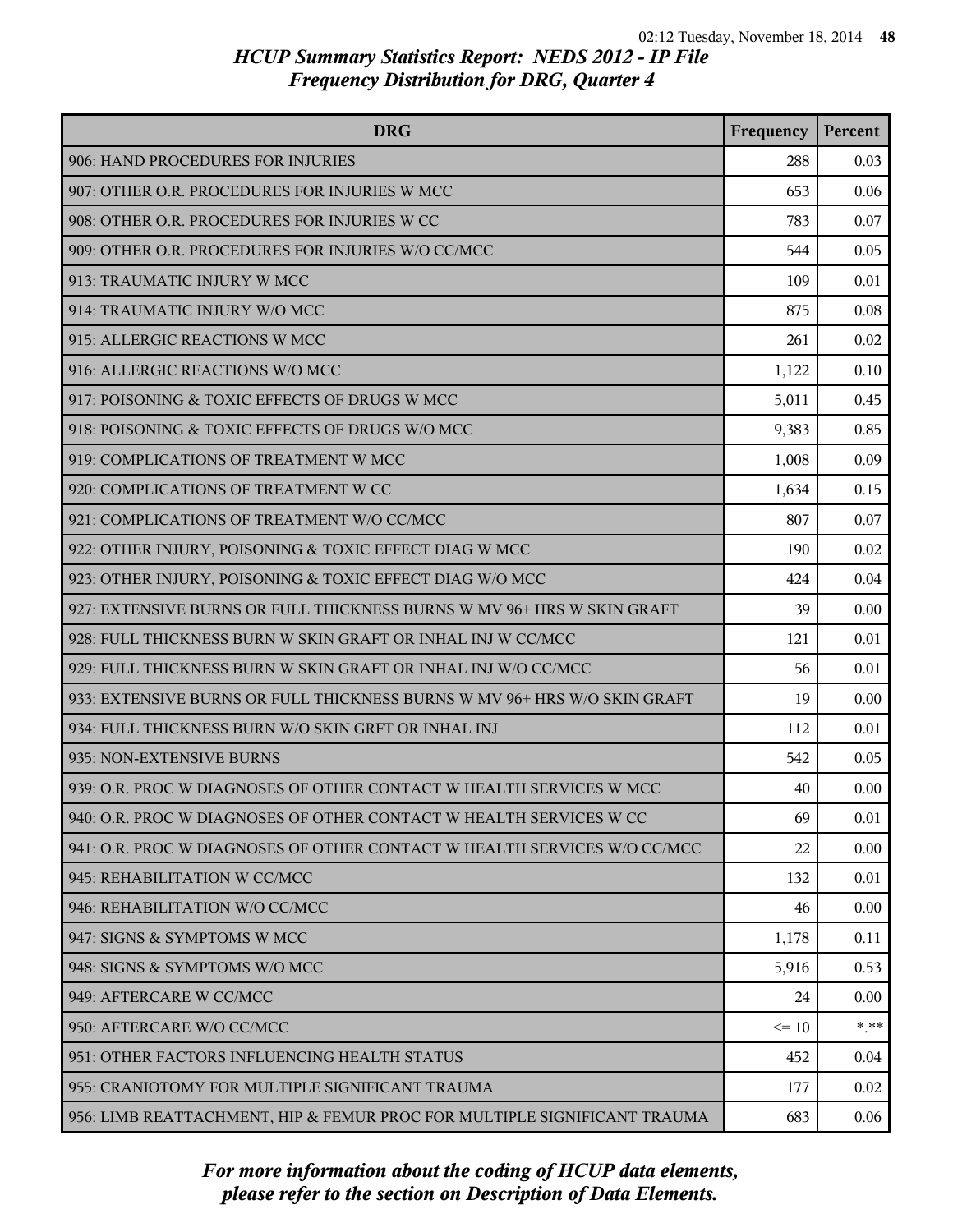| <b>DRG</b>                                                               | Frequency | Percent |
|--------------------------------------------------------------------------|-----------|---------|
| 906: HAND PROCEDURES FOR INJURIES                                        | 288       | 0.03    |
| 907: OTHER O.R. PROCEDURES FOR INJURIES W MCC                            | 653       | 0.06    |
| 908: OTHER O.R. PROCEDURES FOR INJURIES W CC                             | 783       | 0.07    |
| 909: OTHER O.R. PROCEDURES FOR INJURIES W/O CC/MCC                       | 544       | 0.05    |
| 913: TRAUMATIC INJURY W MCC                                              | 109       | 0.01    |
| 914: TRAUMATIC INJURY W/O MCC                                            | 875       | 0.08    |
| 915: ALLERGIC REACTIONS W MCC                                            | 261       | 0.02    |
| 916: ALLERGIC REACTIONS W/O MCC                                          | 1,122     | 0.10    |
| 917: POISONING & TOXIC EFFECTS OF DRUGS W MCC                            | 5,011     | 0.45    |
| 918: POISONING & TOXIC EFFECTS OF DRUGS W/O MCC                          | 9,383     | 0.85    |
| 919: COMPLICATIONS OF TREATMENT W MCC                                    | 1,008     | 0.09    |
| 920: COMPLICATIONS OF TREATMENT W CC                                     | 1,634     | 0.15    |
| 921: COMPLICATIONS OF TREATMENT W/O CC/MCC                               | 807       | 0.07    |
| 922: OTHER INJURY, POISONING & TOXIC EFFECT DIAG W MCC                   | 190       | 0.02    |
| 923: OTHER INJURY, POISONING & TOXIC EFFECT DIAG W/O MCC                 | 424       | 0.04    |
| 927: EXTENSIVE BURNS OR FULL THICKNESS BURNS W MV 96+ HRS W SKIN GRAFT   | 39        | 0.00    |
| 928: FULL THICKNESS BURN W SKIN GRAFT OR INHAL INJ W CC/MCC              | 121       | 0.01    |
| 929: FULL THICKNESS BURN W SKIN GRAFT OR INHAL INJ W/O CC/MCC            | 56        | 0.01    |
| 933: EXTENSIVE BURNS OR FULL THICKNESS BURNS W MV 96+ HRS W/O SKIN GRAFT | 19        | 0.00    |
| 934: FULL THICKNESS BURN W/O SKIN GRFT OR INHAL INJ                      | 112       | 0.01    |
| 935: NON-EXTENSIVE BURNS                                                 | 542       | 0.05    |
| 939: O.R. PROC W DIAGNOSES OF OTHER CONTACT W HEALTH SERVICES W MCC      | 40        | 0.00    |
| 940: O.R. PROC W DIAGNOSES OF OTHER CONTACT W HEALTH SERVICES W CC       | 69        | 0.01    |
| 941: O.R. PROC W DIAGNOSES OF OTHER CONTACT W HEALTH SERVICES W/O CC/MCC | 22        | 0.00    |
| 945: REHABILITATION W CC/MCC                                             | 132       | 0.01    |
| 946: REHABILITATION W/O CC/MCC                                           | 46        | 0.00    |
| 947: SIGNS & SYMPTOMS W MCC                                              | 1,178     | 0.11    |
| 948: SIGNS & SYMPTOMS W/O MCC                                            | 5,916     | 0.53    |
| 949: AFTERCARE W CC/MCC                                                  | 24        | 0.00    |
| 950: AFTERCARE W/O CC/MCC                                                | $\leq$ 10 | $* * *$ |
| 951: OTHER FACTORS INFLUENCING HEALTH STATUS                             | 452       | 0.04    |
| 955: CRANIOTOMY FOR MULTIPLE SIGNIFICANT TRAUMA                          | 177       | 0.02    |
| 956: LIMB REATTACHMENT, HIP & FEMUR PROC FOR MULTIPLE SIGNIFICANT TRAUMA | 683       | 0.06    |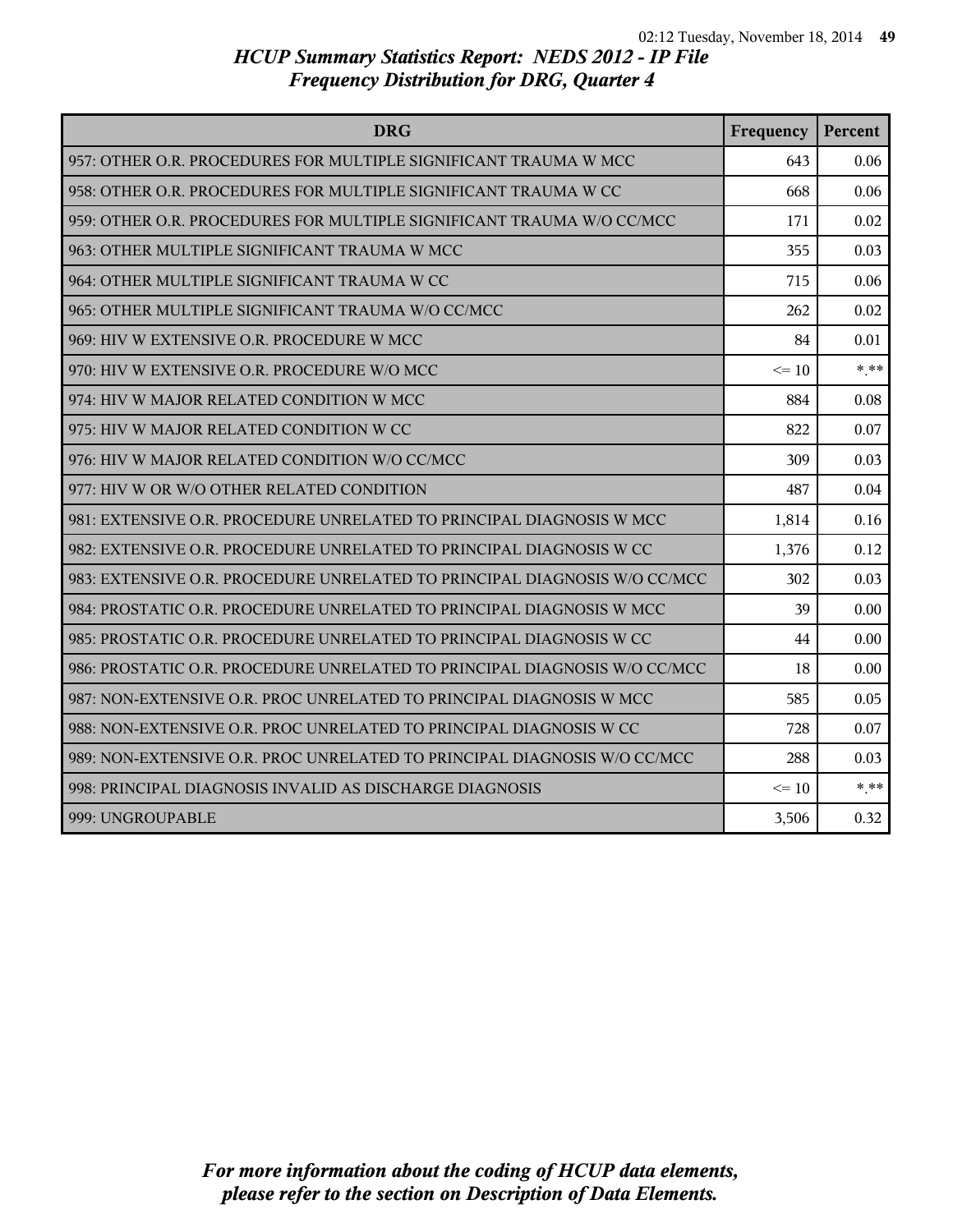| <b>DRG</b>                                                                | Frequency | Percent |
|---------------------------------------------------------------------------|-----------|---------|
| 957: OTHER O.R. PROCEDURES FOR MULTIPLE SIGNIFICANT TRAUMA W MCC          | 643       | 0.06    |
| 958: OTHER O.R. PROCEDURES FOR MULTIPLE SIGNIFICANT TRAUMA W CC           | 668       | 0.06    |
| 959: OTHER O.R. PROCEDURES FOR MULTIPLE SIGNIFICANT TRAUMA W/O CC/MCC     | 171       | 0.02    |
| 963: OTHER MULTIPLE SIGNIFICANT TRAUMA W MCC                              | 355       | 0.03    |
| 964: OTHER MULTIPLE SIGNIFICANT TRAUMA W CC                               | 715       | 0.06    |
| 965: OTHER MULTIPLE SIGNIFICANT TRAUMA W/O CC/MCC                         | 262       | 0.02    |
| 969: HIV W EXTENSIVE O.R. PROCEDURE W MCC                                 | 84        | 0.01    |
| 970: HIV W EXTENSIVE O.R. PROCEDURE W/O MCC                               | $\leq$ 10 | $* * *$ |
| 974: HIV W MAJOR RELATED CONDITION W MCC                                  | 884       | 0.08    |
| 975: HIV W MAJOR RELATED CONDITION W CC                                   | 822       | 0.07    |
| 976: HIV W MAJOR RELATED CONDITION W/O CC/MCC                             | 309       | 0.03    |
| 977: HIV W OR W/O OTHER RELATED CONDITION                                 | 487       | 0.04    |
| 981: EXTENSIVE O.R. PROCEDURE UNRELATED TO PRINCIPAL DIAGNOSIS W MCC      | 1,814     | 0.16    |
| 982: EXTENSIVE O.R. PROCEDURE UNRELATED TO PRINCIPAL DIAGNOSIS W CC       | 1,376     | 0.12    |
| 983: EXTENSIVE O.R. PROCEDURE UNRELATED TO PRINCIPAL DIAGNOSIS W/O CC/MCC | 302       | 0.03    |
| 984: PROSTATIC O.R. PROCEDURE UNRELATED TO PRINCIPAL DIAGNOSIS W MCC      | 39        | 0.00    |
| 985: PROSTATIC O.R. PROCEDURE UNRELATED TO PRINCIPAL DIAGNOSIS W CC       | 44        | 0.00    |
| 986: PROSTATIC O.R. PROCEDURE UNRELATED TO PRINCIPAL DIAGNOSIS W/O CC/MCC | 18        | 0.00    |
| 987: NON-EXTENSIVE O.R. PROC UNRELATED TO PRINCIPAL DIAGNOSIS W MCC       | 585       | 0.05    |
| 988: NON-EXTENSIVE O.R. PROC UNRELATED TO PRINCIPAL DIAGNOSIS W CC        | 728       | 0.07    |
| 989: NON-EXTENSIVE O.R. PROC UNRELATED TO PRINCIPAL DIAGNOSIS W/O CC/MCC  | 288       | 0.03    |
| 998: PRINCIPAL DIAGNOSIS INVALID AS DISCHARGE DIAGNOSIS                   | $\leq 10$ | $***$   |
| 999: UNGROUPABLE                                                          | 3,506     | 0.32    |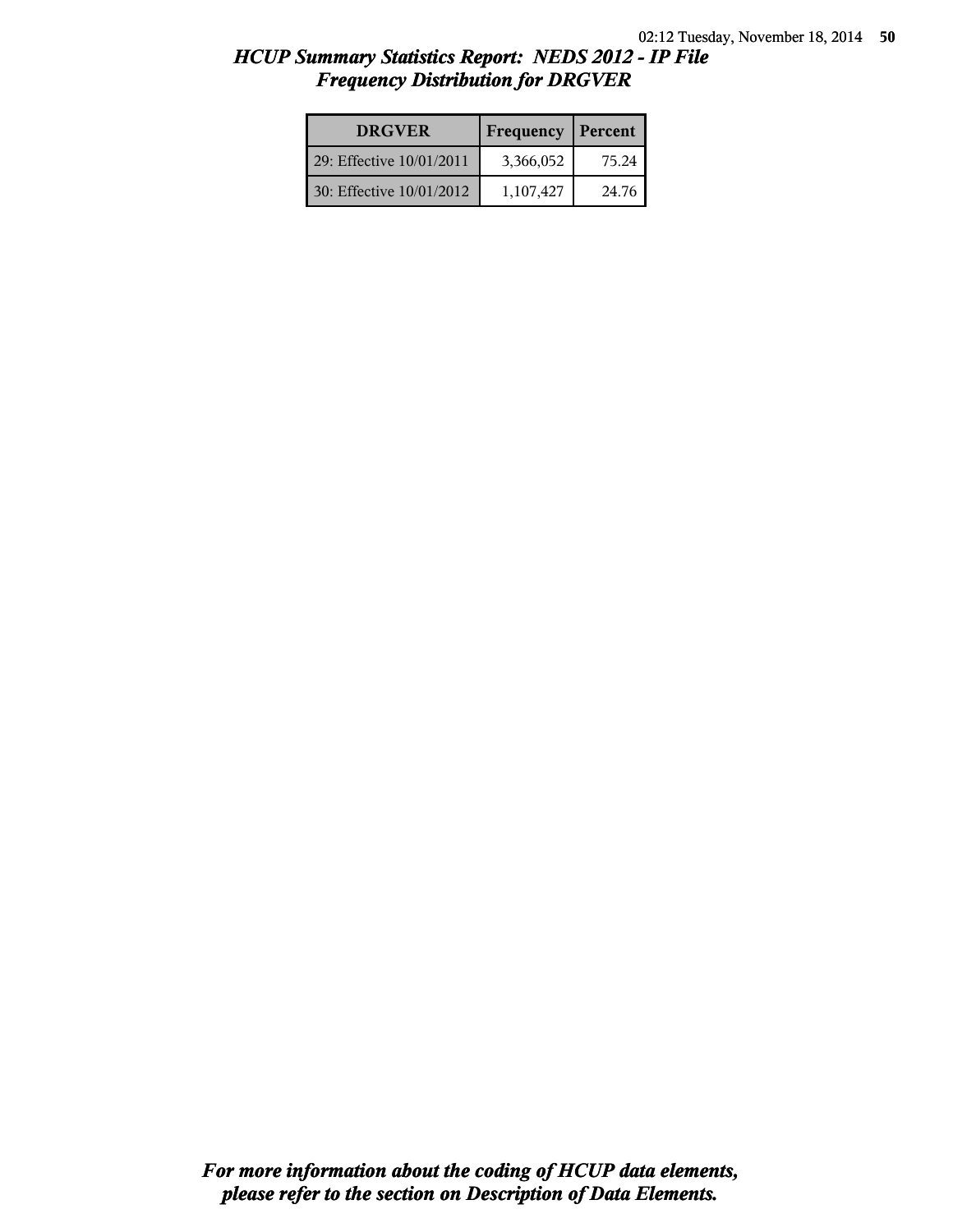| <b>DRGVER</b>            | Frequency | Percent |
|--------------------------|-----------|---------|
| 29: Effective 10/01/2011 | 3,366,052 | 75.24   |
| 30: Effective 10/01/2012 | 1,107,427 | 24.76   |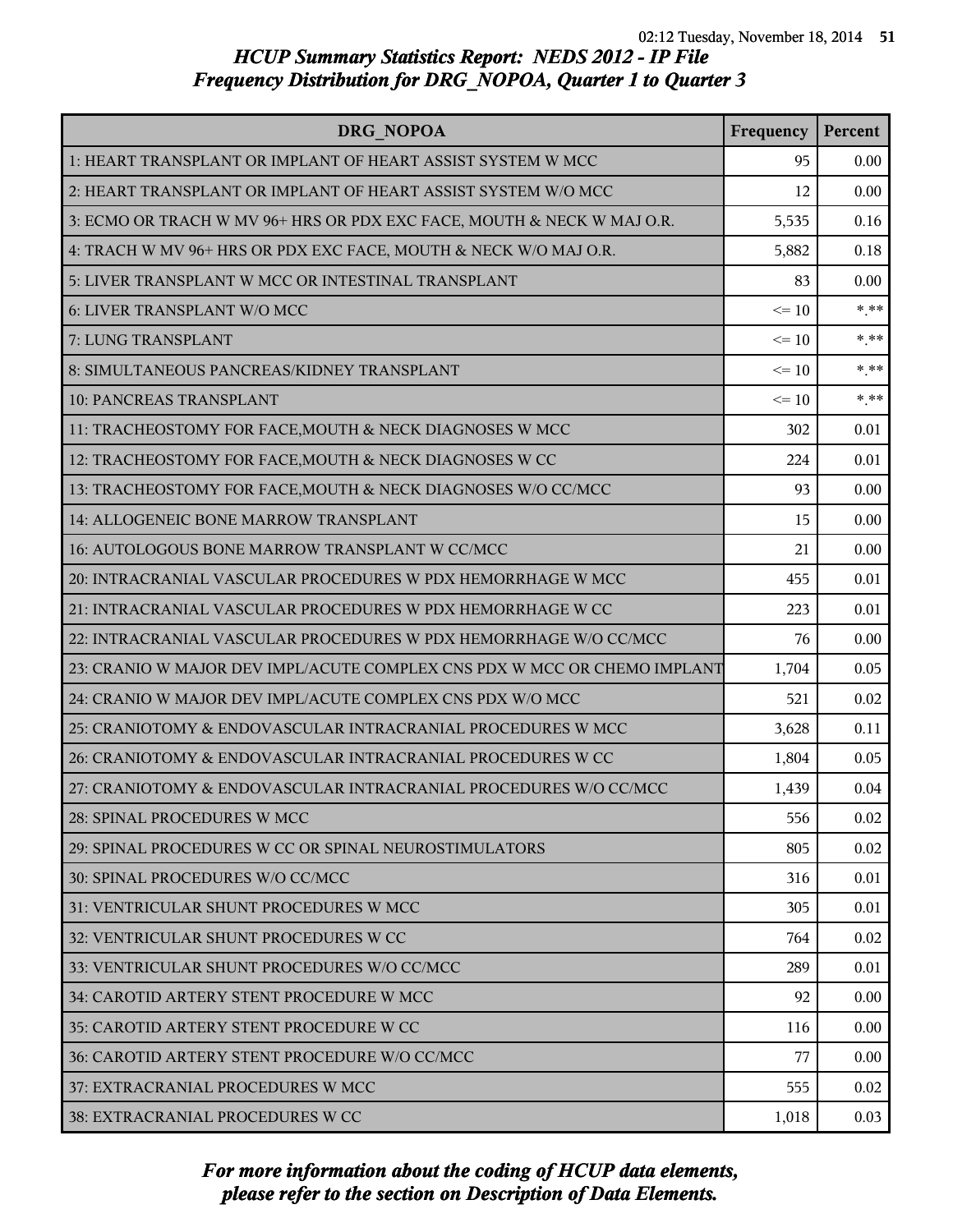| DRG NOPOA                                                                | Frequency | Percent |
|--------------------------------------------------------------------------|-----------|---------|
| 1: HEART TRANSPLANT OR IMPLANT OF HEART ASSIST SYSTEM W MCC              | 95        | 0.00    |
| 2: HEART TRANSPLANT OR IMPLANT OF HEART ASSIST SYSTEM W/O MCC            | 12        | 0.00    |
| 3: ECMO OR TRACH W MV 96+ HRS OR PDX EXC FACE, MOUTH & NECK W MAJ O.R.   | 5,535     | 0.16    |
| 4: TRACH W MV 96+ HRS OR PDX EXC FACE, MOUTH & NECK W/O MAJ O.R.         | 5,882     | 0.18    |
| 5: LIVER TRANSPLANT W MCC OR INTESTINAL TRANSPLANT                       | 83        | 0.00    |
| 6: LIVER TRANSPLANT W/O MCC                                              | $\leq 10$ | $***$   |
| 7: LUNG TRANSPLANT                                                       | $\leq 10$ | $***$   |
| 8: SIMULTANEOUS PANCREAS/KIDNEY TRANSPLANT                               | $\leq 10$ | $* * *$ |
| 10: PANCREAS TRANSPLANT                                                  | $\leq 10$ | $***$   |
| 11: TRACHEOSTOMY FOR FACE, MOUTH & NECK DIAGNOSES W MCC                  | 302       | 0.01    |
| 12: TRACHEOSTOMY FOR FACE, MOUTH & NECK DIAGNOSES W CC                   | 224       | 0.01    |
| 13: TRACHEOSTOMY FOR FACE, MOUTH & NECK DIAGNOSES W/O CC/MCC             | 93        | 0.00    |
| 14: ALLOGENEIC BONE MARROW TRANSPLANT                                    | 15        | 0.00    |
| 16: AUTOLOGOUS BONE MARROW TRANSPLANT W CC/MCC                           | 21        | 0.00    |
| 20: INTRACRANIAL VASCULAR PROCEDURES W PDX HEMORRHAGE W MCC              | 455       | 0.01    |
| 21: INTRACRANIAL VASCULAR PROCEDURES W PDX HEMORRHAGE W CC               | 223       | 0.01    |
| 22: INTRACRANIAL VASCULAR PROCEDURES W PDX HEMORRHAGE W/O CC/MCC         | 76        | 0.00    |
| 23: CRANIO W MAJOR DEV IMPL/ACUTE COMPLEX CNS PDX W MCC OR CHEMO IMPLANT | 1,704     | 0.05    |
| 24: CRANIO W MAJOR DEV IMPL/ACUTE COMPLEX CNS PDX W/O MCC                | 521       | 0.02    |
| 25: CRANIOTOMY & ENDOVASCULAR INTRACRANIAL PROCEDURES W MCC              | 3,628     | 0.11    |
| 26: CRANIOTOMY & ENDOVASCULAR INTRACRANIAL PROCEDURES W CC               | 1,804     | 0.05    |
| 27: CRANIOTOMY & ENDOVASCULAR INTRACRANIAL PROCEDURES W/O CC/MCC         | 1,439     | 0.04    |
| 28: SPINAL PROCEDURES W MCC                                              | 556       | 0.02    |
| 29: SPINAL PROCEDURES W CC OR SPINAL NEUROSTIMULATORS                    | 805       | 0.02    |
| 30: SPINAL PROCEDURES W/O CC/MCC                                         | 316       | 0.01    |
| 31: VENTRICULAR SHUNT PROCEDURES W MCC                                   | 305       | 0.01    |
| 32: VENTRICULAR SHUNT PROCEDURES W CC                                    | 764       | 0.02    |
| 33: VENTRICULAR SHUNT PROCEDURES W/O CC/MCC                              | 289       | 0.01    |
| 34: CAROTID ARTERY STENT PROCEDURE W MCC                                 | 92        | 0.00    |
| 35: CAROTID ARTERY STENT PROCEDURE W CC                                  | 116       | 0.00    |
| 36: CAROTID ARTERY STENT PROCEDURE W/O CC/MCC                            | 77        | 0.00    |
| 37: EXTRACRANIAL PROCEDURES W MCC                                        | 555       | 0.02    |
| 38: EXTRACRANIAL PROCEDURES W CC                                         | 1,018     | 0.03    |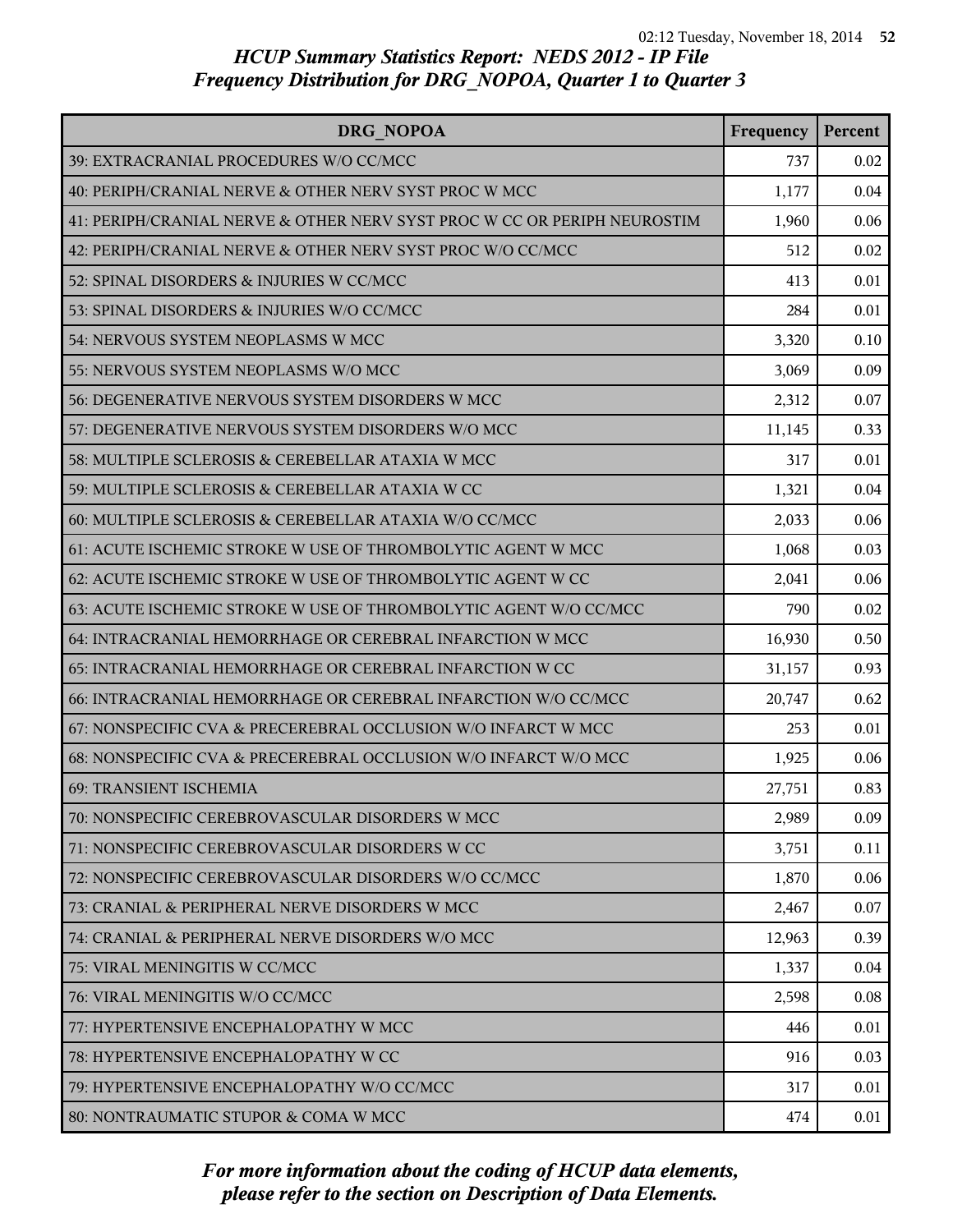| DRG NOPOA                                                                | Frequency | Percent |
|--------------------------------------------------------------------------|-----------|---------|
| 39: EXTRACRANIAL PROCEDURES W/O CC/MCC                                   | 737       | 0.02    |
| 40: PERIPH/CRANIAL NERVE & OTHER NERV SYST PROC W MCC                    | 1,177     | 0.04    |
| 41: PERIPH/CRANIAL NERVE & OTHER NERV SYST PROC W CC OR PERIPH NEUROSTIM | 1,960     | 0.06    |
| 42: PERIPH/CRANIAL NERVE & OTHER NERV SYST PROC W/O CC/MCC               | 512       | 0.02    |
| 52: SPINAL DISORDERS & INJURIES W CC/MCC                                 | 413       | 0.01    |
| 53: SPINAL DISORDERS & INJURIES W/O CC/MCC                               | 284       | 0.01    |
| 54: NERVOUS SYSTEM NEOPLASMS W MCC                                       | 3,320     | 0.10    |
| 55: NERVOUS SYSTEM NEOPLASMS W/O MCC                                     | 3,069     | 0.09    |
| 56: DEGENERATIVE NERVOUS SYSTEM DISORDERS W MCC                          | 2,312     | 0.07    |
| 57: DEGENERATIVE NERVOUS SYSTEM DISORDERS W/O MCC                        | 11,145    | 0.33    |
| 58: MULTIPLE SCLEROSIS & CEREBELLAR ATAXIA W MCC                         | 317       | 0.01    |
| 59: MULTIPLE SCLEROSIS & CEREBELLAR ATAXIA W CC                          | 1,321     | 0.04    |
| 60: MULTIPLE SCLEROSIS & CEREBELLAR ATAXIA W/O CC/MCC                    | 2,033     | 0.06    |
| 61: ACUTE ISCHEMIC STROKE W USE OF THROMBOLYTIC AGENT W MCC              | 1,068     | 0.03    |
| 62: ACUTE ISCHEMIC STROKE W USE OF THROMBOLYTIC AGENT W CC               | 2,041     | 0.06    |
| 63: ACUTE ISCHEMIC STROKE W USE OF THROMBOLYTIC AGENT W/O CC/MCC         | 790       | 0.02    |
| 64: INTRACRANIAL HEMORRHAGE OR CEREBRAL INFARCTION W MCC                 | 16,930    | 0.50    |
| 65: INTRACRANIAL HEMORRHAGE OR CEREBRAL INFARCTION W CC                  | 31,157    | 0.93    |
| 66: INTRACRANIAL HEMORRHAGE OR CEREBRAL INFARCTION W/O CC/MCC            | 20,747    | 0.62    |
| 67: NONSPECIFIC CVA & PRECEREBRAL OCCLUSION W/O INFARCT W MCC            | 253       | 0.01    |
| 68: NONSPECIFIC CVA & PRECEREBRAL OCCLUSION W/O INFARCT W/O MCC          | 1,925     | 0.06    |
| 69: TRANSIENT ISCHEMIA                                                   | 27,751    | 0.83    |
| 70: NONSPECIFIC CEREBROVASCULAR DISORDERS W MCC                          | 2,989     | 0.09    |
| 71: NONSPECIFIC CEREBROVASCULAR DISORDERS W CC                           | 3,751     | 0.11    |
| 72: NONSPECIFIC CEREBROVASCULAR DISORDERS W/O CC/MCC                     | 1,870     | 0.06    |
| 73: CRANIAL & PERIPHERAL NERVE DISORDERS W MCC                           | 2,467     | 0.07    |
| 74: CRANIAL & PERIPHERAL NERVE DISORDERS W/O MCC                         | 12,963    | 0.39    |
| 75: VIRAL MENINGITIS W CC/MCC                                            | 1,337     | 0.04    |
| 76: VIRAL MENINGITIS W/O CC/MCC                                          | 2,598     | 0.08    |
| 77: HYPERTENSIVE ENCEPHALOPATHY W MCC                                    | 446       | 0.01    |
| 78: HYPERTENSIVE ENCEPHALOPATHY W CC                                     | 916       | 0.03    |
| 79: HYPERTENSIVE ENCEPHALOPATHY W/O CC/MCC                               | 317       | 0.01    |
| 80: NONTRAUMATIC STUPOR & COMA W MCC                                     | 474       | 0.01    |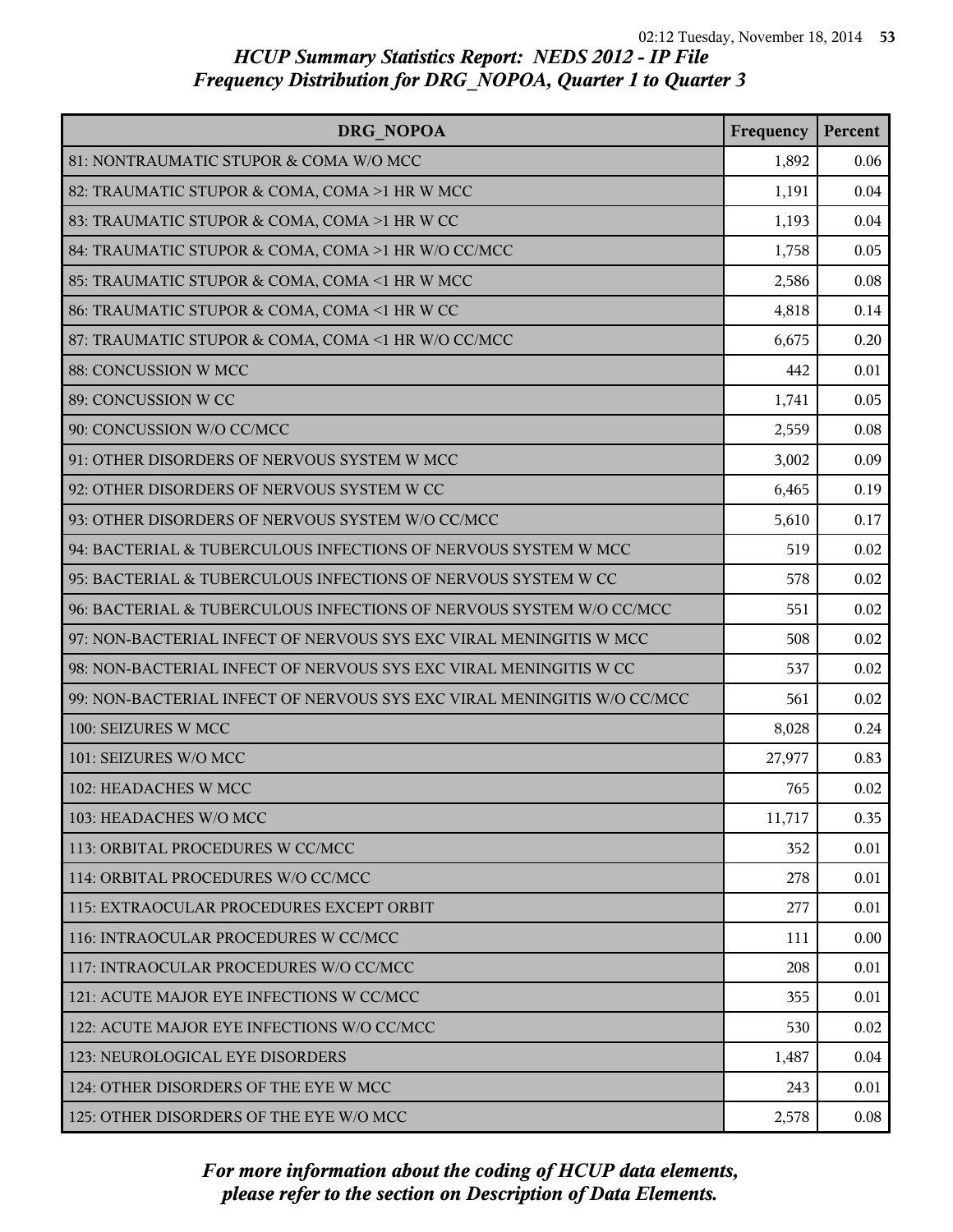| DRG NOPOA                                                               | Frequency | Percent |
|-------------------------------------------------------------------------|-----------|---------|
| 81: NONTRAUMATIC STUPOR & COMA W/O MCC                                  | 1,892     | 0.06    |
| 82: TRAUMATIC STUPOR & COMA, COMA >1 HR W MCC                           | 1,191     | 0.04    |
| 83: TRAUMATIC STUPOR & COMA, COMA >1 HR W CC                            | 1,193     | 0.04    |
| 84: TRAUMATIC STUPOR & COMA, COMA >1 HR W/O CC/MCC                      | 1,758     | 0.05    |
| 85: TRAUMATIC STUPOR & COMA, COMA <1 HR W MCC                           | 2,586     | 0.08    |
| 86: TRAUMATIC STUPOR & COMA, COMA <1 HR W CC                            | 4,818     | 0.14    |
| 87: TRAUMATIC STUPOR & COMA, COMA <1 HR W/O CC/MCC                      | 6,675     | 0.20    |
| 88: CONCUSSION W MCC                                                    | 442       | 0.01    |
| 89: CONCUSSION W CC                                                     | 1,741     | 0.05    |
| 90: CONCUSSION W/O CC/MCC                                               | 2,559     | 0.08    |
| 91: OTHER DISORDERS OF NERVOUS SYSTEM W MCC                             | 3,002     | 0.09    |
| 92: OTHER DISORDERS OF NERVOUS SYSTEM W CC                              | 6,465     | 0.19    |
| 93: OTHER DISORDERS OF NERVOUS SYSTEM W/O CC/MCC                        | 5,610     | 0.17    |
| 94: BACTERIAL & TUBERCULOUS INFECTIONS OF NERVOUS SYSTEM W MCC          | 519       | 0.02    |
| 95: BACTERIAL & TUBERCULOUS INFECTIONS OF NERVOUS SYSTEM W CC           | 578       | 0.02    |
| 96: BACTERIAL & TUBERCULOUS INFECTIONS OF NERVOUS SYSTEM W/O CC/MCC     | 551       | 0.02    |
| 97: NON-BACTERIAL INFECT OF NERVOUS SYS EXC VIRAL MENINGITIS W MCC      | 508       | 0.02    |
| 98: NON-BACTERIAL INFECT OF NERVOUS SYS EXC VIRAL MENINGITIS W CC       | 537       | 0.02    |
| 99: NON-BACTERIAL INFECT OF NERVOUS SYS EXC VIRAL MENINGITIS W/O CC/MCC | 561       | 0.02    |
| 100: SEIZURES W MCC                                                     | 8,028     | 0.24    |
| 101: SEIZURES W/O MCC                                                   | 27,977    | 0.83    |
| 102: HEADACHES W MCC                                                    | 765       | 0.02    |
| 103: HEADACHES W/O MCC                                                  | 11,717    | 0.35    |
| 113: ORBITAL PROCEDURES W CC/MCC                                        | 352       | 0.01    |
| 114: ORBITAL PROCEDURES W/O CC/MCC                                      | 278       | 0.01    |
| 115: EXTRAOCULAR PROCEDURES EXCEPT ORBIT                                | 277       | 0.01    |
| 116: INTRAOCULAR PROCEDURES W CC/MCC                                    | 111       | 0.00    |
| 117: INTRAOCULAR PROCEDURES W/O CC/MCC                                  | 208       | 0.01    |
| 121: ACUTE MAJOR EYE INFECTIONS W CC/MCC                                | 355       | 0.01    |
| 122: ACUTE MAJOR EYE INFECTIONS W/O CC/MCC                              | 530       | 0.02    |
| 123: NEUROLOGICAL EYE DISORDERS                                         | 1,487     | 0.04    |
| 124: OTHER DISORDERS OF THE EYE W MCC                                   | 243       | 0.01    |
| 125: OTHER DISORDERS OF THE EYE W/O MCC                                 | 2,578     | 0.08    |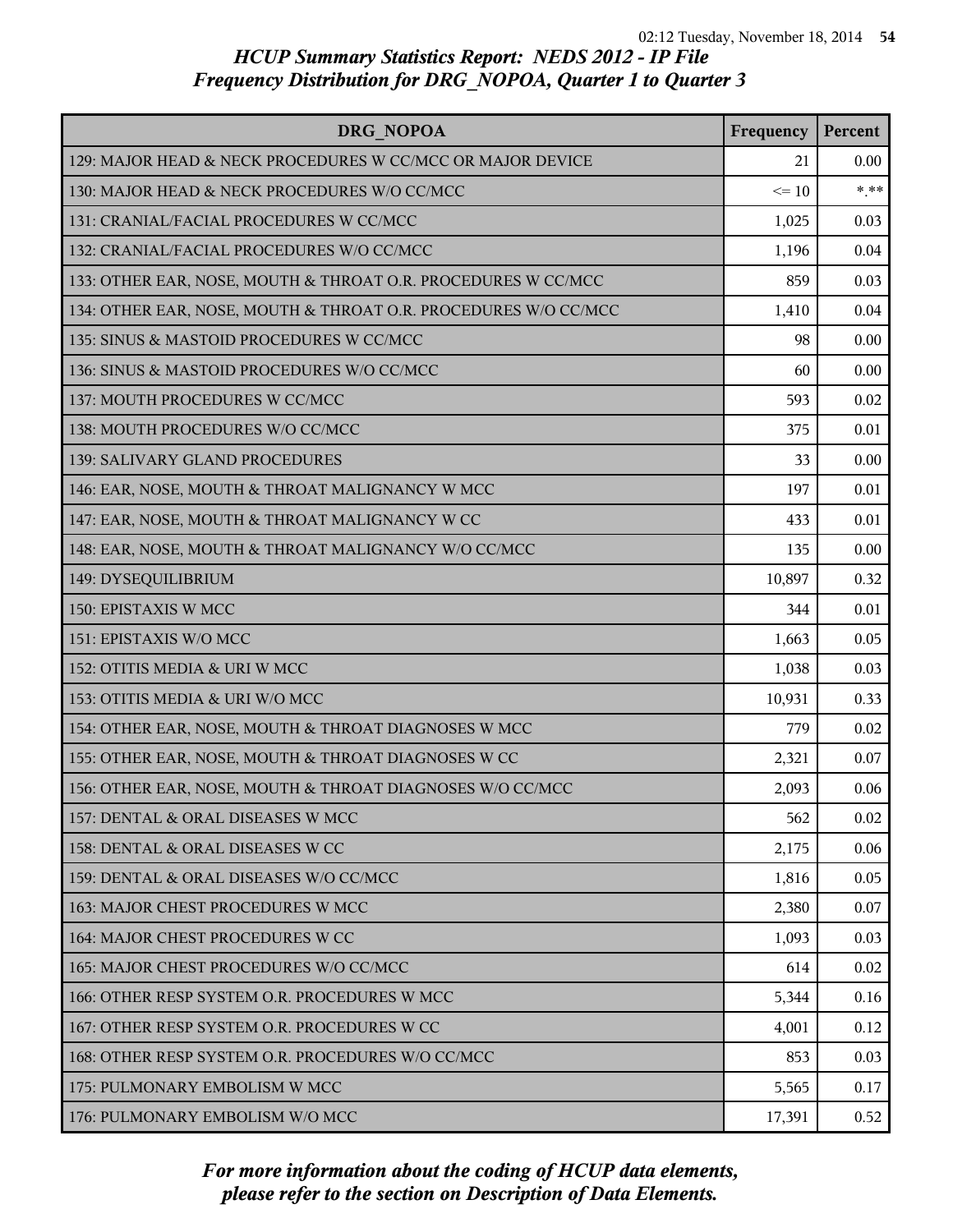| DRG NOPOA                                                       | Frequency | Percent |
|-----------------------------------------------------------------|-----------|---------|
| 129: MAJOR HEAD & NECK PROCEDURES W CC/MCC OR MAJOR DEVICE      | 21        | 0.00    |
| 130: MAJOR HEAD & NECK PROCEDURES W/O CC/MCC                    | $\leq 10$ | $***$   |
| 131: CRANIAL/FACIAL PROCEDURES W CC/MCC                         | 1,025     | 0.03    |
| 132: CRANIAL/FACIAL PROCEDURES W/O CC/MCC                       | 1,196     | 0.04    |
| 133: OTHER EAR, NOSE, MOUTH & THROAT O.R. PROCEDURES W CC/MCC   | 859       | 0.03    |
| 134: OTHER EAR, NOSE, MOUTH & THROAT O.R. PROCEDURES W/O CC/MCC | 1,410     | 0.04    |
| 135: SINUS & MASTOID PROCEDURES W CC/MCC                        | 98        | 0.00    |
| 136: SINUS & MASTOID PROCEDURES W/O CC/MCC                      | 60        | 0.00    |
| 137: MOUTH PROCEDURES W CC/MCC                                  | 593       | 0.02    |
| 138: MOUTH PROCEDURES W/O CC/MCC                                | 375       | 0.01    |
| 139: SALIVARY GLAND PROCEDURES                                  | 33        | 0.00    |
| 146: EAR, NOSE, MOUTH & THROAT MALIGNANCY W MCC                 | 197       | 0.01    |
| 147: EAR, NOSE, MOUTH & THROAT MALIGNANCY W CC                  | 433       | 0.01    |
| 148: EAR, NOSE, MOUTH & THROAT MALIGNANCY W/O CC/MCC            | 135       | 0.00    |
| 149: DYSEQUILIBRIUM                                             | 10,897    | 0.32    |
| 150: EPISTAXIS W MCC                                            | 344       | 0.01    |
| 151: EPISTAXIS W/O MCC                                          | 1,663     | 0.05    |
| 152: OTITIS MEDIA & URI W MCC                                   | 1,038     | 0.03    |
| 153: OTITIS MEDIA & URI W/O MCC                                 | 10,931    | 0.33    |
| 154: OTHER EAR, NOSE, MOUTH & THROAT DIAGNOSES W MCC            | 779       | 0.02    |
| 155: OTHER EAR, NOSE, MOUTH & THROAT DIAGNOSES W CC             | 2,321     | 0.07    |
| 156: OTHER EAR, NOSE, MOUTH & THROAT DIAGNOSES W/O CC/MCC       | 2,093     | 0.06    |
| 157: DENTAL & ORAL DISEASES W MCC                               | 562       | 0.02    |
| 158: DENTAL & ORAL DISEASES W CC                                | 2,175     | 0.06    |
| 159: DENTAL & ORAL DISEASES W/O CC/MCC                          | 1,816     | 0.05    |
| 163: MAJOR CHEST PROCEDURES W MCC                               | 2,380     | 0.07    |
| 164: MAJOR CHEST PROCEDURES W CC                                | 1,093     | 0.03    |
| 165: MAJOR CHEST PROCEDURES W/O CC/MCC                          | 614       | 0.02    |
| 166: OTHER RESP SYSTEM O.R. PROCEDURES W MCC                    | 5,344     | 0.16    |
| 167: OTHER RESP SYSTEM O.R. PROCEDURES W CC                     | 4,001     | 0.12    |
| 168: OTHER RESP SYSTEM O.R. PROCEDURES W/O CC/MCC               | 853       | 0.03    |
| 175: PULMONARY EMBOLISM W MCC                                   | 5,565     | 0.17    |
| 176: PULMONARY EMBOLISM W/O MCC                                 | 17,391    | 0.52    |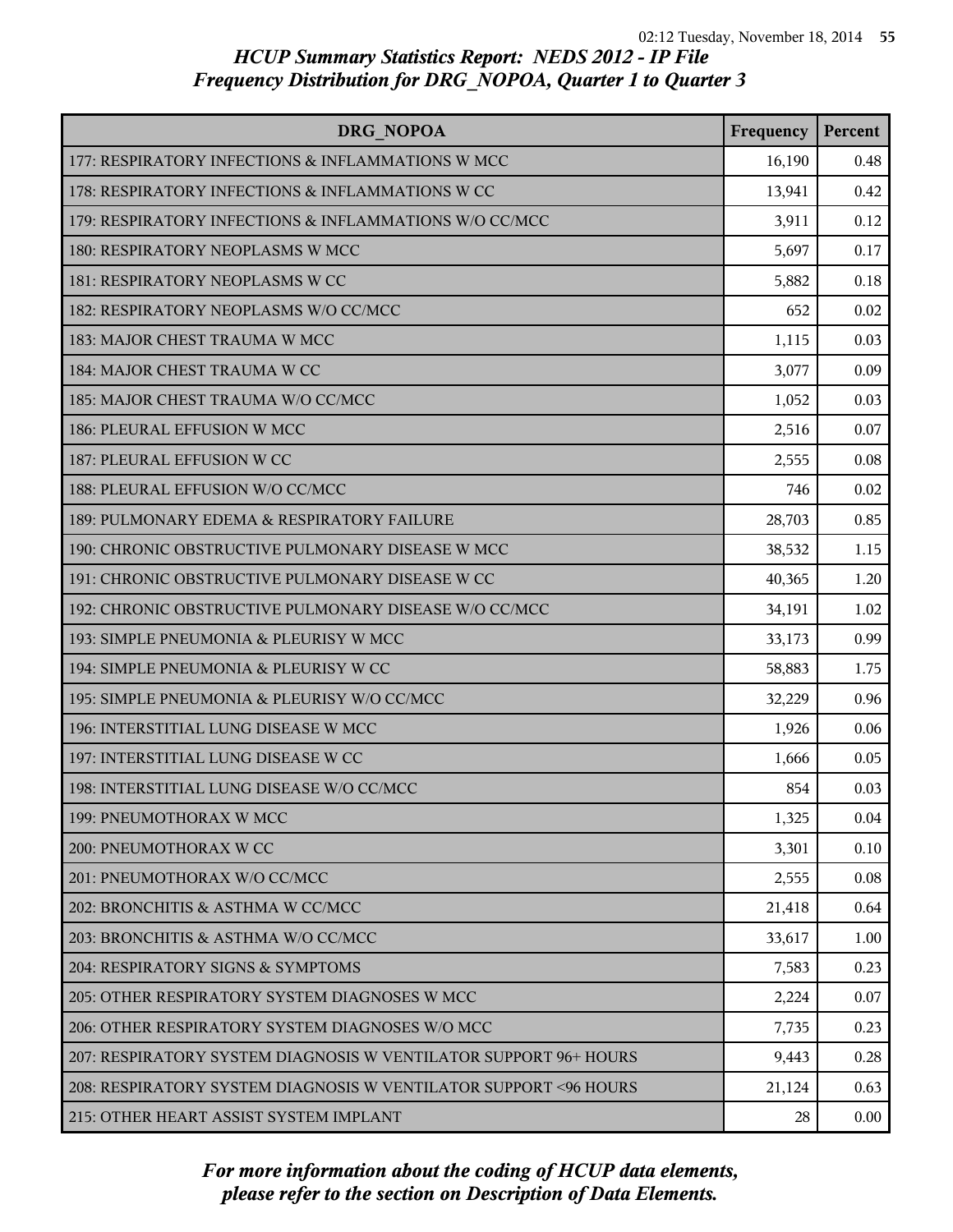| DRG NOPOA                                                         | Frequency | Percent  |
|-------------------------------------------------------------------|-----------|----------|
| 177: RESPIRATORY INFECTIONS & INFLAMMATIONS W MCC                 | 16,190    | 0.48     |
| 178: RESPIRATORY INFECTIONS & INFLAMMATIONS W CC                  | 13,941    | 0.42     |
| 179: RESPIRATORY INFECTIONS & INFLAMMATIONS W/O CC/MCC            | 3,911     | 0.12     |
| 180: RESPIRATORY NEOPLASMS W MCC                                  | 5,697     | 0.17     |
| 181: RESPIRATORY NEOPLASMS W CC                                   | 5,882     | 0.18     |
| 182: RESPIRATORY NEOPLASMS W/O CC/MCC                             | 652       | 0.02     |
| 183: MAJOR CHEST TRAUMA W MCC                                     | 1,115     | 0.03     |
| 184: MAJOR CHEST TRAUMA W CC                                      | 3,077     | 0.09     |
| 185: MAJOR CHEST TRAUMA W/O CC/MCC                                | 1,052     | 0.03     |
| 186: PLEURAL EFFUSION W MCC                                       | 2,516     | 0.07     |
| 187: PLEURAL EFFUSION W CC                                        | 2,555     | 0.08     |
| 188: PLEURAL EFFUSION W/O CC/MCC                                  | 746       | 0.02     |
| 189: PULMONARY EDEMA & RESPIRATORY FAILURE                        | 28,703    | 0.85     |
| 190: CHRONIC OBSTRUCTIVE PULMONARY DISEASE W MCC                  | 38,532    | 1.15     |
| 191: CHRONIC OBSTRUCTIVE PULMONARY DISEASE W CC                   | 40,365    | 1.20     |
| 192: CHRONIC OBSTRUCTIVE PULMONARY DISEASE W/O CC/MCC             | 34,191    | 1.02     |
| 193: SIMPLE PNEUMONIA & PLEURISY W MCC                            | 33,173    | 0.99     |
| 194: SIMPLE PNEUMONIA & PLEURISY W CC                             | 58,883    | 1.75     |
| 195: SIMPLE PNEUMONIA & PLEURISY W/O CC/MCC                       | 32,229    | 0.96     |
| 196: INTERSTITIAL LUNG DISEASE W MCC                              | 1,926     | 0.06     |
| 197: INTERSTITIAL LUNG DISEASE W CC                               | 1,666     | 0.05     |
| 198: INTERSTITIAL LUNG DISEASE W/O CC/MCC                         | 854       | 0.03     |
| 199: PNEUMOTHORAX W MCC                                           | 1,325     | 0.04     |
| 200: PNEUMOTHORAX W CC                                            | 3,301     | 0.10     |
| 201: PNEUMOTHORAX W/O CC/MCC                                      | 2,555     | 0.08     |
| 202: BRONCHITIS & ASTHMA W CC/MCC                                 | 21,418    | 0.64     |
| 203: BRONCHITIS & ASTHMA W/O CC/MCC                               | 33,617    | 1.00     |
| 204: RESPIRATORY SIGNS & SYMPTOMS                                 | 7,583     | 0.23     |
| 205: OTHER RESPIRATORY SYSTEM DIAGNOSES W MCC                     | 2,224     | 0.07     |
| 206: OTHER RESPIRATORY SYSTEM DIAGNOSES W/O MCC                   | 7,735     | 0.23     |
| 207: RESPIRATORY SYSTEM DIAGNOSIS W VENTILATOR SUPPORT 96+ HOURS  | 9,443     | 0.28     |
| 208: RESPIRATORY SYSTEM DIAGNOSIS W VENTILATOR SUPPORT < 96 HOURS | 21,124    | 0.63     |
| 215: OTHER HEART ASSIST SYSTEM IMPLANT                            | 28        | $0.00\,$ |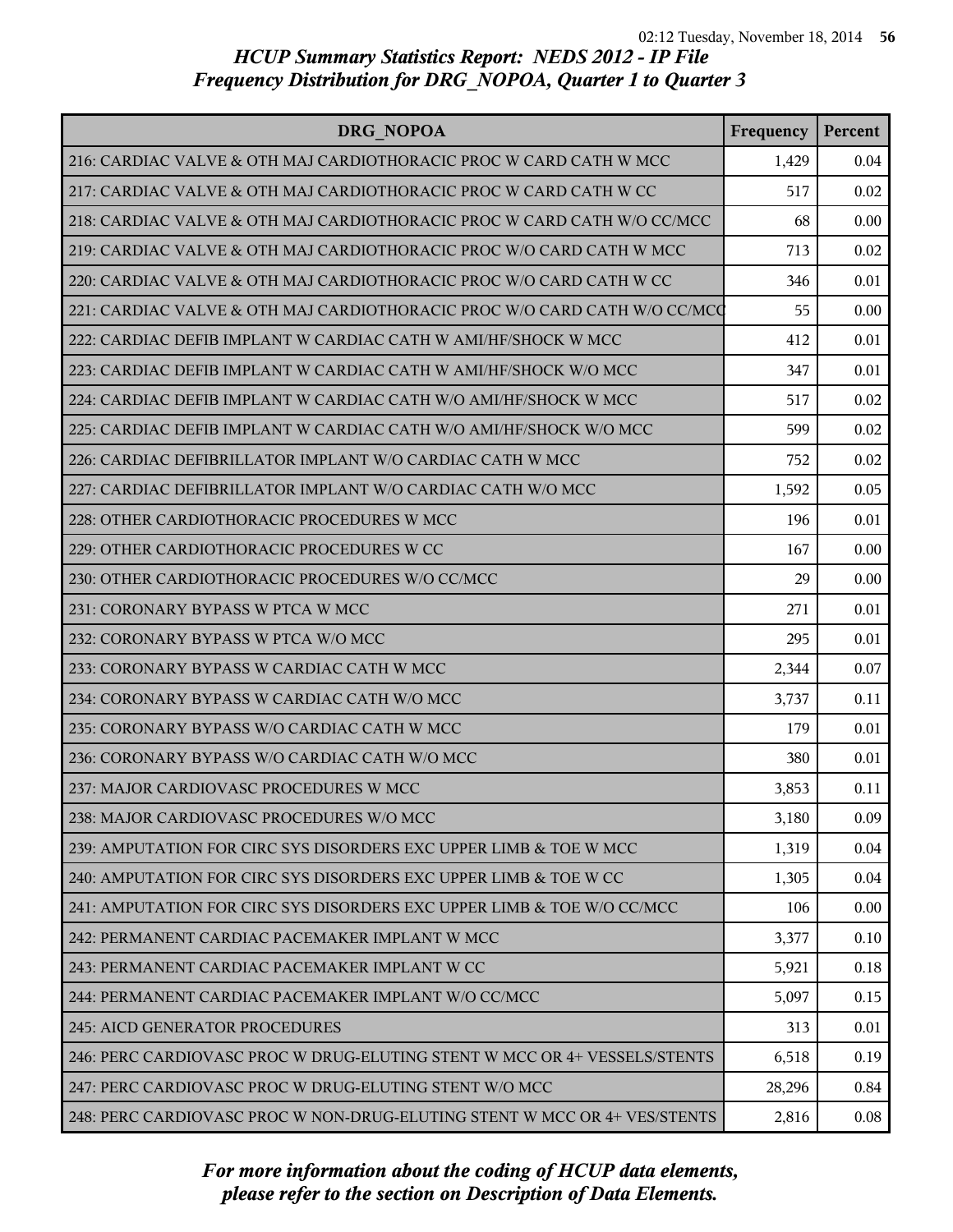| DRG NOPOA                                                                 | Frequency | Percent |
|---------------------------------------------------------------------------|-----------|---------|
| 216: CARDIAC VALVE & OTH MAJ CARDIOTHORACIC PROC W CARD CATH W MCC        | 1,429     | 0.04    |
| 217: CARDIAC VALVE & OTH MAJ CARDIOTHORACIC PROC W CARD CATH W CC         | 517       | 0.02    |
| 218: CARDIAC VALVE & OTH MAJ CARDIOTHORACIC PROC W CARD CATH W/O CC/MCC   | 68        | 0.00    |
| 219: CARDIAC VALVE & OTH MAJ CARDIOTHORACIC PROC W/O CARD CATH W MCC      | 713       | 0.02    |
| 220: CARDIAC VALVE & OTH MAJ CARDIOTHORACIC PROC W/O CARD CATH W CC       | 346       | 0.01    |
| 221: CARDIAC VALVE & OTH MAJ CARDIOTHORACIC PROC W/O CARD CATH W/O CC/MCQ | 55        | 0.00    |
| 222: CARDIAC DEFIB IMPLANT W CARDIAC CATH W AMI/HF/SHOCK W MCC            | 412       | 0.01    |
| 223: CARDIAC DEFIB IMPLANT W CARDIAC CATH W AMI/HF/SHOCK W/O MCC          | 347       | 0.01    |
| 224: CARDIAC DEFIB IMPLANT W CARDIAC CATH W/O AMI/HF/SHOCK W MCC          | 517       | 0.02    |
| 225: CARDIAC DEFIB IMPLANT W CARDIAC CATH W/O AMI/HF/SHOCK W/O MCC        | 599       | 0.02    |
| 226: CARDIAC DEFIBRILLATOR IMPLANT W/O CARDIAC CATH W MCC                 | 752       | 0.02    |
| 227: CARDIAC DEFIBRILLATOR IMPLANT W/O CARDIAC CATH W/O MCC               | 1,592     | 0.05    |
| 228: OTHER CARDIOTHORACIC PROCEDURES W MCC                                | 196       | 0.01    |
| 229: OTHER CARDIOTHORACIC PROCEDURES W CC                                 | 167       | 0.00    |
| 230: OTHER CARDIOTHORACIC PROCEDURES W/O CC/MCC                           | 29        | 0.00    |
| 231: CORONARY BYPASS W PTCA W MCC                                         | 271       | 0.01    |
| 232: CORONARY BYPASS W PTCA W/O MCC                                       | 295       | 0.01    |
| 233: CORONARY BYPASS W CARDIAC CATH W MCC                                 | 2,344     | 0.07    |
| 234: CORONARY BYPASS W CARDIAC CATH W/O MCC                               | 3,737     | 0.11    |
| 235: CORONARY BYPASS W/O CARDIAC CATH W MCC                               | 179       | 0.01    |
| 236: CORONARY BYPASS W/O CARDIAC CATH W/O MCC                             | 380       | 0.01    |
| 237: MAJOR CARDIOVASC PROCEDURES W MCC                                    | 3,853     | 0.11    |
| 238: MAJOR CARDIOVASC PROCEDURES W/O MCC                                  | 3,180     | 0.09    |
| 239: AMPUTATION FOR CIRC SYS DISORDERS EXC UPPER LIMB & TOE W MCC         | 1,319     | 0.04    |
| 240: AMPUTATION FOR CIRC SYS DISORDERS EXC UPPER LIMB & TOE W CC          | 1,305     | 0.04    |
| 241: AMPUTATION FOR CIRC SYS DISORDERS EXC UPPER LIMB & TOE W/O CC/MCC    | 106       | 0.00    |
| 242: PERMANENT CARDIAC PACEMAKER IMPLANT W MCC                            | 3,377     | 0.10    |
| 243: PERMANENT CARDIAC PACEMAKER IMPLANT W CC                             | 5,921     | 0.18    |
| 244: PERMANENT CARDIAC PACEMAKER IMPLANT W/O CC/MCC                       | 5,097     | 0.15    |
| 245: AICD GENERATOR PROCEDURES                                            | 313       | 0.01    |
| 246: PERC CARDIOVASC PROC W DRUG-ELUTING STENT W MCC OR 4+ VESSELS/STENTS | 6,518     | 0.19    |
| 247: PERC CARDIOVASC PROC W DRUG-ELUTING STENT W/O MCC                    | 28,296    | 0.84    |
| 248: PERC CARDIOVASC PROC W NON-DRUG-ELUTING STENT W MCC OR 4+ VES/STENTS | 2,816     | 0.08    |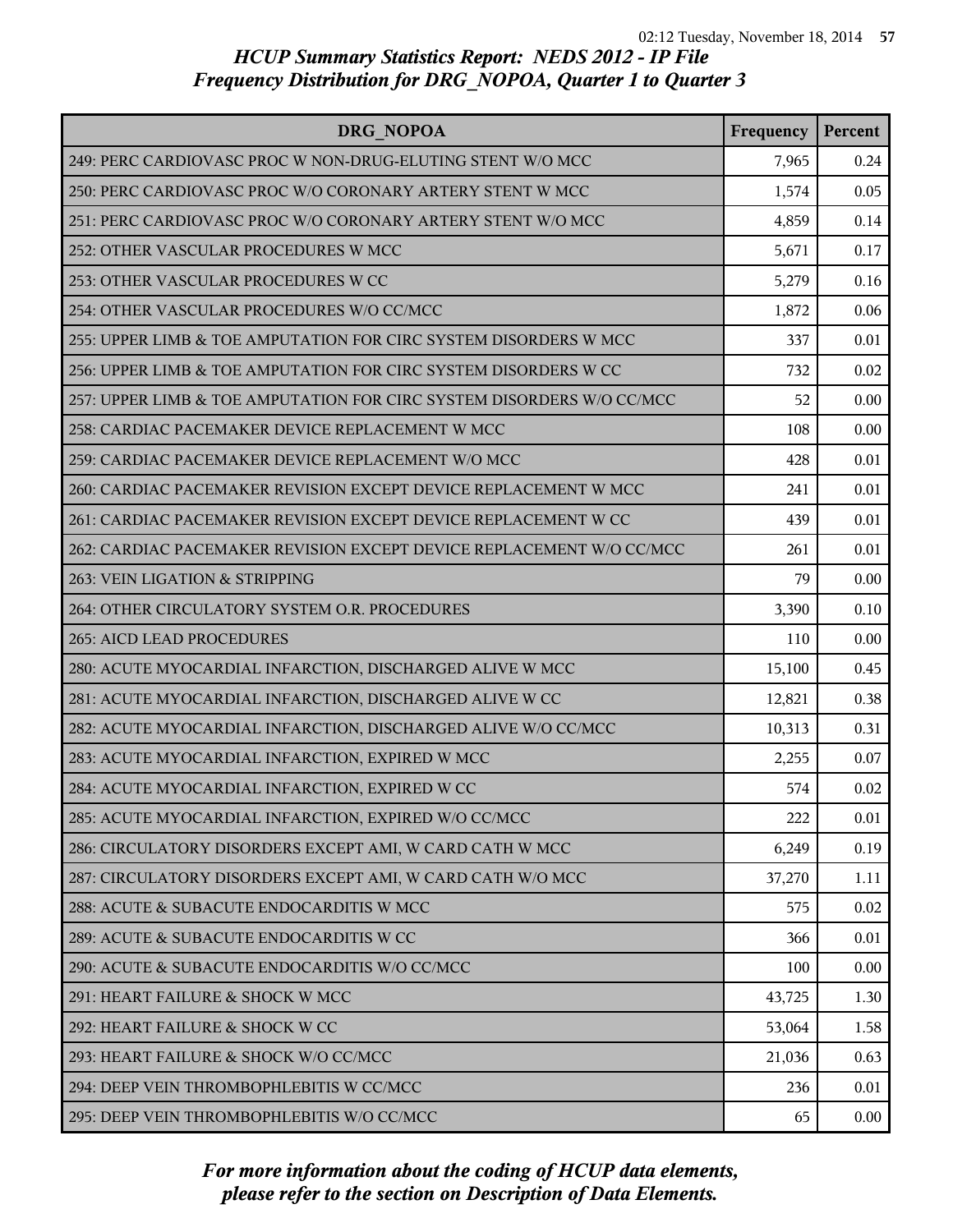| DRG NOPOA                                                             | Frequency | Percent |
|-----------------------------------------------------------------------|-----------|---------|
| 249: PERC CARDIOVASC PROC W NON-DRUG-ELUTING STENT W/O MCC            | 7,965     | 0.24    |
| 250: PERC CARDIOVASC PROC W/O CORONARY ARTERY STENT W MCC             | 1,574     | 0.05    |
| 251: PERC CARDIOVASC PROC W/O CORONARY ARTERY STENT W/O MCC           | 4,859     | 0.14    |
| 252: OTHER VASCULAR PROCEDURES W MCC                                  | 5,671     | 0.17    |
| 253: OTHER VASCULAR PROCEDURES W CC                                   | 5,279     | 0.16    |
| 254: OTHER VASCULAR PROCEDURES W/O CC/MCC                             | 1,872     | 0.06    |
| 255: UPPER LIMB & TOE AMPUTATION FOR CIRC SYSTEM DISORDERS W MCC      | 337       | 0.01    |
| 256: UPPER LIMB & TOE AMPUTATION FOR CIRC SYSTEM DISORDERS W CC       | 732       | 0.02    |
| 257: UPPER LIMB & TOE AMPUTATION FOR CIRC SYSTEM DISORDERS W/O CC/MCC | 52        | 0.00    |
| 258: CARDIAC PACEMAKER DEVICE REPLACEMENT W MCC                       | 108       | 0.00    |
| 259: CARDIAC PACEMAKER DEVICE REPLACEMENT W/O MCC                     | 428       | 0.01    |
| 260: CARDIAC PACEMAKER REVISION EXCEPT DEVICE REPLACEMENT W MCC       | 241       | 0.01    |
| 261: CARDIAC PACEMAKER REVISION EXCEPT DEVICE REPLACEMENT W CC        | 439       | 0.01    |
| 262: CARDIAC PACEMAKER REVISION EXCEPT DEVICE REPLACEMENT W/O CC/MCC  | 261       | 0.01    |
| 263: VEIN LIGATION & STRIPPING                                        | 79        | 0.00    |
| 264: OTHER CIRCULATORY SYSTEM O.R. PROCEDURES                         | 3,390     | 0.10    |
| 265: AICD LEAD PROCEDURES                                             | 110       | 0.00    |
| 280: ACUTE MYOCARDIAL INFARCTION, DISCHARGED ALIVE W MCC              | 15,100    | 0.45    |
| 281: ACUTE MYOCARDIAL INFARCTION, DISCHARGED ALIVE W CC               | 12,821    | 0.38    |
| 282: ACUTE MYOCARDIAL INFARCTION, DISCHARGED ALIVE W/O CC/MCC         | 10,313    | 0.31    |
| 283: ACUTE MYOCARDIAL INFARCTION, EXPIRED W MCC                       | 2,255     | 0.07    |
| 284: ACUTE MYOCARDIAL INFARCTION, EXPIRED W CC                        | 574       | 0.02    |
| 285: ACUTE MYOCARDIAL INFARCTION, EXPIRED W/O CC/MCC                  | 222       | 0.01    |
| 286: CIRCULATORY DISORDERS EXCEPT AMI, W CARD CATH W MCC              | 6,249     | 0.19    |
| 287: CIRCULATORY DISORDERS EXCEPT AMI, W CARD CATH W/O MCC            | 37,270    | 1.11    |
| 288: ACUTE & SUBACUTE ENDOCARDITIS W MCC                              | 575       | 0.02    |
| 289: ACUTE & SUBACUTE ENDOCARDITIS W CC                               | 366       | 0.01    |
| 290: ACUTE & SUBACUTE ENDOCARDITIS W/O CC/MCC                         | 100       | 0.00    |
| 291: HEART FAILURE & SHOCK W MCC                                      | 43,725    | 1.30    |
| 292: HEART FAILURE & SHOCK W CC                                       | 53,064    | 1.58    |
| 293: HEART FAILURE & SHOCK W/O CC/MCC                                 | 21,036    | 0.63    |
| 294: DEEP VEIN THROMBOPHLEBITIS W CC/MCC                              | 236       | 0.01    |
| 295: DEEP VEIN THROMBOPHLEBITIS W/O CC/MCC                            | 65        | 0.00    |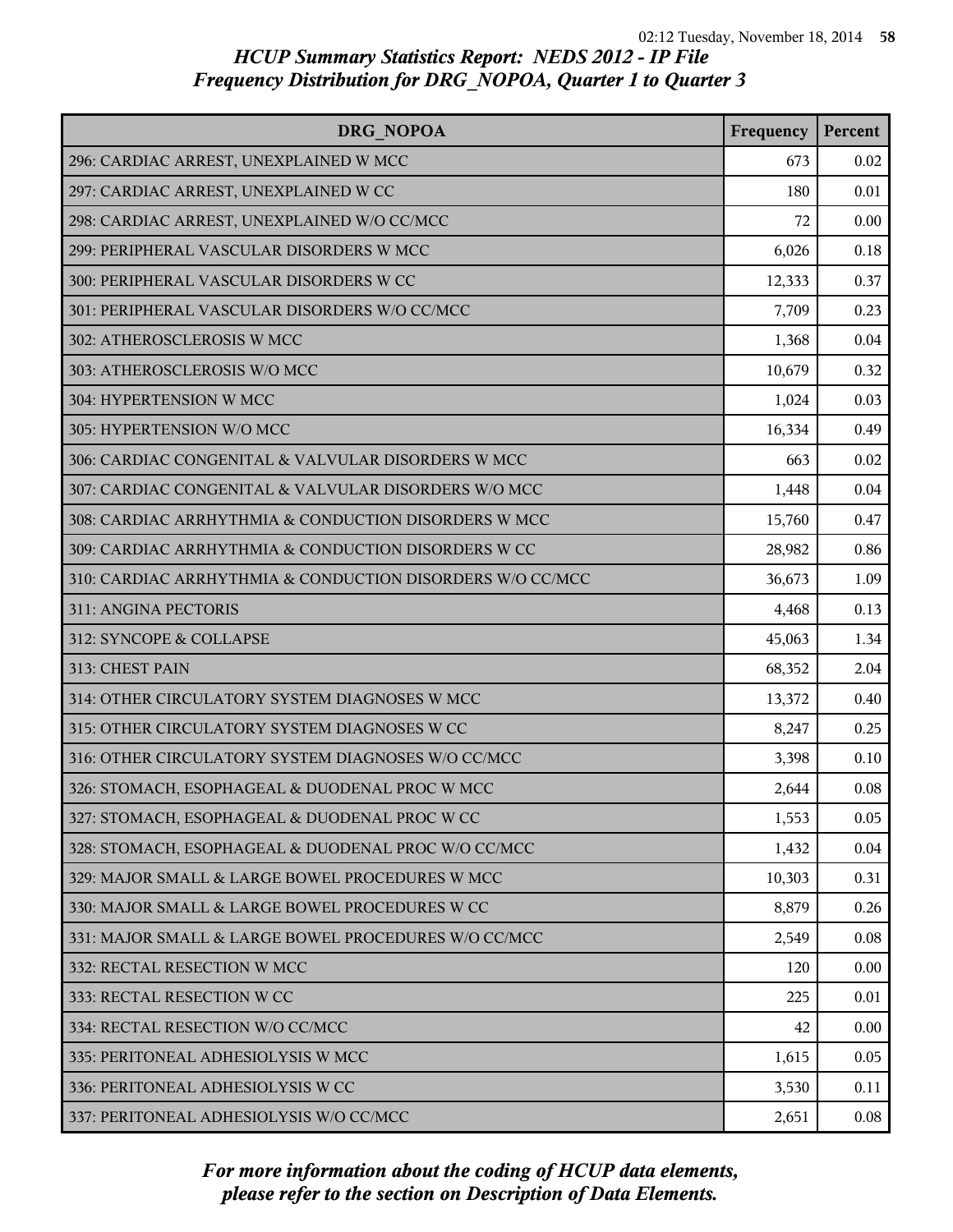| <b>DRG NOPOA</b>                                          | Frequency | Percent |
|-----------------------------------------------------------|-----------|---------|
| 296: CARDIAC ARREST, UNEXPLAINED W MCC                    | 673       | 0.02    |
| 297: CARDIAC ARREST, UNEXPLAINED W CC                     | 180       | 0.01    |
| 298: CARDIAC ARREST, UNEXPLAINED W/O CC/MCC               | 72        | 0.00    |
| 299: PERIPHERAL VASCULAR DISORDERS W MCC                  | 6,026     | 0.18    |
| 300: PERIPHERAL VASCULAR DISORDERS W CC                   | 12,333    | 0.37    |
| 301: PERIPHERAL VASCULAR DISORDERS W/O CC/MCC             | 7,709     | 0.23    |
| 302: ATHEROSCLEROSIS W MCC                                | 1,368     | 0.04    |
| 303: ATHEROSCLEROSIS W/O MCC                              | 10,679    | 0.32    |
| 304: HYPERTENSION W MCC                                   | 1,024     | 0.03    |
| 305: HYPERTENSION W/O MCC                                 | 16,334    | 0.49    |
| 306: CARDIAC CONGENITAL & VALVULAR DISORDERS W MCC        | 663       | 0.02    |
| 307: CARDIAC CONGENITAL & VALVULAR DISORDERS W/O MCC      | 1,448     | 0.04    |
| 308: CARDIAC ARRHYTHMIA & CONDUCTION DISORDERS W MCC      | 15,760    | 0.47    |
| 309: CARDIAC ARRHYTHMIA & CONDUCTION DISORDERS W CC       | 28,982    | 0.86    |
| 310: CARDIAC ARRHYTHMIA & CONDUCTION DISORDERS W/O CC/MCC | 36,673    | 1.09    |
| 311: ANGINA PECTORIS                                      | 4,468     | 0.13    |
| 312: SYNCOPE & COLLAPSE                                   | 45,063    | 1.34    |
| 313: CHEST PAIN                                           | 68,352    | 2.04    |
| 314: OTHER CIRCULATORY SYSTEM DIAGNOSES W MCC             | 13,372    | 0.40    |
| 315: OTHER CIRCULATORY SYSTEM DIAGNOSES W CC              | 8,247     | 0.25    |
| 316: OTHER CIRCULATORY SYSTEM DIAGNOSES W/O CC/MCC        | 3,398     | 0.10    |
| 326: STOMACH, ESOPHAGEAL & DUODENAL PROC W MCC            | 2,644     | 0.08    |
| 327: STOMACH, ESOPHAGEAL & DUODENAL PROC W CC             | 1,553     | 0.05    |
| 328: STOMACH, ESOPHAGEAL & DUODENAL PROC W/O CC/MCC       | 1,432     | 0.04    |
| 329: MAJOR SMALL & LARGE BOWEL PROCEDURES W MCC           | 10,303    | 0.31    |
| 330: MAJOR SMALL & LARGE BOWEL PROCEDURES W CC            | 8,879     | 0.26    |
| 331: MAJOR SMALL & LARGE BOWEL PROCEDURES W/O CC/MCC      | 2,549     | 0.08    |
| 332: RECTAL RESECTION W MCC                               | 120       | 0.00    |
| 333: RECTAL RESECTION W CC                                | 225       | 0.01    |
| 334: RECTAL RESECTION W/O CC/MCC                          | 42        | 0.00    |
| 335: PERITONEAL ADHESIOLYSIS W MCC                        | 1,615     | 0.05    |
| 336: PERITONEAL ADHESIOLYSIS W CC                         | 3,530     | 0.11    |
| 337: PERITONEAL ADHESIOLYSIS W/O CC/MCC                   | 2,651     | 0.08    |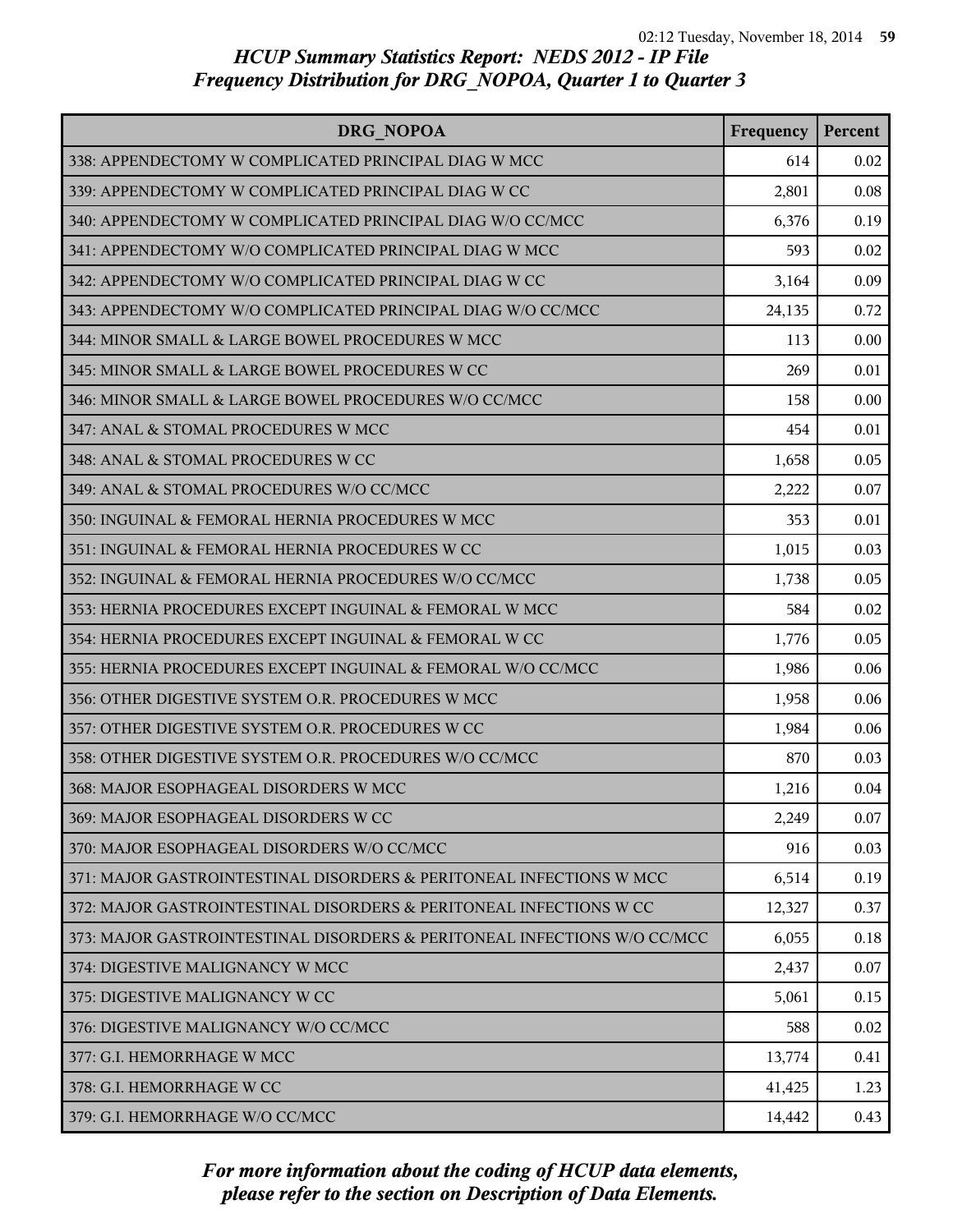| DRG NOPOA                                                                | Frequency | Percent |
|--------------------------------------------------------------------------|-----------|---------|
| 338: APPENDECTOMY W COMPLICATED PRINCIPAL DIAG W MCC                     | 614       | 0.02    |
| 339: APPENDECTOMY W COMPLICATED PRINCIPAL DIAG W CC                      | 2,801     | 0.08    |
| 340: APPENDECTOMY W COMPLICATED PRINCIPAL DIAG W/O CC/MCC                | 6,376     | 0.19    |
| 341: APPENDECTOMY W/O COMPLICATED PRINCIPAL DIAG W MCC                   | 593       | 0.02    |
| 342: APPENDECTOMY W/O COMPLICATED PRINCIPAL DIAG W CC                    | 3,164     | 0.09    |
| 343: APPENDECTOMY W/O COMPLICATED PRINCIPAL DIAG W/O CC/MCC              | 24,135    | 0.72    |
| 344: MINOR SMALL & LARGE BOWEL PROCEDURES W MCC                          | 113       | 0.00    |
| 345: MINOR SMALL & LARGE BOWEL PROCEDURES W CC                           | 269       | 0.01    |
| 346: MINOR SMALL & LARGE BOWEL PROCEDURES W/O CC/MCC                     | 158       | 0.00    |
| 347: ANAL & STOMAL PROCEDURES W MCC                                      | 454       | 0.01    |
| 348: ANAL & STOMAL PROCEDURES W CC                                       | 1,658     | 0.05    |
| 349: ANAL & STOMAL PROCEDURES W/O CC/MCC                                 | 2,222     | 0.07    |
| 350: INGUINAL & FEMORAL HERNIA PROCEDURES W MCC                          | 353       | 0.01    |
| 351: INGUINAL & FEMORAL HERNIA PROCEDURES W CC                           | 1,015     | 0.03    |
| 352: INGUINAL & FEMORAL HERNIA PROCEDURES W/O CC/MCC                     | 1,738     | 0.05    |
| 353: HERNIA PROCEDURES EXCEPT INGUINAL & FEMORAL W MCC                   | 584       | 0.02    |
| 354: HERNIA PROCEDURES EXCEPT INGUINAL & FEMORAL W CC                    | 1,776     | 0.05    |
| 355: HERNIA PROCEDURES EXCEPT INGUINAL & FEMORAL W/O CC/MCC              | 1,986     | 0.06    |
| 356: OTHER DIGESTIVE SYSTEM O.R. PROCEDURES W MCC                        | 1,958     | 0.06    |
| 357: OTHER DIGESTIVE SYSTEM O.R. PROCEDURES W CC                         | 1,984     | 0.06    |
| 358: OTHER DIGESTIVE SYSTEM O.R. PROCEDURES W/O CC/MCC                   | 870       | 0.03    |
| 368: MAJOR ESOPHAGEAL DISORDERS W MCC                                    | 1,216     | 0.04    |
| 369: MAJOR ESOPHAGEAL DISORDERS W CC                                     | 2,249     | 0.07    |
| 370: MAJOR ESOPHAGEAL DISORDERS W/O CC/MCC                               | 916       | 0.03    |
| 371: MAJOR GASTROINTESTINAL DISORDERS & PERITONEAL INFECTIONS W MCC      | 6,514     | 0.19    |
| 372: MAJOR GASTROINTESTINAL DISORDERS & PERITONEAL INFECTIONS W CC       | 12,327    | 0.37    |
| 373: MAJOR GASTROINTESTINAL DISORDERS & PERITONEAL INFECTIONS W/O CC/MCC | 6,055     | 0.18    |
| 374: DIGESTIVE MALIGNANCY W MCC                                          | 2,437     | 0.07    |
| 375: DIGESTIVE MALIGNANCY W CC                                           | 5,061     | 0.15    |
| 376: DIGESTIVE MALIGNANCY W/O CC/MCC                                     | 588       | 0.02    |
| 377: G.I. HEMORRHAGE W MCC                                               | 13,774    | 0.41    |
| 378: G.I. HEMORRHAGE W CC                                                | 41,425    | 1.23    |
| 379: G.I. HEMORRHAGE W/O CC/MCC                                          | 14,442    | 0.43    |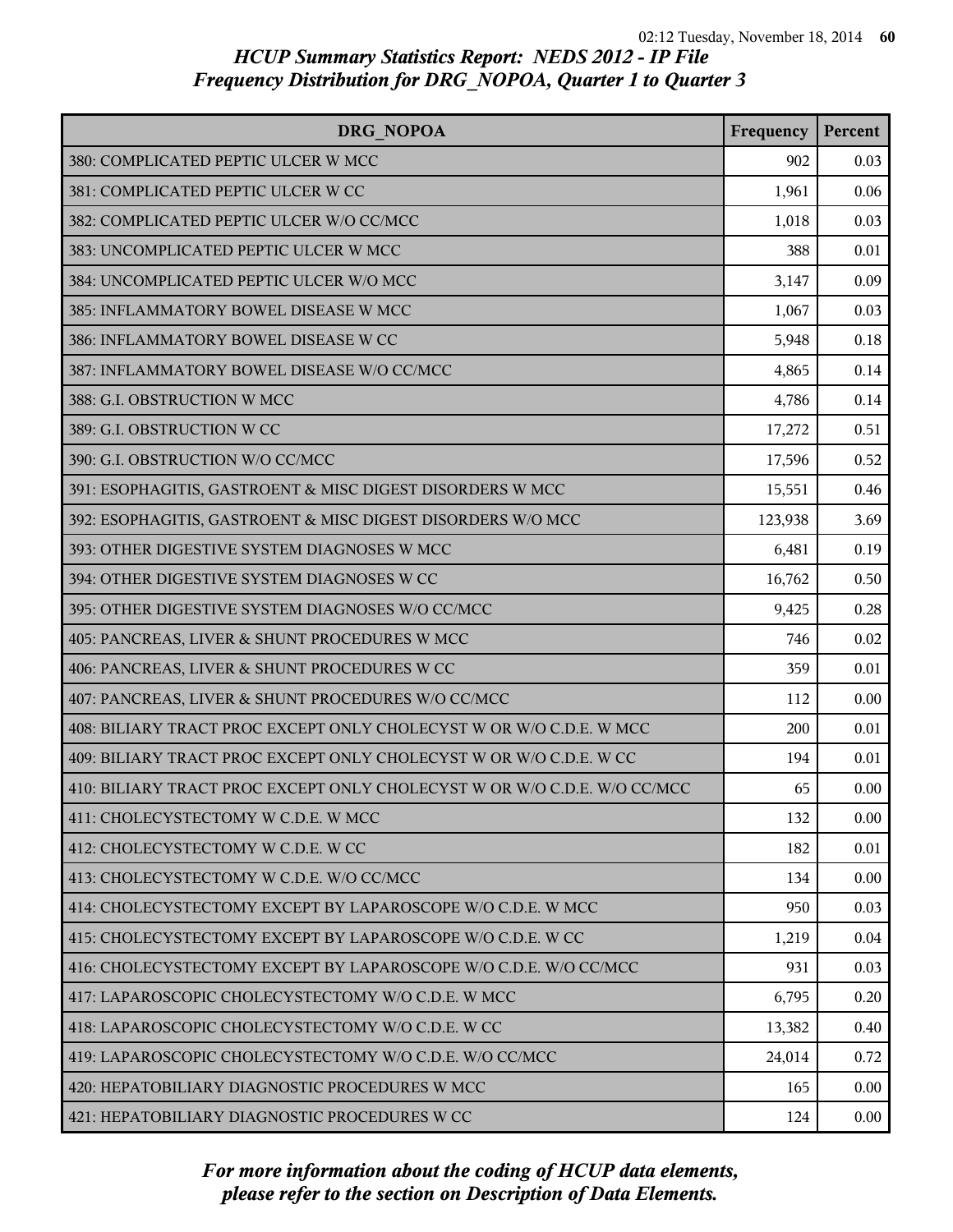| DRG NOPOA                                                                | Frequency | Percent |
|--------------------------------------------------------------------------|-----------|---------|
| 380: COMPLICATED PEPTIC ULCER W MCC                                      | 902       | 0.03    |
| 381: COMPLICATED PEPTIC ULCER W CC                                       | 1,961     | 0.06    |
| 382: COMPLICATED PEPTIC ULCER W/O CC/MCC                                 | 1,018     | 0.03    |
| 383: UNCOMPLICATED PEPTIC ULCER W MCC                                    | 388       | 0.01    |
| 384: UNCOMPLICATED PEPTIC ULCER W/O MCC                                  | 3,147     | 0.09    |
| 385: INFLAMMATORY BOWEL DISEASE W MCC                                    | 1,067     | 0.03    |
| 386: INFLAMMATORY BOWEL DISEASE W CC                                     | 5,948     | 0.18    |
| 387: INFLAMMATORY BOWEL DISEASE W/O CC/MCC                               | 4,865     | 0.14    |
| 388: G.I. OBSTRUCTION W MCC                                              | 4,786     | 0.14    |
| 389: G.I. OBSTRUCTION W CC                                               | 17,272    | 0.51    |
| 390: G.I. OBSTRUCTION W/O CC/MCC                                         | 17,596    | 0.52    |
| 391: ESOPHAGITIS, GASTROENT & MISC DIGEST DISORDERS W MCC                | 15,551    | 0.46    |
| 392: ESOPHAGITIS, GASTROENT & MISC DIGEST DISORDERS W/O MCC              | 123,938   | 3.69    |
| 393: OTHER DIGESTIVE SYSTEM DIAGNOSES W MCC                              | 6,481     | 0.19    |
| 394: OTHER DIGESTIVE SYSTEM DIAGNOSES W CC                               | 16,762    | 0.50    |
| 395: OTHER DIGESTIVE SYSTEM DIAGNOSES W/O CC/MCC                         | 9,425     | 0.28    |
| 405: PANCREAS, LIVER & SHUNT PROCEDURES W MCC                            | 746       | 0.02    |
| 406: PANCREAS, LIVER & SHUNT PROCEDURES W CC                             | 359       | 0.01    |
| 407: PANCREAS, LIVER & SHUNT PROCEDURES W/O CC/MCC                       | 112       | 0.00    |
| 408: BILIARY TRACT PROC EXCEPT ONLY CHOLECYST W OR W/O C.D.E. W MCC      | 200       | 0.01    |
| 409: BILIARY TRACT PROC EXCEPT ONLY CHOLECYST W OR W/O C.D.E. W CC       | 194       | 0.01    |
| 410: BILIARY TRACT PROC EXCEPT ONLY CHOLECYST W OR W/O C.D.E. W/O CC/MCC | 65        | 0.00    |
| 411: CHOLECYSTECTOMY W C.D.E. W MCC                                      | 132       | 0.00    |
| 412: CHOLECYSTECTOMY W C.D.E. W CC                                       | 182       | 0.01    |
| 413: CHOLECYSTECTOMY W C.D.E. W/O CC/MCC                                 | 134       | 0.00    |
| 414: CHOLECYSTECTOMY EXCEPT BY LAPAROSCOPE W/O C.D.E. W MCC              | 950       | 0.03    |
| 415: CHOLECYSTECTOMY EXCEPT BY LAPAROSCOPE W/O C.D.E. W CC               | 1,219     | 0.04    |
| 416: CHOLECYSTECTOMY EXCEPT BY LAPAROSCOPE W/O C.D.E. W/O CC/MCC         | 931       | 0.03    |
| 417: LAPAROSCOPIC CHOLECYSTECTOMY W/O C.D.E. W MCC                       | 6,795     | 0.20    |
| 418: LAPAROSCOPIC CHOLECYSTECTOMY W/O C.D.E. W CC                        | 13,382    | 0.40    |
| 419: LAPAROSCOPIC CHOLECYSTECTOMY W/O C.D.E. W/O CC/MCC                  | 24,014    | 0.72    |
| 420: HEPATOBILIARY DIAGNOSTIC PROCEDURES W MCC                           | 165       | 0.00    |
| 421: HEPATOBILIARY DIAGNOSTIC PROCEDURES W CC                            | 124       | 0.00    |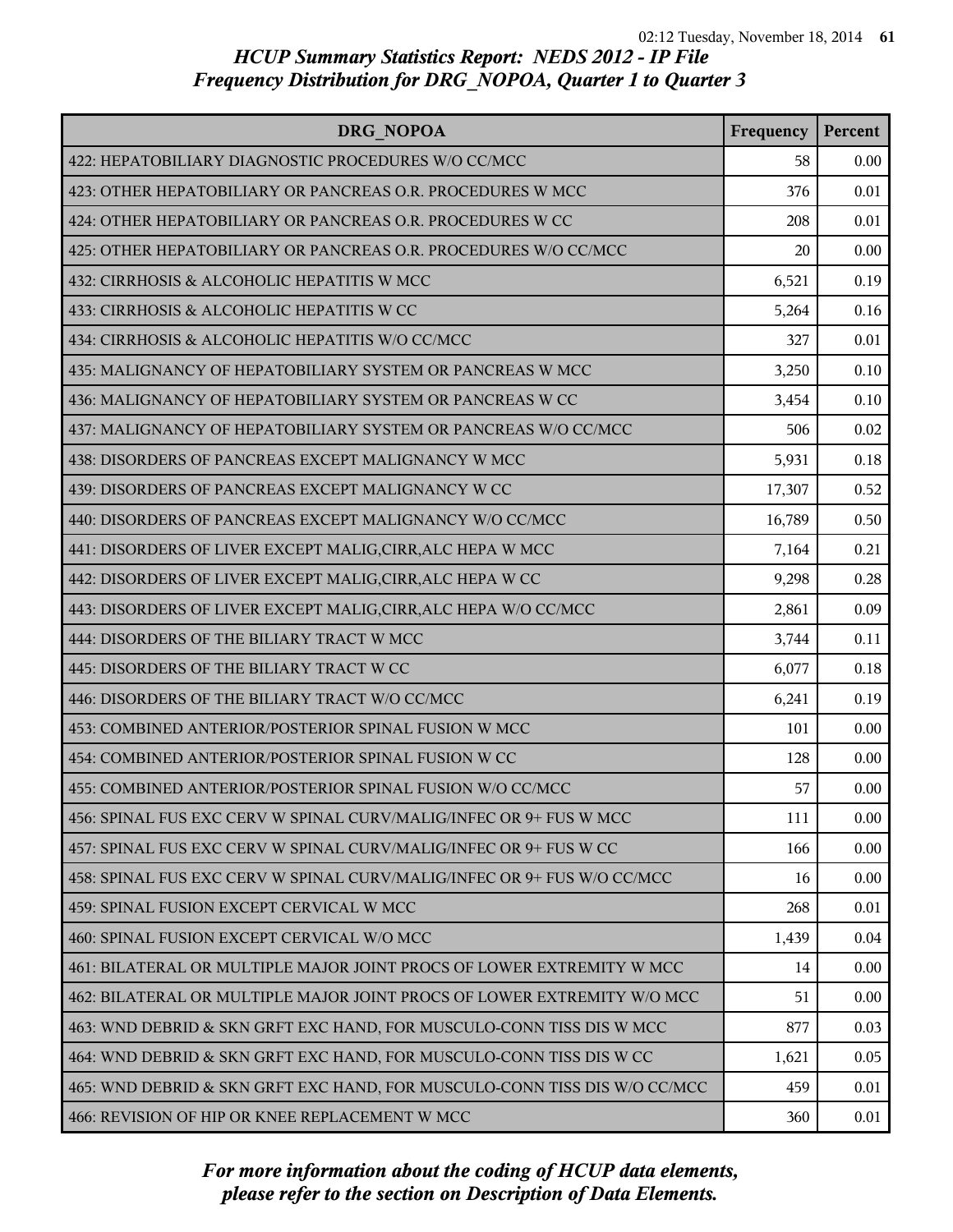| <b>DRG NOPOA</b>                                                          | Frequency | Percent  |
|---------------------------------------------------------------------------|-----------|----------|
| 422: HEPATOBILIARY DIAGNOSTIC PROCEDURES W/O CC/MCC                       | 58        | 0.00     |
| 423: OTHER HEPATOBILIARY OR PANCREAS O.R. PROCEDURES W MCC                | 376       | 0.01     |
| 424: OTHER HEPATOBILIARY OR PANCREAS O.R. PROCEDURES W CC                 | 208       | 0.01     |
| 425: OTHER HEPATOBILIARY OR PANCREAS O.R. PROCEDURES W/O CC/MCC           | 20        | 0.00     |
| 432: CIRRHOSIS & ALCOHOLIC HEPATITIS W MCC                                | 6,521     | 0.19     |
| 433: CIRRHOSIS & ALCOHOLIC HEPATITIS W CC                                 | 5,264     | 0.16     |
| 434: CIRRHOSIS & ALCOHOLIC HEPATITIS W/O CC/MCC                           | 327       | 0.01     |
| 435: MALIGNANCY OF HEPATOBILIARY SYSTEM OR PANCREAS W MCC                 | 3,250     | $0.10\,$ |
| 436: MALIGNANCY OF HEPATOBILIARY SYSTEM OR PANCREAS W CC                  | 3,454     | 0.10     |
| 437: MALIGNANCY OF HEPATOBILIARY SYSTEM OR PANCREAS W/O CC/MCC            | 506       | 0.02     |
| 438: DISORDERS OF PANCREAS EXCEPT MALIGNANCY W MCC                        | 5,931     | 0.18     |
| 439: DISORDERS OF PANCREAS EXCEPT MALIGNANCY W CC                         | 17,307    | 0.52     |
| 440: DISORDERS OF PANCREAS EXCEPT MALIGNANCY W/O CC/MCC                   | 16,789    | 0.50     |
| 441: DISORDERS OF LIVER EXCEPT MALIG, CIRR, ALC HEPA W MCC                | 7,164     | 0.21     |
| 442: DISORDERS OF LIVER EXCEPT MALIG, CIRR, ALC HEPA W CC                 | 9,298     | 0.28     |
| 443: DISORDERS OF LIVER EXCEPT MALIG, CIRR, ALC HEPA W/O CC/MCC           | 2,861     | 0.09     |
| 444: DISORDERS OF THE BILIARY TRACT W MCC                                 | 3,744     | 0.11     |
| 445: DISORDERS OF THE BILIARY TRACT W CC                                  | 6,077     | 0.18     |
| 446: DISORDERS OF THE BILIARY TRACT W/O CC/MCC                            | 6,241     | 0.19     |
| 453: COMBINED ANTERIOR/POSTERIOR SPINAL FUSION W MCC                      | 101       | 0.00     |
| 454: COMBINED ANTERIOR/POSTERIOR SPINAL FUSION W CC                       | 128       | 0.00     |
| 455: COMBINED ANTERIOR/POSTERIOR SPINAL FUSION W/O CC/MCC                 | 57        | 0.00     |
| 456: SPINAL FUS EXC CERV W SPINAL CURV/MALIG/INFEC OR 9+ FUS W MCC        | 111       | 0.00     |
| 457: SPINAL FUS EXC CERV W SPINAL CURV/MALIG/INFEC OR 9+ FUS W CC         | 166       | 0.00     |
| 458: SPINAL FUS EXC CERV W SPINAL CURV/MALIG/INFEC OR 9+ FUS W/O CC/MCC   | 16        | 0.00     |
| 459: SPINAL FUSION EXCEPT CERVICAL W MCC                                  | 268       | 0.01     |
| 460: SPINAL FUSION EXCEPT CERVICAL W/O MCC                                | 1,439     | 0.04     |
| 461: BILATERAL OR MULTIPLE MAJOR JOINT PROCS OF LOWER EXTREMITY W MCC     | 14        | 0.00     |
| 462: BILATERAL OR MULTIPLE MAJOR JOINT PROCS OF LOWER EXTREMITY W/O MCC   | 51        | 0.00     |
| 463: WND DEBRID & SKN GRFT EXC HAND, FOR MUSCULO-CONN TISS DIS W MCC      | 877       | 0.03     |
| 464: WND DEBRID & SKN GRFT EXC HAND, FOR MUSCULO-CONN TISS DIS W CC       | 1,621     | 0.05     |
| 465: WND DEBRID & SKN GRFT EXC HAND, FOR MUSCULO-CONN TISS DIS W/O CC/MCC | 459       | 0.01     |
| 466: REVISION OF HIP OR KNEE REPLACEMENT W MCC                            | 360       | 0.01     |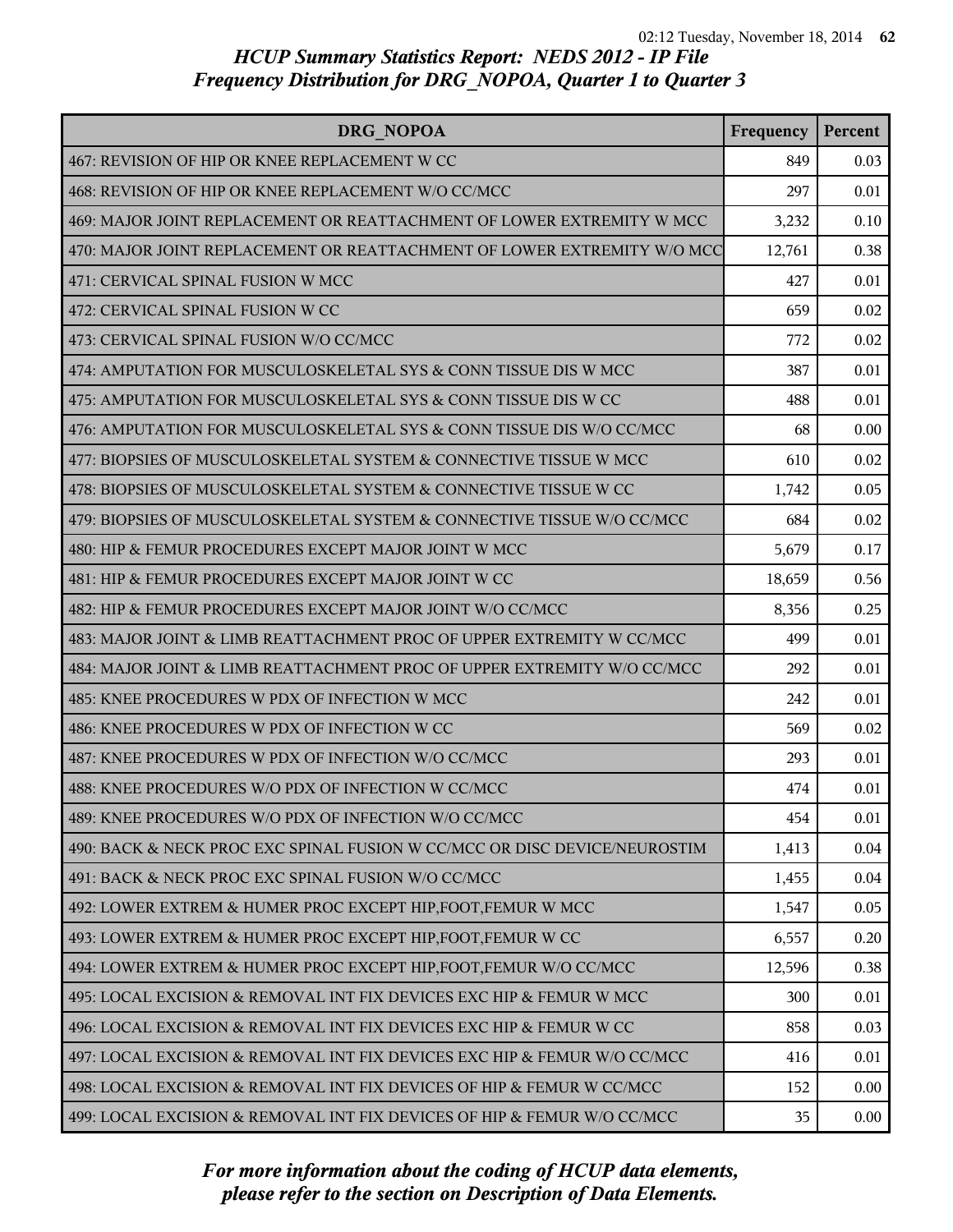| DRG NOPOA                                                                 | Frequency | Percent |
|---------------------------------------------------------------------------|-----------|---------|
| 467: REVISION OF HIP OR KNEE REPLACEMENT W CC                             | 849       | 0.03    |
| 468: REVISION OF HIP OR KNEE REPLACEMENT W/O CC/MCC                       | 297       | 0.01    |
| 469: MAJOR JOINT REPLACEMENT OR REATTACHMENT OF LOWER EXTREMITY W MCC     | 3,232     | 0.10    |
| 470: MAJOR JOINT REPLACEMENT OR REATTACHMENT OF LOWER EXTREMITY W/O MCC   | 12,761    | 0.38    |
| 471: CERVICAL SPINAL FUSION W MCC                                         | 427       | 0.01    |
| 472: CERVICAL SPINAL FUSION W CC                                          | 659       | 0.02    |
| 473: CERVICAL SPINAL FUSION W/O CC/MCC                                    | 772       | 0.02    |
| 474: AMPUTATION FOR MUSCULOSKELETAL SYS & CONN TISSUE DIS W MCC           | 387       | 0.01    |
| 475: AMPUTATION FOR MUSCULOSKELETAL SYS & CONN TISSUE DIS W CC            | 488       | 0.01    |
| 476: AMPUTATION FOR MUSCULOSKELETAL SYS & CONN TISSUE DIS W/O CC/MCC      | 68        | 0.00    |
| 477: BIOPSIES OF MUSCULOSKELETAL SYSTEM & CONNECTIVE TISSUE W MCC         | 610       | 0.02    |
| 478: BIOPSIES OF MUSCULOSKELETAL SYSTEM & CONNECTIVE TISSUE W CC          | 1,742     | 0.05    |
| 479: BIOPSIES OF MUSCULOSKELETAL SYSTEM & CONNECTIVE TISSUE W/O CC/MCC    | 684       | 0.02    |
| 480: HIP & FEMUR PROCEDURES EXCEPT MAJOR JOINT W MCC                      | 5,679     | 0.17    |
| 481: HIP & FEMUR PROCEDURES EXCEPT MAJOR JOINT W CC                       | 18,659    | 0.56    |
| 482: HIP & FEMUR PROCEDURES EXCEPT MAJOR JOINT W/O CC/MCC                 | 8,356     | 0.25    |
| 483: MAJOR JOINT & LIMB REATTACHMENT PROC OF UPPER EXTREMITY W CC/MCC     | 499       | 0.01    |
| 484: MAJOR JOINT & LIMB REATTACHMENT PROC OF UPPER EXTREMITY W/O CC/MCC   | 292       | 0.01    |
| 485: KNEE PROCEDURES W PDX OF INFECTION W MCC                             | 242       | 0.01    |
| 486: KNEE PROCEDURES W PDX OF INFECTION W CC                              | 569       | 0.02    |
| 487: KNEE PROCEDURES W PDX OF INFECTION W/O CC/MCC                        | 293       | 0.01    |
| 488: KNEE PROCEDURES W/O PDX OF INFECTION W CC/MCC                        | 474       | 0.01    |
| 489: KNEE PROCEDURES W/O PDX OF INFECTION W/O CC/MCC                      | 454       | 0.01    |
| 490: BACK & NECK PROC EXC SPINAL FUSION W CC/MCC OR DISC DEVICE/NEUROSTIM | 1,413     | 0.04    |
| 491: BACK & NECK PROC EXC SPINAL FUSION W/O CC/MCC                        | 1,455     | 0.04    |
| 492: LOWER EXTREM & HUMER PROC EXCEPT HIP, FOOT, FEMUR W MCC              | 1,547     | 0.05    |
| 493: LOWER EXTREM & HUMER PROC EXCEPT HIP, FOOT, FEMUR W CC               | 6,557     | 0.20    |
| 494: LOWER EXTREM & HUMER PROC EXCEPT HIP, FOOT, FEMUR W/O CC/MCC         | 12,596    | 0.38    |
| 495: LOCAL EXCISION & REMOVAL INT FIX DEVICES EXC HIP & FEMUR W MCC       | 300       | 0.01    |
| 496: LOCAL EXCISION & REMOVAL INT FIX DEVICES EXC HIP & FEMUR W CC        | 858       | 0.03    |
| 497: LOCAL EXCISION & REMOVAL INT FIX DEVICES EXC HIP & FEMUR W/O CC/MCC  | 416       | 0.01    |
| 498: LOCAL EXCISION & REMOVAL INT FIX DEVICES OF HIP & FEMUR W CC/MCC     | 152       | 0.00    |
| 499: LOCAL EXCISION & REMOVAL INT FIX DEVICES OF HIP & FEMUR W/O CC/MCC   | 35        | 0.00    |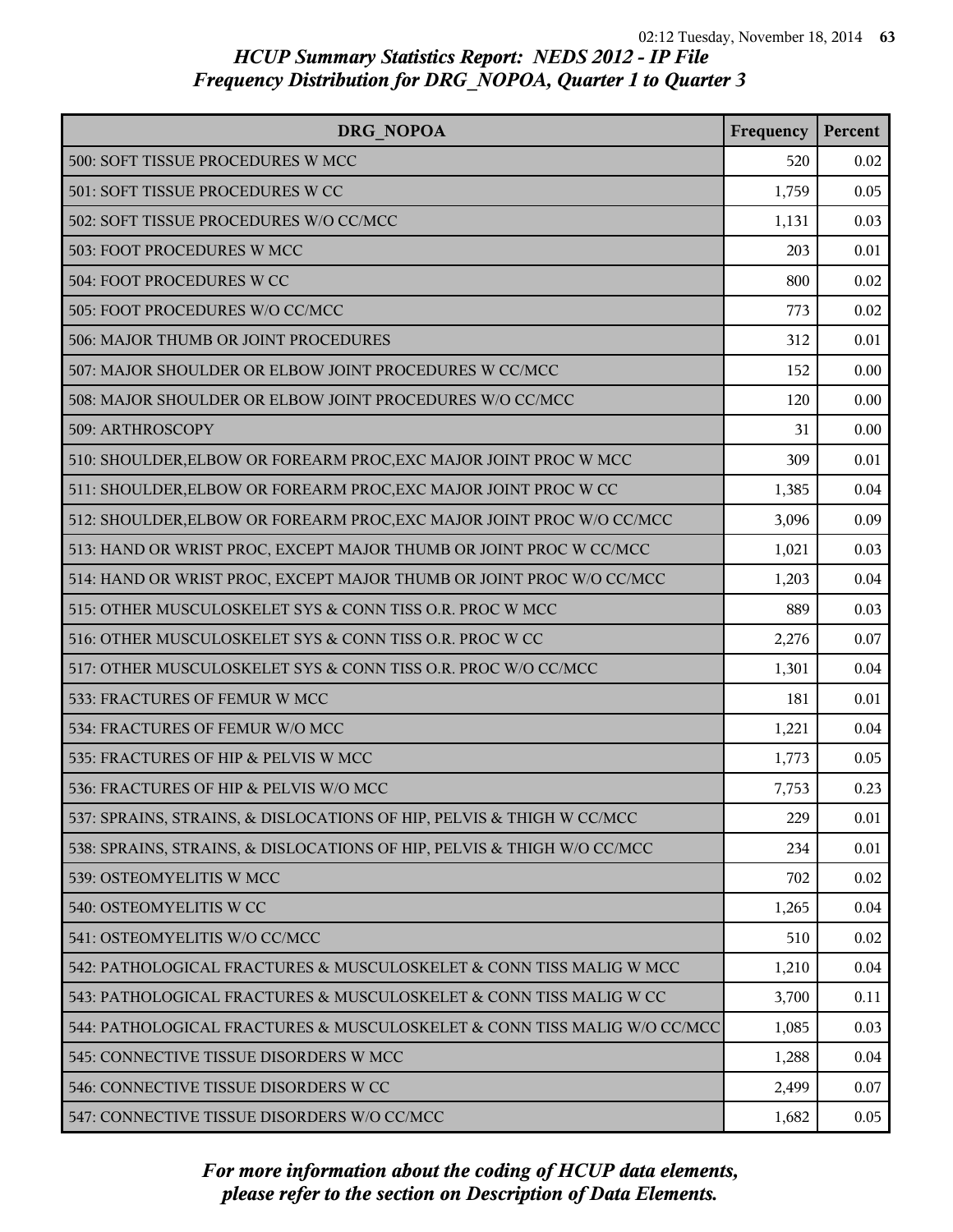| <b>DRG NOPOA</b>                                                         | Frequency | Percent |
|--------------------------------------------------------------------------|-----------|---------|
| 500: SOFT TISSUE PROCEDURES W MCC                                        | 520       | 0.02    |
| 501: SOFT TISSUE PROCEDURES W CC                                         | 1,759     | 0.05    |
| 502: SOFT TISSUE PROCEDURES W/O CC/MCC                                   | 1,131     | 0.03    |
| 503: FOOT PROCEDURES W MCC                                               | 203       | 0.01    |
| 504: FOOT PROCEDURES W CC                                                | 800       | 0.02    |
| 505: FOOT PROCEDURES W/O CC/MCC                                          | 773       | 0.02    |
| 506: MAJOR THUMB OR JOINT PROCEDURES                                     | 312       | 0.01    |
| 507: MAJOR SHOULDER OR ELBOW JOINT PROCEDURES W CC/MCC                   | 152       | 0.00    |
| 508: MAJOR SHOULDER OR ELBOW JOINT PROCEDURES W/O CC/MCC                 | 120       | 0.00    |
| 509: ARTHROSCOPY                                                         | 31        | 0.00    |
| 510: SHOULDER, ELBOW OR FOREARM PROC, EXC MAJOR JOINT PROC W MCC         | 309       | 0.01    |
| 511: SHOULDER, ELBOW OR FOREARM PROC, EXC MAJOR JOINT PROC W CC          | 1,385     | 0.04    |
| 512: SHOULDER, ELBOW OR FOREARM PROC, EXC MAJOR JOINT PROC W/O CC/MCC    | 3,096     | 0.09    |
| 513: HAND OR WRIST PROC, EXCEPT MAJOR THUMB OR JOINT PROC W CC/MCC       | 1,021     | 0.03    |
| 514: HAND OR WRIST PROC, EXCEPT MAJOR THUMB OR JOINT PROC W/O CC/MCC     | 1,203     | 0.04    |
| 515: OTHER MUSCULOSKELET SYS & CONN TISS O.R. PROC W MCC                 | 889       | 0.03    |
| 516: OTHER MUSCULOSKELET SYS & CONN TISS O.R. PROC W CC                  | 2,276     | 0.07    |
| 517: OTHER MUSCULOSKELET SYS & CONN TISS O.R. PROC W/O CC/MCC            | 1,301     | 0.04    |
| 533: FRACTURES OF FEMUR W MCC                                            | 181       | 0.01    |
| 534: FRACTURES OF FEMUR W/O MCC                                          | 1,221     | 0.04    |
| 535: FRACTURES OF HIP & PELVIS W MCC                                     | 1,773     | 0.05    |
| 536: FRACTURES OF HIP & PELVIS W/O MCC                                   | 7,753     | 0.23    |
| 537: SPRAINS, STRAINS, & DISLOCATIONS OF HIP, PELVIS & THIGH W CC/MCC    | 229       | 0.01    |
| 538: SPRAINS, STRAINS, & DISLOCATIONS OF HIP, PELVIS & THIGH W/O CC/MCC  | 234       | 0.01    |
| 539: OSTEOMYELITIS W MCC                                                 | 702       | 0.02    |
| 540: OSTEOMYELITIS W CC                                                  | 1,265     | 0.04    |
| 541: OSTEOMYELITIS W/O CC/MCC                                            | 510       | 0.02    |
| 542: PATHOLOGICAL FRACTURES & MUSCULOSKELET & CONN TISS MALIG W MCC      | 1,210     | 0.04    |
| 543: PATHOLOGICAL FRACTURES & MUSCULOSKELET & CONN TISS MALIG W CC       | 3,700     | 0.11    |
| 544: PATHOLOGICAL FRACTURES & MUSCULOSKELET & CONN TISS MALIG W/O CC/MCC | 1,085     | 0.03    |
| 545: CONNECTIVE TISSUE DISORDERS W MCC                                   | 1,288     | 0.04    |
| 546: CONNECTIVE TISSUE DISORDERS W CC                                    | 2,499     | 0.07    |
| 547: CONNECTIVE TISSUE DISORDERS W/O CC/MCC                              | 1,682     | 0.05    |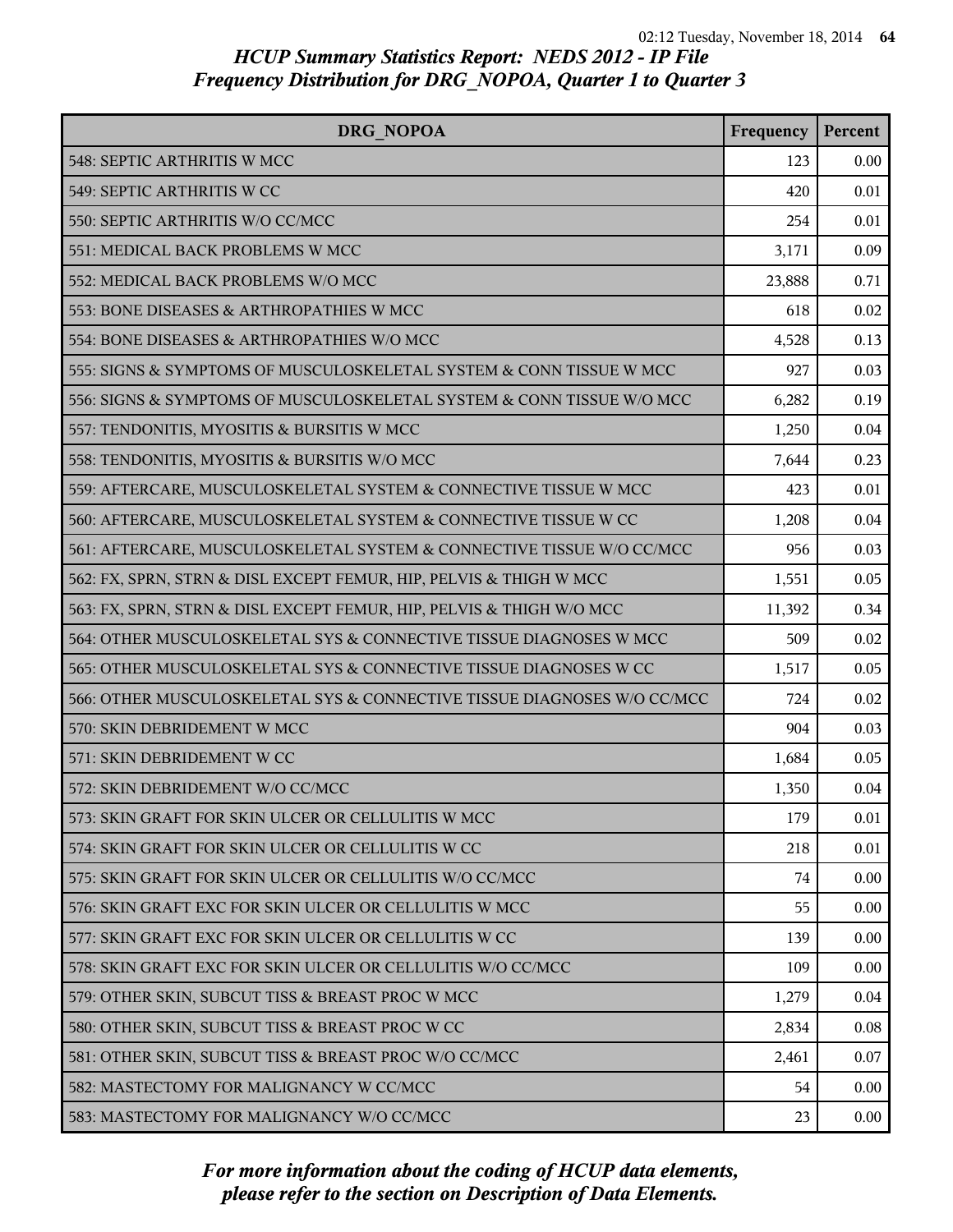| DRG NOPOA                                                               | Frequency | Percent |
|-------------------------------------------------------------------------|-----------|---------|
| 548: SEPTIC ARTHRITIS W MCC                                             | 123       | 0.00    |
| 549: SEPTIC ARTHRITIS W CC                                              | 420       | 0.01    |
| 550: SEPTIC ARTHRITIS W/O CC/MCC                                        | 254       | 0.01    |
| 551: MEDICAL BACK PROBLEMS W MCC                                        | 3,171     | 0.09    |
| 552: MEDICAL BACK PROBLEMS W/O MCC                                      | 23,888    | 0.71    |
| 553: BONE DISEASES & ARTHROPATHIES W MCC                                | 618       | 0.02    |
| 554: BONE DISEASES & ARTHROPATHIES W/O MCC                              | 4,528     | 0.13    |
| 555: SIGNS & SYMPTOMS OF MUSCULOSKELETAL SYSTEM & CONN TISSUE W MCC     | 927       | 0.03    |
| 556: SIGNS & SYMPTOMS OF MUSCULOSKELETAL SYSTEM & CONN TISSUE W/O MCC   | 6,282     | 0.19    |
| 557: TENDONITIS, MYOSITIS & BURSITIS W MCC                              | 1,250     | 0.04    |
| 558: TENDONITIS, MYOSITIS & BURSITIS W/O MCC                            | 7,644     | 0.23    |
| 559: AFTERCARE, MUSCULOSKELETAL SYSTEM & CONNECTIVE TISSUE W MCC        | 423       | 0.01    |
| 560: AFTERCARE, MUSCULOSKELETAL SYSTEM & CONNECTIVE TISSUE W CC         | 1,208     | 0.04    |
| 561: AFTERCARE, MUSCULOSKELETAL SYSTEM & CONNECTIVE TISSUE W/O CC/MCC   | 956       | 0.03    |
| 562: FX, SPRN, STRN & DISL EXCEPT FEMUR, HIP, PELVIS & THIGH W MCC      | 1,551     | 0.05    |
| 563: FX, SPRN, STRN & DISL EXCEPT FEMUR, HIP, PELVIS & THIGH W/O MCC    | 11,392    | 0.34    |
| 564: OTHER MUSCULOSKELETAL SYS & CONNECTIVE TISSUE DIAGNOSES W MCC      | 509       | 0.02    |
| 565: OTHER MUSCULOSKELETAL SYS & CONNECTIVE TISSUE DIAGNOSES W CC       | 1,517     | 0.05    |
| 566: OTHER MUSCULOSKELETAL SYS & CONNECTIVE TISSUE DIAGNOSES W/O CC/MCC | 724       | 0.02    |
| 570: SKIN DEBRIDEMENT W MCC                                             | 904       | 0.03    |
| 571: SKIN DEBRIDEMENT W CC                                              | 1,684     | 0.05    |
| 572: SKIN DEBRIDEMENT W/O CC/MCC                                        | 1,350     | 0.04    |
| 573: SKIN GRAFT FOR SKIN ULCER OR CELLULITIS W MCC                      | 179       | 0.01    |
| 574: SKIN GRAFT FOR SKIN ULCER OR CELLULITIS W CC                       | 218       | 0.01    |
| 575: SKIN GRAFT FOR SKIN ULCER OR CELLULITIS W/O CC/MCC                 | 74        | 0.00    |
| 576: SKIN GRAFT EXC FOR SKIN ULCER OR CELLULITIS W MCC                  | 55        | 0.00    |
| 577: SKIN GRAFT EXC FOR SKIN ULCER OR CELLULITIS W CC                   | 139       | 0.00    |
| 578: SKIN GRAFT EXC FOR SKIN ULCER OR CELLULITIS W/O CC/MCC             | 109       | 0.00    |
| 579: OTHER SKIN, SUBCUT TISS & BREAST PROC W MCC                        | 1,279     | 0.04    |
| 580: OTHER SKIN, SUBCUT TISS & BREAST PROC W CC                         | 2,834     | 0.08    |
| 581: OTHER SKIN, SUBCUT TISS & BREAST PROC W/O CC/MCC                   | 2,461     | 0.07    |
| 582: MASTECTOMY FOR MALIGNANCY W CC/MCC                                 | 54        | 0.00    |
| 583: MASTECTOMY FOR MALIGNANCY W/O CC/MCC                               | 23        | 0.00    |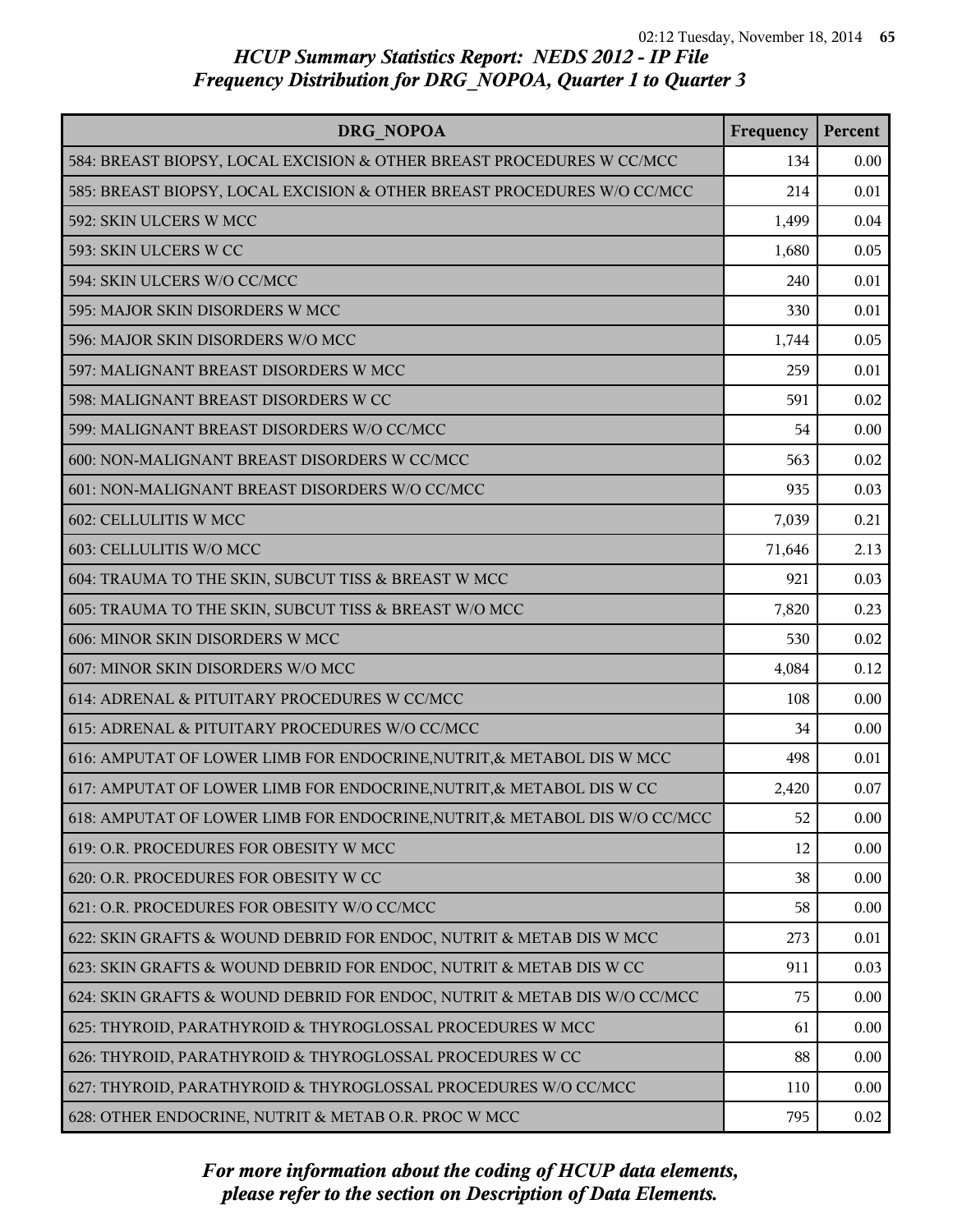| DRG NOPOA                                                                  | Frequency | Percent |
|----------------------------------------------------------------------------|-----------|---------|
| 584: BREAST BIOPSY, LOCAL EXCISION & OTHER BREAST PROCEDURES W CC/MCC      | 134       | 0.00    |
| 585: BREAST BIOPSY, LOCAL EXCISION & OTHER BREAST PROCEDURES W/O CC/MCC    | 214       | 0.01    |
| 592: SKIN ULCERS W MCC                                                     | 1,499     | 0.04    |
| 593: SKIN ULCERS W CC                                                      | 1,680     | 0.05    |
| 594: SKIN ULCERS W/O CC/MCC                                                | 240       | 0.01    |
| 595: MAJOR SKIN DISORDERS W MCC                                            | 330       | 0.01    |
| 596: MAJOR SKIN DISORDERS W/O MCC                                          | 1,744     | 0.05    |
| 597: MALIGNANT BREAST DISORDERS W MCC                                      | 259       | 0.01    |
| 598: MALIGNANT BREAST DISORDERS W CC                                       | 591       | 0.02    |
| 599: MALIGNANT BREAST DISORDERS W/O CC/MCC                                 | 54        | 0.00    |
| 600: NON-MALIGNANT BREAST DISORDERS W CC/MCC                               | 563       | 0.02    |
| 601: NON-MALIGNANT BREAST DISORDERS W/O CC/MCC                             | 935       | 0.03    |
| 602: CELLULITIS W MCC                                                      | 7,039     | 0.21    |
| 603: CELLULITIS W/O MCC                                                    | 71,646    | 2.13    |
| 604: TRAUMA TO THE SKIN, SUBCUT TISS & BREAST W MCC                        | 921       | 0.03    |
| 605: TRAUMA TO THE SKIN, SUBCUT TISS & BREAST W/O MCC                      | 7,820     | 0.23    |
| 606: MINOR SKIN DISORDERS W MCC                                            | 530       | 0.02    |
| 607: MINOR SKIN DISORDERS W/O MCC                                          | 4,084     | 0.12    |
| 614: ADRENAL & PITUITARY PROCEDURES W CC/MCC                               | 108       | 0.00    |
| 615: ADRENAL & PITUITARY PROCEDURES W/O CC/MCC                             | 34        | 0.00    |
| 616: AMPUTAT OF LOWER LIMB FOR ENDOCRINE, NUTRIT, & METABOL DIS W MCC      | 498       | 0.01    |
| 617: AMPUTAT OF LOWER LIMB FOR ENDOCRINE, NUTRIT, & METABOL DIS W CC       | 2,420     | 0.07    |
| 618: AMPUTAT OF LOWER LIMB FOR ENDOCRINE, NUTRIT, & METABOL DIS W/O CC/MCC | 52        | 0.00    |
| 619: O.R. PROCEDURES FOR OBESITY W MCC                                     | 12        | 0.00    |
| 620: O.R. PROCEDURES FOR OBESITY W CC                                      | 38        | 0.00    |
| 621: O.R. PROCEDURES FOR OBESITY W/O CC/MCC                                | 58        | 0.00    |
| 622: SKIN GRAFTS & WOUND DEBRID FOR ENDOC, NUTRIT & METAB DIS W MCC        | 273       | 0.01    |
| 623: SKIN GRAFTS & WOUND DEBRID FOR ENDOC, NUTRIT & METAB DIS W CC         | 911       | 0.03    |
| 624: SKIN GRAFTS & WOUND DEBRID FOR ENDOC, NUTRIT & METAB DIS W/O CC/MCC   | 75        | 0.00    |
| 625: THYROID, PARATHYROID & THYROGLOSSAL PROCEDURES W MCC                  | 61        | 0.00    |
| 626: THYROID, PARATHYROID & THYROGLOSSAL PROCEDURES W CC                   | 88        | 0.00    |
| 627: THYROID, PARATHYROID & THYROGLOSSAL PROCEDURES W/O CC/MCC             | 110       | 0.00    |
| 628: OTHER ENDOCRINE, NUTRIT & METAB O.R. PROC W MCC                       | 795       | 0.02    |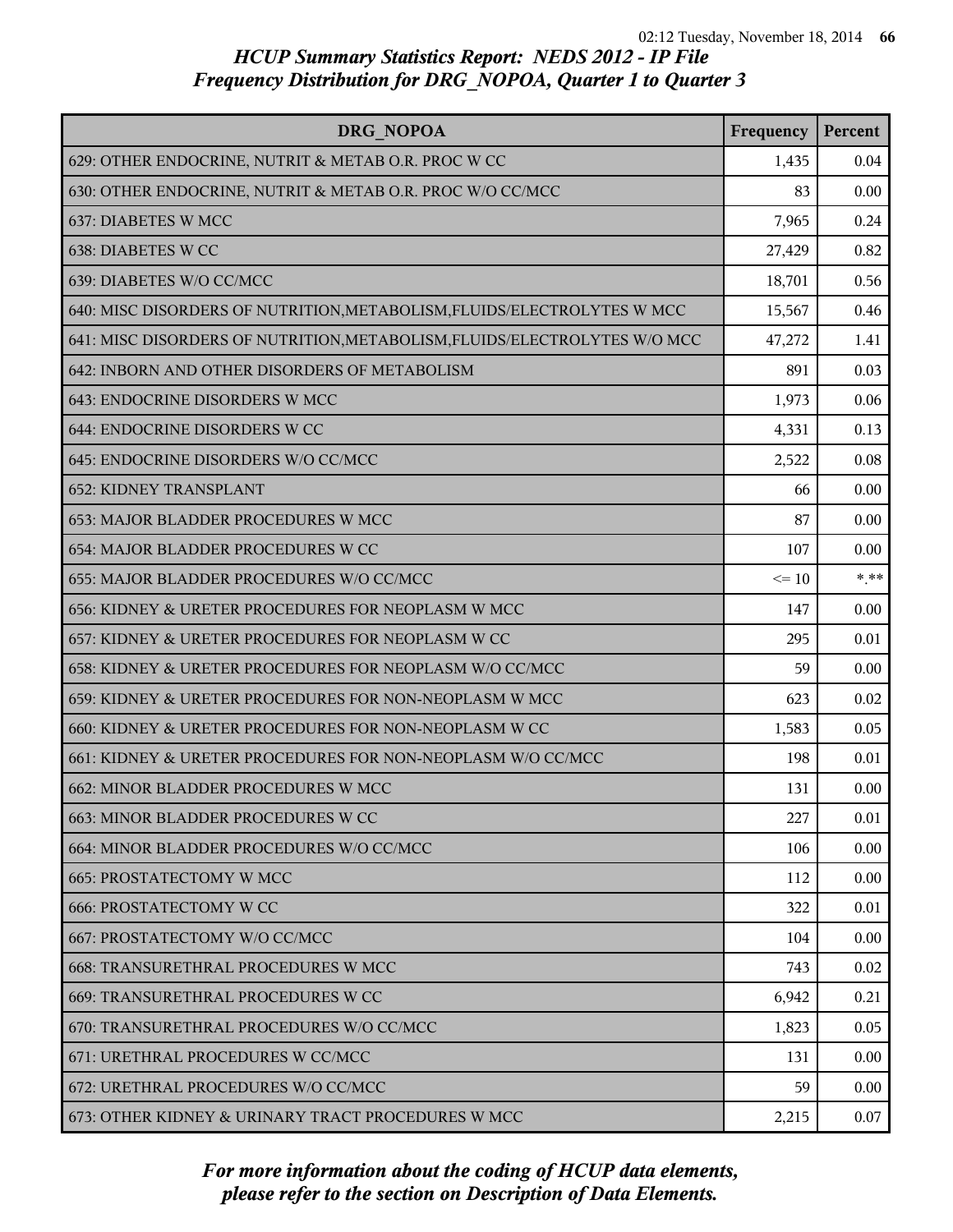| <b>DRG NOPOA</b>                                                          | Frequency | Percent |
|---------------------------------------------------------------------------|-----------|---------|
| 629: OTHER ENDOCRINE, NUTRIT & METAB O.R. PROC W CC                       | 1,435     | 0.04    |
| 630: OTHER ENDOCRINE, NUTRIT & METAB O.R. PROC W/O CC/MCC                 | 83        | 0.00    |
| 637: DIABETES W MCC                                                       | 7,965     | 0.24    |
| 638: DIABETES W CC                                                        | 27,429    | 0.82    |
| 639: DIABETES W/O CC/MCC                                                  | 18,701    | 0.56    |
| 640: MISC DISORDERS OF NUTRITION, METABOLISM, FLUIDS/ELECTROLYTES W MCC   | 15,567    | 0.46    |
| 641: MISC DISORDERS OF NUTRITION, METABOLISM, FLUIDS/ELECTROLYTES W/O MCC | 47,272    | 1.41    |
| 642: INBORN AND OTHER DISORDERS OF METABOLISM                             | 891       | 0.03    |
| 643: ENDOCRINE DISORDERS W MCC                                            | 1,973     | 0.06    |
| 644: ENDOCRINE DISORDERS W CC                                             | 4,331     | 0.13    |
| 645: ENDOCRINE DISORDERS W/O CC/MCC                                       | 2,522     | 0.08    |
| <b>652: KIDNEY TRANSPLANT</b>                                             | 66        | 0.00    |
| 653: MAJOR BLADDER PROCEDURES W MCC                                       | 87        | 0.00    |
| 654: MAJOR BLADDER PROCEDURES W CC                                        | 107       | 0.00    |
| 655: MAJOR BLADDER PROCEDURES W/O CC/MCC                                  | $\leq 10$ | $***$   |
| 656: KIDNEY & URETER PROCEDURES FOR NEOPLASM W MCC                        | 147       | 0.00    |
| 657: KIDNEY & URETER PROCEDURES FOR NEOPLASM W CC                         | 295       | 0.01    |
| 658: KIDNEY & URETER PROCEDURES FOR NEOPLASM W/O CC/MCC                   | 59        | 0.00    |
| 659: KIDNEY & URETER PROCEDURES FOR NON-NEOPLASM W MCC                    | 623       | 0.02    |
| 660: KIDNEY & URETER PROCEDURES FOR NON-NEOPLASM W CC                     | 1,583     | 0.05    |
| 661: KIDNEY & URETER PROCEDURES FOR NON-NEOPLASM W/O CC/MCC               | 198       | 0.01    |
| 662: MINOR BLADDER PROCEDURES W MCC                                       | 131       | 0.00    |
| 663: MINOR BLADDER PROCEDURES W CC                                        | 227       | 0.01    |
| 664: MINOR BLADDER PROCEDURES W/O CC/MCC                                  | 106       | 0.00    |
| <b>665: PROSTATECTOMY W MCC</b>                                           | 112       | 0.00    |
| <b>666: PROSTATECTOMY W CC</b>                                            | 322       | 0.01    |
| 667: PROSTATECTOMY W/O CC/MCC                                             | 104       | 0.00    |
| <b>668: TRANSURETHRAL PROCEDURES W MCC</b>                                | 743       | 0.02    |
| 669: TRANSURETHRAL PROCEDURES W CC                                        | 6,942     | 0.21    |
| 670: TRANSURETHRAL PROCEDURES W/O CC/MCC                                  | 1,823     | 0.05    |
| 671: URETHRAL PROCEDURES W CC/MCC                                         | 131       | 0.00    |
| 672: URETHRAL PROCEDURES W/O CC/MCC                                       | 59        | 0.00    |
| 673: OTHER KIDNEY & URINARY TRACT PROCEDURES W MCC                        | 2,215     | 0.07    |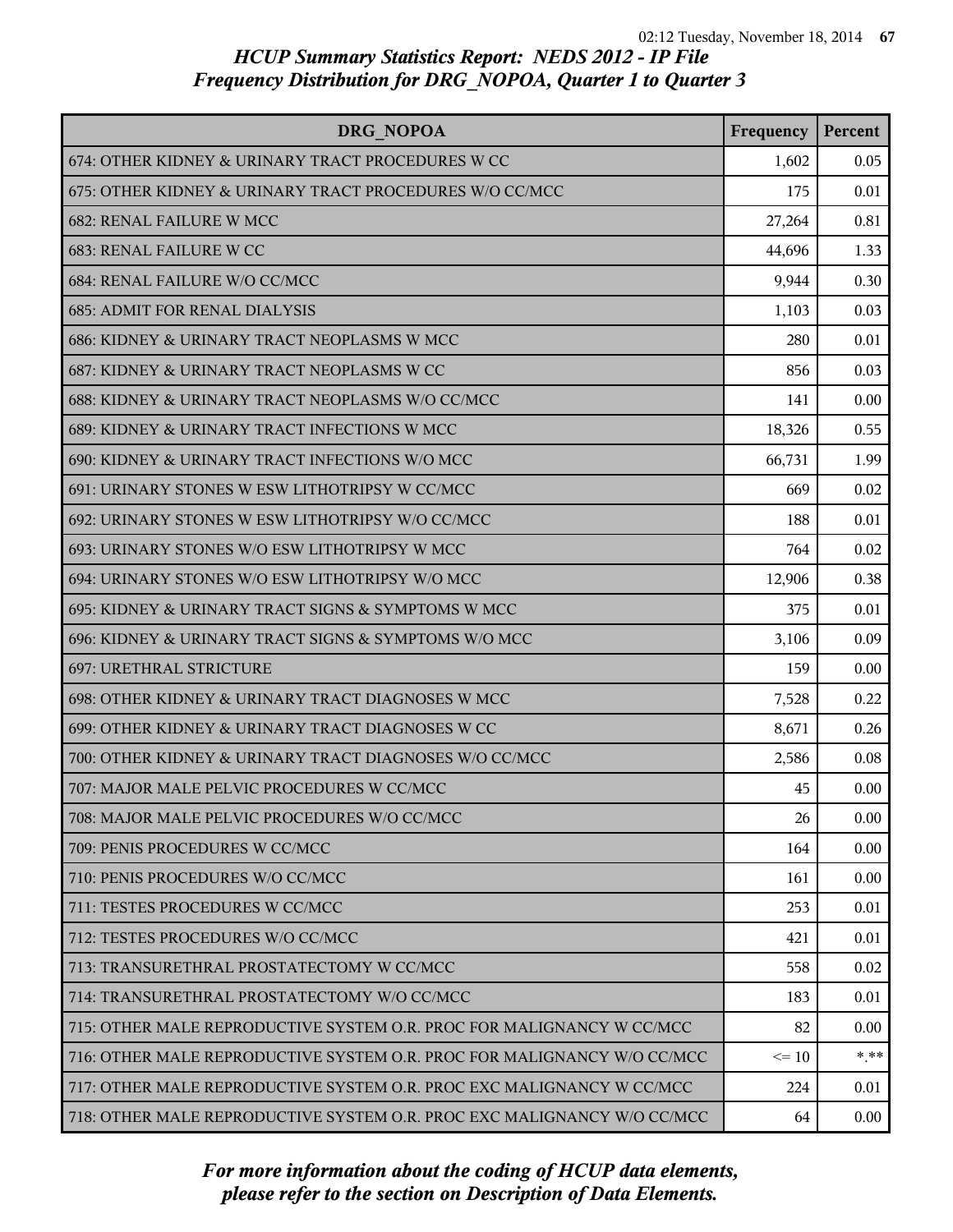| <b>DRG NOPOA</b>                                                        | Frequency | Percent |
|-------------------------------------------------------------------------|-----------|---------|
| 674: OTHER KIDNEY & URINARY TRACT PROCEDURES W CC                       | 1,602     | 0.05    |
| 675: OTHER KIDNEY & URINARY TRACT PROCEDURES W/O CC/MCC                 | 175       | 0.01    |
| 682: RENAL FAILURE W MCC                                                | 27,264    | 0.81    |
| 683: RENAL FAILURE W CC                                                 | 44,696    | 1.33    |
| 684: RENAL FAILURE W/O CC/MCC                                           | 9,944     | 0.30    |
| <b>685: ADMIT FOR RENAL DIALYSIS</b>                                    | 1,103     | 0.03    |
| 686: KIDNEY & URINARY TRACT NEOPLASMS W MCC                             | 280       | 0.01    |
| 687: KIDNEY & URINARY TRACT NEOPLASMS W CC                              | 856       | 0.03    |
| 688: KIDNEY & URINARY TRACT NEOPLASMS W/O CC/MCC                        | 141       | 0.00    |
| 689: KIDNEY & URINARY TRACT INFECTIONS W MCC                            | 18,326    | 0.55    |
| 690: KIDNEY & URINARY TRACT INFECTIONS W/O MCC                          | 66,731    | 1.99    |
| 691: URINARY STONES W ESW LITHOTRIPSY W CC/MCC                          | 669       | 0.02    |
| 692: URINARY STONES W ESW LITHOTRIPSY W/O CC/MCC                        | 188       | 0.01    |
| 693: URINARY STONES W/O ESW LITHOTRIPSY W MCC                           | 764       | 0.02    |
| 694: URINARY STONES W/O ESW LITHOTRIPSY W/O MCC                         | 12,906    | 0.38    |
| 695: KIDNEY & URINARY TRACT SIGNS & SYMPTOMS W MCC                      | 375       | 0.01    |
| 696: KIDNEY & URINARY TRACT SIGNS & SYMPTOMS W/O MCC                    | 3,106     | 0.09    |
| 697: URETHRAL STRICTURE                                                 | 159       | 0.00    |
| 698: OTHER KIDNEY & URINARY TRACT DIAGNOSES W MCC                       | 7,528     | 0.22    |
| 699: OTHER KIDNEY & URINARY TRACT DIAGNOSES W CC                        | 8,671     | 0.26    |
| 700: OTHER KIDNEY & URINARY TRACT DIAGNOSES W/O CC/MCC                  | 2,586     | 0.08    |
| 707: MAJOR MALE PELVIC PROCEDURES W CC/MCC                              | 45        | 0.00    |
| 708: MAJOR MALE PELVIC PROCEDURES W/O CC/MCC                            | 26        | 0.00    |
| 709: PENIS PROCEDURES W CC/MCC                                          | 164       | 0.00    |
| 710: PENIS PROCEDURES W/O CC/MCC                                        | 161       | 0.00    |
| 711: TESTES PROCEDURES W CC/MCC                                         | 253       | 0.01    |
| 712: TESTES PROCEDURES W/O CC/MCC                                       | 421       | 0.01    |
| 713: TRANSURETHRAL PROSTATECTOMY W CC/MCC                               | 558       | 0.02    |
| 714: TRANSURETHRAL PROSTATECTOMY W/O CC/MCC                             | 183       | 0.01    |
| 715: OTHER MALE REPRODUCTIVE SYSTEM O.R. PROC FOR MALIGNANCY W CC/MCC   | 82        | 0.00    |
| 716: OTHER MALE REPRODUCTIVE SYSTEM O.R. PROC FOR MALIGNANCY W/O CC/MCC | $\leq 10$ | * **    |
| 717: OTHER MALE REPRODUCTIVE SYSTEM O.R. PROC EXC MALIGNANCY W CC/MCC   | 224       | 0.01    |
| 718: OTHER MALE REPRODUCTIVE SYSTEM O.R. PROC EXC MALIGNANCY W/O CC/MCC | 64        | 0.00    |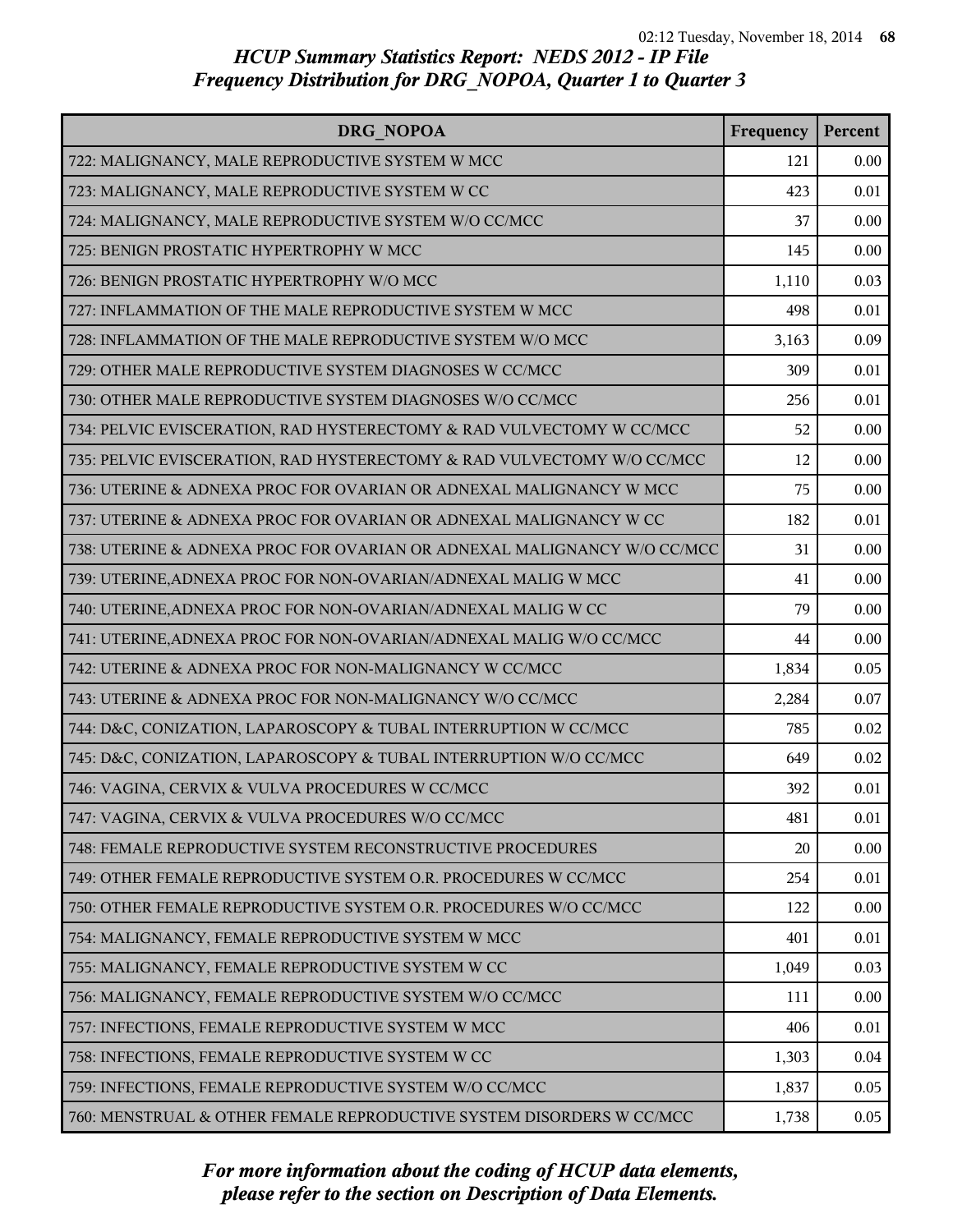| DRG NOPOA                                                               | Frequency | Percent |
|-------------------------------------------------------------------------|-----------|---------|
| 722: MALIGNANCY, MALE REPRODUCTIVE SYSTEM W MCC                         | 121       | 0.00    |
| 723: MALIGNANCY, MALE REPRODUCTIVE SYSTEM W CC                          | 423       | 0.01    |
| 724: MALIGNANCY, MALE REPRODUCTIVE SYSTEM W/O CC/MCC                    | 37        | 0.00    |
| 725: BENIGN PROSTATIC HYPERTROPHY W MCC                                 | 145       | 0.00    |
| 726: BENIGN PROSTATIC HYPERTROPHY W/O MCC                               | 1,110     | 0.03    |
| 727: INFLAMMATION OF THE MALE REPRODUCTIVE SYSTEM W MCC                 | 498       | 0.01    |
| 728: INFLAMMATION OF THE MALE REPRODUCTIVE SYSTEM W/O MCC               | 3,163     | 0.09    |
| 729: OTHER MALE REPRODUCTIVE SYSTEM DIAGNOSES W CC/MCC                  | 309       | 0.01    |
| 730: OTHER MALE REPRODUCTIVE SYSTEM DIAGNOSES W/O CC/MCC                | 256       | 0.01    |
| 734: PELVIC EVISCERATION, RAD HYSTERECTOMY & RAD VULVECTOMY W CC/MCC    | 52        | 0.00    |
| 735: PELVIC EVISCERATION, RAD HYSTERECTOMY & RAD VULVECTOMY W/O CC/MCC  | 12        | 0.00    |
| 736: UTERINE & ADNEXA PROC FOR OVARIAN OR ADNEXAL MALIGNANCY W MCC      | 75        | 0.00    |
| 737: UTERINE & ADNEXA PROC FOR OVARIAN OR ADNEXAL MALIGNANCY W CC       | 182       | 0.01    |
| 738: UTERINE & ADNEXA PROC FOR OVARIAN OR ADNEXAL MALIGNANCY W/O CC/MCC | 31        | 0.00    |
| 739: UTERINE, ADNEXA PROC FOR NON-OVARIAN/ADNEXAL MALIG W MCC           | 41        | 0.00    |
| 740: UTERINE, ADNEXA PROC FOR NON-OVARIAN/ADNEXAL MALIG W CC            | 79        | 0.00    |
| 741: UTERINE, ADNEXA PROC FOR NON-OVARIAN/ADNEXAL MALIG W/O CC/MCC      | 44        | 0.00    |
| 742: UTERINE & ADNEXA PROC FOR NON-MALIGNANCY W CC/MCC                  | 1,834     | 0.05    |
| 743: UTERINE & ADNEXA PROC FOR NON-MALIGNANCY W/O CC/MCC                | 2,284     | 0.07    |
| 744: D&C, CONIZATION, LAPAROSCOPY & TUBAL INTERRUPTION W CC/MCC         | 785       | 0.02    |
| 745: D&C, CONIZATION, LAPAROSCOPY & TUBAL INTERRUPTION W/O CC/MCC       | 649       | 0.02    |
| 746: VAGINA, CERVIX & VULVA PROCEDURES W CC/MCC                         | 392       | 0.01    |
| 747: VAGINA, CERVIX & VULVA PROCEDURES W/O CC/MCC                       | 481       | 0.01    |
| 748: FEMALE REPRODUCTIVE SYSTEM RECONSTRUCTIVE PROCEDURES               | 20        | 0.00    |
| 749: OTHER FEMALE REPRODUCTIVE SYSTEM O.R. PROCEDURES W CC/MCC          | 254       | 0.01    |
| 750: OTHER FEMALE REPRODUCTIVE SYSTEM O.R. PROCEDURES W/O CC/MCC        | 122       | 0.00    |
| 754: MALIGNANCY, FEMALE REPRODUCTIVE SYSTEM W MCC                       | 401       | 0.01    |
| 755: MALIGNANCY, FEMALE REPRODUCTIVE SYSTEM W CC                        | 1,049     | 0.03    |
| 756: MALIGNANCY, FEMALE REPRODUCTIVE SYSTEM W/O CC/MCC                  | 111       | 0.00    |
| 757: INFECTIONS, FEMALE REPRODUCTIVE SYSTEM W MCC                       | 406       | 0.01    |
| 758: INFECTIONS, FEMALE REPRODUCTIVE SYSTEM W CC                        | 1,303     | 0.04    |
| 759: INFECTIONS, FEMALE REPRODUCTIVE SYSTEM W/O CC/MCC                  | 1,837     | 0.05    |
| 760: MENSTRUAL & OTHER FEMALE REPRODUCTIVE SYSTEM DISORDERS W CC/MCC    | 1,738     | 0.05    |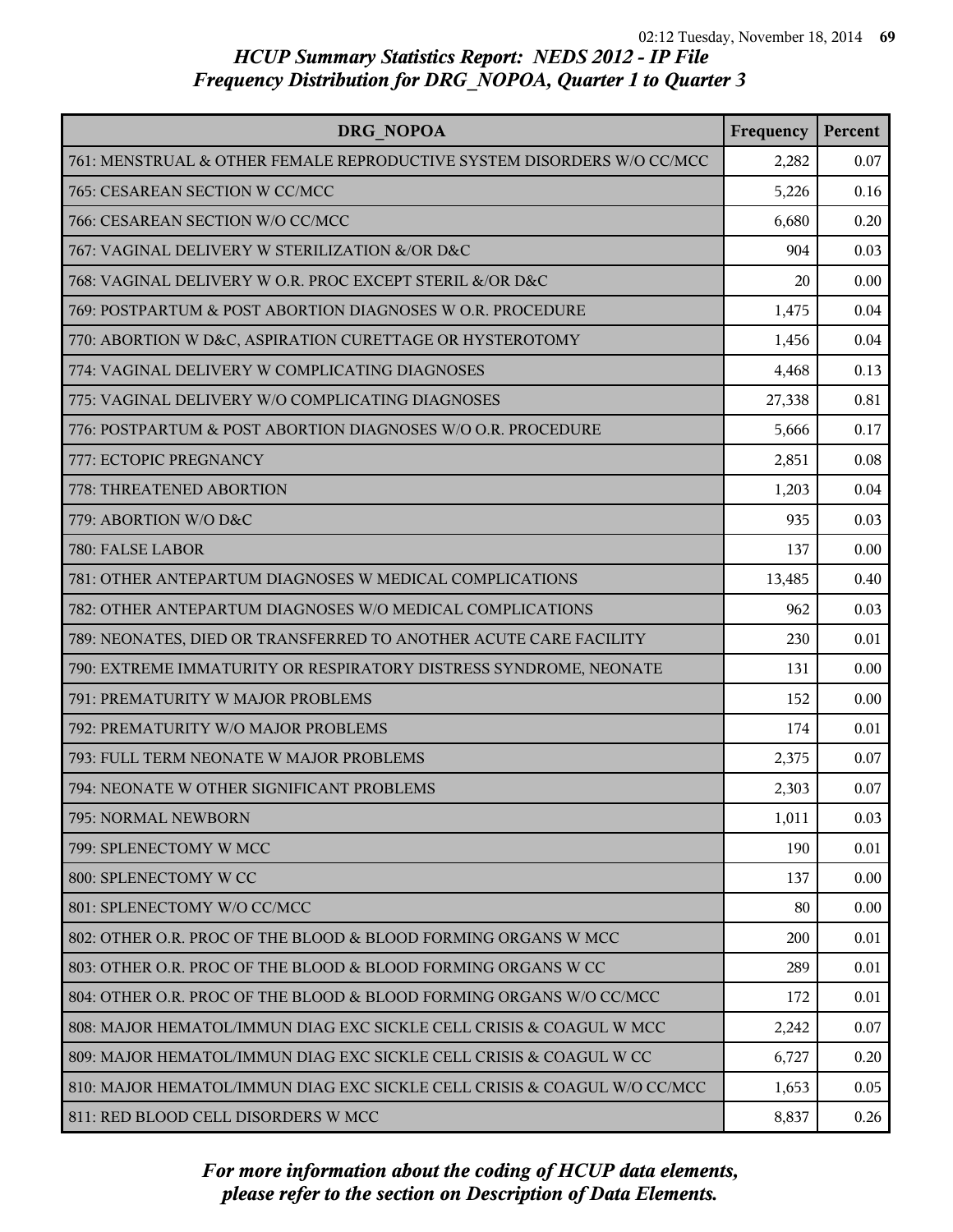| <b>DRG NOPOA</b>                                                         | Frequency | Percent |
|--------------------------------------------------------------------------|-----------|---------|
| 761: MENSTRUAL & OTHER FEMALE REPRODUCTIVE SYSTEM DISORDERS W/O CC/MCC   | 2,282     | 0.07    |
| 765: CESAREAN SECTION W CC/MCC                                           | 5,226     | 0.16    |
| 766: CESAREAN SECTION W/O CC/MCC                                         | 6,680     | 0.20    |
| 767: VAGINAL DELIVERY W STERILIZATION &/OR D&C                           | 904       | 0.03    |
| 768: VAGINAL DELIVERY W O.R. PROC EXCEPT STERIL &/OR D&C                 | 20        | 0.00    |
| 769: POSTPARTUM & POST ABORTION DIAGNOSES W O.R. PROCEDURE               | 1,475     | 0.04    |
| 770: ABORTION W D&C, ASPIRATION CURETTAGE OR HYSTEROTOMY                 | 1,456     | 0.04    |
| 774: VAGINAL DELIVERY W COMPLICATING DIAGNOSES                           | 4,468     | 0.13    |
| 775: VAGINAL DELIVERY W/O COMPLICATING DIAGNOSES                         | 27,338    | 0.81    |
| 776: POSTPARTUM & POST ABORTION DIAGNOSES W/O O.R. PROCEDURE             | 5,666     | 0.17    |
| 777: ECTOPIC PREGNANCY                                                   | 2,851     | 0.08    |
| 778: THREATENED ABORTION                                                 | 1,203     | 0.04    |
| 779: ABORTION W/O D&C                                                    | 935       | 0.03    |
| 780: FALSE LABOR                                                         | 137       | 0.00    |
| 781: OTHER ANTEPARTUM DIAGNOSES W MEDICAL COMPLICATIONS                  | 13,485    | 0.40    |
| 782: OTHER ANTEPARTUM DIAGNOSES W/O MEDICAL COMPLICATIONS                | 962       | 0.03    |
| 789: NEONATES, DIED OR TRANSFERRED TO ANOTHER ACUTE CARE FACILITY        | 230       | 0.01    |
| 790: EXTREME IMMATURITY OR RESPIRATORY DISTRESS SYNDROME, NEONATE        | 131       | 0.00    |
| 791: PREMATURITY W MAJOR PROBLEMS                                        | 152       | 0.00    |
| 792: PREMATURITY W/O MAJOR PROBLEMS                                      | 174       | 0.01    |
| 793: FULL TERM NEONATE W MAJOR PROBLEMS                                  | 2,375     | 0.07    |
| 794: NEONATE W OTHER SIGNIFICANT PROBLEMS                                | 2,303     | 0.07    |
| 795: NORMAL NEWBORN                                                      | 1,011     | 0.03    |
| 799: SPLENECTOMY W MCC                                                   | 190       | 0.01    |
| 800: SPLENECTOMY W CC                                                    | 137       | 0.00    |
| 801: SPLENECTOMY W/O CC/MCC                                              | 80        | 0.00    |
| 802: OTHER O.R. PROC OF THE BLOOD & BLOOD FORMING ORGANS W MCC           | 200       | 0.01    |
| 803: OTHER O.R. PROC OF THE BLOOD & BLOOD FORMING ORGANS W CC            | 289       | 0.01    |
| 804: OTHER O.R. PROC OF THE BLOOD & BLOOD FORMING ORGANS W/O CC/MCC      | 172       | 0.01    |
| 808: MAJOR HEMATOL/IMMUN DIAG EXC SICKLE CELL CRISIS & COAGUL W MCC      | 2,242     | 0.07    |
| 809: MAJOR HEMATOL/IMMUN DIAG EXC SICKLE CELL CRISIS & COAGUL W CC       | 6,727     | 0.20    |
| 810: MAJOR HEMATOL/IMMUN DIAG EXC SICKLE CELL CRISIS & COAGUL W/O CC/MCC | 1,653     | 0.05    |
| 811: RED BLOOD CELL DISORDERS W MCC                                      | 8,837     | 0.26    |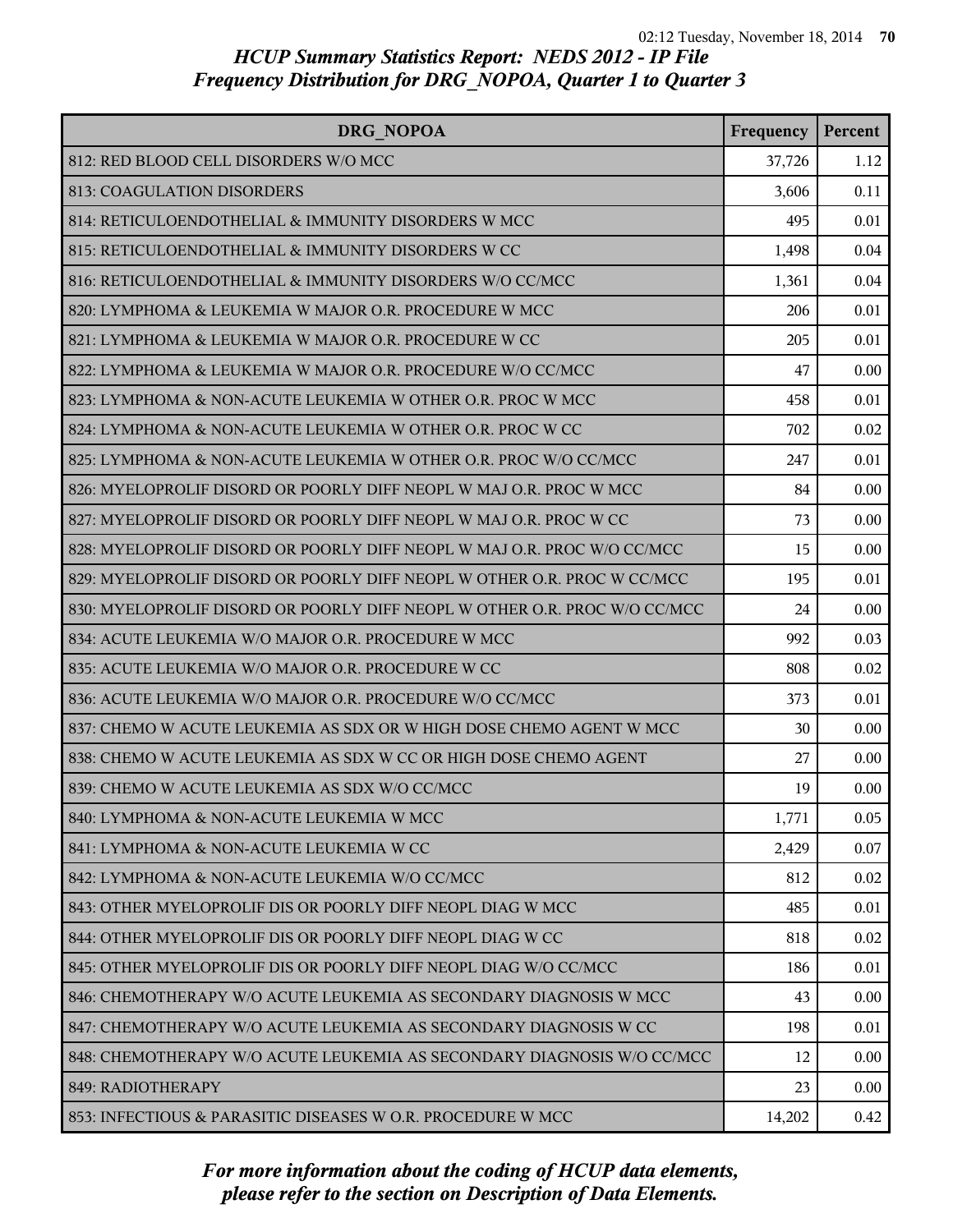| DRG NOPOA                                                                 | Frequency | Percent |
|---------------------------------------------------------------------------|-----------|---------|
| 812: RED BLOOD CELL DISORDERS W/O MCC                                     | 37,726    | 1.12    |
| 813: COAGULATION DISORDERS                                                | 3,606     | 0.11    |
| 814: RETICULOENDOTHELIAL & IMMUNITY DISORDERS W MCC                       | 495       | 0.01    |
| 815: RETICULOENDOTHELIAL & IMMUNITY DISORDERS W CC                        | 1,498     | 0.04    |
| 816: RETICULOENDOTHELIAL & IMMUNITY DISORDERS W/O CC/MCC                  | 1,361     | 0.04    |
| 820: LYMPHOMA & LEUKEMIA W MAJOR O.R. PROCEDURE W MCC                     | 206       | 0.01    |
| 821: LYMPHOMA & LEUKEMIA W MAJOR O.R. PROCEDURE W CC                      | 205       | 0.01    |
| 822: LYMPHOMA & LEUKEMIA W MAJOR O.R. PROCEDURE W/O CC/MCC                | 47        | 0.00    |
| 823: LYMPHOMA & NON-ACUTE LEUKEMIA W OTHER O.R. PROC W MCC                | 458       | 0.01    |
| 824: LYMPHOMA & NON-ACUTE LEUKEMIA W OTHER O.R. PROC W CC                 | 702       | 0.02    |
| 825: LYMPHOMA & NON-ACUTE LEUKEMIA W OTHER O.R. PROC W/O CC/MCC           | 247       | 0.01    |
| 826: MYELOPROLIF DISORD OR POORLY DIFF NEOPL W MAJ O.R. PROC W MCC        | 84        | 0.00    |
| 827: MYELOPROLIF DISORD OR POORLY DIFF NEOPL W MAJ O.R. PROC W CC         | 73        | 0.00    |
| 828: MYELOPROLIF DISORD OR POORLY DIFF NEOPL W MAJ O.R. PROC W/O CC/MCC   | 15        | 0.00    |
| 829: MYELOPROLIF DISORD OR POORLY DIFF NEOPL W OTHER O.R. PROC W CC/MCC   | 195       | 0.01    |
| 830: MYELOPROLIF DISORD OR POORLY DIFF NEOPL W OTHER O.R. PROC W/O CC/MCC | 24        | 0.00    |
| 834: ACUTE LEUKEMIA W/O MAJOR O.R. PROCEDURE W MCC                        | 992       | 0.03    |
| 835: ACUTE LEUKEMIA W/O MAJOR O.R. PROCEDURE W CC                         | 808       | 0.02    |
| 836: ACUTE LEUKEMIA W/O MAJOR O.R. PROCEDURE W/O CC/MCC                   | 373       | 0.01    |
| 837: CHEMO W ACUTE LEUKEMIA AS SDX OR W HIGH DOSE CHEMO AGENT W MCC       | 30        | 0.00    |
| 838: CHEMO W ACUTE LEUKEMIA AS SDX W CC OR HIGH DOSE CHEMO AGENT          | 27        | 0.00    |
| 839: CHEMO W ACUTE LEUKEMIA AS SDX W/O CC/MCC                             | 19        | 0.00    |
| 840: LYMPHOMA & NON-ACUTE LEUKEMIA W MCC                                  | 1,771     | 0.05    |
| 841: LYMPHOMA & NON-ACUTE LEUKEMIA W CC                                   | 2,429     | 0.07    |
| 842: LYMPHOMA & NON-ACUTE LEUKEMIA W/O CC/MCC                             | 812       | 0.02    |
| 843: OTHER MYELOPROLIF DIS OR POORLY DIFF NEOPL DIAG W MCC                | 485       | 0.01    |
| 844: OTHER MYELOPROLIF DIS OR POORLY DIFF NEOPL DIAG W CC                 | 818       | 0.02    |
| 845: OTHER MYELOPROLIF DIS OR POORLY DIFF NEOPL DIAG W/O CC/MCC           | 186       | 0.01    |
| 846: CHEMOTHERAPY W/O ACUTE LEUKEMIA AS SECONDARY DIAGNOSIS W MCC         | 43        | 0.00    |
| 847: CHEMOTHERAPY W/O ACUTE LEUKEMIA AS SECONDARY DIAGNOSIS W CC          | 198       | 0.01    |
| 848: CHEMOTHERAPY W/O ACUTE LEUKEMIA AS SECONDARY DIAGNOSIS W/O CC/MCC    | 12        | 0.00    |
| 849: RADIOTHERAPY                                                         | 23        | 0.00    |
| 853: INFECTIOUS & PARASITIC DISEASES W O.R. PROCEDURE W MCC               | 14,202    | 0.42    |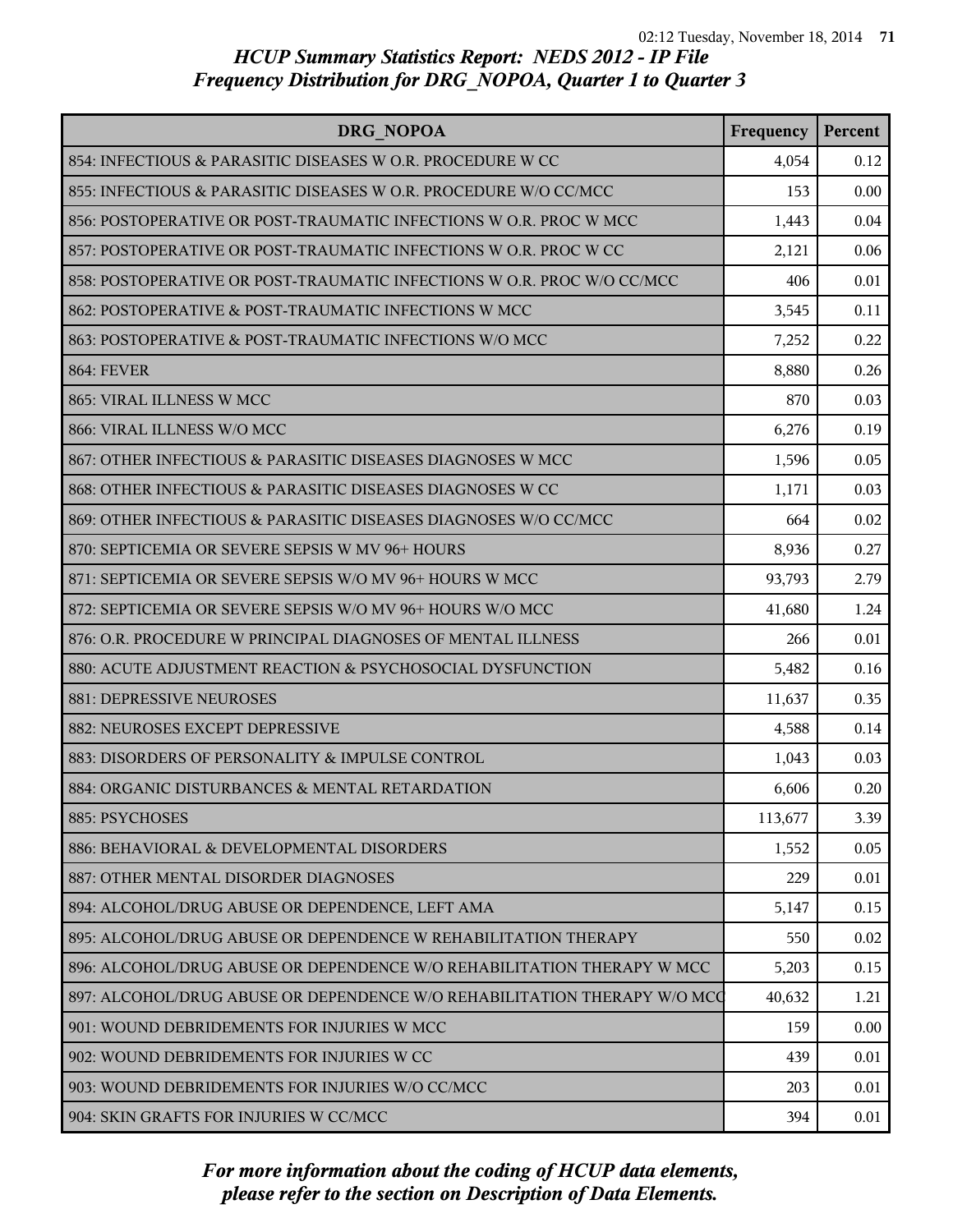| <b>DRG NOPOA</b>                                                         | Frequency | Percent |
|--------------------------------------------------------------------------|-----------|---------|
| 854: INFECTIOUS & PARASITIC DISEASES W O.R. PROCEDURE W CC               | 4,054     | 0.12    |
| 855: INFECTIOUS & PARASITIC DISEASES W O.R. PROCEDURE W/O CC/MCC         | 153       | 0.00    |
| 856: POSTOPERATIVE OR POST-TRAUMATIC INFECTIONS W O.R. PROC W MCC        | 1,443     | 0.04    |
| 857: POSTOPERATIVE OR POST-TRAUMATIC INFECTIONS W O.R. PROC W CC         | 2,121     | 0.06    |
| 858: POSTOPERATIVE OR POST-TRAUMATIC INFECTIONS W O.R. PROC W/O CC/MCC   | 406       | 0.01    |
| 862: POSTOPERATIVE & POST-TRAUMATIC INFECTIONS W MCC                     | 3,545     | 0.11    |
| 863: POSTOPERATIVE & POST-TRAUMATIC INFECTIONS W/O MCC                   | 7,252     | 0.22    |
| <b>864: FEVER</b>                                                        | 8,880     | 0.26    |
| 865: VIRAL ILLNESS W MCC                                                 | 870       | 0.03    |
| 866: VIRAL ILLNESS W/O MCC                                               | 6,276     | 0.19    |
| 867: OTHER INFECTIOUS & PARASITIC DISEASES DIAGNOSES W MCC               | 1,596     | 0.05    |
| 868: OTHER INFECTIOUS & PARASITIC DISEASES DIAGNOSES W CC                | 1,171     | 0.03    |
| 869: OTHER INFECTIOUS & PARASITIC DISEASES DIAGNOSES W/O CC/MCC          | 664       | 0.02    |
| 870: SEPTICEMIA OR SEVERE SEPSIS W MV 96+ HOURS                          | 8,936     | 0.27    |
| 871: SEPTICEMIA OR SEVERE SEPSIS W/O MV 96+ HOURS W MCC                  | 93,793    | 2.79    |
| 872: SEPTICEMIA OR SEVERE SEPSIS W/O MV 96+ HOURS W/O MCC                | 41,680    | 1.24    |
| 876: O.R. PROCEDURE W PRINCIPAL DIAGNOSES OF MENTAL ILLNESS              | 266       | 0.01    |
| 880: ACUTE ADJUSTMENT REACTION & PSYCHOSOCIAL DYSFUNCTION                | 5,482     | 0.16    |
| 881: DEPRESSIVE NEUROSES                                                 | 11,637    | 0.35    |
| 882: NEUROSES EXCEPT DEPRESSIVE                                          | 4,588     | 0.14    |
| 883: DISORDERS OF PERSONALITY & IMPULSE CONTROL                          | 1,043     | 0.03    |
| 884: ORGANIC DISTURBANCES & MENTAL RETARDATION                           | 6,606     | 0.20    |
| 885: PSYCHOSES                                                           | 113,677   | 3.39    |
| 886: BEHAVIORAL & DEVELOPMENTAL DISORDERS                                | 1,552     | 0.05    |
| 887: OTHER MENTAL DISORDER DIAGNOSES                                     | 229       | 0.01    |
| 894: ALCOHOL/DRUG ABUSE OR DEPENDENCE, LEFT AMA                          | 5,147     | 0.15    |
| 895: ALCOHOL/DRUG ABUSE OR DEPENDENCE W REHABILITATION THERAPY           | 550       | 0.02    |
| 896: ALCOHOL/DRUG ABUSE OR DEPENDENCE W/O REHABILITATION THERAPY W MCC   | 5,203     | 0.15    |
| 897: ALCOHOL/DRUG ABUSE OR DEPENDENCE W/O REHABILITATION THERAPY W/O MCC | 40,632    | 1.21    |
| 901: WOUND DEBRIDEMENTS FOR INJURIES W MCC                               | 159       | 0.00    |
| 902: WOUND DEBRIDEMENTS FOR INJURIES W CC                                | 439       | 0.01    |
| 903: WOUND DEBRIDEMENTS FOR INJURIES W/O CC/MCC                          | 203       | 0.01    |
| 904: SKIN GRAFTS FOR INJURIES W CC/MCC                                   | 394       | 0.01    |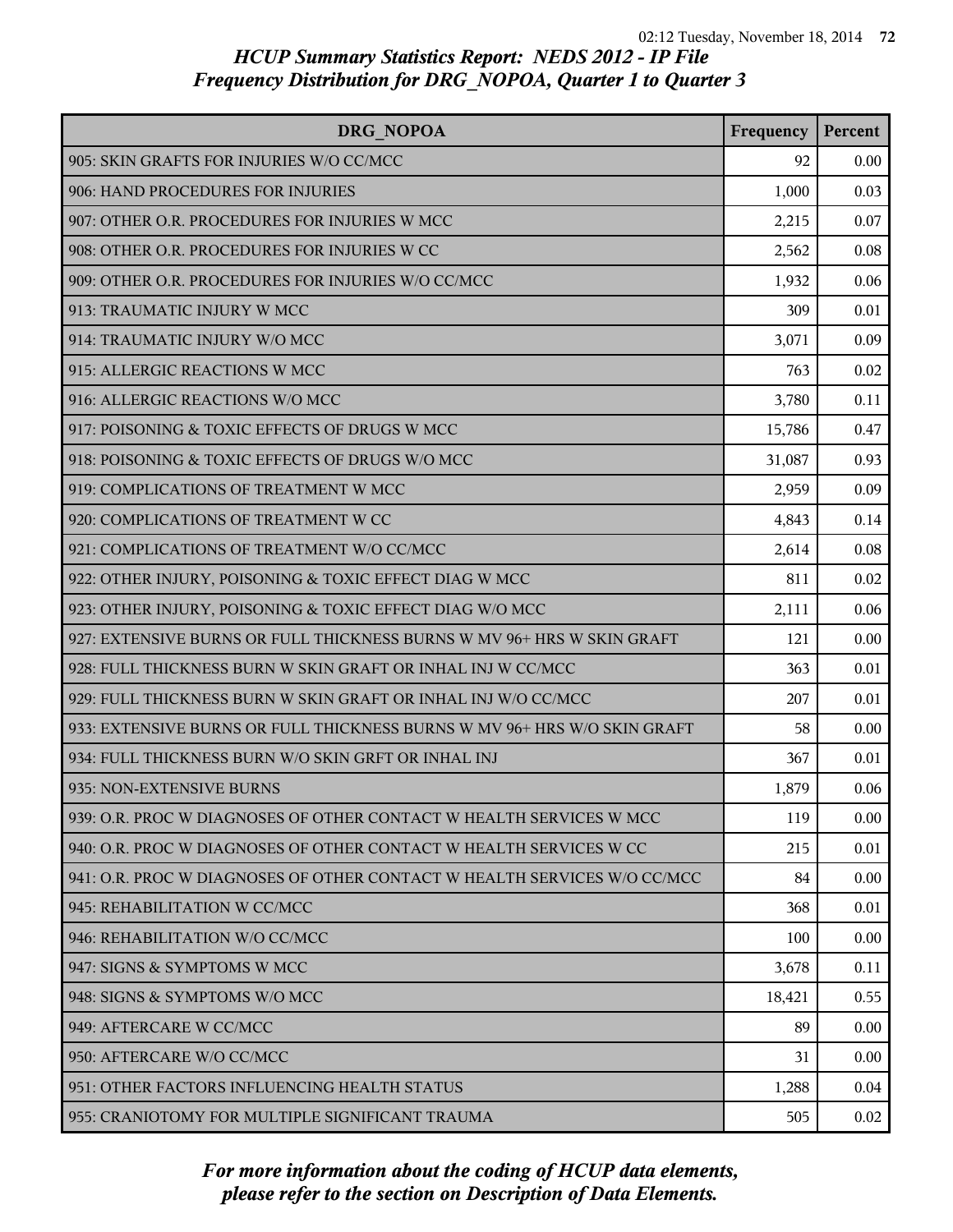| DRG NOPOA                                                                | Frequency | Percent |
|--------------------------------------------------------------------------|-----------|---------|
| 905: SKIN GRAFTS FOR INJURIES W/O CC/MCC                                 | 92        | 0.00    |
| 906: HAND PROCEDURES FOR INJURIES                                        | 1,000     | 0.03    |
| 907: OTHER O.R. PROCEDURES FOR INJURIES W MCC                            | 2,215     | 0.07    |
| 908: OTHER O.R. PROCEDURES FOR INJURIES W CC                             | 2,562     | 0.08    |
| 909: OTHER O.R. PROCEDURES FOR INJURIES W/O CC/MCC                       | 1,932     | 0.06    |
| 913: TRAUMATIC INJURY W MCC                                              | 309       | 0.01    |
| 914: TRAUMATIC INJURY W/O MCC                                            | 3,071     | 0.09    |
| 915: ALLERGIC REACTIONS W MCC                                            | 763       | 0.02    |
| 916: ALLERGIC REACTIONS W/O MCC                                          | 3,780     | 0.11    |
| 917: POISONING & TOXIC EFFECTS OF DRUGS W MCC                            | 15,786    | 0.47    |
| 918: POISONING & TOXIC EFFECTS OF DRUGS W/O MCC                          | 31,087    | 0.93    |
| 919: COMPLICATIONS OF TREATMENT W MCC                                    | 2,959     | 0.09    |
| 920: COMPLICATIONS OF TREATMENT W CC                                     | 4,843     | 0.14    |
| 921: COMPLICATIONS OF TREATMENT W/O CC/MCC                               | 2,614     | 0.08    |
| 922: OTHER INJURY, POISONING & TOXIC EFFECT DIAG W MCC                   | 811       | 0.02    |
| 923: OTHER INJURY, POISONING & TOXIC EFFECT DIAG W/O MCC                 | 2,111     | 0.06    |
| 927: EXTENSIVE BURNS OR FULL THICKNESS BURNS W MV 96+ HRS W SKIN GRAFT   | 121       | 0.00    |
| 928: FULL THICKNESS BURN W SKIN GRAFT OR INHAL INJ W CC/MCC              | 363       | 0.01    |
| 929: FULL THICKNESS BURN W SKIN GRAFT OR INHAL INJ W/O CC/MCC            | 207       | 0.01    |
| 933: EXTENSIVE BURNS OR FULL THICKNESS BURNS W MV 96+ HRS W/O SKIN GRAFT | 58        | 0.00    |
| 934: FULL THICKNESS BURN W/O SKIN GRFT OR INHAL INJ                      | 367       | 0.01    |
| 935: NON-EXTENSIVE BURNS                                                 | 1,879     | 0.06    |
| 939: O.R. PROC W DIAGNOSES OF OTHER CONTACT W HEALTH SERVICES W MCC      | 119       | 0.00    |
| 940: O.R. PROC W DIAGNOSES OF OTHER CONTACT W HEALTH SERVICES W CC       | 215       | 0.01    |
| 941: O.R. PROC W DIAGNOSES OF OTHER CONTACT W HEALTH SERVICES W/O CC/MCC | 84        | 0.00    |
| 945: REHABILITATION W CC/MCC                                             | 368       | 0.01    |
| 946: REHABILITATION W/O CC/MCC                                           | 100       | 0.00    |
| 947: SIGNS & SYMPTOMS W MCC                                              | 3,678     | 0.11    |
| 948: SIGNS & SYMPTOMS W/O MCC                                            | 18,421    | 0.55    |
| 949: AFTERCARE W CC/MCC                                                  | 89        | 0.00    |
| 950: AFTERCARE W/O CC/MCC                                                | 31        | 0.00    |
| 951: OTHER FACTORS INFLUENCING HEALTH STATUS                             | 1,288     | 0.04    |
| 955: CRANIOTOMY FOR MULTIPLE SIGNIFICANT TRAUMA                          | 505       | 0.02    |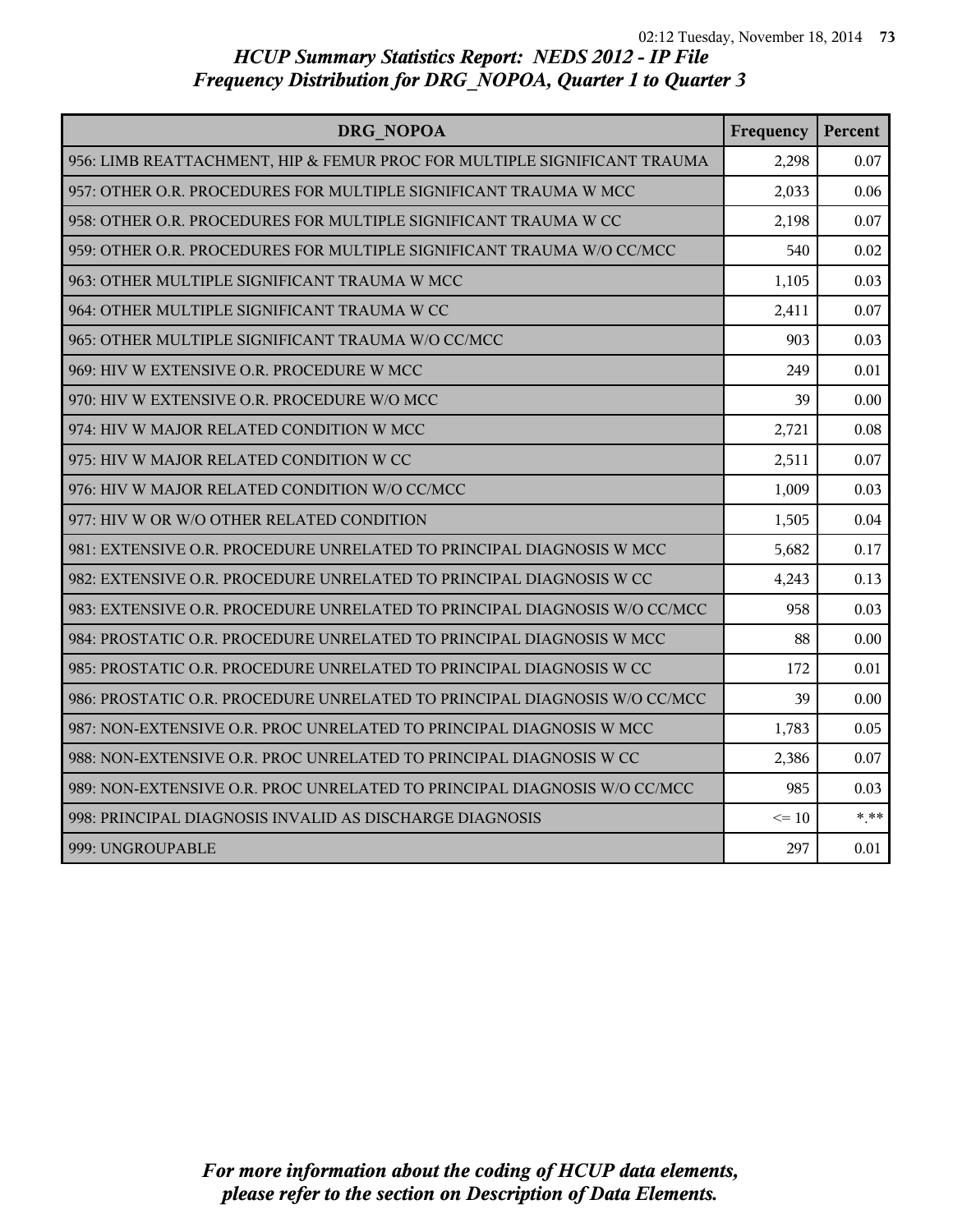| DRG NOPOA                                                                 | Frequency | Percent |
|---------------------------------------------------------------------------|-----------|---------|
| 956: LIMB REATTACHMENT, HIP & FEMUR PROC FOR MULTIPLE SIGNIFICANT TRAUMA  | 2,298     | 0.07    |
| 957: OTHER O.R. PROCEDURES FOR MULTIPLE SIGNIFICANT TRAUMA W MCC          | 2,033     | 0.06    |
| 958: OTHER O.R. PROCEDURES FOR MULTIPLE SIGNIFICANT TRAUMA W CC           | 2,198     | 0.07    |
| 959: OTHER O.R. PROCEDURES FOR MULTIPLE SIGNIFICANT TRAUMA W/O CC/MCC     | 540       | 0.02    |
| 963: OTHER MULTIPLE SIGNIFICANT TRAUMA W MCC                              | 1,105     | 0.03    |
| 964: OTHER MULTIPLE SIGNIFICANT TRAUMA W CC                               | 2,411     | 0.07    |
| 965: OTHER MULTIPLE SIGNIFICANT TRAUMA W/O CC/MCC                         | 903       | 0.03    |
| 969: HIV W EXTENSIVE O.R. PROCEDURE W MCC                                 | 249       | 0.01    |
| 970: HIV W EXTENSIVE O.R. PROCEDURE W/O MCC                               | 39        | 0.00    |
| 974: HIV W MAJOR RELATED CONDITION W MCC                                  | 2,721     | 0.08    |
| 975: HIV W MAJOR RELATED CONDITION W CC                                   | 2,511     | 0.07    |
| 976: HIV W MAJOR RELATED CONDITION W/O CC/MCC                             | 1,009     | 0.03    |
| 977: HIV W OR W/O OTHER RELATED CONDITION                                 | 1,505     | 0.04    |
| 981: EXTENSIVE O.R. PROCEDURE UNRELATED TO PRINCIPAL DIAGNOSIS W MCC      | 5,682     | 0.17    |
| 982: EXTENSIVE O.R. PROCEDURE UNRELATED TO PRINCIPAL DIAGNOSIS W CC       | 4,243     | 0.13    |
| 983: EXTENSIVE O.R. PROCEDURE UNRELATED TO PRINCIPAL DIAGNOSIS W/O CC/MCC | 958       | 0.03    |
| 984: PROSTATIC O.R. PROCEDURE UNRELATED TO PRINCIPAL DIAGNOSIS W MCC      | 88        | 0.00    |
| 985: PROSTATIC O.R. PROCEDURE UNRELATED TO PRINCIPAL DIAGNOSIS W CC       | 172       | 0.01    |
| 986: PROSTATIC O.R. PROCEDURE UNRELATED TO PRINCIPAL DIAGNOSIS W/O CC/MCC | 39        | 0.00    |
| 987: NON-EXTENSIVE O.R. PROC UNRELATED TO PRINCIPAL DIAGNOSIS W MCC       | 1,783     | 0.05    |
| 988: NON-EXTENSIVE O.R. PROC UNRELATED TO PRINCIPAL DIAGNOSIS W CC        | 2,386     | 0.07    |
| 989: NON-EXTENSIVE O.R. PROC UNRELATED TO PRINCIPAL DIAGNOSIS W/O CC/MCC  | 985       | 0.03    |
| 998: PRINCIPAL DIAGNOSIS INVALID AS DISCHARGE DIAGNOSIS                   | $\leq 10$ | $***$   |
| 999: UNGROUPABLE                                                          | 297       | 0.01    |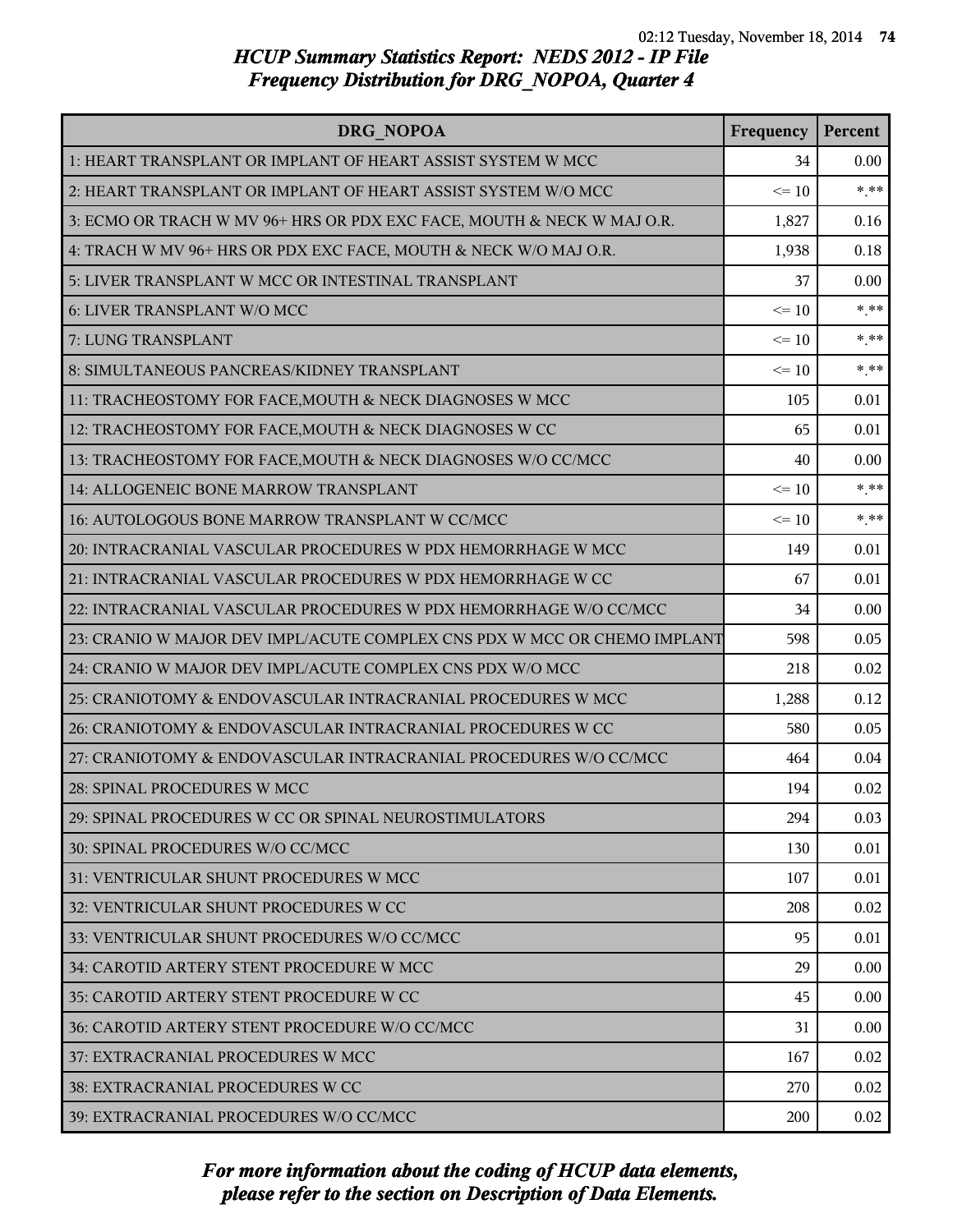| <b>DRG NOPOA</b>                                                         | Frequency | Percent |
|--------------------------------------------------------------------------|-----------|---------|
| 1: HEART TRANSPLANT OR IMPLANT OF HEART ASSIST SYSTEM W MCC              | 34        | 0.00    |
| 2: HEART TRANSPLANT OR IMPLANT OF HEART ASSIST SYSTEM W/O MCC            | $\leq 10$ | $***$   |
| 3: ECMO OR TRACH W MV 96+ HRS OR PDX EXC FACE, MOUTH & NECK W MAJ O.R.   | 1,827     | 0.16    |
| 4: TRACH W MV 96+ HRS OR PDX EXC FACE, MOUTH & NECK W/O MAJ O.R.         | 1,938     | 0.18    |
| 5: LIVER TRANSPLANT W MCC OR INTESTINAL TRANSPLANT                       | 37        | 0.00    |
| 6: LIVER TRANSPLANT W/O MCC                                              | $\leq 10$ | $* * *$ |
| 7: LUNG TRANSPLANT                                                       | $\leq 10$ | $* * *$ |
| 8: SIMULTANEOUS PANCREAS/KIDNEY TRANSPLANT                               | $\leq 10$ | $* * *$ |
| 11: TRACHEOSTOMY FOR FACE, MOUTH & NECK DIAGNOSES W MCC                  | 105       | 0.01    |
| 12: TRACHEOSTOMY FOR FACE, MOUTH & NECK DIAGNOSES W CC                   | 65        | 0.01    |
| 13: TRACHEOSTOMY FOR FACE, MOUTH & NECK DIAGNOSES W/O CC/MCC             | 40        | 0.00    |
| 14: ALLOGENEIC BONE MARROW TRANSPLANT                                    | $\leq 10$ | $* * *$ |
| 16: AUTOLOGOUS BONE MARROW TRANSPLANT W CC/MCC                           | $\leq 10$ | $* * *$ |
| 20: INTRACRANIAL VASCULAR PROCEDURES W PDX HEMORRHAGE W MCC              | 149       | 0.01    |
| 21: INTRACRANIAL VASCULAR PROCEDURES W PDX HEMORRHAGE W CC               | 67        | 0.01    |
| 22: INTRACRANIAL VASCULAR PROCEDURES W PDX HEMORRHAGE W/O CC/MCC         | 34        | 0.00    |
| 23: CRANIO W MAJOR DEV IMPL/ACUTE COMPLEX CNS PDX W MCC OR CHEMO IMPLANT | 598       | 0.05    |
| 24: CRANIO W MAJOR DEV IMPL/ACUTE COMPLEX CNS PDX W/O MCC                | 218       | 0.02    |
| 25: CRANIOTOMY & ENDOVASCULAR INTRACRANIAL PROCEDURES W MCC              | 1,288     | 0.12    |
| 26: CRANIOTOMY & ENDOVASCULAR INTRACRANIAL PROCEDURES W CC               | 580       | 0.05    |
| 27: CRANIOTOMY & ENDOVASCULAR INTRACRANIAL PROCEDURES W/O CC/MCC         | 464       | 0.04    |
| 28: SPINAL PROCEDURES W MCC                                              | 194       | 0.02    |
| 29: SPINAL PROCEDURES W CC OR SPINAL NEUROSTIMULATORS                    | 294       | 0.03    |
| 30: SPINAL PROCEDURES W/O CC/MCC                                         | 130       | 0.01    |
| 31: VENTRICULAR SHUNT PROCEDURES W MCC                                   | 107       | 0.01    |
| 32: VENTRICULAR SHUNT PROCEDURES W CC                                    | 208       | 0.02    |
| 33: VENTRICULAR SHUNT PROCEDURES W/O CC/MCC                              | 95        | 0.01    |
| 34: CAROTID ARTERY STENT PROCEDURE W MCC                                 | 29        | 0.00    |
| 35: CAROTID ARTERY STENT PROCEDURE W CC                                  | 45        | 0.00    |
| 36: CAROTID ARTERY STENT PROCEDURE W/O CC/MCC                            | 31        | 0.00    |
| 37: EXTRACRANIAL PROCEDURES W MCC                                        | 167       | 0.02    |
| <b>38: EXTRACRANIAL PROCEDURES W CC</b>                                  | 270       | 0.02    |
| 39: EXTRACRANIAL PROCEDURES W/O CC/MCC                                   | 200       | 0.02    |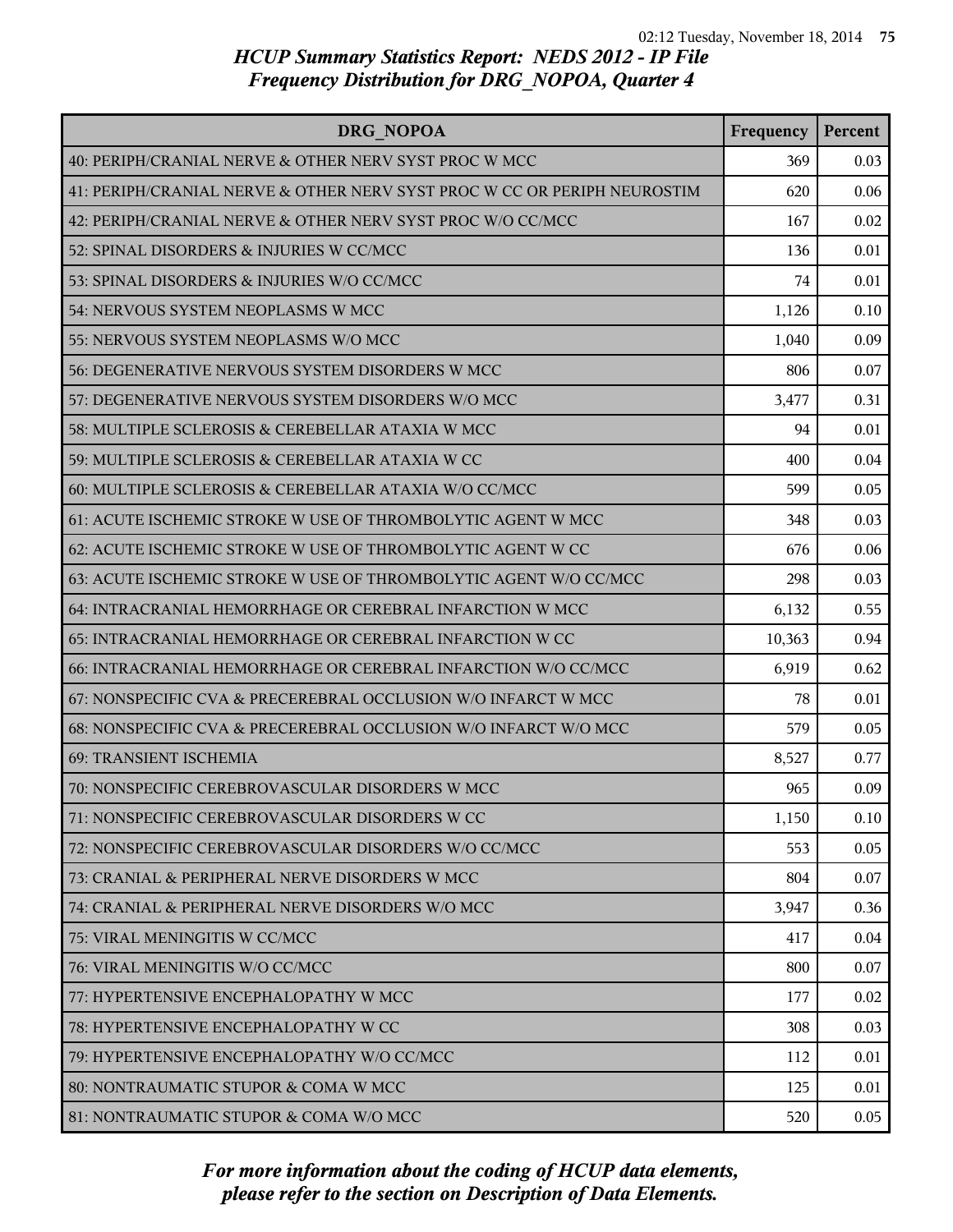| DRG NOPOA                                                                | Frequency | Percent |
|--------------------------------------------------------------------------|-----------|---------|
| 40: PERIPH/CRANIAL NERVE & OTHER NERV SYST PROC W MCC                    | 369       | 0.03    |
| 41: PERIPH/CRANIAL NERVE & OTHER NERV SYST PROC W CC OR PERIPH NEUROSTIM | 620       | 0.06    |
| 42: PERIPH/CRANIAL NERVE & OTHER NERV SYST PROC W/O CC/MCC               | 167       | 0.02    |
| 52: SPINAL DISORDERS & INJURIES W CC/MCC                                 | 136       | 0.01    |
| 53: SPINAL DISORDERS & INJURIES W/O CC/MCC                               | 74        | 0.01    |
| 54: NERVOUS SYSTEM NEOPLASMS W MCC                                       | 1,126     | 0.10    |
| 55: NERVOUS SYSTEM NEOPLASMS W/O MCC                                     | 1,040     | 0.09    |
| 56: DEGENERATIVE NERVOUS SYSTEM DISORDERS W MCC                          | 806       | 0.07    |
| 57: DEGENERATIVE NERVOUS SYSTEM DISORDERS W/O MCC                        | 3,477     | 0.31    |
| 58: MULTIPLE SCLEROSIS & CEREBELLAR ATAXIA W MCC                         | 94        | 0.01    |
| 59: MULTIPLE SCLEROSIS & CEREBELLAR ATAXIA W CC                          | 400       | 0.04    |
| 60: MULTIPLE SCLEROSIS & CEREBELLAR ATAXIA W/O CC/MCC                    | 599       | 0.05    |
| 61: ACUTE ISCHEMIC STROKE W USE OF THROMBOLYTIC AGENT W MCC              | 348       | 0.03    |
| 62: ACUTE ISCHEMIC STROKE W USE OF THROMBOLYTIC AGENT W CC               | 676       | 0.06    |
| 63: ACUTE ISCHEMIC STROKE W USE OF THROMBOLYTIC AGENT W/O CC/MCC         | 298       | 0.03    |
| 64: INTRACRANIAL HEMORRHAGE OR CEREBRAL INFARCTION W MCC                 | 6,132     | 0.55    |
| 65: INTRACRANIAL HEMORRHAGE OR CEREBRAL INFARCTION W CC                  | 10,363    | 0.94    |
| 66: INTRACRANIAL HEMORRHAGE OR CEREBRAL INFARCTION W/O CC/MCC            | 6,919     | 0.62    |
| 67: NONSPECIFIC CVA & PRECEREBRAL OCCLUSION W/O INFARCT W MCC            | 78        | 0.01    |
| 68: NONSPECIFIC CVA & PRECEREBRAL OCCLUSION W/O INFARCT W/O MCC          | 579       | 0.05    |
| 69: TRANSIENT ISCHEMIA                                                   | 8,527     | 0.77    |
| 70: NONSPECIFIC CEREBROVASCULAR DISORDERS W MCC                          | 965       | 0.09    |
| 71: NONSPECIFIC CEREBROVASCULAR DISORDERS W CC                           | 1,150     | 0.10    |
| 72: NONSPECIFIC CEREBROVASCULAR DISORDERS W/O CC/MCC                     | 553       | 0.05    |
| 73: CRANIAL & PERIPHERAL NERVE DISORDERS W MCC                           | 804       | 0.07    |
| 74: CRANIAL & PERIPHERAL NERVE DISORDERS W/O MCC                         | 3,947     | 0.36    |
| 75: VIRAL MENINGITIS W CC/MCC                                            | 417       | 0.04    |
| 76: VIRAL MENINGITIS W/O CC/MCC                                          | 800       | 0.07    |
| 77: HYPERTENSIVE ENCEPHALOPATHY W MCC                                    | 177       | 0.02    |
| 78: HYPERTENSIVE ENCEPHALOPATHY W CC                                     | 308       | 0.03    |
| 79: HYPERTENSIVE ENCEPHALOPATHY W/O CC/MCC                               | 112       | 0.01    |
| 80: NONTRAUMATIC STUPOR & COMA W MCC                                     | 125       | 0.01    |
| 81: NONTRAUMATIC STUPOR & COMA W/O MCC                                   | 520       | 0.05    |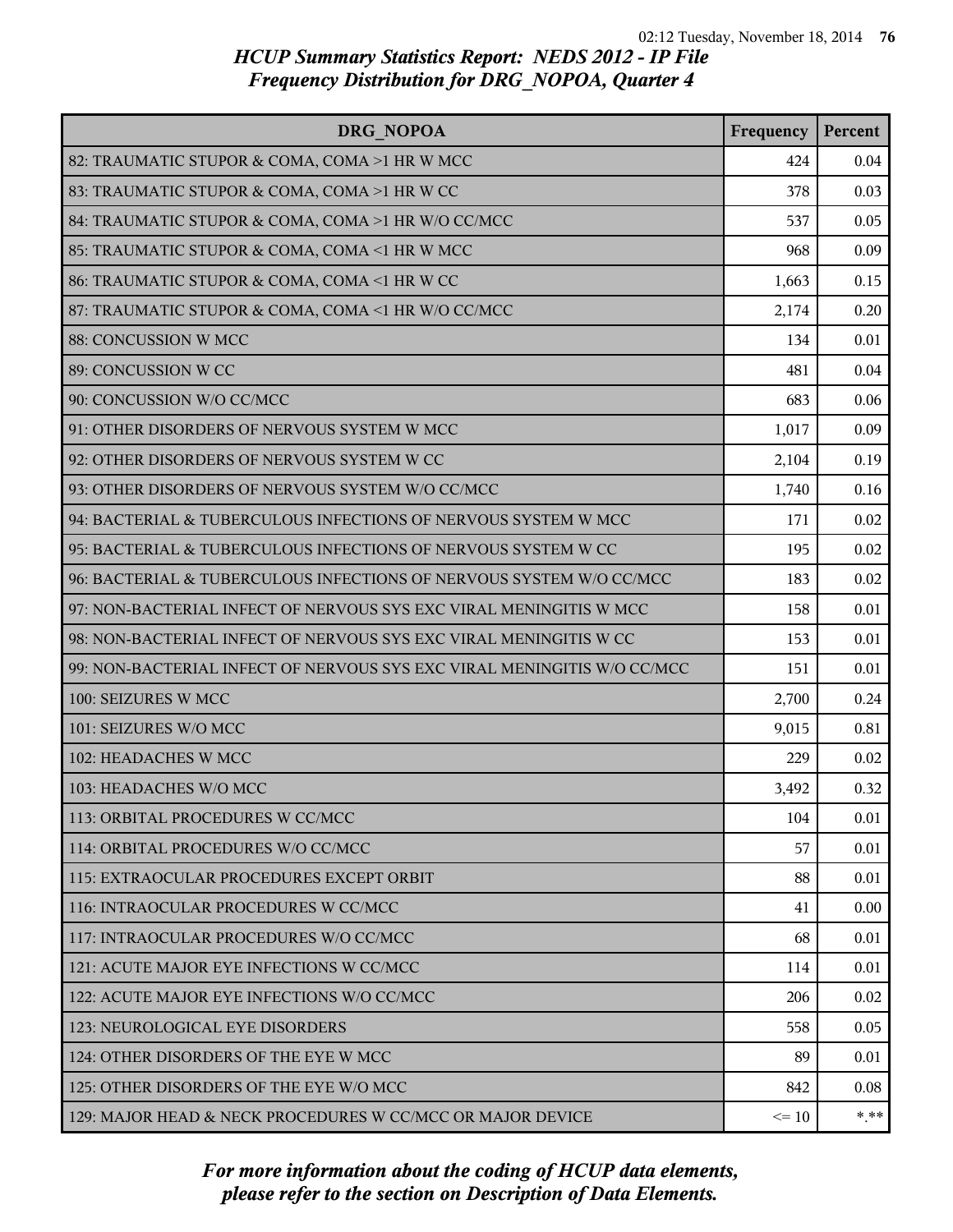| DRG NOPOA                                                               | Frequency | Percent |
|-------------------------------------------------------------------------|-----------|---------|
| 82: TRAUMATIC STUPOR & COMA, COMA >1 HR W MCC                           | 424       | 0.04    |
| 83: TRAUMATIC STUPOR & COMA, COMA >1 HR W CC                            | 378       | 0.03    |
| 84: TRAUMATIC STUPOR & COMA, COMA >1 HR W/O CC/MCC                      | 537       | 0.05    |
| 85: TRAUMATIC STUPOR & COMA, COMA <1 HR W MCC                           | 968       | 0.09    |
| 86: TRAUMATIC STUPOR & COMA, COMA <1 HR W CC                            | 1,663     | 0.15    |
| 87: TRAUMATIC STUPOR & COMA, COMA <1 HR W/O CC/MCC                      | 2,174     | 0.20    |
| 88: CONCUSSION W MCC                                                    | 134       | 0.01    |
| 89: CONCUSSION W CC                                                     | 481       | 0.04    |
| 90: CONCUSSION W/O CC/MCC                                               | 683       | 0.06    |
| 91: OTHER DISORDERS OF NERVOUS SYSTEM W MCC                             | 1,017     | 0.09    |
| 92: OTHER DISORDERS OF NERVOUS SYSTEM W CC                              | 2,104     | 0.19    |
| 93: OTHER DISORDERS OF NERVOUS SYSTEM W/O CC/MCC                        | 1,740     | 0.16    |
| 94: BACTERIAL & TUBERCULOUS INFECTIONS OF NERVOUS SYSTEM W MCC          | 171       | 0.02    |
| 95: BACTERIAL & TUBERCULOUS INFECTIONS OF NERVOUS SYSTEM W CC           | 195       | 0.02    |
| 96: BACTERIAL & TUBERCULOUS INFECTIONS OF NERVOUS SYSTEM W/O CC/MCC     | 183       | 0.02    |
| 97: NON-BACTERIAL INFECT OF NERVOUS SYS EXC VIRAL MENINGITIS W MCC      | 158       | 0.01    |
| 98: NON-BACTERIAL INFECT OF NERVOUS SYS EXC VIRAL MENINGITIS W CC       | 153       | 0.01    |
| 99: NON-BACTERIAL INFECT OF NERVOUS SYS EXC VIRAL MENINGITIS W/O CC/MCC | 151       | 0.01    |
| 100: SEIZURES W MCC                                                     | 2,700     | 0.24    |
| 101: SEIZURES W/O MCC                                                   | 9,015     | 0.81    |
| 102: HEADACHES W MCC                                                    | 229       | 0.02    |
| 103: HEADACHES W/O MCC                                                  | 3,492     | 0.32    |
| 113: ORBITAL PROCEDURES W CC/MCC                                        | 104       | 0.01    |
| 114: ORBITAL PROCEDURES W/O CC/MCC                                      | 57        | 0.01    |
| 115: EXTRAOCULAR PROCEDURES EXCEPT ORBIT                                | 88        | 0.01    |
| 116: INTRAOCULAR PROCEDURES W CC/MCC                                    | 41        | 0.00    |
| 117: INTRAOCULAR PROCEDURES W/O CC/MCC                                  | 68        | 0.01    |
| 121: ACUTE MAJOR EYE INFECTIONS W CC/MCC                                | 114       | 0.01    |
| 122: ACUTE MAJOR EYE INFECTIONS W/O CC/MCC                              | 206       | 0.02    |
| 123: NEUROLOGICAL EYE DISORDERS                                         | 558       | 0.05    |
| 124: OTHER DISORDERS OF THE EYE W MCC                                   | 89        | 0.01    |
| 125: OTHER DISORDERS OF THE EYE W/O MCC                                 | 842       | 0.08    |
| 129: MAJOR HEAD & NECK PROCEDURES W CC/MCC OR MAJOR DEVICE              | $\leq 10$ | $* * *$ |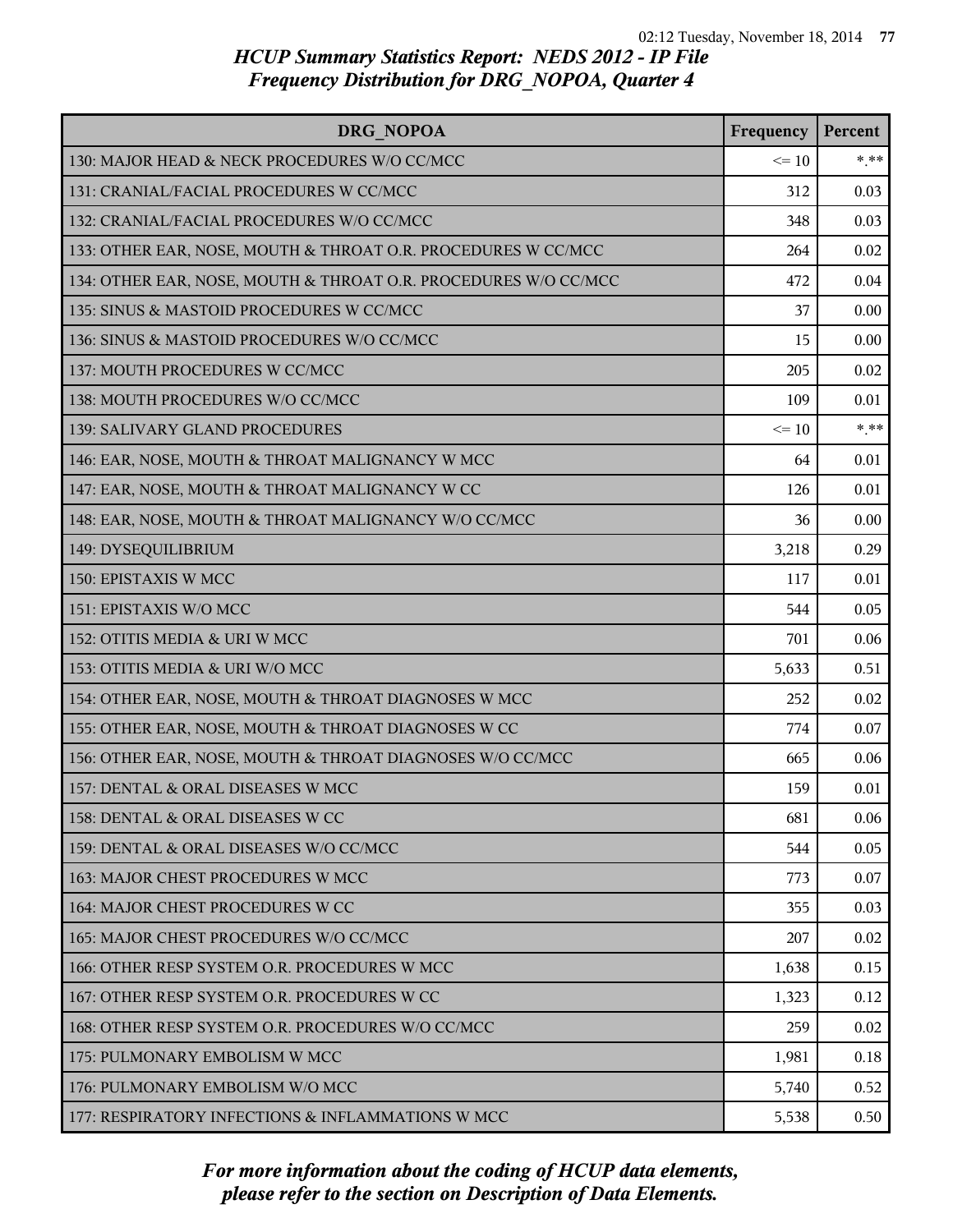| <b>DRG NOPOA</b>                                                | Frequency | Percent |
|-----------------------------------------------------------------|-----------|---------|
| 130: MAJOR HEAD & NECK PROCEDURES W/O CC/MCC                    | $\leq 10$ | $*$ **  |
| 131: CRANIAL/FACIAL PROCEDURES W CC/MCC                         | 312       | 0.03    |
| 132: CRANIAL/FACIAL PROCEDURES W/O CC/MCC                       | 348       | 0.03    |
| 133: OTHER EAR, NOSE, MOUTH & THROAT O.R. PROCEDURES W CC/MCC   | 264       | 0.02    |
| 134: OTHER EAR, NOSE, MOUTH & THROAT O.R. PROCEDURES W/O CC/MCC | 472       | 0.04    |
| 135: SINUS & MASTOID PROCEDURES W CC/MCC                        | 37        | 0.00    |
| 136: SINUS & MASTOID PROCEDURES W/O CC/MCC                      | 15        | 0.00    |
| 137: MOUTH PROCEDURES W CC/MCC                                  | 205       | 0.02    |
| 138: MOUTH PROCEDURES W/O CC/MCC                                | 109       | 0.01    |
| 139: SALIVARY GLAND PROCEDURES                                  | $\leq 10$ | $***$   |
| 146: EAR, NOSE, MOUTH & THROAT MALIGNANCY W MCC                 | 64        | 0.01    |
| 147: EAR, NOSE, MOUTH & THROAT MALIGNANCY W CC                  | 126       | 0.01    |
| 148: EAR, NOSE, MOUTH & THROAT MALIGNANCY W/O CC/MCC            | 36        | 0.00    |
| 149: DYSEQUILIBRIUM                                             | 3,218     | 0.29    |
| 150: EPISTAXIS W MCC                                            | 117       | 0.01    |
| 151: EPISTAXIS W/O MCC                                          | 544       | 0.05    |
| 152: OTITIS MEDIA & URI W MCC                                   | 701       | 0.06    |
| 153: OTITIS MEDIA & URI W/O MCC                                 | 5,633     | 0.51    |
| 154: OTHER EAR, NOSE, MOUTH & THROAT DIAGNOSES W MCC            | 252       | 0.02    |
| 155: OTHER EAR, NOSE, MOUTH & THROAT DIAGNOSES W CC             | 774       | 0.07    |
| 156: OTHER EAR, NOSE, MOUTH & THROAT DIAGNOSES W/O CC/MCC       | 665       | 0.06    |
| 157: DENTAL & ORAL DISEASES W MCC                               | 159       | 0.01    |
| 158: DENTAL & ORAL DISEASES W CC                                | 681       | 0.06    |
| 159: DENTAL & ORAL DISEASES W/O CC/MCC                          | 544       | 0.05    |
| 163: MAJOR CHEST PROCEDURES W MCC                               | 773       | 0.07    |
| 164: MAJOR CHEST PROCEDURES W CC                                | 355       | 0.03    |
| 165: MAJOR CHEST PROCEDURES W/O CC/MCC                          | 207       | 0.02    |
| 166: OTHER RESP SYSTEM O.R. PROCEDURES W MCC.                   | 1,638     | 0.15    |
| 167: OTHER RESP SYSTEM O.R. PROCEDURES W CC                     | 1,323     | 0.12    |
| 168: OTHER RESP SYSTEM O.R. PROCEDURES W/O CC/MCC               | 259       | 0.02    |
| 175: PULMONARY EMBOLISM W MCC                                   | 1,981     | 0.18    |
| 176: PULMONARY EMBOLISM W/O MCC                                 | 5,740     | 0.52    |
| 177: RESPIRATORY INFECTIONS & INFLAMMATIONS W MCC               | 5,538     | 0.50    |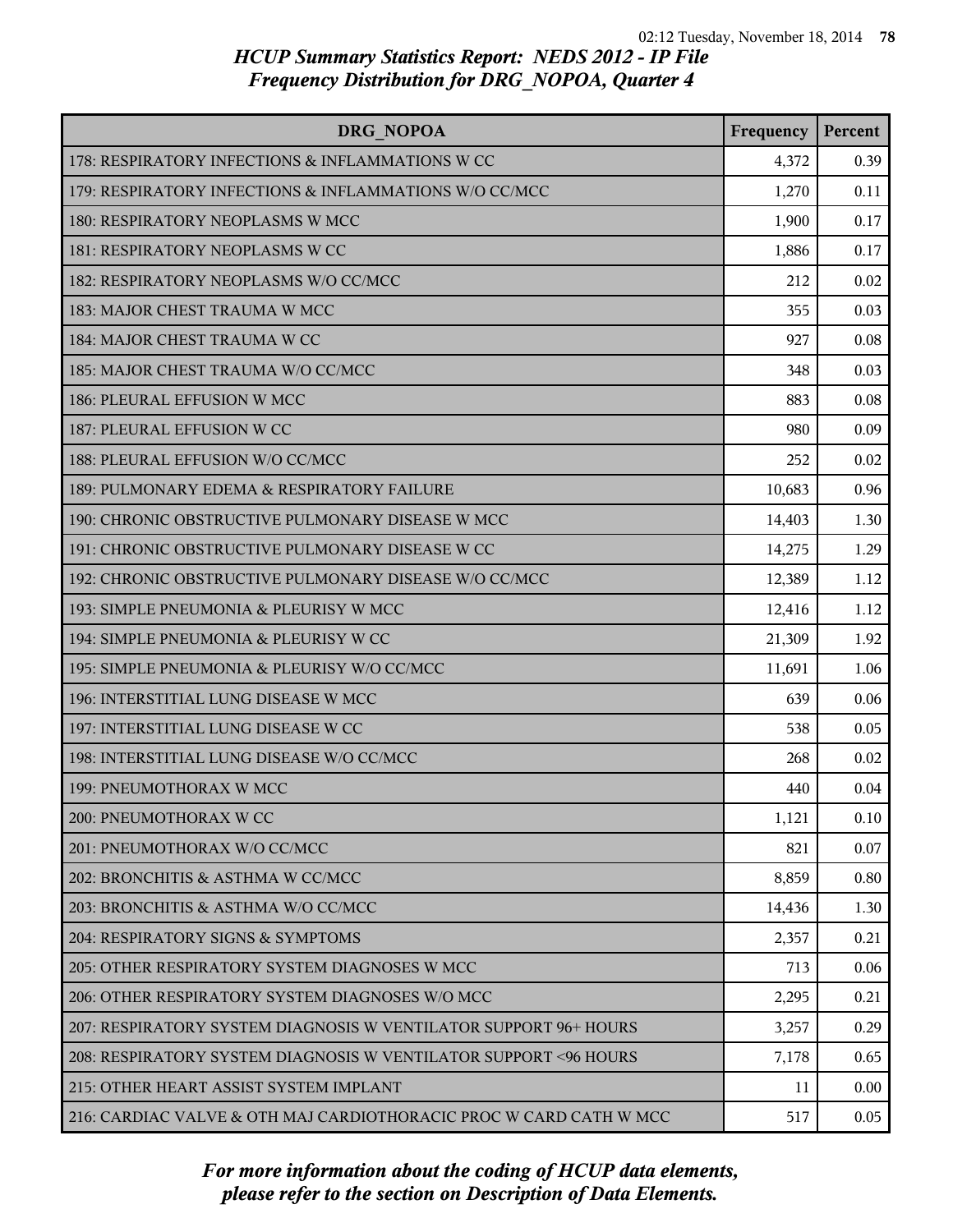| DRG NOPOA                                                          | Frequency | Percent |
|--------------------------------------------------------------------|-----------|---------|
| 178: RESPIRATORY INFECTIONS & INFLAMMATIONS W CC                   | 4,372     | 0.39    |
| 179: RESPIRATORY INFECTIONS & INFLAMMATIONS W/O CC/MCC             | 1,270     | 0.11    |
| 180: RESPIRATORY NEOPLASMS W MCC                                   | 1,900     | 0.17    |
| 181: RESPIRATORY NEOPLASMS W CC                                    | 1,886     | 0.17    |
| 182: RESPIRATORY NEOPLASMS W/O CC/MCC                              | 212       | 0.02    |
| 183: MAJOR CHEST TRAUMA W MCC                                      | 355       | 0.03    |
| 184: MAJOR CHEST TRAUMA W CC                                       | 927       | 0.08    |
| 185: MAJOR CHEST TRAUMA W/O CC/MCC                                 | 348       | 0.03    |
| 186: PLEURAL EFFUSION W MCC                                        | 883       | 0.08    |
| 187: PLEURAL EFFUSION W CC                                         | 980       | 0.09    |
| 188: PLEURAL EFFUSION W/O CC/MCC                                   | 252       | 0.02    |
| 189: PULMONARY EDEMA & RESPIRATORY FAILURE                         | 10,683    | 0.96    |
| 190: CHRONIC OBSTRUCTIVE PULMONARY DISEASE W MCC                   | 14,403    | 1.30    |
| 191: CHRONIC OBSTRUCTIVE PULMONARY DISEASE W CC                    | 14,275    | 1.29    |
| 192: CHRONIC OBSTRUCTIVE PULMONARY DISEASE W/O CC/MCC              | 12,389    | 1.12    |
| 193: SIMPLE PNEUMONIA & PLEURISY W MCC                             | 12,416    | 1.12    |
| 194: SIMPLE PNEUMONIA & PLEURISY W CC                              | 21,309    | 1.92    |
| 195: SIMPLE PNEUMONIA & PLEURISY W/O CC/MCC                        | 11,691    | 1.06    |
| 196: INTERSTITIAL LUNG DISEASE W MCC                               | 639       | 0.06    |
| 197: INTERSTITIAL LUNG DISEASE W CC                                | 538       | 0.05    |
| 198: INTERSTITIAL LUNG DISEASE W/O CC/MCC                          | 268       | 0.02    |
| 199: PNEUMOTHORAX W MCC                                            | 440       | 0.04    |
| 200: PNEUMOTHORAX W CC                                             | 1,121     | 0.10    |
| 201: PNEUMOTHORAX W/O CC/MCC                                       | 821       | 0.07    |
| 202: BRONCHITIS & ASTHMA W CC/MCC                                  | 8,859     | 0.80    |
| 203: BRONCHITIS & ASTHMA W/O CC/MCC                                | 14,436    | 1.30    |
| 204: RESPIRATORY SIGNS & SYMPTOMS                                  | 2,357     | 0.21    |
| 205: OTHER RESPIRATORY SYSTEM DIAGNOSES W MCC                      | 713       | 0.06    |
| 206: OTHER RESPIRATORY SYSTEM DIAGNOSES W/O MCC                    | 2,295     | 0.21    |
| 207: RESPIRATORY SYSTEM DIAGNOSIS W VENTILATOR SUPPORT 96+ HOURS   | 3,257     | 0.29    |
| 208: RESPIRATORY SYSTEM DIAGNOSIS W VENTILATOR SUPPORT < 96 HOURS  | 7,178     | 0.65    |
| 215: OTHER HEART ASSIST SYSTEM IMPLANT                             | 11        | 0.00    |
| 216: CARDIAC VALVE & OTH MAJ CARDIOTHORACIC PROC W CARD CATH W MCC | 517       | 0.05    |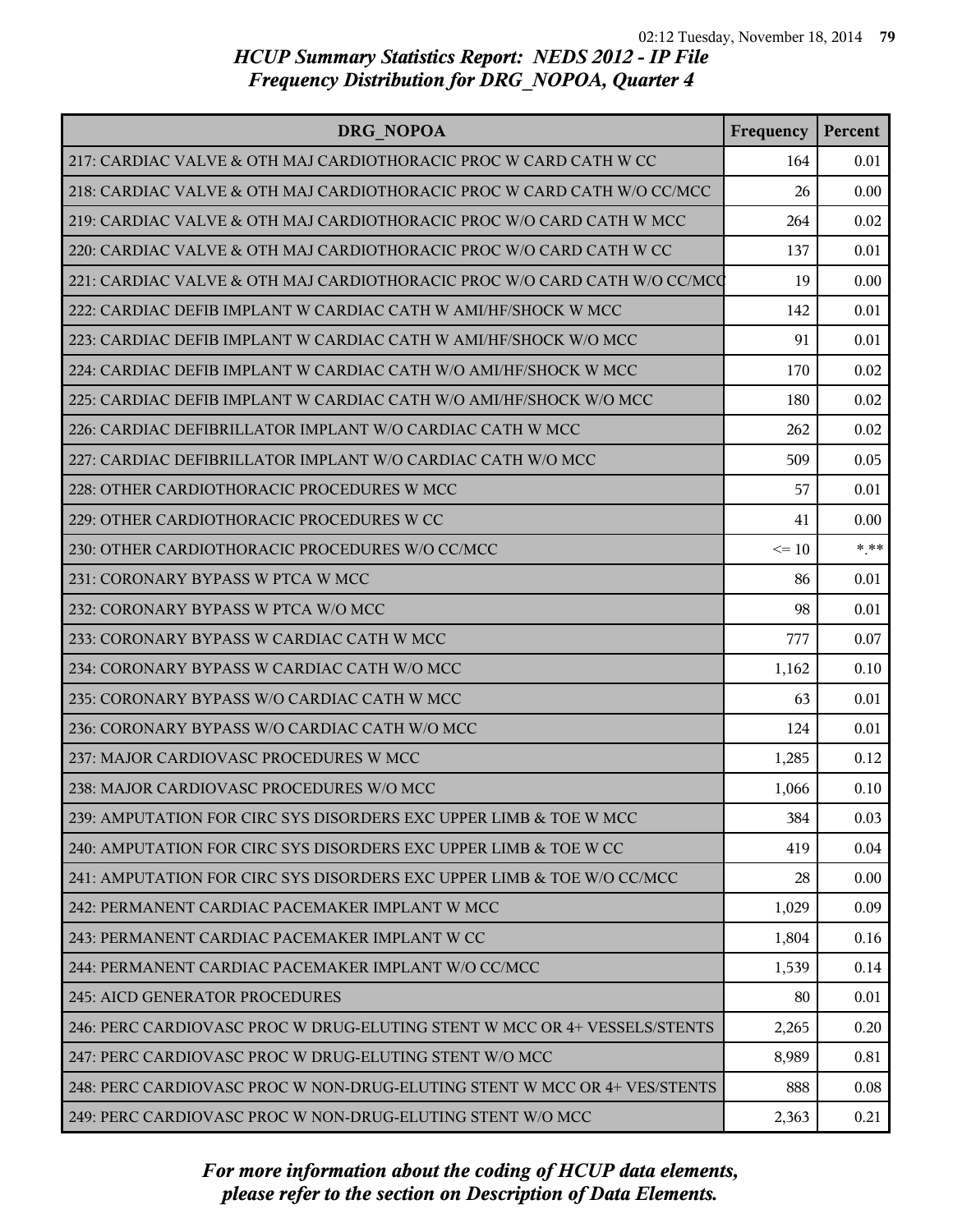| DRG NOPOA                                                                 | Frequency | Percent |
|---------------------------------------------------------------------------|-----------|---------|
| 217: CARDIAC VALVE & OTH MAJ CARDIOTHORACIC PROC W CARD CATH W CC         | 164       | 0.01    |
| 218: CARDIAC VALVE & OTH MAJ CARDIOTHORACIC PROC W CARD CATH W/O CC/MCC   | 26        | 0.00    |
| 219: CARDIAC VALVE & OTH MAJ CARDIOTHORACIC PROC W/O CARD CATH W MCC      | 264       | 0.02    |
| 220: CARDIAC VALVE & OTH MAJ CARDIOTHORACIC PROC W/O CARD CATH W CC       | 137       | 0.01    |
| 221: CARDIAC VALVE & OTH MAJ CARDIOTHORACIC PROC W/O CARD CATH W/O CC/MCQ | 19        | 0.00    |
| 222: CARDIAC DEFIB IMPLANT W CARDIAC CATH W AMI/HF/SHOCK W MCC            | 142       | 0.01    |
| 223: CARDIAC DEFIB IMPLANT W CARDIAC CATH W AMI/HF/SHOCK W/O MCC          | 91        | 0.01    |
| 224: CARDIAC DEFIB IMPLANT W CARDIAC CATH W/O AMI/HF/SHOCK W MCC          | 170       | 0.02    |
| 225: CARDIAC DEFIB IMPLANT W CARDIAC CATH W/O AMI/HF/SHOCK W/O MCC        | 180       | 0.02    |
| 226: CARDIAC DEFIBRILLATOR IMPLANT W/O CARDIAC CATH W MCC                 | 262       | 0.02    |
| 227: CARDIAC DEFIBRILLATOR IMPLANT W/O CARDIAC CATH W/O MCC               | 509       | 0.05    |
| 228: OTHER CARDIOTHORACIC PROCEDURES W MCC                                | 57        | 0.01    |
| 229: OTHER CARDIOTHORACIC PROCEDURES W CC                                 | 41        | 0.00    |
| 230: OTHER CARDIOTHORACIC PROCEDURES W/O CC/MCC                           | $\leq 10$ | $***$   |
| 231: CORONARY BYPASS W PTCA W MCC                                         | 86        | 0.01    |
| 232: CORONARY BYPASS W PTCA W/O MCC                                       | 98        | 0.01    |
| 233: CORONARY BYPASS W CARDIAC CATH W MCC                                 | 777       | 0.07    |
| 234: CORONARY BYPASS W CARDIAC CATH W/O MCC                               | 1,162     | 0.10    |
| 235: CORONARY BYPASS W/O CARDIAC CATH W MCC                               | 63        | 0.01    |
| 236: CORONARY BYPASS W/O CARDIAC CATH W/O MCC                             | 124       | 0.01    |
| 237: MAJOR CARDIOVASC PROCEDURES W MCC                                    | 1,285     | 0.12    |
| 238: MAJOR CARDIOVASC PROCEDURES W/O MCC                                  | 1,066     | 0.10    |
| 239: AMPUTATION FOR CIRC SYS DISORDERS EXC UPPER LIMB & TOE W MCC         | 384       | 0.03    |
| 240: AMPUTATION FOR CIRC SYS DISORDERS EXC UPPER LIMB & TOE W CC          | 419       | 0.04    |
| 241: AMPUTATION FOR CIRC SYS DISORDERS EXC UPPER LIMB & TOE W/O CC/MCC    | 28        | 0.00    |
| 242: PERMANENT CARDIAC PACEMAKER IMPLANT W MCC                            | 1,029     | 0.09    |
| 243: PERMANENT CARDIAC PACEMAKER IMPLANT W CC                             | 1,804     | 0.16    |
| 244: PERMANENT CARDIAC PACEMAKER IMPLANT W/O CC/MCC                       | 1,539     | 0.14    |
| 245: AICD GENERATOR PROCEDURES                                            | 80        | 0.01    |
| 246: PERC CARDIOVASC PROC W DRUG-ELUTING STENT W MCC OR 4+ VESSELS/STENTS | 2,265     | 0.20    |
| 247: PERC CARDIOVASC PROC W DRUG-ELUTING STENT W/O MCC                    | 8,989     | 0.81    |
| 248: PERC CARDIOVASC PROC W NON-DRUG-ELUTING STENT W MCC OR 4+ VES/STENTS | 888       | 0.08    |
| 249: PERC CARDIOVASC PROC W NON-DRUG-ELUTING STENT W/O MCC                | 2,363     | 0.21    |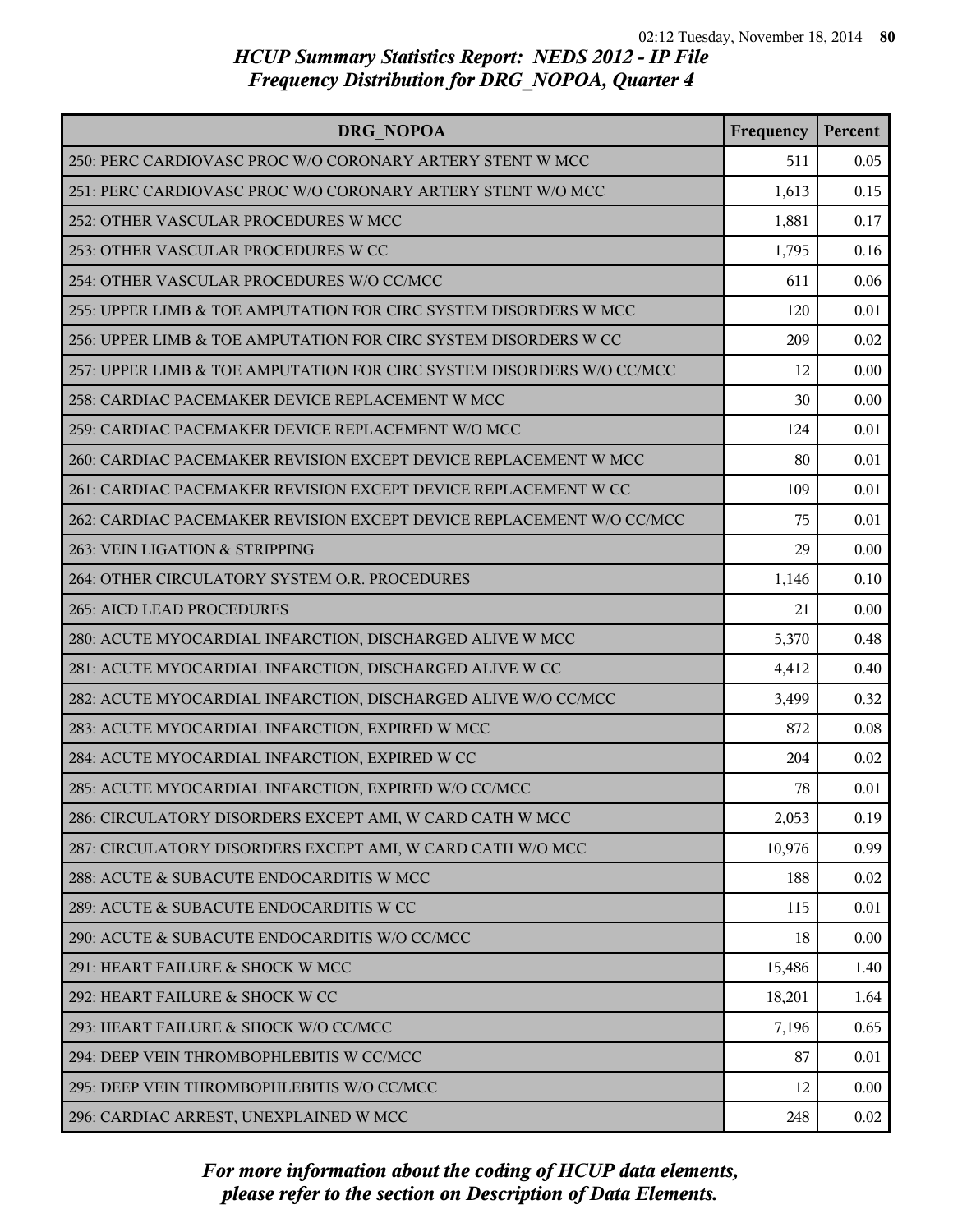| <b>DRG NOPOA</b>                                                      | Frequency | Percent |
|-----------------------------------------------------------------------|-----------|---------|
| 250: PERC CARDIOVASC PROC W/O CORONARY ARTERY STENT W MCC             | 511       | 0.05    |
| 251: PERC CARDIOVASC PROC W/O CORONARY ARTERY STENT W/O MCC           | 1,613     | 0.15    |
| 252: OTHER VASCULAR PROCEDURES W MCC                                  | 1,881     | 0.17    |
| 253: OTHER VASCULAR PROCEDURES W CC                                   | 1,795     | 0.16    |
| 254: OTHER VASCULAR PROCEDURES W/O CC/MCC                             | 611       | 0.06    |
| 255: UPPER LIMB & TOE AMPUTATION FOR CIRC SYSTEM DISORDERS W MCC      | 120       | 0.01    |
| 256: UPPER LIMB & TOE AMPUTATION FOR CIRC SYSTEM DISORDERS W CC       | 209       | 0.02    |
| 257: UPPER LIMB & TOE AMPUTATION FOR CIRC SYSTEM DISORDERS W/O CC/MCC | 12        | 0.00    |
| 258: CARDIAC PACEMAKER DEVICE REPLACEMENT W MCC                       | 30        | 0.00    |
| 259: CARDIAC PACEMAKER DEVICE REPLACEMENT W/O MCC                     | 124       | 0.01    |
| 260: CARDIAC PACEMAKER REVISION EXCEPT DEVICE REPLACEMENT W MCC       | 80        | 0.01    |
| 261: CARDIAC PACEMAKER REVISION EXCEPT DEVICE REPLACEMENT W CC        | 109       | 0.01    |
| 262: CARDIAC PACEMAKER REVISION EXCEPT DEVICE REPLACEMENT W/O CC/MCC  | 75        | 0.01    |
| 263: VEIN LIGATION & STRIPPING                                        | 29        | 0.00    |
| 264: OTHER CIRCULATORY SYSTEM O.R. PROCEDURES                         | 1,146     | 0.10    |
| <b>265: AICD LEAD PROCEDURES</b>                                      | 21        | 0.00    |
| 280: ACUTE MYOCARDIAL INFARCTION, DISCHARGED ALIVE W MCC              | 5,370     | 0.48    |
| 281: ACUTE MYOCARDIAL INFARCTION, DISCHARGED ALIVE W CC               | 4,412     | 0.40    |
| 282: ACUTE MYOCARDIAL INFARCTION, DISCHARGED ALIVE W/O CC/MCC         | 3,499     | 0.32    |
| 283: ACUTE MYOCARDIAL INFARCTION, EXPIRED W MCC                       | 872       | 0.08    |
| 284: ACUTE MYOCARDIAL INFARCTION, EXPIRED W CC                        | 204       | 0.02    |
| 285: ACUTE MYOCARDIAL INFARCTION, EXPIRED W/O CC/MCC                  | 78        | 0.01    |
| 286: CIRCULATORY DISORDERS EXCEPT AMI, W CARD CATH W MCC              | 2,053     | 0.19    |
| 287: CIRCULATORY DISORDERS EXCEPT AMI, W CARD CATH W/O MCC            | 10,976    | 0.99    |
| 288: ACUTE & SUBACUTE ENDOCARDITIS W MCC                              | 188       | 0.02    |
| 289: ACUTE & SUBACUTE ENDOCARDITIS W CC                               | 115       | 0.01    |
| 290: ACUTE & SUBACUTE ENDOCARDITIS W/O CC/MCC                         | 18        | 0.00    |
| 291: HEART FAILURE & SHOCK W MCC                                      | 15,486    | 1.40    |
| 292: HEART FAILURE & SHOCK W CC                                       | 18,201    | 1.64    |
| 293: HEART FAILURE & SHOCK W/O CC/MCC                                 | 7,196     | 0.65    |
| 294: DEEP VEIN THROMBOPHLEBITIS W CC/MCC                              | 87        | 0.01    |
| 295: DEEP VEIN THROMBOPHLEBITIS W/O CC/MCC                            | 12        | 0.00    |
| 296: CARDIAC ARREST, UNEXPLAINED W MCC                                | 248       | 0.02    |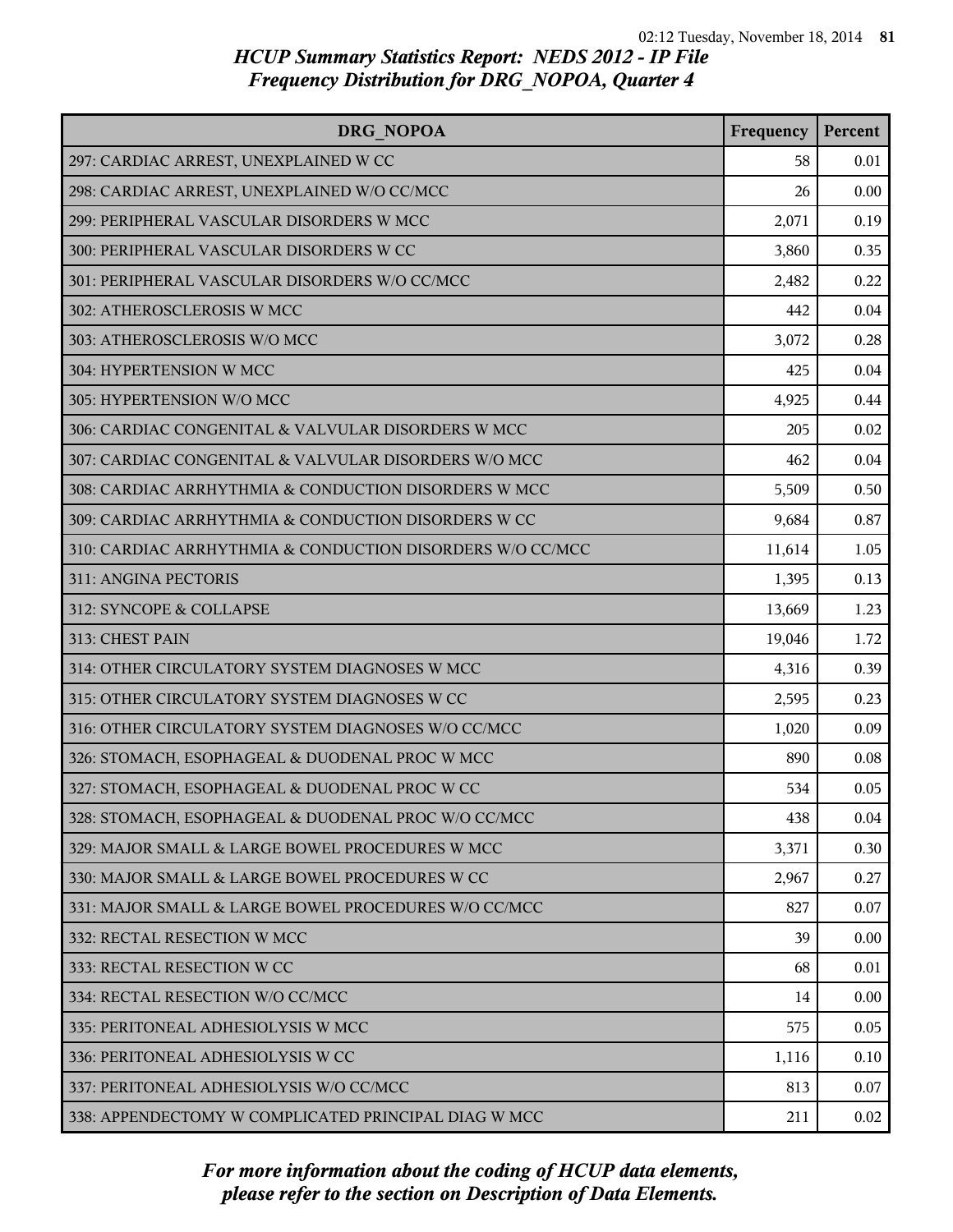| DRG NOPOA                                                 | Frequency | Percent |
|-----------------------------------------------------------|-----------|---------|
| 297: CARDIAC ARREST, UNEXPLAINED W CC                     | 58        | 0.01    |
| 298: CARDIAC ARREST, UNEXPLAINED W/O CC/MCC               | 26        | 0.00    |
| 299: PERIPHERAL VASCULAR DISORDERS W MCC                  | 2,071     | 0.19    |
| 300: PERIPHERAL VASCULAR DISORDERS W CC                   | 3,860     | 0.35    |
| 301: PERIPHERAL VASCULAR DISORDERS W/O CC/MCC             | 2,482     | 0.22    |
| 302: ATHEROSCLEROSIS W MCC                                | 442       | 0.04    |
| 303: ATHEROSCLEROSIS W/O MCC                              | 3,072     | 0.28    |
| 304: HYPERTENSION W MCC                                   | 425       | 0.04    |
| 305: HYPERTENSION W/O MCC                                 | 4,925     | 0.44    |
| 306: CARDIAC CONGENITAL & VALVULAR DISORDERS W MCC        | 205       | 0.02    |
| 307: CARDIAC CONGENITAL & VALVULAR DISORDERS W/O MCC      | 462       | 0.04    |
| 308: CARDIAC ARRHYTHMIA & CONDUCTION DISORDERS W MCC      | 5,509     | 0.50    |
| 309: CARDIAC ARRHYTHMIA & CONDUCTION DISORDERS W CC       | 9,684     | 0.87    |
| 310: CARDIAC ARRHYTHMIA & CONDUCTION DISORDERS W/O CC/MCC | 11,614    | 1.05    |
| 311: ANGINA PECTORIS                                      | 1,395     | 0.13    |
| 312: SYNCOPE & COLLAPSE                                   | 13,669    | 1.23    |
| 313: CHEST PAIN                                           | 19,046    | 1.72    |
| 314: OTHER CIRCULATORY SYSTEM DIAGNOSES W MCC             | 4,316     | 0.39    |
| 315: OTHER CIRCULATORY SYSTEM DIAGNOSES W CC              | 2,595     | 0.23    |
| 316: OTHER CIRCULATORY SYSTEM DIAGNOSES W/O CC/MCC        | 1,020     | 0.09    |
| 326: STOMACH, ESOPHAGEAL & DUODENAL PROC W MCC            | 890       | 0.08    |
| 327: STOMACH, ESOPHAGEAL & DUODENAL PROC W CC             | 534       | 0.05    |
| 328: STOMACH, ESOPHAGEAL & DUODENAL PROC W/O CC/MCC       | 438       | 0.04    |
| 329: MAJOR SMALL & LARGE BOWEL PROCEDURES W MCC           | 3,371     | 0.30    |
| 330: MAJOR SMALL & LARGE BOWEL PROCEDURES W CC            | 2,967     | 0.27    |
| 331: MAJOR SMALL & LARGE BOWEL PROCEDURES W/O CC/MCC      | 827       | 0.07    |
| 332: RECTAL RESECTION W MCC                               | 39        | 0.00    |
| 333: RECTAL RESECTION W CC                                | 68        | 0.01    |
| 334: RECTAL RESECTION W/O CC/MCC                          | 14        | 0.00    |
| 335: PERITONEAL ADHESIOLYSIS W MCC                        | 575       | 0.05    |
| 336: PERITONEAL ADHESIOLYSIS W CC                         | 1,116     | 0.10    |
| 337: PERITONEAL ADHESIOLYSIS W/O CC/MCC                   | 813       | 0.07    |
| 338: APPENDECTOMY W COMPLICATED PRINCIPAL DIAG W MCC      | 211       | 0.02    |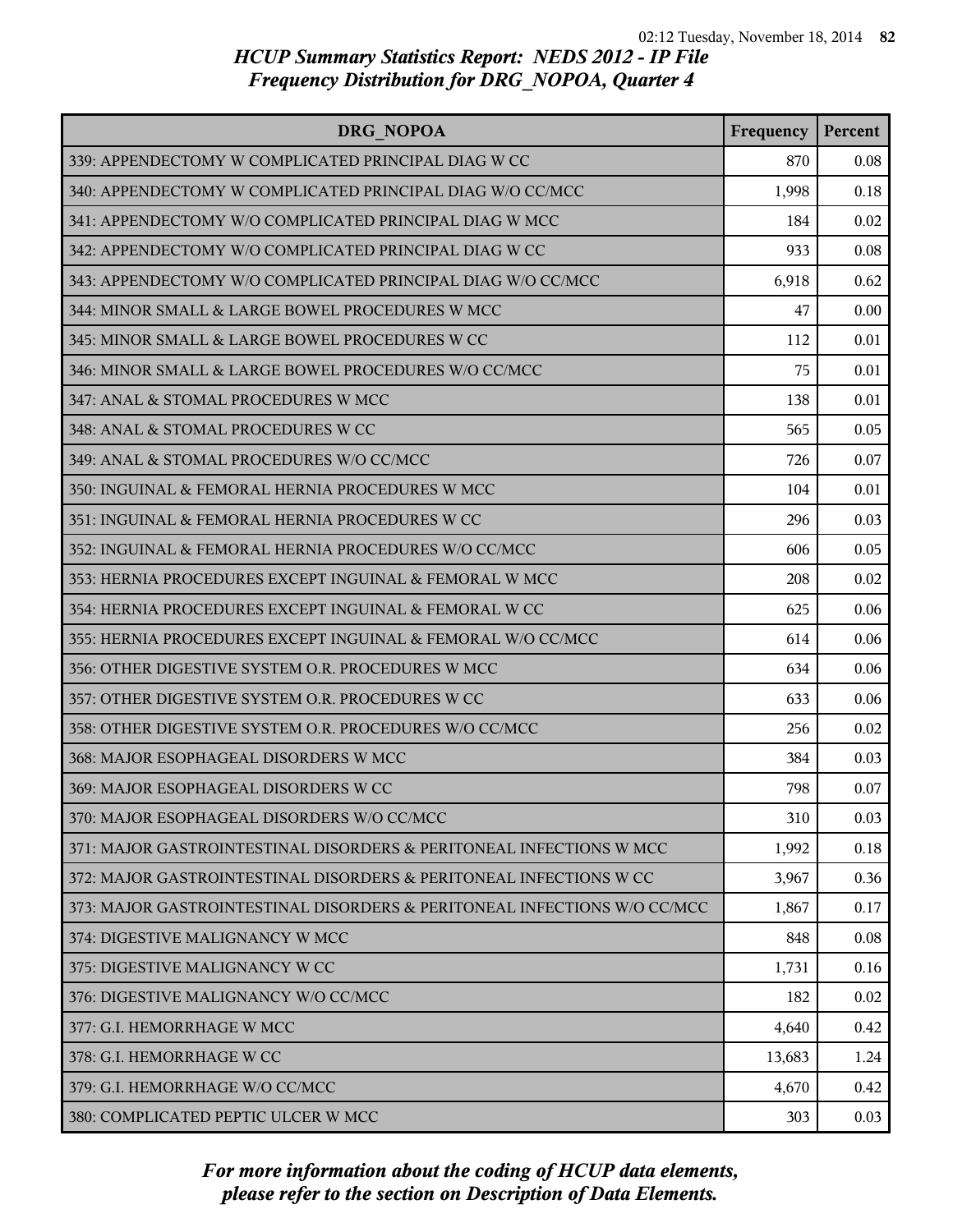| DRG NOPOA                                                                | Frequency | Percent |
|--------------------------------------------------------------------------|-----------|---------|
| 339: APPENDECTOMY W COMPLICATED PRINCIPAL DIAG W CC                      | 870       | 0.08    |
| 340: APPENDECTOMY W COMPLICATED PRINCIPAL DIAG W/O CC/MCC                | 1,998     | 0.18    |
| 341: APPENDECTOMY W/O COMPLICATED PRINCIPAL DIAG W MCC                   | 184       | 0.02    |
| 342: APPENDECTOMY W/O COMPLICATED PRINCIPAL DIAG W CC                    | 933       | 0.08    |
| 343: APPENDECTOMY W/O COMPLICATED PRINCIPAL DIAG W/O CC/MCC              | 6,918     | 0.62    |
| 344: MINOR SMALL & LARGE BOWEL PROCEDURES W MCC                          | 47        | 0.00    |
| 345: MINOR SMALL & LARGE BOWEL PROCEDURES W CC                           | 112       | 0.01    |
| 346: MINOR SMALL & LARGE BOWEL PROCEDURES W/O CC/MCC                     | 75        | 0.01    |
| 347: ANAL & STOMAL PROCEDURES W MCC                                      | 138       | 0.01    |
| 348: ANAL & STOMAL PROCEDURES W CC                                       | 565       | 0.05    |
| 349: ANAL & STOMAL PROCEDURES W/O CC/MCC                                 | 726       | 0.07    |
| 350: INGUINAL & FEMORAL HERNIA PROCEDURES W MCC                          | 104       | 0.01    |
| 351: INGUINAL & FEMORAL HERNIA PROCEDURES W CC                           | 296       | 0.03    |
| 352: INGUINAL & FEMORAL HERNIA PROCEDURES W/O CC/MCC                     | 606       | 0.05    |
| 353: HERNIA PROCEDURES EXCEPT INGUINAL & FEMORAL W MCC                   | 208       | 0.02    |
| 354: HERNIA PROCEDURES EXCEPT INGUINAL & FEMORAL W CC                    | 625       | 0.06    |
| 355: HERNIA PROCEDURES EXCEPT INGUINAL & FEMORAL W/O CC/MCC              | 614       | 0.06    |
| 356: OTHER DIGESTIVE SYSTEM O.R. PROCEDURES W MCC                        | 634       | 0.06    |
| 357: OTHER DIGESTIVE SYSTEM O.R. PROCEDURES W CC                         | 633       | 0.06    |
| 358: OTHER DIGESTIVE SYSTEM O.R. PROCEDURES W/O CC/MCC                   | 256       | 0.02    |
| 368: MAJOR ESOPHAGEAL DISORDERS W MCC                                    | 384       | 0.03    |
| 369: MAJOR ESOPHAGEAL DISORDERS W CC                                     | 798       | 0.07    |
| 370: MAJOR ESOPHAGEAL DISORDERS W/O CC/MCC                               | 310       | 0.03    |
| 371: MAJOR GASTROINTESTINAL DISORDERS & PERITONEAL INFECTIONS W MCC      | 1,992     | 0.18    |
| 372: MAJOR GASTROINTESTINAL DISORDERS & PERITONEAL INFECTIONS W CC       | 3,967     | 0.36    |
| 373: MAJOR GASTROINTESTINAL DISORDERS & PERITONEAL INFECTIONS W/O CC/MCC | 1,867     | 0.17    |
| 374: DIGESTIVE MALIGNANCY W MCC                                          | 848       | 0.08    |
| 375: DIGESTIVE MALIGNANCY W CC                                           | 1,731     | 0.16    |
| 376: DIGESTIVE MALIGNANCY W/O CC/MCC                                     | 182       | 0.02    |
| 377: G.I. HEMORRHAGE W MCC                                               | 4,640     | 0.42    |
| 378: G.I. HEMORRHAGE W CC                                                | 13,683    | 1.24    |
| 379: G.I. HEMORRHAGE W/O CC/MCC                                          | 4,670     | 0.42    |
| 380: COMPLICATED PEPTIC ULCER W MCC                                      | 303       | 0.03    |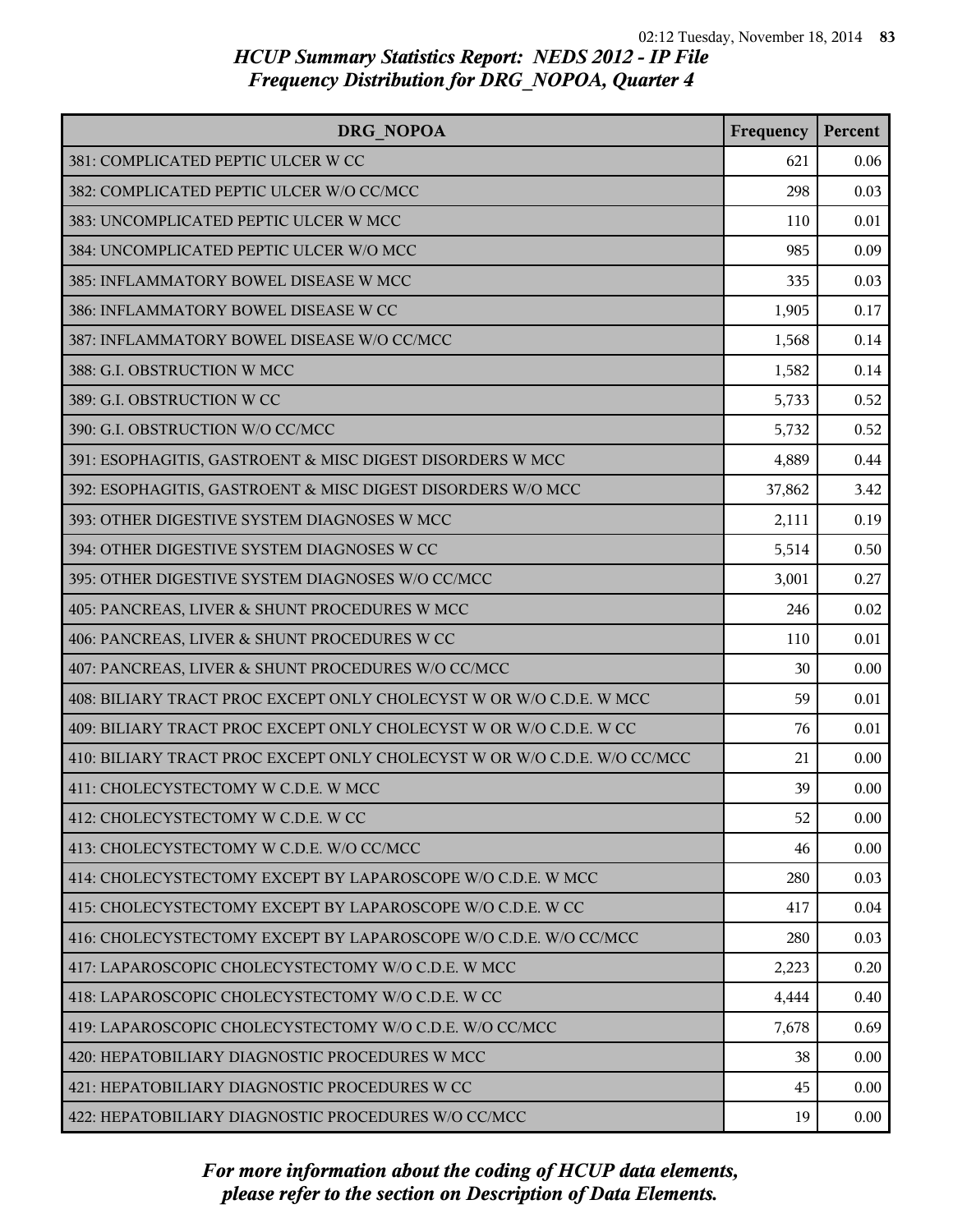| DRG NOPOA                                                                | Frequency | Percent |
|--------------------------------------------------------------------------|-----------|---------|
| 381: COMPLICATED PEPTIC ULCER W CC                                       | 621       | 0.06    |
| 382: COMPLICATED PEPTIC ULCER W/O CC/MCC                                 | 298       | 0.03    |
| 383: UNCOMPLICATED PEPTIC ULCER W MCC                                    | 110       | 0.01    |
| 384: UNCOMPLICATED PEPTIC ULCER W/O MCC                                  | 985       | 0.09    |
| 385: INFLAMMATORY BOWEL DISEASE W MCC                                    | 335       | 0.03    |
| 386: INFLAMMATORY BOWEL DISEASE W CC                                     | 1,905     | 0.17    |
| 387: INFLAMMATORY BOWEL DISEASE W/O CC/MCC                               | 1,568     | 0.14    |
| 388: G.I. OBSTRUCTION W MCC                                              | 1,582     | 0.14    |
| 389: G.I. OBSTRUCTION W CC                                               | 5,733     | 0.52    |
| 390: G.I. OBSTRUCTION W/O CC/MCC                                         | 5,732     | 0.52    |
| 391: ESOPHAGITIS, GASTROENT & MISC DIGEST DISORDERS W MCC                | 4,889     | 0.44    |
| 392: ESOPHAGITIS, GASTROENT & MISC DIGEST DISORDERS W/O MCC              | 37,862    | 3.42    |
| 393: OTHER DIGESTIVE SYSTEM DIAGNOSES W MCC                              | 2,111     | 0.19    |
| 394: OTHER DIGESTIVE SYSTEM DIAGNOSES W CC                               | 5,514     | 0.50    |
| 395: OTHER DIGESTIVE SYSTEM DIAGNOSES W/O CC/MCC                         | 3,001     | 0.27    |
| 405: PANCREAS, LIVER & SHUNT PROCEDURES W MCC                            | 246       | 0.02    |
| 406: PANCREAS, LIVER & SHUNT PROCEDURES W CC                             | 110       | 0.01    |
| 407: PANCREAS, LIVER & SHUNT PROCEDURES W/O CC/MCC                       | 30        | 0.00    |
| 408: BILIARY TRACT PROC EXCEPT ONLY CHOLECYST W OR W/O C.D.E. W MCC      | 59        | 0.01    |
| 409: BILIARY TRACT PROC EXCEPT ONLY CHOLECYST W OR W/O C.D.E. W CC       | 76        | 0.01    |
| 410: BILIARY TRACT PROC EXCEPT ONLY CHOLECYST W OR W/O C.D.E. W/O CC/MCC | 21        | 0.00    |
| 411: CHOLECYSTECTOMY W C.D.E. W MCC                                      | 39        | 0.00    |
| 412: CHOLECYSTECTOMY W C.D.E. W CC                                       | 52        | 0.00    |
| 413: CHOLECYSTECTOMY W C.D.E. W/O CC/MCC                                 | 46        | 0.00    |
| 414: CHOLECYSTECTOMY EXCEPT BY LAPAROSCOPE W/O C.D.E. W MCC              | 280       | 0.03    |
| 415: CHOLECYSTECTOMY EXCEPT BY LAPAROSCOPE W/O C.D.E. W CC               | 417       | 0.04    |
| 416: CHOLECYSTECTOMY EXCEPT BY LAPAROSCOPE W/O C.D.E. W/O CC/MCC         | 280       | 0.03    |
| 417: LAPAROSCOPIC CHOLECYSTECTOMY W/O C.D.E. W MCC                       | 2,223     | 0.20    |
| 418: LAPAROSCOPIC CHOLECYSTECTOMY W/O C.D.E. W CC                        | 4,444     | 0.40    |
| 419: LAPAROSCOPIC CHOLECYSTECTOMY W/O C.D.E. W/O CC/MCC                  | 7,678     | 0.69    |
| 420: HEPATOBILIARY DIAGNOSTIC PROCEDURES W MCC                           | 38        | 0.00    |
| 421: HEPATOBILIARY DIAGNOSTIC PROCEDURES W CC                            | 45        | 0.00    |
| 422: HEPATOBILIARY DIAGNOSTIC PROCEDURES W/O CC/MCC                      | 19        | 0.00    |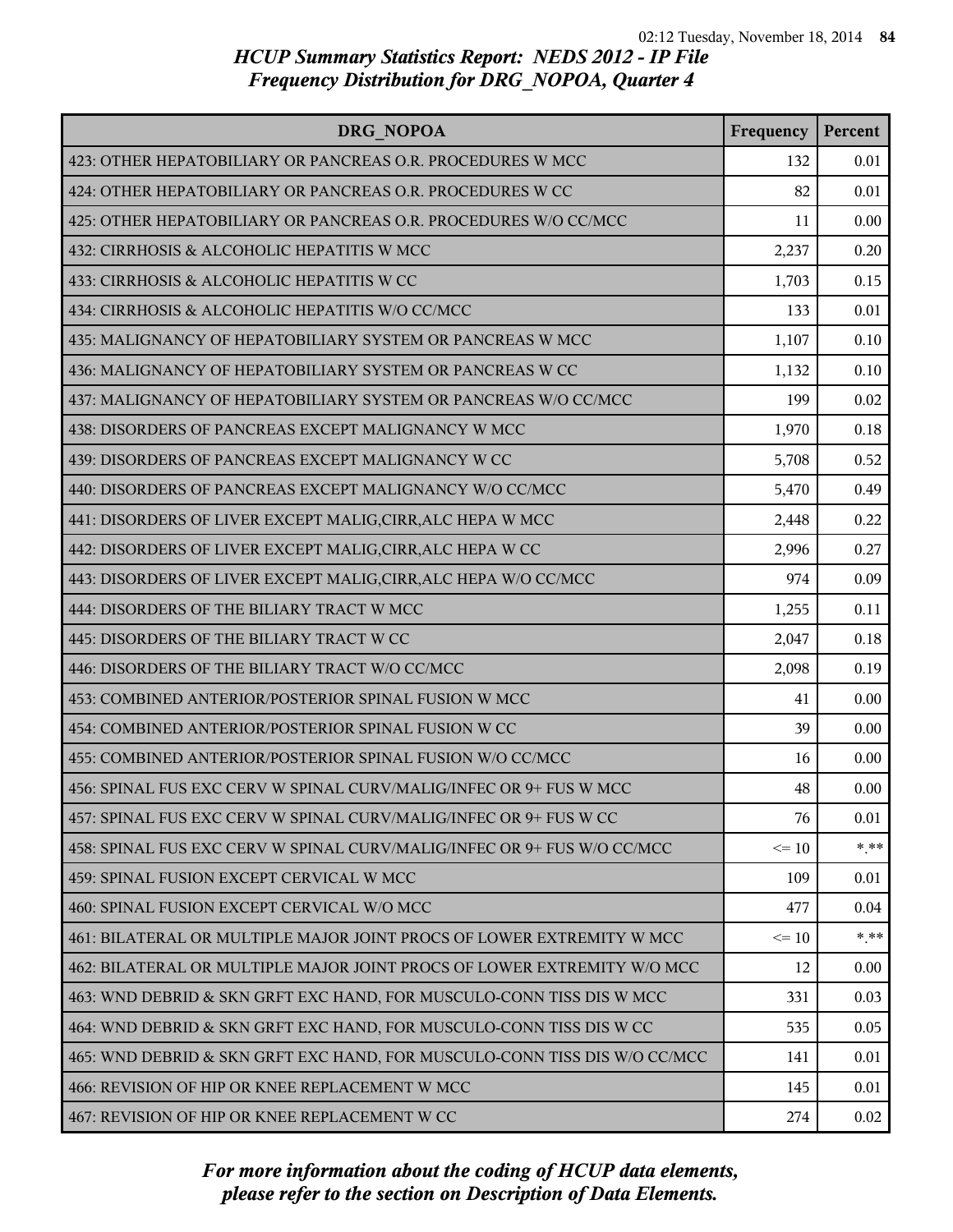| DRG NOPOA                                                                 | Frequency | Percent |
|---------------------------------------------------------------------------|-----------|---------|
| 423: OTHER HEPATOBILIARY OR PANCREAS O.R. PROCEDURES W MCC                | 132       | 0.01    |
| 424: OTHER HEPATOBILIARY OR PANCREAS O.R. PROCEDURES W CC                 | 82        | 0.01    |
| 425: OTHER HEPATOBILIARY OR PANCREAS O.R. PROCEDURES W/O CC/MCC           | 11        | 0.00    |
| 432: CIRRHOSIS & ALCOHOLIC HEPATITIS W MCC                                | 2,237     | 0.20    |
| 433: CIRRHOSIS & ALCOHOLIC HEPATITIS W CC                                 | 1,703     | 0.15    |
| 434: CIRRHOSIS & ALCOHOLIC HEPATITIS W/O CC/MCC                           | 133       | 0.01    |
| 435: MALIGNANCY OF HEPATOBILIARY SYSTEM OR PANCREAS W MCC                 | 1,107     | 0.10    |
| 436: MALIGNANCY OF HEPATOBILIARY SYSTEM OR PANCREAS W CC                  | 1,132     | 0.10    |
| 437: MALIGNANCY OF HEPATOBILIARY SYSTEM OR PANCREAS W/O CC/MCC            | 199       | 0.02    |
| 438: DISORDERS OF PANCREAS EXCEPT MALIGNANCY W MCC                        | 1,970     | 0.18    |
| 439: DISORDERS OF PANCREAS EXCEPT MALIGNANCY W CC                         | 5,708     | 0.52    |
| 440: DISORDERS OF PANCREAS EXCEPT MALIGNANCY W/O CC/MCC                   | 5,470     | 0.49    |
| 441: DISORDERS OF LIVER EXCEPT MALIG, CIRR, ALC HEPA W MCC                | 2,448     | 0.22    |
| 442: DISORDERS OF LIVER EXCEPT MALIG, CIRR, ALC HEPA W CC                 | 2,996     | 0.27    |
| 443: DISORDERS OF LIVER EXCEPT MALIG, CIRR, ALC HEPA W/O CC/MCC           | 974       | 0.09    |
| 444: DISORDERS OF THE BILIARY TRACT W MCC                                 | 1,255     | 0.11    |
| 445: DISORDERS OF THE BILIARY TRACT W CC                                  | 2,047     | 0.18    |
| 446: DISORDERS OF THE BILIARY TRACT W/O CC/MCC                            | 2,098     | 0.19    |
| 453: COMBINED ANTERIOR/POSTERIOR SPINAL FUSION W MCC                      | 41        | 0.00    |
| 454: COMBINED ANTERIOR/POSTERIOR SPINAL FUSION W CC                       | 39        | 0.00    |
| 455: COMBINED ANTERIOR/POSTERIOR SPINAL FUSION W/O CC/MCC                 | 16        | 0.00    |
| 456: SPINAL FUS EXC CERV W SPINAL CURV/MALIG/INFEC OR 9+ FUS W MCC        | 48        | 0.00    |
| 457: SPINAL FUS EXC CERV W SPINAL CURV/MALIG/INFEC OR 9+ FUS W CC         | 76        | 0.01    |
| 458: SPINAL FUS EXC CERV W SPINAL CURV/MALIG/INFEC OR 9+ FUS W/O CC/MCC   | $\leq 10$ | $* * *$ |
| 459: SPINAL FUSION EXCEPT CERVICAL W MCC                                  | 109       | 0.01    |
| 460: SPINAL FUSION EXCEPT CERVICAL W/O MCC                                | 477       | 0.04    |
| 461: BILATERAL OR MULTIPLE MAJOR JOINT PROCS OF LOWER EXTREMITY W MCC     | $\leq 10$ | $* * *$ |
| 462: BILATERAL OR MULTIPLE MAJOR JOINT PROCS OF LOWER EXTREMITY W/O MCC   | 12        | 0.00    |
| 463: WND DEBRID & SKN GRFT EXC HAND, FOR MUSCULO-CONN TISS DIS W MCC      | 331       | 0.03    |
| 464: WND DEBRID & SKN GRFT EXC HAND, FOR MUSCULO-CONN TISS DIS W CC       | 535       | 0.05    |
| 465: WND DEBRID & SKN GRFT EXC HAND, FOR MUSCULO-CONN TISS DIS W/O CC/MCC | 141       | 0.01    |
| 466: REVISION OF HIP OR KNEE REPLACEMENT W MCC                            | 145       | 0.01    |
| 467: REVISION OF HIP OR KNEE REPLACEMENT W CC                             | 274       | 0.02    |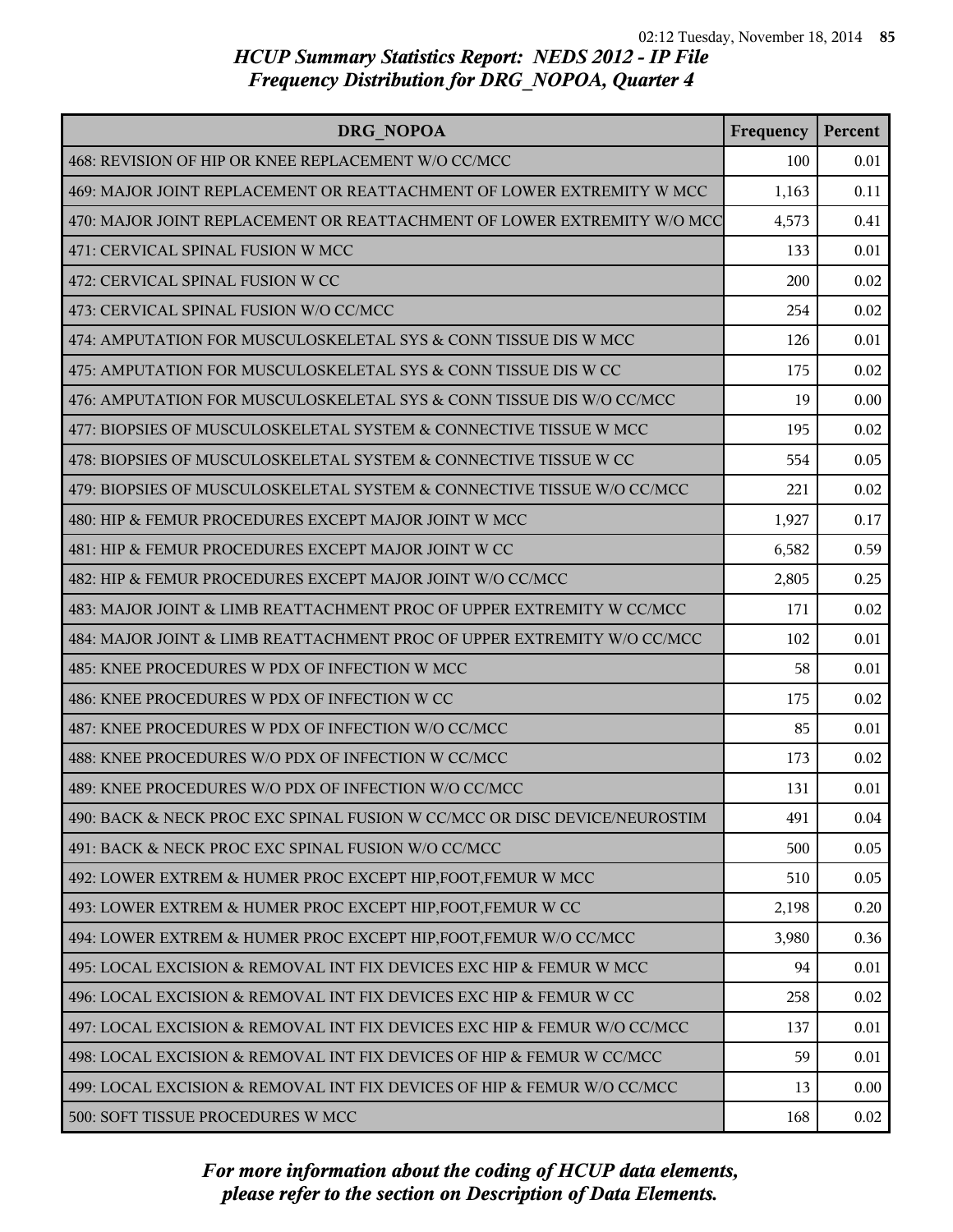| DRG NOPOA                                                                 | Frequency | Percent |
|---------------------------------------------------------------------------|-----------|---------|
| 468: REVISION OF HIP OR KNEE REPLACEMENT W/O CC/MCC                       | 100       | 0.01    |
| 469: MAJOR JOINT REPLACEMENT OR REATTACHMENT OF LOWER EXTREMITY W MCC     | 1,163     | 0.11    |
| 470: MAJOR JOINT REPLACEMENT OR REATTACHMENT OF LOWER EXTREMITY W/O MCC   | 4,573     | 0.41    |
| 471: CERVICAL SPINAL FUSION W MCC                                         | 133       | 0.01    |
| 472: CERVICAL SPINAL FUSION W CC                                          | 200       | 0.02    |
| 473: CERVICAL SPINAL FUSION W/O CC/MCC                                    | 254       | 0.02    |
| 474: AMPUTATION FOR MUSCULOSKELETAL SYS & CONN TISSUE DIS W MCC           | 126       | 0.01    |
| 475: AMPUTATION FOR MUSCULOSKELETAL SYS & CONN TISSUE DIS W CC            | 175       | 0.02    |
| 476: AMPUTATION FOR MUSCULOSKELETAL SYS & CONN TISSUE DIS W/O CC/MCC      | 19        | 0.00    |
| 477: BIOPSIES OF MUSCULOSKELETAL SYSTEM & CONNECTIVE TISSUE W MCC         | 195       | 0.02    |
| 478: BIOPSIES OF MUSCULOSKELETAL SYSTEM & CONNECTIVE TISSUE W CC          | 554       | 0.05    |
| 479: BIOPSIES OF MUSCULOSKELETAL SYSTEM & CONNECTIVE TISSUE W/O CC/MCC    | 221       | 0.02    |
| 480: HIP & FEMUR PROCEDURES EXCEPT MAJOR JOINT W MCC                      | 1,927     | 0.17    |
| 481: HIP & FEMUR PROCEDURES EXCEPT MAJOR JOINT W CC                       | 6,582     | 0.59    |
| 482: HIP & FEMUR PROCEDURES EXCEPT MAJOR JOINT W/O CC/MCC                 | 2,805     | 0.25    |
| 483: MAJOR JOINT & LIMB REATTACHMENT PROC OF UPPER EXTREMITY W CC/MCC     | 171       | 0.02    |
| 484: MAJOR JOINT & LIMB REATTACHMENT PROC OF UPPER EXTREMITY W/O CC/MCC   | 102       | 0.01    |
| 485: KNEE PROCEDURES W PDX OF INFECTION W MCC                             | 58        | 0.01    |
| 486: KNEE PROCEDURES W PDX OF INFECTION W CC                              | 175       | 0.02    |
| 487: KNEE PROCEDURES W PDX OF INFECTION W/O CC/MCC                        | 85        | 0.01    |
| 488: KNEE PROCEDURES W/O PDX OF INFECTION W CC/MCC                        | 173       | 0.02    |
| 489: KNEE PROCEDURES W/O PDX OF INFECTION W/O CC/MCC                      | 131       | 0.01    |
| 490: BACK & NECK PROC EXC SPINAL FUSION W CC/MCC OR DISC DEVICE/NEUROSTIM | 491       | 0.04    |
| 491: BACK & NECK PROC EXC SPINAL FUSION W/O CC/MCC                        | 500       | 0.05    |
| 492: LOWER EXTREM & HUMER PROC EXCEPT HIP, FOOT, FEMUR W MCC              | 510       | 0.05    |
| 493: LOWER EXTREM & HUMER PROC EXCEPT HIP, FOOT, FEMUR W CC               | 2,198     | 0.20    |
| 494: LOWER EXTREM & HUMER PROC EXCEPT HIP, FOOT, FEMUR W/O CC/MCC         | 3,980     | 0.36    |
| 495: LOCAL EXCISION & REMOVAL INT FIX DEVICES EXC HIP & FEMUR W MCC       | 94        | 0.01    |
| 496: LOCAL EXCISION & REMOVAL INT FIX DEVICES EXC HIP & FEMUR W CC        | 258       | 0.02    |
| 497: LOCAL EXCISION & REMOVAL INT FIX DEVICES EXC HIP & FEMUR W/O CC/MCC  | 137       | 0.01    |
| 498: LOCAL EXCISION & REMOVAL INT FIX DEVICES OF HIP & FEMUR W CC/MCC     | 59        | 0.01    |
| 499: LOCAL EXCISION & REMOVAL INT FIX DEVICES OF HIP & FEMUR W/O CC/MCC   | 13        | 0.00    |
| 500: SOFT TISSUE PROCEDURES W MCC                                         | 168       | 0.02    |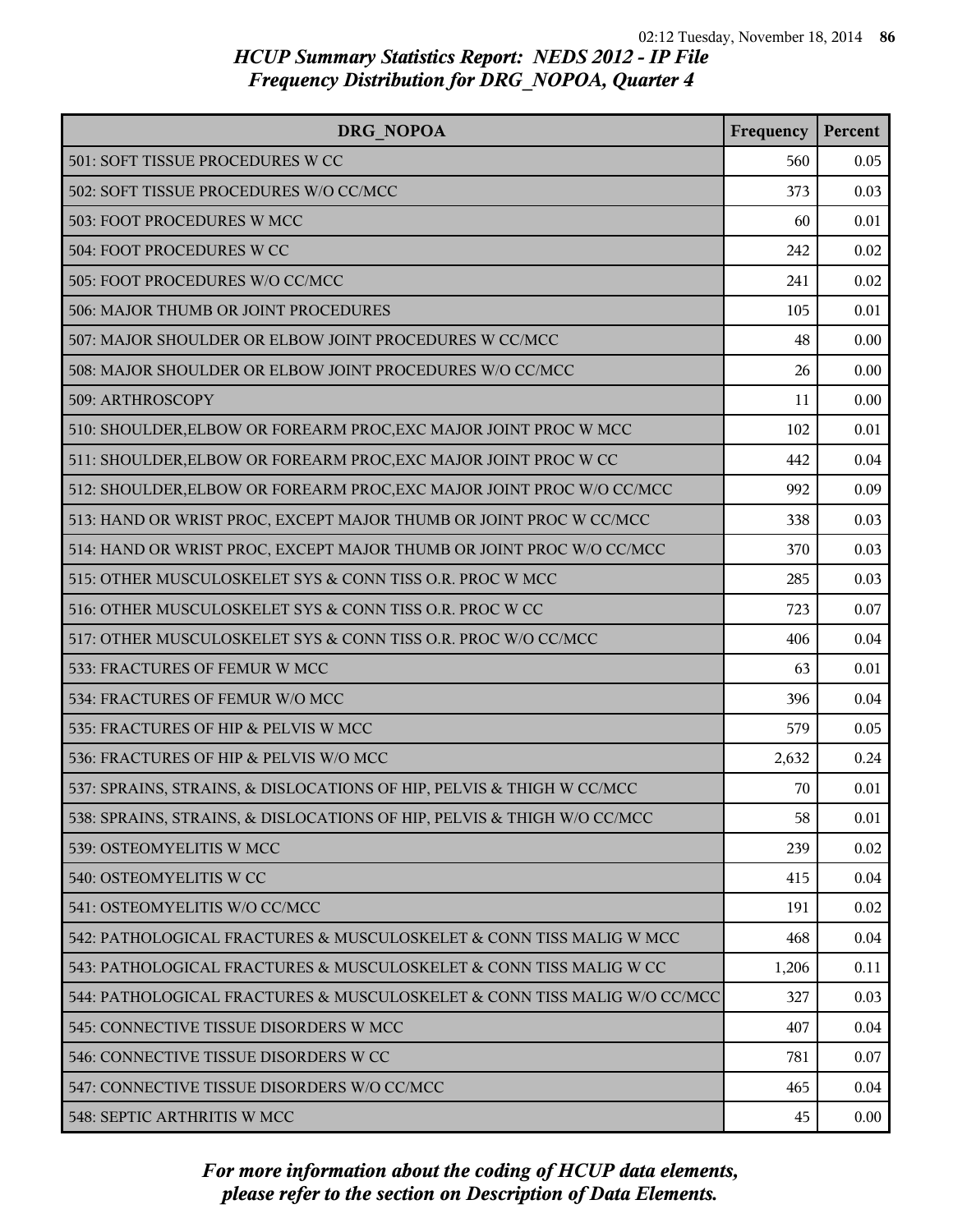| DRG NOPOA                                                                | Frequency | Percent |
|--------------------------------------------------------------------------|-----------|---------|
| 501: SOFT TISSUE PROCEDURES W CC                                         | 560       | 0.05    |
| 502: SOFT TISSUE PROCEDURES W/O CC/MCC                                   | 373       | 0.03    |
| 503: FOOT PROCEDURES W MCC                                               | 60        | 0.01    |
| 504: FOOT PROCEDURES W CC                                                | 242       | 0.02    |
| 505: FOOT PROCEDURES W/O CC/MCC                                          | 241       | 0.02    |
| 506: MAJOR THUMB OR JOINT PROCEDURES                                     | 105       | 0.01    |
| 507: MAJOR SHOULDER OR ELBOW JOINT PROCEDURES W CC/MCC                   | 48        | 0.00    |
| 508: MAJOR SHOULDER OR ELBOW JOINT PROCEDURES W/O CC/MCC                 | 26        | 0.00    |
| 509: ARTHROSCOPY                                                         | 11        | 0.00    |
| 510: SHOULDER, ELBOW OR FOREARM PROC, EXC MAJOR JOINT PROC W MCC         | 102       | 0.01    |
| 511: SHOULDER, ELBOW OR FOREARM PROC, EXC MAJOR JOINT PROC W CC          | 442       | 0.04    |
| 512: SHOULDER, ELBOW OR FOREARM PROC, EXC MAJOR JOINT PROC W/O CC/MCC    | 992       | 0.09    |
| 513: HAND OR WRIST PROC, EXCEPT MAJOR THUMB OR JOINT PROC W CC/MCC       | 338       | 0.03    |
| 514: HAND OR WRIST PROC, EXCEPT MAJOR THUMB OR JOINT PROC W/O CC/MCC     | 370       | 0.03    |
| 515: OTHER MUSCULOSKELET SYS & CONN TISS O.R. PROC W MCC                 | 285       | 0.03    |
| 516: OTHER MUSCULOSKELET SYS & CONN TISS O.R. PROC W CC                  | 723       | 0.07    |
| 517: OTHER MUSCULOSKELET SYS & CONN TISS O.R. PROC W/O CC/MCC            | 406       | 0.04    |
| 533: FRACTURES OF FEMUR W MCC                                            | 63        | 0.01    |
| 534: FRACTURES OF FEMUR W/O MCC                                          | 396       | 0.04    |
| 535: FRACTURES OF HIP & PELVIS W MCC                                     | 579       | 0.05    |
| 536: FRACTURES OF HIP & PELVIS W/O MCC                                   | 2,632     | 0.24    |
| 537: SPRAINS, STRAINS, & DISLOCATIONS OF HIP, PELVIS & THIGH W CC/MCC    | 70        | 0.01    |
| 538: SPRAINS, STRAINS, & DISLOCATIONS OF HIP, PELVIS & THIGH W/O CC/MCC  | 58        | 0.01    |
| 539: OSTEOMYELITIS W MCC                                                 | 239       | 0.02    |
| 540: OSTEOMYELITIS W CC                                                  | 415       | 0.04    |
| 541: OSTEOMYELITIS W/O CC/MCC                                            | 191       | 0.02    |
| 542: PATHOLOGICAL FRACTURES & MUSCULOSKELET & CONN TISS MALIG W MCC      | 468       | 0.04    |
| 543: PATHOLOGICAL FRACTURES & MUSCULOSKELET & CONN TISS MALIG W CC       | 1,206     | 0.11    |
| 544: PATHOLOGICAL FRACTURES & MUSCULOSKELET & CONN TISS MALIG W/O CC/MCC | 327       | 0.03    |
| 545: CONNECTIVE TISSUE DISORDERS W MCC                                   | 407       | 0.04    |
| 546: CONNECTIVE TISSUE DISORDERS W CC                                    | 781       | 0.07    |
| 547: CONNECTIVE TISSUE DISORDERS W/O CC/MCC                              | 465       | 0.04    |
| 548: SEPTIC ARTHRITIS W MCC                                              | 45        | 0.00    |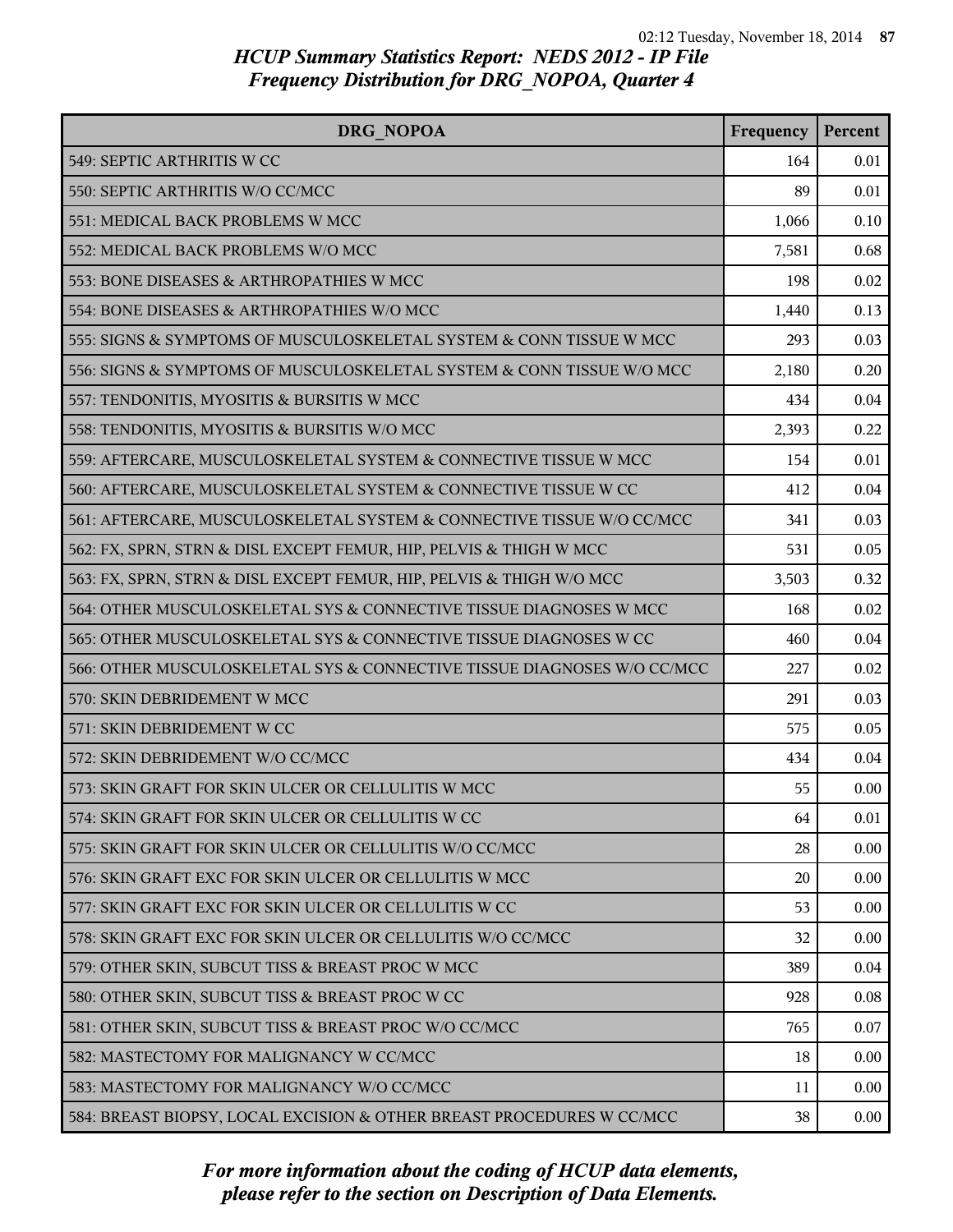| DRG NOPOA                                                               | Frequency | Percent |
|-------------------------------------------------------------------------|-----------|---------|
| 549: SEPTIC ARTHRITIS W CC                                              | 164       | 0.01    |
| 550: SEPTIC ARTHRITIS W/O CC/MCC                                        | 89        | 0.01    |
| 551: MEDICAL BACK PROBLEMS W MCC                                        | 1,066     | 0.10    |
| 552: MEDICAL BACK PROBLEMS W/O MCC                                      | 7,581     | 0.68    |
| 553: BONE DISEASES & ARTHROPATHIES W MCC                                | 198       | 0.02    |
| 554: BONE DISEASES & ARTHROPATHIES W/O MCC                              | 1,440     | 0.13    |
| 555: SIGNS & SYMPTOMS OF MUSCULOSKELETAL SYSTEM & CONN TISSUE W MCC     | 293       | 0.03    |
| 556: SIGNS & SYMPTOMS OF MUSCULOSKELETAL SYSTEM & CONN TISSUE W/O MCC   | 2,180     | 0.20    |
| 557: TENDONITIS, MYOSITIS & BURSITIS W MCC                              | 434       | 0.04    |
| 558: TENDONITIS, MYOSITIS & BURSITIS W/O MCC                            | 2,393     | 0.22    |
| 559: AFTERCARE, MUSCULOSKELETAL SYSTEM & CONNECTIVE TISSUE W MCC        | 154       | 0.01    |
| 560: AFTERCARE, MUSCULOSKELETAL SYSTEM & CONNECTIVE TISSUE W CC         | 412       | 0.04    |
| 561: AFTERCARE, MUSCULOSKELETAL SYSTEM & CONNECTIVE TISSUE W/O CC/MCC   | 341       | 0.03    |
| 562: FX, SPRN, STRN & DISL EXCEPT FEMUR, HIP, PELVIS & THIGH W MCC      | 531       | 0.05    |
| 563: FX, SPRN, STRN & DISL EXCEPT FEMUR, HIP, PELVIS & THIGH W/O MCC    | 3,503     | 0.32    |
| 564: OTHER MUSCULOSKELETAL SYS & CONNECTIVE TISSUE DIAGNOSES W MCC      | 168       | 0.02    |
| 565: OTHER MUSCULOSKELETAL SYS & CONNECTIVE TISSUE DIAGNOSES W CC       | 460       | 0.04    |
| 566: OTHER MUSCULOSKELETAL SYS & CONNECTIVE TISSUE DIAGNOSES W/O CC/MCC | 227       | 0.02    |
| 570: SKIN DEBRIDEMENT W MCC                                             | 291       | 0.03    |
| 571: SKIN DEBRIDEMENT W CC                                              | 575       | 0.05    |
| 572: SKIN DEBRIDEMENT W/O CC/MCC                                        | 434       | 0.04    |
| 573: SKIN GRAFT FOR SKIN ULCER OR CELLULITIS W MCC                      | 55        | 0.00    |
| 574: SKIN GRAFT FOR SKIN ULCER OR CELLULITIS W CC                       | 64        | 0.01    |
| 575: SKIN GRAFT FOR SKIN ULCER OR CELLULITIS W/O CC/MCC                 | 28        | 0.00    |
| 576: SKIN GRAFT EXC FOR SKIN ULCER OR CELLULITIS W MCC                  | 20        | 0.00    |
| 577: SKIN GRAFT EXC FOR SKIN ULCER OR CELLULITIS W CC                   | 53        | 0.00    |
| 578: SKIN GRAFT EXC FOR SKIN ULCER OR CELLULITIS W/O CC/MCC             | 32        | 0.00    |
| 579: OTHER SKIN, SUBCUT TISS & BREAST PROC W MCC                        | 389       | 0.04    |
| 580: OTHER SKIN, SUBCUT TISS & BREAST PROC W CC                         | 928       | 0.08    |
| 581: OTHER SKIN, SUBCUT TISS & BREAST PROC W/O CC/MCC                   | 765       | 0.07    |
| 582: MASTECTOMY FOR MALIGNANCY W CC/MCC                                 | 18        | 0.00    |
| 583: MASTECTOMY FOR MALIGNANCY W/O CC/MCC                               | 11        | 0.00    |
| 584: BREAST BIOPSY, LOCAL EXCISION & OTHER BREAST PROCEDURES W CC/MCC   | 38        | 0.00    |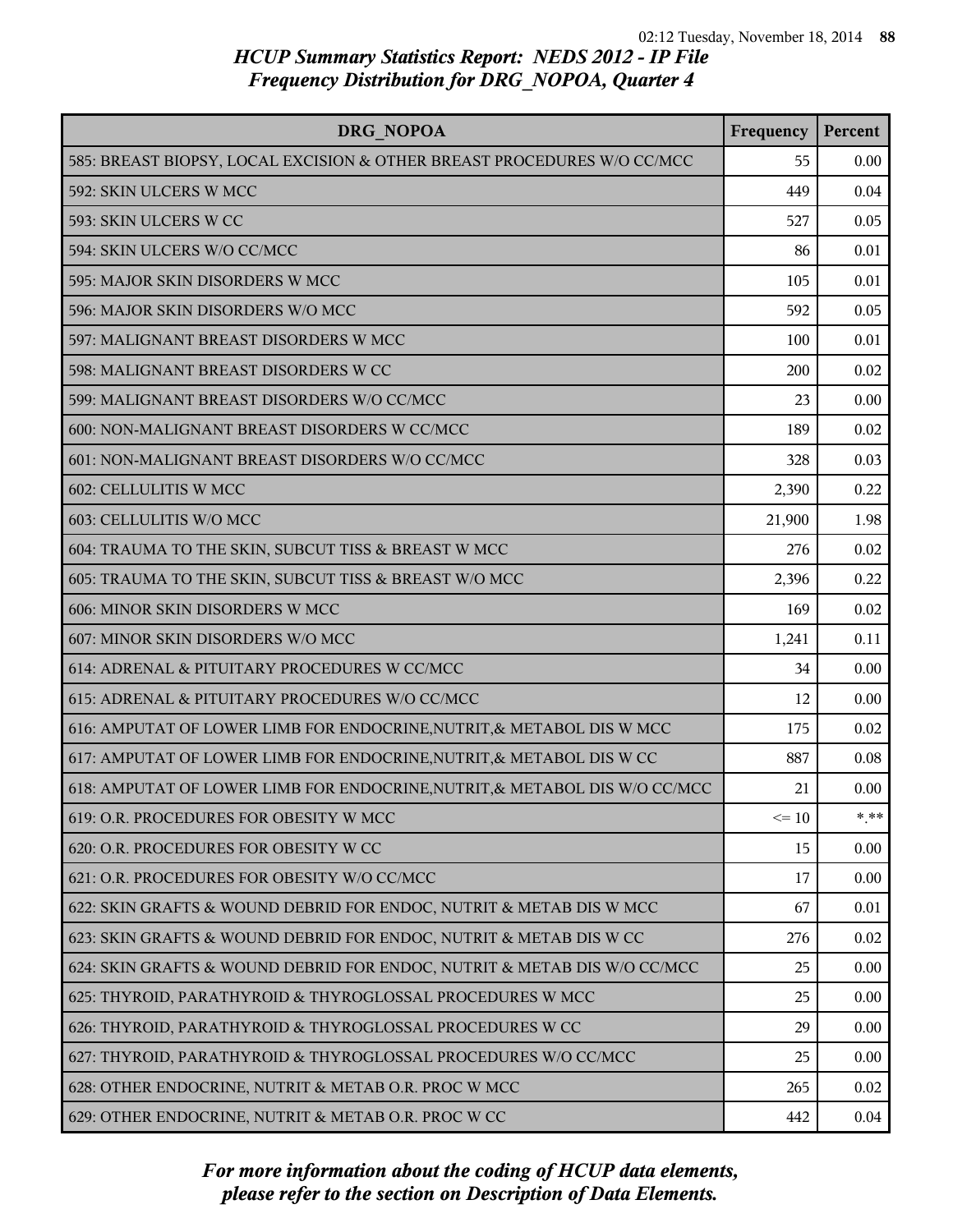| DRG NOPOA                                                                  | Frequency | Percent |
|----------------------------------------------------------------------------|-----------|---------|
| 585: BREAST BIOPSY, LOCAL EXCISION & OTHER BREAST PROCEDURES W/O CC/MCC    | 55        | 0.00    |
| 592: SKIN ULCERS W MCC                                                     | 449       | 0.04    |
| 593: SKIN ULCERS W CC                                                      | 527       | 0.05    |
| 594: SKIN ULCERS W/O CC/MCC                                                | 86        | 0.01    |
| 595: MAJOR SKIN DISORDERS W MCC                                            | 105       | 0.01    |
| 596: MAJOR SKIN DISORDERS W/O MCC                                          | 592       | 0.05    |
| 597: MALIGNANT BREAST DISORDERS W MCC                                      | 100       | 0.01    |
| 598: MALIGNANT BREAST DISORDERS W CC                                       | 200       | 0.02    |
| 599: MALIGNANT BREAST DISORDERS W/O CC/MCC                                 | 23        | 0.00    |
| 600: NON-MALIGNANT BREAST DISORDERS W CC/MCC                               | 189       | 0.02    |
| 601: NON-MALIGNANT BREAST DISORDERS W/O CC/MCC                             | 328       | 0.03    |
| 602: CELLULITIS W MCC                                                      | 2,390     | 0.22    |
| 603: CELLULITIS W/O MCC                                                    | 21,900    | 1.98    |
| 604: TRAUMA TO THE SKIN, SUBCUT TISS & BREAST W MCC                        | 276       | 0.02    |
| 605: TRAUMA TO THE SKIN, SUBCUT TISS & BREAST W/O MCC                      | 2,396     | 0.22    |
| 606: MINOR SKIN DISORDERS W MCC                                            | 169       | 0.02    |
| 607: MINOR SKIN DISORDERS W/O MCC                                          | 1,241     | 0.11    |
| 614: ADRENAL & PITUITARY PROCEDURES W CC/MCC                               | 34        | 0.00    |
| 615: ADRENAL & PITUITARY PROCEDURES W/O CC/MCC                             | 12        | 0.00    |
| 616: AMPUTAT OF LOWER LIMB FOR ENDOCRINE, NUTRIT, & METABOL DIS W MCC      | 175       | 0.02    |
| 617: AMPUTAT OF LOWER LIMB FOR ENDOCRINE, NUTRIT, & METABOL DIS W CC       | 887       | 0.08    |
| 618: AMPUTAT OF LOWER LIMB FOR ENDOCRINE, NUTRIT, & METABOL DIS W/O CC/MCC | 21        | 0.00    |
| 619: O.R. PROCEDURES FOR OBESITY W MCC                                     | $\leq 10$ | $* * *$ |
| 620: O.R. PROCEDURES FOR OBESITY W CC                                      | 15        | 0.00    |
| 621: O.R. PROCEDURES FOR OBESITY W/O CC/MCC                                | 17        | 0.00    |
| 622: SKIN GRAFTS & WOUND DEBRID FOR ENDOC, NUTRIT & METAB DIS W MCC        | 67        | 0.01    |
| 623: SKIN GRAFTS & WOUND DEBRID FOR ENDOC, NUTRIT & METAB DIS W CC         | 276       | 0.02    |
| 624: SKIN GRAFTS & WOUND DEBRID FOR ENDOC, NUTRIT & METAB DIS W/O CC/MCC   | 25        | 0.00    |
| 625: THYROID, PARATHYROID & THYROGLOSSAL PROCEDURES W MCC                  | 25        | 0.00    |
| 626: THYROID, PARATHYROID & THYROGLOSSAL PROCEDURES W CC                   | 29        | 0.00    |
| 627: THYROID, PARATHYROID & THYROGLOSSAL PROCEDURES W/O CC/MCC             | 25        | 0.00    |
| 628: OTHER ENDOCRINE, NUTRIT & METAB O.R. PROC W MCC                       | 265       | 0.02    |
| 629: OTHER ENDOCRINE, NUTRIT & METAB O.R. PROC W CC                        | 442       | 0.04    |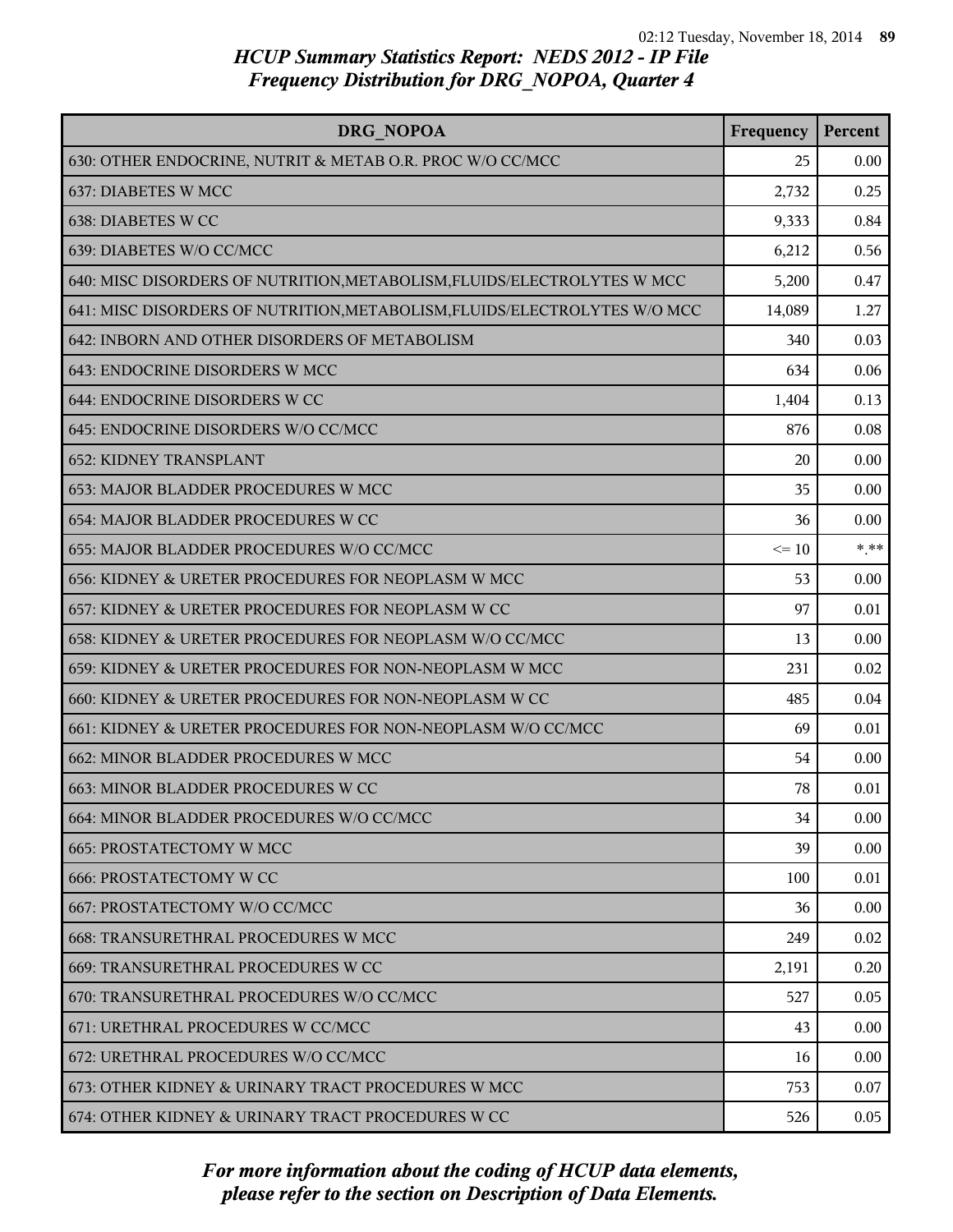| DRG NOPOA                                                                 | Frequency | Percent |
|---------------------------------------------------------------------------|-----------|---------|
| 630: OTHER ENDOCRINE, NUTRIT & METAB O.R. PROC W/O CC/MCC                 | 25        | 0.00    |
| 637: DIABETES W MCC                                                       | 2,732     | 0.25    |
| 638: DIABETES W CC                                                        | 9,333     | 0.84    |
| 639: DIABETES W/O CC/MCC                                                  | 6,212     | 0.56    |
| 640: MISC DISORDERS OF NUTRITION, METABOLISM, FLUIDS/ELECTROLYTES W MCC   | 5,200     | 0.47    |
| 641: MISC DISORDERS OF NUTRITION, METABOLISM, FLUIDS/ELECTROLYTES W/O MCC | 14,089    | 1.27    |
| 642: INBORN AND OTHER DISORDERS OF METABOLISM                             | 340       | 0.03    |
| 643: ENDOCRINE DISORDERS W MCC                                            | 634       | 0.06    |
| 644: ENDOCRINE DISORDERS W CC                                             | 1,404     | 0.13    |
| 645: ENDOCRINE DISORDERS W/O CC/MCC                                       | 876       | 0.08    |
| <b>652: KIDNEY TRANSPLANT</b>                                             | 20        | 0.00    |
| 653: MAJOR BLADDER PROCEDURES W MCC                                       | 35        | 0.00    |
| 654: MAJOR BLADDER PROCEDURES W CC                                        | 36        | 0.00    |
| 655: MAJOR BLADDER PROCEDURES W/O CC/MCC                                  | $\leq 10$ | $***$   |
| 656: KIDNEY & URETER PROCEDURES FOR NEOPLASM W MCC                        | 53        | 0.00    |
| 657: KIDNEY & URETER PROCEDURES FOR NEOPLASM W CC                         | 97        | 0.01    |
| 658: KIDNEY & URETER PROCEDURES FOR NEOPLASM W/O CC/MCC                   | 13        | 0.00    |
| 659: KIDNEY & URETER PROCEDURES FOR NON-NEOPLASM W MCC                    | 231       | 0.02    |
| 660: KIDNEY & URETER PROCEDURES FOR NON-NEOPLASM W CC                     | 485       | 0.04    |
| 661: KIDNEY & URETER PROCEDURES FOR NON-NEOPLASM W/O CC/MCC               | 69        | 0.01    |
| 662: MINOR BLADDER PROCEDURES W MCC                                       | 54        | 0.00    |
| 663: MINOR BLADDER PROCEDURES W CC                                        | 78        | 0.01    |
| 664: MINOR BLADDER PROCEDURES W/O CC/MCC                                  | 34        | 0.00    |
| <b>665: PROSTATECTOMY W MCC</b>                                           | 39        | 0.00    |
| <b>666: PROSTATECTOMY W CC</b>                                            | 100       | 0.01    |
| 667: PROSTATECTOMY W/O CC/MCC                                             | 36        | 0.00    |
| 668: TRANSURETHRAL PROCEDURES W MCC                                       | 249       | 0.02    |
| 669: TRANSURETHRAL PROCEDURES W CC                                        | 2,191     | 0.20    |
| 670: TRANSURETHRAL PROCEDURES W/O CC/MCC                                  | 527       | 0.05    |
| 671: URETHRAL PROCEDURES W CC/MCC                                         | 43        | 0.00    |
| 672: URETHRAL PROCEDURES W/O CC/MCC                                       | 16        | 0.00    |
| 673: OTHER KIDNEY & URINARY TRACT PROCEDURES W MCC                        | 753       | 0.07    |
| 674: OTHER KIDNEY & URINARY TRACT PROCEDURES W CC                         | 526       | 0.05    |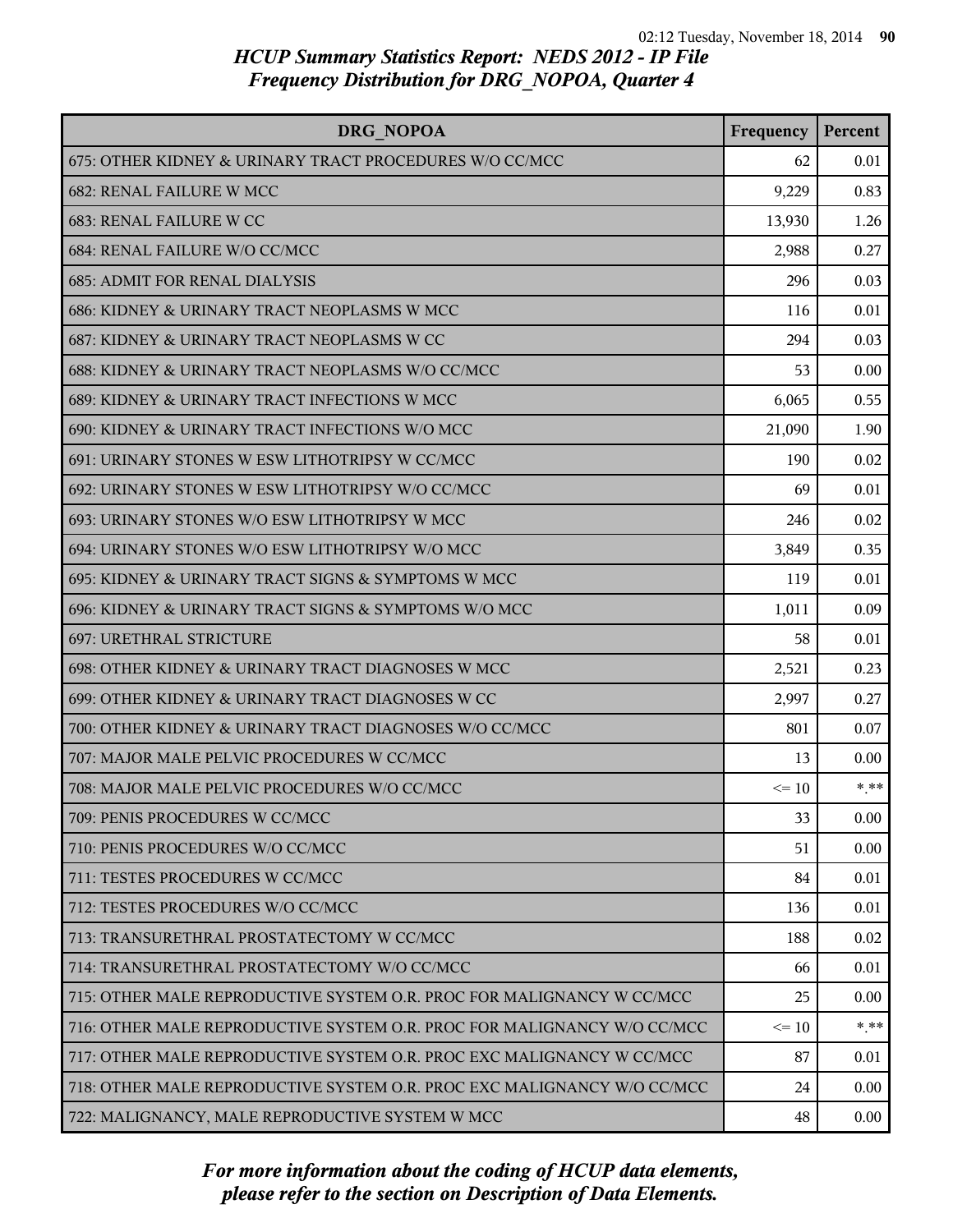| DRG NOPOA                                                               | Frequency | Percent |
|-------------------------------------------------------------------------|-----------|---------|
| 675: OTHER KIDNEY & URINARY TRACT PROCEDURES W/O CC/MCC                 | 62        | 0.01    |
| 682: RENAL FAILURE W MCC                                                | 9,229     | 0.83    |
| 683: RENAL FAILURE W CC                                                 | 13,930    | 1.26    |
| 684: RENAL FAILURE W/O CC/MCC                                           | 2,988     | 0.27    |
| <b>685: ADMIT FOR RENAL DIALYSIS</b>                                    | 296       | 0.03    |
| 686: KIDNEY & URINARY TRACT NEOPLASMS W MCC                             | 116       | 0.01    |
| 687: KIDNEY & URINARY TRACT NEOPLASMS W CC                              | 294       | 0.03    |
| 688: KIDNEY & URINARY TRACT NEOPLASMS W/O CC/MCC                        | 53        | 0.00    |
| 689: KIDNEY & URINARY TRACT INFECTIONS W MCC                            | 6,065     | 0.55    |
| 690: KIDNEY & URINARY TRACT INFECTIONS W/O MCC                          | 21,090    | 1.90    |
| 691: URINARY STONES W ESW LITHOTRIPSY W CC/MCC                          | 190       | 0.02    |
| 692: URINARY STONES W ESW LITHOTRIPSY W/O CC/MCC                        | 69        | 0.01    |
| 693: URINARY STONES W/O ESW LITHOTRIPSY W MCC                           | 246       | 0.02    |
| 694: URINARY STONES W/O ESW LITHOTRIPSY W/O MCC                         | 3,849     | 0.35    |
| 695: KIDNEY & URINARY TRACT SIGNS & SYMPTOMS W MCC                      | 119       | 0.01    |
| 696: KIDNEY & URINARY TRACT SIGNS & SYMPTOMS W/O MCC                    | 1,011     | 0.09    |
| 697: URETHRAL STRICTURE                                                 | 58        | 0.01    |
| 698: OTHER KIDNEY & URINARY TRACT DIAGNOSES W MCC                       | 2,521     | 0.23    |
| 699: OTHER KIDNEY & URINARY TRACT DIAGNOSES W CC                        | 2,997     | 0.27    |
| 700: OTHER KIDNEY & URINARY TRACT DIAGNOSES W/O CC/MCC                  | 801       | 0.07    |
| 707: MAJOR MALE PELVIC PROCEDURES W CC/MCC                              | 13        | 0.00    |
| 708: MAJOR MALE PELVIC PROCEDURES W/O CC/MCC                            | $\leq 10$ | $* * *$ |
| 709: PENIS PROCEDURES W CC/MCC                                          | 33        | 0.00    |
| 710: PENIS PROCEDURES W/O CC/MCC                                        | 51        | 0.00    |
| 711: TESTES PROCEDURES W CC/MCC                                         | 84        | 0.01    |
| 712: TESTES PROCEDURES W/O CC/MCC                                       | 136       | 0.01    |
| 713: TRANSURETHRAL PROSTATECTOMY W CC/MCC                               | 188       | 0.02    |
| 714: TRANSURETHRAL PROSTATECTOMY W/O CC/MCC                             | 66        | 0.01    |
| 715: OTHER MALE REPRODUCTIVE SYSTEM O.R. PROC FOR MALIGNANCY W CC/MCC   | 25        | 0.00    |
| 716: OTHER MALE REPRODUCTIVE SYSTEM O.R. PROC FOR MALIGNANCY W/O CC/MCC | $\leq 10$ | * **    |
| 717: OTHER MALE REPRODUCTIVE SYSTEM O.R. PROC EXC MALIGNANCY W CC/MCC   | 87        | 0.01    |
| 718: OTHER MALE REPRODUCTIVE SYSTEM O.R. PROC EXC MALIGNANCY W/O CC/MCC | 24        | 0.00    |
| 722: MALIGNANCY, MALE REPRODUCTIVE SYSTEM W MCC                         | 48        | 0.00    |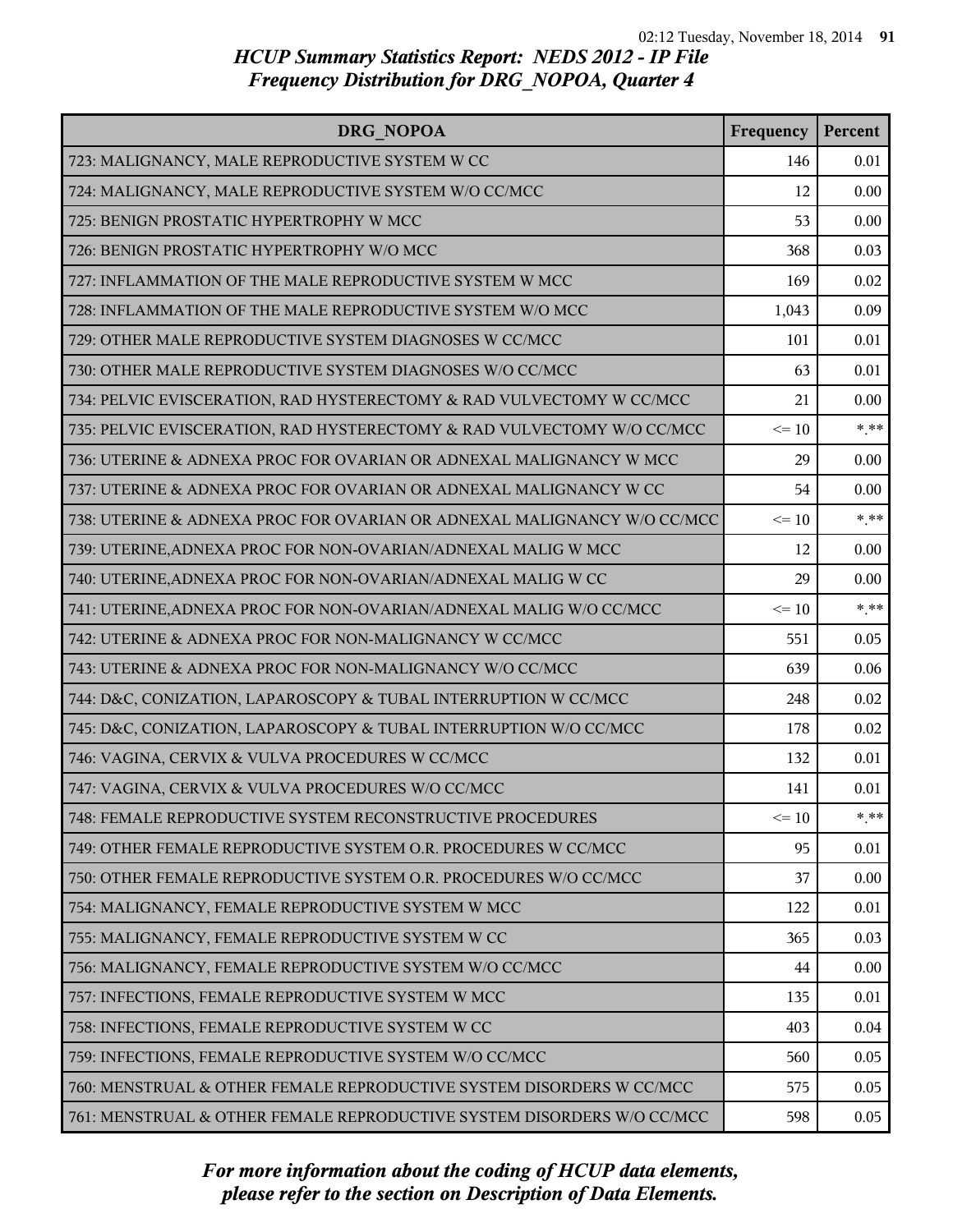| DRG NOPOA                                                               | Frequency | Percent |
|-------------------------------------------------------------------------|-----------|---------|
| 723: MALIGNANCY, MALE REPRODUCTIVE SYSTEM W CC                          | 146       | 0.01    |
| 724: MALIGNANCY, MALE REPRODUCTIVE SYSTEM W/O CC/MCC                    | 12        | 0.00    |
| 725: BENIGN PROSTATIC HYPERTROPHY W MCC                                 | 53        | 0.00    |
| 726: BENIGN PROSTATIC HYPERTROPHY W/O MCC                               | 368       | 0.03    |
| 727: INFLAMMATION OF THE MALE REPRODUCTIVE SYSTEM W MCC                 | 169       | 0.02    |
| 728: INFLAMMATION OF THE MALE REPRODUCTIVE SYSTEM W/O MCC               | 1,043     | 0.09    |
| 729: OTHER MALE REPRODUCTIVE SYSTEM DIAGNOSES W CC/MCC                  | 101       | 0.01    |
| 730: OTHER MALE REPRODUCTIVE SYSTEM DIAGNOSES W/O CC/MCC                | 63        | 0.01    |
| 734: PELVIC EVISCERATION, RAD HYSTERECTOMY & RAD VULVECTOMY W CC/MCC    | 21        | 0.00    |
| 735: PELVIC EVISCERATION, RAD HYSTERECTOMY & RAD VULVECTOMY W/O CC/MCC  | $\leq 10$ | $*$ **  |
| 736: UTERINE & ADNEXA PROC FOR OVARIAN OR ADNEXAL MALIGNANCY W MCC      | 29        | 0.00    |
| 737: UTERINE & ADNEXA PROC FOR OVARIAN OR ADNEXAL MALIGNANCY W CC       | 54        | 0.00    |
| 738: UTERINE & ADNEXA PROC FOR OVARIAN OR ADNEXAL MALIGNANCY W/O CC/MCC | $\leq 10$ | $* * *$ |
| 739: UTERINE, ADNEXA PROC FOR NON-OVARIAN/ADNEXAL MALIG W MCC           | 12        | 0.00    |
| 740: UTERINE, ADNEXA PROC FOR NON-OVARIAN/ADNEXAL MALIG W CC            | 29        | 0.00    |
| 741: UTERINE, ADNEXA PROC FOR NON-OVARIAN/ADNEXAL MALIG W/O CC/MCC      | $\leq 10$ | $***$   |
| 742: UTERINE & ADNEXA PROC FOR NON-MALIGNANCY W CC/MCC                  | 551       | 0.05    |
| 743: UTERINE & ADNEXA PROC FOR NON-MALIGNANCY W/O CC/MCC                | 639       | 0.06    |
| 744: D&C, CONIZATION, LAPAROSCOPY & TUBAL INTERRUPTION W CC/MCC         | 248       | 0.02    |
| 745: D&C, CONIZATION, LAPAROSCOPY & TUBAL INTERRUPTION W/O CC/MCC       | 178       | 0.02    |
| 746: VAGINA, CERVIX & VULVA PROCEDURES W CC/MCC                         | 132       | 0.01    |
| 747: VAGINA, CERVIX & VULVA PROCEDURES W/O CC/MCC                       | 141       | 0.01    |
| 748: FEMALE REPRODUCTIVE SYSTEM RECONSTRUCTIVE PROCEDURES               | $\leq 10$ | * **    |
| 749: OTHER FEMALE REPRODUCTIVE SYSTEM O.R. PROCEDURES W CC/MCC          | 95        | 0.01    |
| 750: OTHER FEMALE REPRODUCTIVE SYSTEM O.R. PROCEDURES W/O CC/MCC        | 37        | 0.00    |
| 754: MALIGNANCY, FEMALE REPRODUCTIVE SYSTEM W MCC                       | 122       | 0.01    |
| 755: MALIGNANCY, FEMALE REPRODUCTIVE SYSTEM W CC                        | 365       | 0.03    |
| 756: MALIGNANCY, FEMALE REPRODUCTIVE SYSTEM W/O CC/MCC                  | 44        | 0.00    |
| 757: INFECTIONS, FEMALE REPRODUCTIVE SYSTEM W MCC                       | 135       | 0.01    |
| 758: INFECTIONS, FEMALE REPRODUCTIVE SYSTEM W CC                        | 403       | 0.04    |
| 759: INFECTIONS, FEMALE REPRODUCTIVE SYSTEM W/O CC/MCC                  | 560       | 0.05    |
| 760: MENSTRUAL & OTHER FEMALE REPRODUCTIVE SYSTEM DISORDERS W CC/MCC    | 575       | 0.05    |
| 761: MENSTRUAL & OTHER FEMALE REPRODUCTIVE SYSTEM DISORDERS W/O CC/MCC  | 598       | 0.05    |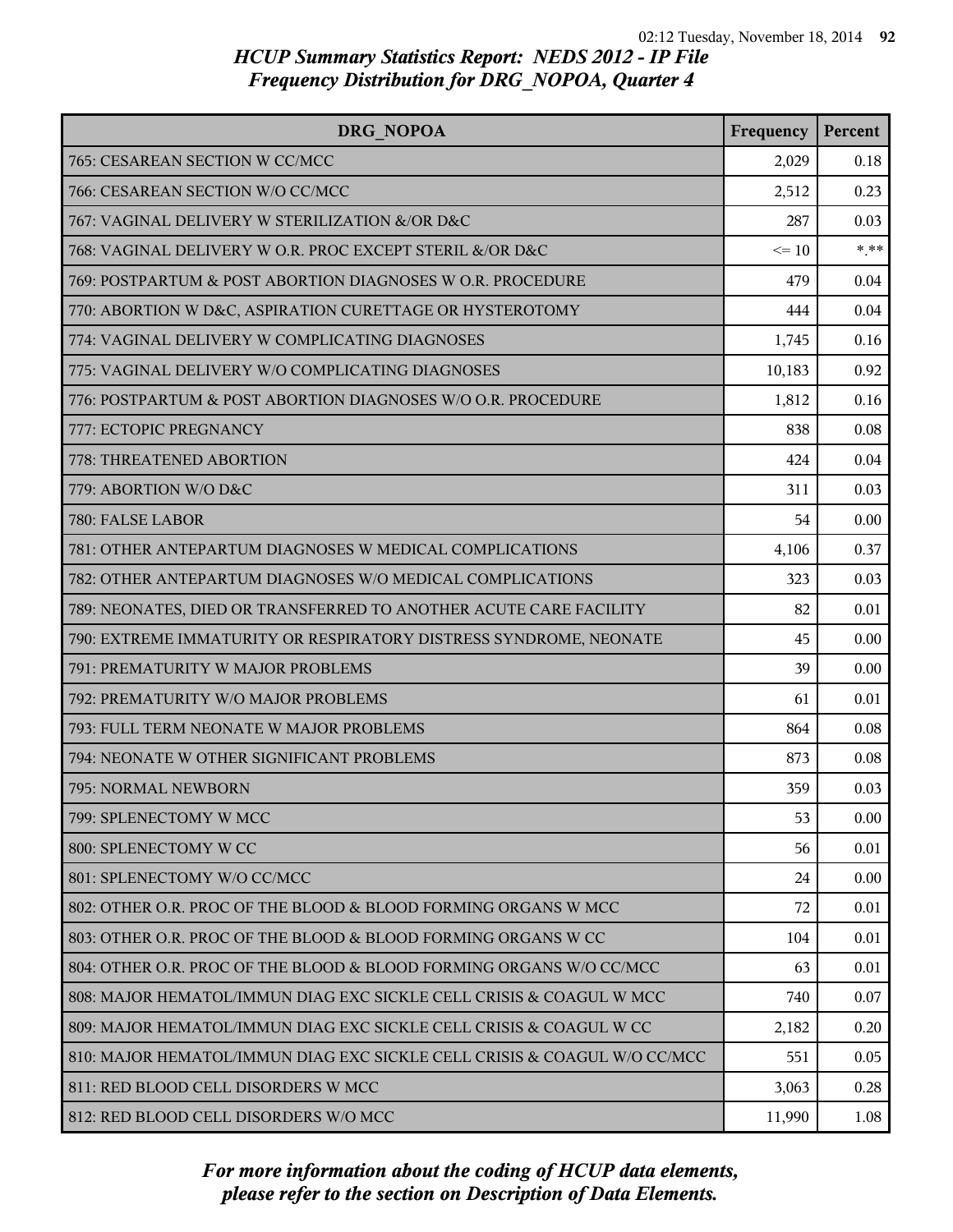| DRG NOPOA                                                                | Frequency | Percent |
|--------------------------------------------------------------------------|-----------|---------|
| 765: CESAREAN SECTION W CC/MCC                                           | 2,029     | 0.18    |
| 766: CESAREAN SECTION W/O CC/MCC                                         | 2,512     | 0.23    |
| 767: VAGINAL DELIVERY W STERILIZATION &/OR D&C                           | 287       | 0.03    |
| 768: VAGINAL DELIVERY W O.R. PROC EXCEPT STERIL &/OR D&C                 | $\leq 10$ | $* * *$ |
| 769: POSTPARTUM & POST ABORTION DIAGNOSES W O.R. PROCEDURE               | 479       | 0.04    |
| 770: ABORTION W D&C, ASPIRATION CURETTAGE OR HYSTEROTOMY                 | 444       | 0.04    |
| 774: VAGINAL DELIVERY W COMPLICATING DIAGNOSES                           | 1,745     | 0.16    |
| 775: VAGINAL DELIVERY W/O COMPLICATING DIAGNOSES                         | 10,183    | 0.92    |
| 776: POSTPARTUM & POST ABORTION DIAGNOSES W/O O.R. PROCEDURE             | 1,812     | 0.16    |
| 777: ECTOPIC PREGNANCY                                                   | 838       | 0.08    |
| 778: THREATENED ABORTION                                                 | 424       | 0.04    |
| 779: ABORTION W/O D&C                                                    | 311       | 0.03    |
| 780: FALSE LABOR                                                         | 54        | 0.00    |
| 781: OTHER ANTEPARTUM DIAGNOSES W MEDICAL COMPLICATIONS                  | 4,106     | 0.37    |
| 782: OTHER ANTEPARTUM DIAGNOSES W/O MEDICAL COMPLICATIONS                | 323       | 0.03    |
| 789: NEONATES, DIED OR TRANSFERRED TO ANOTHER ACUTE CARE FACILITY        | 82        | 0.01    |
| 790: EXTREME IMMATURITY OR RESPIRATORY DISTRESS SYNDROME, NEONATE        | 45        | 0.00    |
| 791: PREMATURITY W MAJOR PROBLEMS                                        | 39        | 0.00    |
| 792: PREMATURITY W/O MAJOR PROBLEMS                                      | 61        | 0.01    |
| 793: FULL TERM NEONATE W MAJOR PROBLEMS                                  | 864       | 0.08    |
| 794: NEONATE W OTHER SIGNIFICANT PROBLEMS                                | 873       | 0.08    |
| 795: NORMAL NEWBORN                                                      | 359       | 0.03    |
| 799: SPLENECTOMY W MCC                                                   | 53        | 0.00    |
| 800: SPLENECTOMY W CC                                                    | 56        | 0.01    |
| 801: SPLENECTOMY W/O CC/MCC                                              | 24        | 0.00    |
| 802: OTHER O.R. PROC OF THE BLOOD & BLOOD FORMING ORGANS W MCC           | 72        | 0.01    |
| 803: OTHER O.R. PROC OF THE BLOOD & BLOOD FORMING ORGANS W CC            | 104       | 0.01    |
| 804: OTHER O.R. PROC OF THE BLOOD & BLOOD FORMING ORGANS W/O CC/MCC      | 63        | 0.01    |
| 808: MAJOR HEMATOL/IMMUN DIAG EXC SICKLE CELL CRISIS & COAGUL W MCC      | 740       | 0.07    |
| 809: MAJOR HEMATOL/IMMUN DIAG EXC SICKLE CELL CRISIS & COAGUL W CC       | 2,182     | 0.20    |
| 810: MAJOR HEMATOL/IMMUN DIAG EXC SICKLE CELL CRISIS & COAGUL W/O CC/MCC | 551       | 0.05    |
| 811: RED BLOOD CELL DISORDERS W MCC                                      | 3,063     | 0.28    |
| 812: RED BLOOD CELL DISORDERS W/O MCC                                    | 11,990    | 1.08    |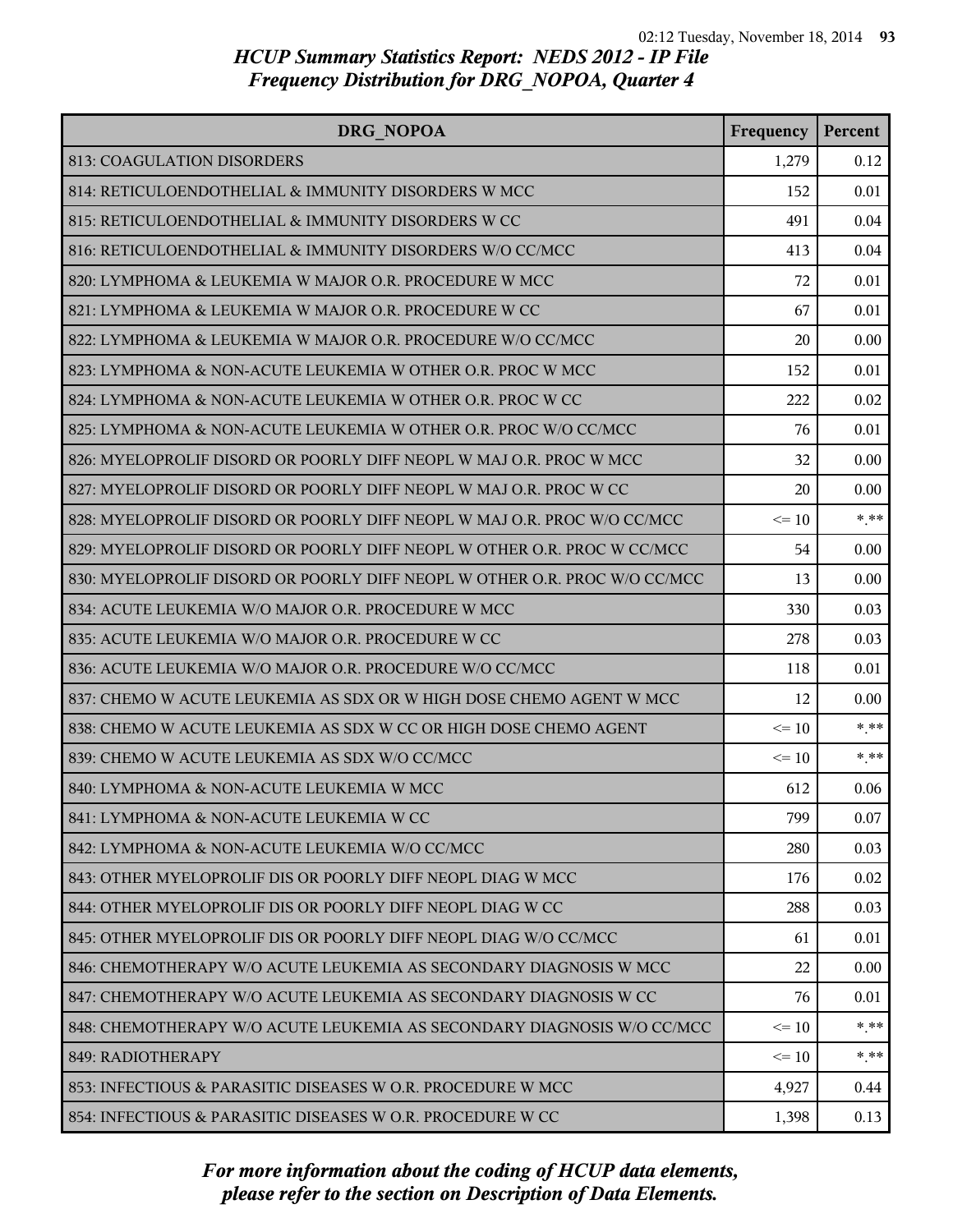| DRG NOPOA                                                                 | Frequency | Percent |
|---------------------------------------------------------------------------|-----------|---------|
| 813: COAGULATION DISORDERS                                                | 1,279     | 0.12    |
| 814: RETICULOENDOTHELIAL & IMMUNITY DISORDERS W MCC                       | 152       | 0.01    |
| 815: RETICULOENDOTHELIAL & IMMUNITY DISORDERS W CC                        | 491       | 0.04    |
| 816: RETICULOENDOTHELIAL & IMMUNITY DISORDERS W/O CC/MCC                  | 413       | 0.04    |
| 820: LYMPHOMA & LEUKEMIA W MAJOR O.R. PROCEDURE W MCC                     | 72        | 0.01    |
| 821: LYMPHOMA & LEUKEMIA W MAJOR O.R. PROCEDURE W CC                      | 67        | 0.01    |
| 822: LYMPHOMA & LEUKEMIA W MAJOR O.R. PROCEDURE W/O CC/MCC                | 20        | 0.00    |
| 823: LYMPHOMA & NON-ACUTE LEUKEMIA W OTHER O.R. PROC W MCC                | 152       | 0.01    |
| 824: LYMPHOMA & NON-ACUTE LEUKEMIA W OTHER O.R. PROC W CC                 | 222       | 0.02    |
| 825: LYMPHOMA & NON-ACUTE LEUKEMIA W OTHER O.R. PROC W/O CC/MCC           | 76        | 0.01    |
| 826: MYELOPROLIF DISORD OR POORLY DIFF NEOPL W MAJ O.R. PROC W MCC        | 32        | 0.00    |
| 827: MYELOPROLIF DISORD OR POORLY DIFF NEOPL W MAJ O.R. PROC W CC         | 20        | 0.00    |
| 828: MYELOPROLIF DISORD OR POORLY DIFF NEOPL W MAJ O.R. PROC W/O CC/MCC   | $\leq$ 10 | $***$   |
| 829: MYELOPROLIF DISORD OR POORLY DIFF NEOPL W OTHER O.R. PROC W CC/MCC   | 54        | 0.00    |
| 830: MYELOPROLIF DISORD OR POORLY DIFF NEOPL W OTHER O.R. PROC W/O CC/MCC | 13        | 0.00    |
| 834: ACUTE LEUKEMIA W/O MAJOR O.R. PROCEDURE W MCC                        | 330       | 0.03    |
| 835: ACUTE LEUKEMIA W/O MAJOR O.R. PROCEDURE W CC                         | 278       | 0.03    |
| 836: ACUTE LEUKEMIA W/O MAJOR O.R. PROCEDURE W/O CC/MCC                   | 118       | 0.01    |
| 837: CHEMO W ACUTE LEUKEMIA AS SDX OR W HIGH DOSE CHEMO AGENT W MCC       | 12        | 0.00    |
| 838: CHEMO W ACUTE LEUKEMIA AS SDX W CC OR HIGH DOSE CHEMO AGENT          | $\leq 10$ | $***$   |
| 839: CHEMO W ACUTE LEUKEMIA AS SDX W/O CC/MCC                             | $\leq 10$ | $* * *$ |
| 840: LYMPHOMA & NON-ACUTE LEUKEMIA W MCC                                  | 612       | 0.06    |
| 841: LYMPHOMA & NON-ACUTE LEUKEMIA W CC                                   | 799       | 0.07    |
| 842: LYMPHOMA & NON-ACUTE LEUKEMIA W/O CC/MCC                             | 280       | 0.03    |
| 843: OTHER MYELOPROLIF DIS OR POORLY DIFF NEOPL DIAG W MCC                | 176       | 0.02    |
| 844: OTHER MYELOPROLIF DIS OR POORLY DIFF NEOPL DIAG W CC                 | 288       | 0.03    |
| 845: OTHER MYELOPROLIF DIS OR POORLY DIFF NEOPL DIAG W/O CC/MCC           | 61        | 0.01    |
| 846: CHEMOTHERAPY W/O ACUTE LEUKEMIA AS SECONDARY DIAGNOSIS W MCC         | 22        | 0.00    |
| 847: CHEMOTHERAPY W/O ACUTE LEUKEMIA AS SECONDARY DIAGNOSIS W CC          | 76        | 0.01    |
| 848: CHEMOTHERAPY W/O ACUTE LEUKEMIA AS SECONDARY DIAGNOSIS W/O CC/MCC    | $\leq$ 10 | $* * *$ |
| 849: RADIOTHERAPY                                                         | $\leq 10$ | $* * *$ |
| 853: INFECTIOUS & PARASITIC DISEASES W O.R. PROCEDURE W MCC               | 4,927     | 0.44    |
| 854: INFECTIOUS & PARASITIC DISEASES W O.R. PROCEDURE W CC                | 1,398     | 0.13    |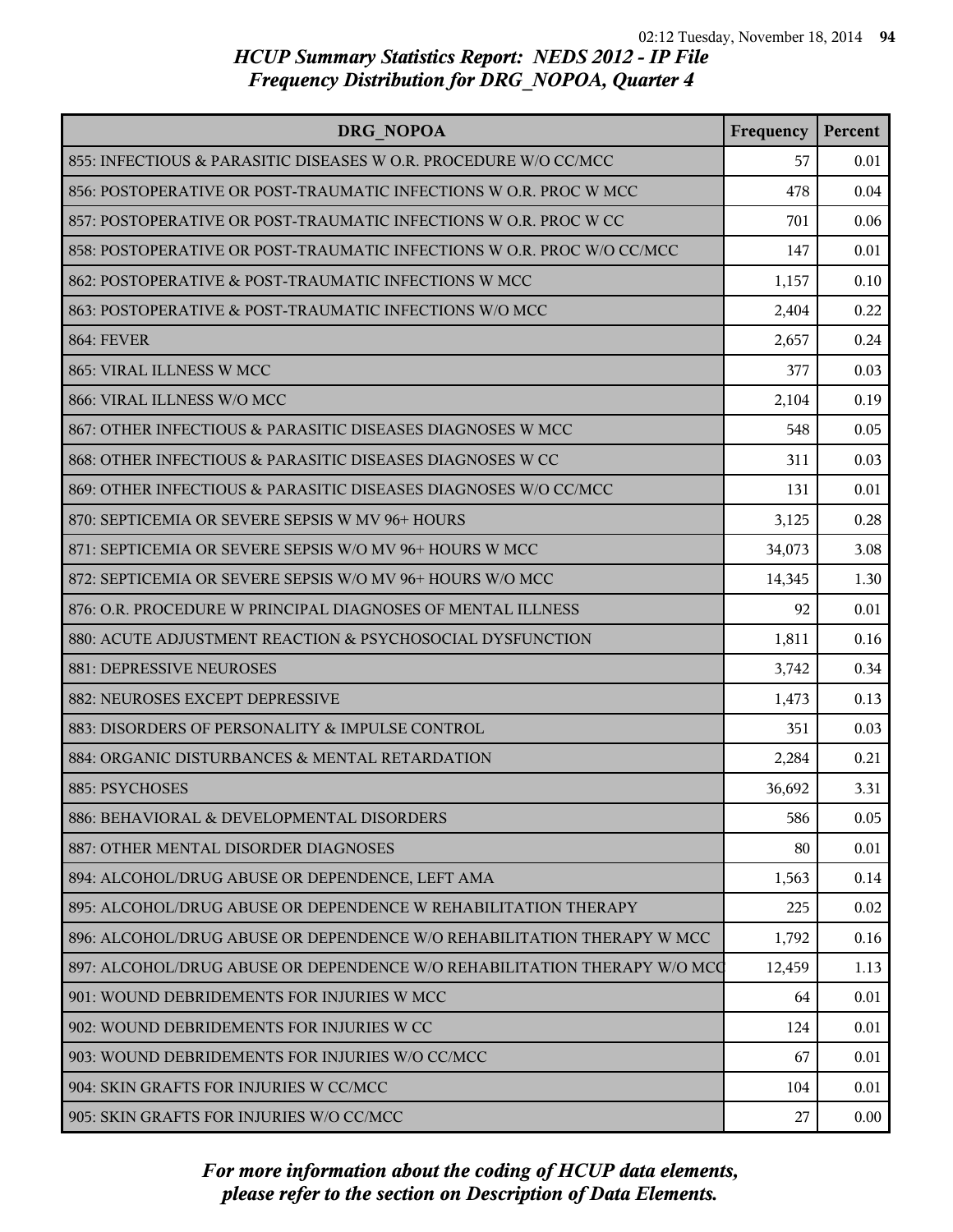| DRG NOPOA                                                                | Frequency | Percent |
|--------------------------------------------------------------------------|-----------|---------|
| 855: INFECTIOUS & PARASITIC DISEASES W O.R. PROCEDURE W/O CC/MCC         | 57        | 0.01    |
| 856: POSTOPERATIVE OR POST-TRAUMATIC INFECTIONS W O.R. PROC W MCC        | 478       | 0.04    |
| 857: POSTOPERATIVE OR POST-TRAUMATIC INFECTIONS W O.R. PROC W CC         | 701       | 0.06    |
| 858: POSTOPERATIVE OR POST-TRAUMATIC INFECTIONS W O.R. PROC W/O CC/MCC   | 147       | 0.01    |
| 862: POSTOPERATIVE & POST-TRAUMATIC INFECTIONS W MCC                     | 1,157     | 0.10    |
| 863: POSTOPERATIVE & POST-TRAUMATIC INFECTIONS W/O MCC                   | 2,404     | 0.22    |
| <b>864: FEVER</b>                                                        | 2,657     | 0.24    |
| 865: VIRAL ILLNESS W MCC                                                 | 377       | 0.03    |
| 866: VIRAL ILLNESS W/O MCC                                               | 2,104     | 0.19    |
| 867: OTHER INFECTIOUS & PARASITIC DISEASES DIAGNOSES W MCC               | 548       | 0.05    |
| 868: OTHER INFECTIOUS & PARASITIC DISEASES DIAGNOSES W CC                | 311       | 0.03    |
| 869: OTHER INFECTIOUS & PARASITIC DISEASES DIAGNOSES W/O CC/MCC          | 131       | 0.01    |
| 870: SEPTICEMIA OR SEVERE SEPSIS W MV 96+ HOURS                          | 3,125     | 0.28    |
| 871: SEPTICEMIA OR SEVERE SEPSIS W/O MV 96+ HOURS W MCC                  | 34,073    | 3.08    |
| 872: SEPTICEMIA OR SEVERE SEPSIS W/O MV 96+ HOURS W/O MCC                | 14,345    | 1.30    |
| 876: O.R. PROCEDURE W PRINCIPAL DIAGNOSES OF MENTAL ILLNESS              | 92        | 0.01    |
| 880: ACUTE ADJUSTMENT REACTION & PSYCHOSOCIAL DYSFUNCTION                | 1,811     | 0.16    |
| 881: DEPRESSIVE NEUROSES                                                 | 3,742     | 0.34    |
| 882: NEUROSES EXCEPT DEPRESSIVE                                          | 1,473     | 0.13    |
| 883: DISORDERS OF PERSONALITY & IMPULSE CONTROL                          | 351       | 0.03    |
| 884: ORGANIC DISTURBANCES & MENTAL RETARDATION                           | 2,284     | 0.21    |
| 885: PSYCHOSES                                                           | 36,692    | 3.31    |
| 886: BEHAVIORAL & DEVELOPMENTAL DISORDERS                                | 586       | 0.05    |
| 887: OTHER MENTAL DISORDER DIAGNOSES                                     | 80        | 0.01    |
| 894: ALCOHOL/DRUG ABUSE OR DEPENDENCE, LEFT AMA                          | 1,563     | 0.14    |
| 895: ALCOHOL/DRUG ABUSE OR DEPENDENCE W REHABILITATION THERAPY           | 225       | 0.02    |
| 896: ALCOHOL/DRUG ABUSE OR DEPENDENCE W/O REHABILITATION THERAPY W MCC   | 1,792     | 0.16    |
| 897: ALCOHOL/DRUG ABUSE OR DEPENDENCE W/O REHABILITATION THERAPY W/O MCC | 12,459    | 1.13    |
| 901: WOUND DEBRIDEMENTS FOR INJURIES W MCC                               | 64        | 0.01    |
| 902: WOUND DEBRIDEMENTS FOR INJURIES W CC                                | 124       | 0.01    |
| 903: WOUND DEBRIDEMENTS FOR INJURIES W/O CC/MCC                          | 67        | 0.01    |
| 904: SKIN GRAFTS FOR INJURIES W CC/MCC                                   | 104       | 0.01    |
| 905: SKIN GRAFTS FOR INJURIES W/O CC/MCC                                 | 27        | 0.00    |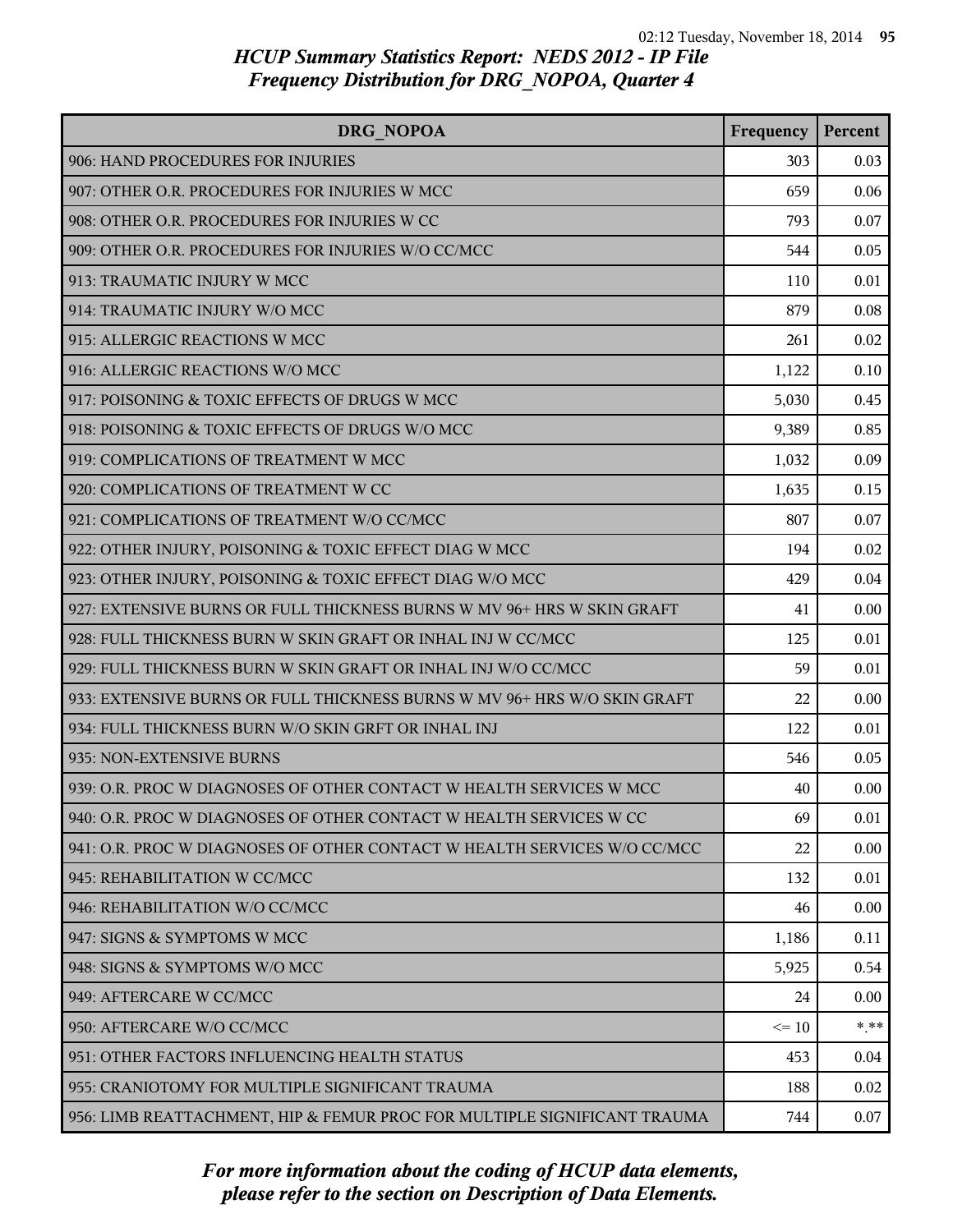| DRG NOPOA                                                                | Frequency | Percent |
|--------------------------------------------------------------------------|-----------|---------|
| 906: HAND PROCEDURES FOR INJURIES                                        | 303       | 0.03    |
| 907: OTHER O.R. PROCEDURES FOR INJURIES W MCC                            | 659       | 0.06    |
| 908: OTHER O.R. PROCEDURES FOR INJURIES W CC                             | 793       | 0.07    |
| 909: OTHER O.R. PROCEDURES FOR INJURIES W/O CC/MCC                       | 544       | 0.05    |
| 913: TRAUMATIC INJURY W MCC                                              | 110       | 0.01    |
| 914: TRAUMATIC INJURY W/O MCC                                            | 879       | 0.08    |
| 915: ALLERGIC REACTIONS W MCC                                            | 261       | 0.02    |
| 916: ALLERGIC REACTIONS W/O MCC                                          | 1,122     | 0.10    |
| 917: POISONING & TOXIC EFFECTS OF DRUGS W MCC                            | 5,030     | 0.45    |
| 918: POISONING & TOXIC EFFECTS OF DRUGS W/O MCC                          | 9,389     | 0.85    |
| 919: COMPLICATIONS OF TREATMENT W MCC                                    | 1,032     | 0.09    |
| 920: COMPLICATIONS OF TREATMENT W CC                                     | 1,635     | 0.15    |
| 921: COMPLICATIONS OF TREATMENT W/O CC/MCC                               | 807       | 0.07    |
| 922: OTHER INJURY, POISONING & TOXIC EFFECT DIAG W MCC                   | 194       | 0.02    |
| 923: OTHER INJURY, POISONING & TOXIC EFFECT DIAG W/O MCC                 | 429       | 0.04    |
| 927: EXTENSIVE BURNS OR FULL THICKNESS BURNS W MV 96+ HRS W SKIN GRAFT   | 41        | 0.00    |
| 928: FULL THICKNESS BURN W SKIN GRAFT OR INHAL INJ W CC/MCC              | 125       | 0.01    |
| 929: FULL THICKNESS BURN W SKIN GRAFT OR INHAL INJ W/O CC/MCC            | 59        | 0.01    |
| 933: EXTENSIVE BURNS OR FULL THICKNESS BURNS W MV 96+ HRS W/O SKIN GRAFT | 22        | 0.00    |
| 934: FULL THICKNESS BURN W/O SKIN GRFT OR INHAL INJ                      | 122       | 0.01    |
| 935: NON-EXTENSIVE BURNS                                                 | 546       | 0.05    |
| 939: O.R. PROC W DIAGNOSES OF OTHER CONTACT W HEALTH SERVICES W MCC      | 40        | 0.00    |
| 940: O.R. PROC W DIAGNOSES OF OTHER CONTACT W HEALTH SERVICES W CC       | 69        | 0.01    |
| 941: O.R. PROC W DIAGNOSES OF OTHER CONTACT W HEALTH SERVICES W/O CC/MCC | 22        | 0.00    |
| 945: REHABILITATION W CC/MCC                                             | 132       | 0.01    |
| 946: REHABILITATION W/O CC/MCC                                           | 46        | 0.00    |
| 947: SIGNS & SYMPTOMS W MCC                                              | 1,186     | 0.11    |
| 948: SIGNS & SYMPTOMS W/O MCC                                            | 5,925     | 0.54    |
| 949: AFTERCARE W CC/MCC                                                  | 24        | 0.00    |
| 950: AFTERCARE W/O CC/MCC                                                | $\leq 10$ | * **    |
| 951: OTHER FACTORS INFLUENCING HEALTH STATUS                             | 453       | 0.04    |
| 955: CRANIOTOMY FOR MULTIPLE SIGNIFICANT TRAUMA                          | 188       | 0.02    |
| 956: LIMB REATTACHMENT, HIP & FEMUR PROC FOR MULTIPLE SIGNIFICANT TRAUMA | 744       | 0.07    |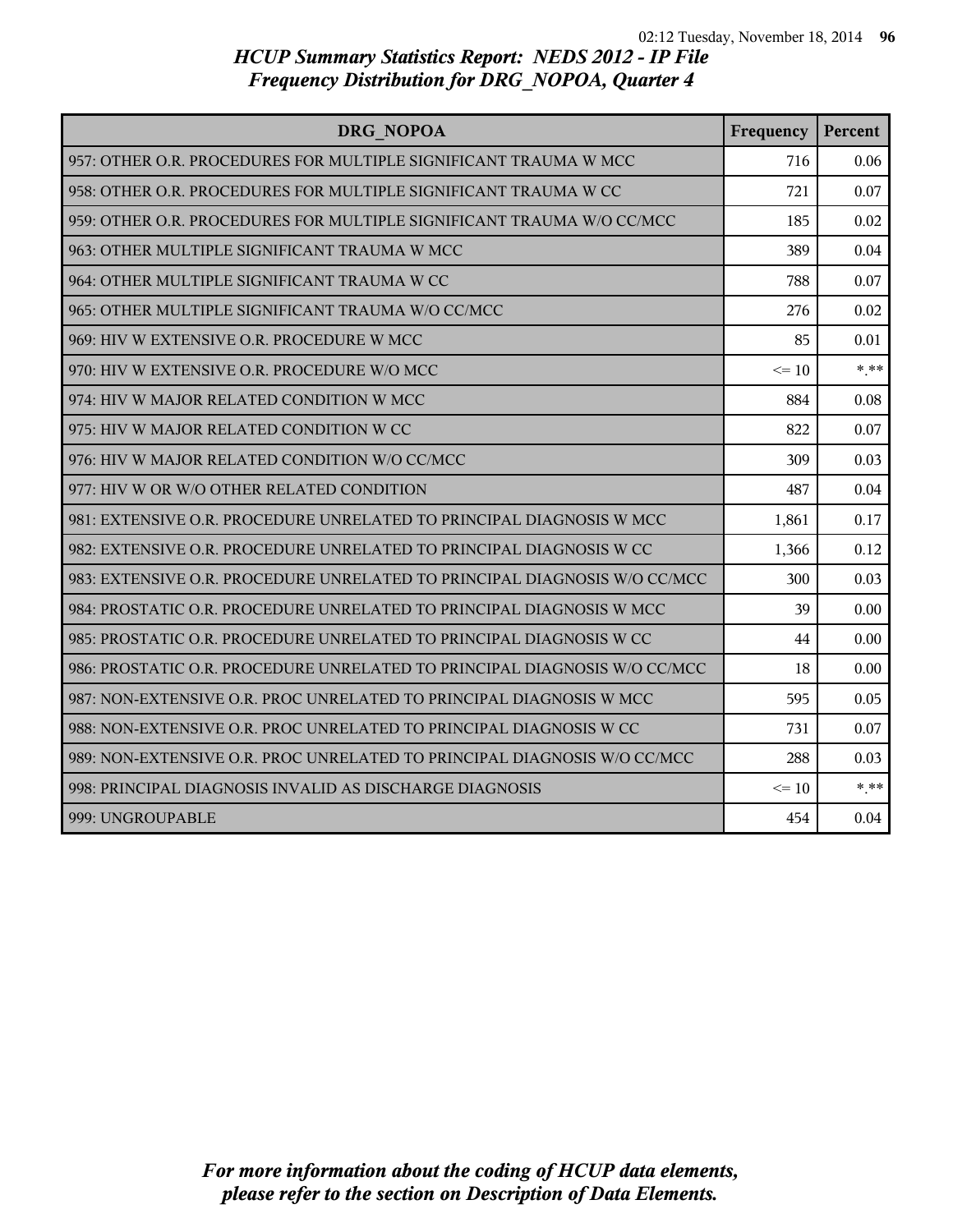| DRG NOPOA                                                                 | Frequency | Percent |
|---------------------------------------------------------------------------|-----------|---------|
| 957: OTHER O.R. PROCEDURES FOR MULTIPLE SIGNIFICANT TRAUMA W MCC          | 716       | 0.06    |
| 958: OTHER O.R. PROCEDURES FOR MULTIPLE SIGNIFICANT TRAUMA W CC           | 721       | 0.07    |
| 959: OTHER O.R. PROCEDURES FOR MULTIPLE SIGNIFICANT TRAUMA W/O CC/MCC     | 185       | 0.02    |
| 963: OTHER MULTIPLE SIGNIFICANT TRAUMA W MCC                              | 389       | 0.04    |
| 964: OTHER MULTIPLE SIGNIFICANT TRAUMA W CC                               | 788       | 0.07    |
| 965: OTHER MULTIPLE SIGNIFICANT TRAUMA W/O CC/MCC                         | 276       | 0.02    |
| 969: HIV W EXTENSIVE O.R. PROCEDURE W MCC                                 | 85        | 0.01    |
| 970: HIV W EXTENSIVE O.R. PROCEDURE W/O MCC                               | $\leq 10$ | $* * *$ |
| 974: HIV W MAJOR RELATED CONDITION W MCC                                  | 884       | 0.08    |
| 975: HIV W MAJOR RELATED CONDITION W CC                                   | 822       | 0.07    |
| 976: HIV W MAJOR RELATED CONDITION W/O CC/MCC                             | 309       | 0.03    |
| 977: HIV W OR W/O OTHER RELATED CONDITION                                 | 487       | 0.04    |
| 981: EXTENSIVE O.R. PROCEDURE UNRELATED TO PRINCIPAL DIAGNOSIS W MCC      | 1,861     | 0.17    |
| 982: EXTENSIVE O.R. PROCEDURE UNRELATED TO PRINCIPAL DIAGNOSIS W CC       | 1,366     | 0.12    |
| 983: EXTENSIVE O.R. PROCEDURE UNRELATED TO PRINCIPAL DIAGNOSIS W/O CC/MCC | 300       | 0.03    |
| 984: PROSTATIC O.R. PROCEDURE UNRELATED TO PRINCIPAL DIAGNOSIS W MCC      | 39        | 0.00    |
| 985: PROSTATIC O.R. PROCEDURE UNRELATED TO PRINCIPAL DIAGNOSIS W CC       | 44        | 0.00    |
| 986: PROSTATIC O.R. PROCEDURE UNRELATED TO PRINCIPAL DIAGNOSIS W/O CC/MCC | 18        | 0.00    |
| 987: NON-EXTENSIVE O.R. PROC UNRELATED TO PRINCIPAL DIAGNOSIS W MCC       | 595       | 0.05    |
| 988: NON-EXTENSIVE O.R. PROC UNRELATED TO PRINCIPAL DIAGNOSIS W CC        | 731       | 0.07    |
| 989: NON-EXTENSIVE O.R. PROC UNRELATED TO PRINCIPAL DIAGNOSIS W/O CC/MCC  | 288       | 0.03    |
| 998: PRINCIPAL DIAGNOSIS INVALID AS DISCHARGE DIAGNOSIS                   | $\leq 10$ | $* * *$ |
| 999: UNGROUPABLE                                                          | 454       | 0.04    |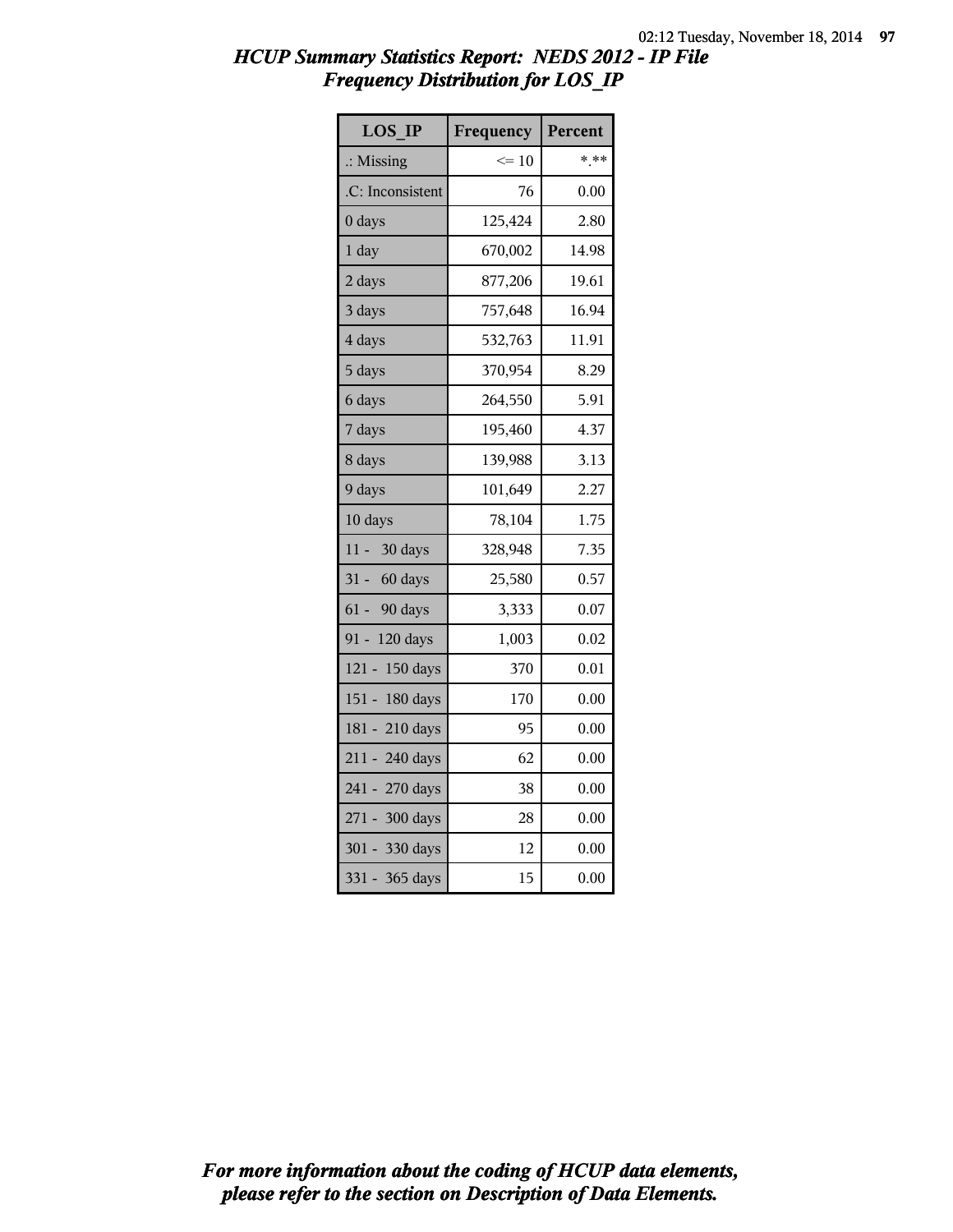| <b>LOS IP</b>        | Frequency | Percent |
|----------------------|-----------|---------|
| $\therefore$ Missing | $\leq 10$ | * **    |
| .C: Inconsistent     | 76        | 0.00    |
| 0 days               | 125,424   | 2.80    |
| 1 day                | 670,002   | 14.98   |
| 2 days               | 877,206   | 19.61   |
| 3 days               | 757,648   | 16.94   |
| 4 days               | 532,763   | 11.91   |
| 5 days               | 370,954   | 8.29    |
| 6 days               | 264,550   | 5.91    |
| 7 days               | 195,460   | 4.37    |
| 8 days               | 139,988   | 3.13    |
| 9 days               | 101,649   | 2.27    |
| 10 days              | 78,104    | 1.75    |
| 30 days<br>11 -      | 328,948   | 7.35    |
| 31 - 60 days         | 25,580    | 0.57    |
| 61 - 90 days         | 3,333     | 0.07    |
| 91 - 120 days        | 1,003     | 0.02    |
| 121 - 150 days       | 370       | 0.01    |
| 151 - 180 days       | 170       | 0.00    |
| 181 - 210 days       | 95        | 0.00    |
| 211 - 240 days       | 62        | 0.00    |
| 241 - 270 days       | 38        | 0.00    |
| 271 - 300 days       | 28        | 0.00    |
| 301 - 330 days       | 12        | 0.00    |
| $331 -$<br>365 days  | 15        | 0.00    |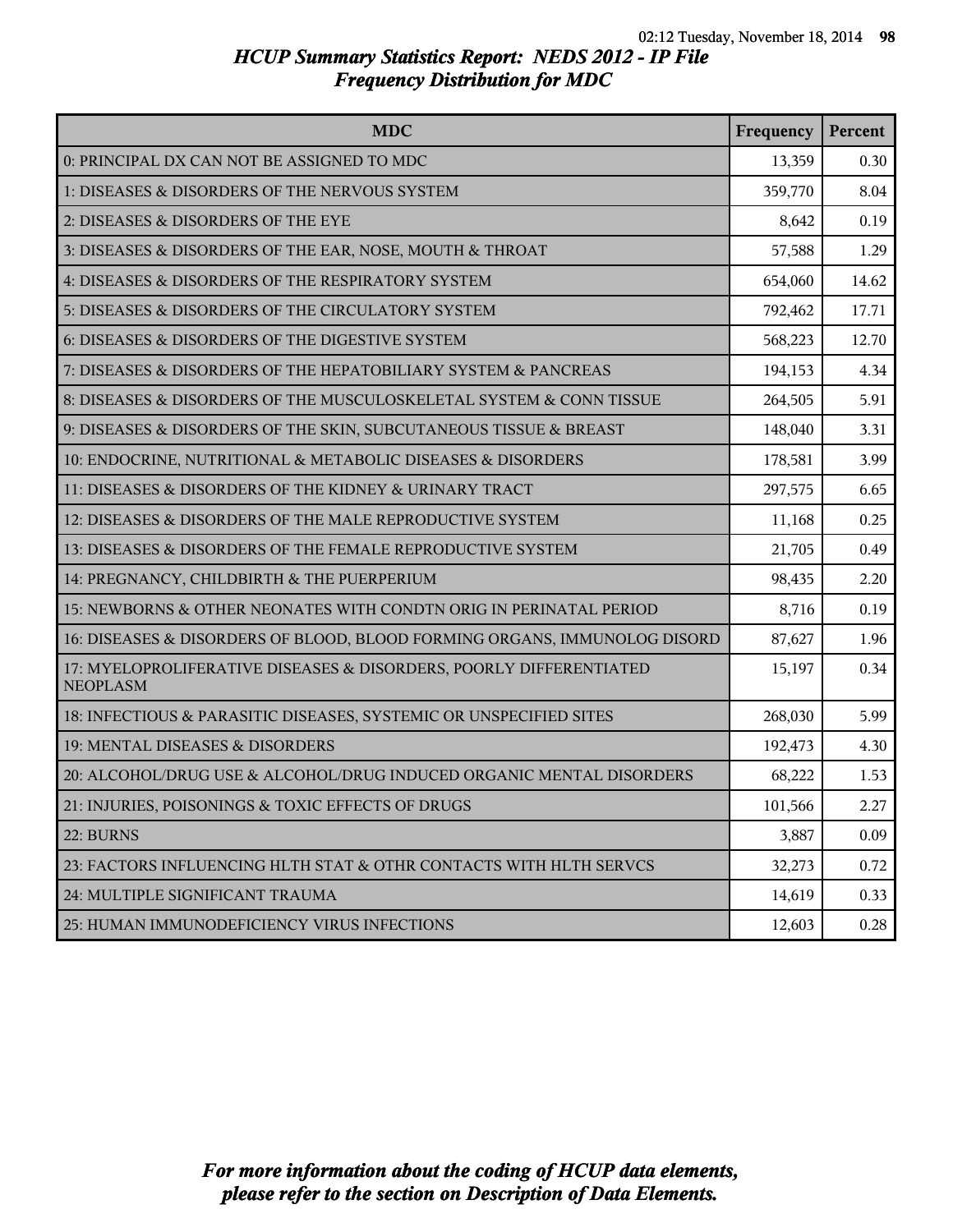| <b>MDC</b>                                                                            | Frequency | Percent |
|---------------------------------------------------------------------------------------|-----------|---------|
| 0: PRINCIPAL DX CAN NOT BE ASSIGNED TO MDC                                            | 13,359    | 0.30    |
| 1: DISEASES & DISORDERS OF THE NERVOUS SYSTEM                                         | 359,770   | 8.04    |
| 2: DISEASES & DISORDERS OF THE EYE                                                    | 8,642     | 0.19    |
| 3: DISEASES & DISORDERS OF THE EAR, NOSE, MOUTH & THROAT                              | 57,588    | 1.29    |
| 4: DISEASES & DISORDERS OF THE RESPIRATORY SYSTEM                                     | 654,060   | 14.62   |
| 5: DISEASES & DISORDERS OF THE CIRCULATORY SYSTEM                                     | 792,462   | 17.71   |
| 6: DISEASES & DISORDERS OF THE DIGESTIVE SYSTEM                                       | 568,223   | 12.70   |
| 7: DISEASES & DISORDERS OF THE HEPATOBILIARY SYSTEM & PANCREAS                        | 194,153   | 4.34    |
| 8: DISEASES & DISORDERS OF THE MUSCULOSKELETAL SYSTEM & CONN TISSUE                   | 264,505   | 5.91    |
| 9: DISEASES & DISORDERS OF THE SKIN, SUBCUTANEOUS TISSUE & BREAST                     | 148,040   | 3.31    |
| 10: ENDOCRINE, NUTRITIONAL & METABOLIC DISEASES & DISORDERS                           | 178,581   | 3.99    |
| 11: DISEASES & DISORDERS OF THE KIDNEY & URINARY TRACT                                | 297,575   | 6.65    |
| 12: DISEASES & DISORDERS OF THE MALE REPRODUCTIVE SYSTEM                              | 11,168    | 0.25    |
| 13: DISEASES & DISORDERS OF THE FEMALE REPRODUCTIVE SYSTEM                            | 21,705    | 0.49    |
| 14: PREGNANCY, CHILDBIRTH & THE PUERPERIUM                                            | 98,435    | 2.20    |
| 15: NEWBORNS & OTHER NEONATES WITH CONDTN ORIG IN PERINATAL PERIOD                    | 8,716     | 0.19    |
| 16: DISEASES & DISORDERS OF BLOOD, BLOOD FORMING ORGANS, IMMUNOLOG DISORD             | 87,627    | 1.96    |
| 17: MYELOPROLIFERATIVE DISEASES & DISORDERS, POORLY DIFFERENTIATED<br><b>NEOPLASM</b> | 15,197    | 0.34    |
| 18: INFECTIOUS & PARASITIC DISEASES, SYSTEMIC OR UNSPECIFIED SITES                    | 268,030   | 5.99    |
| 19: MENTAL DISEASES & DISORDERS                                                       | 192,473   | 4.30    |
| 20: ALCOHOL/DRUG USE & ALCOHOL/DRUG INDUCED ORGANIC MENTAL DISORDERS                  | 68,222    | 1.53    |
| 21: INJURIES, POISONINGS & TOXIC EFFECTS OF DRUGS                                     | 101,566   | 2.27    |
| 22: BURNS                                                                             | 3,887     | 0.09    |
| 23: FACTORS INFLUENCING HLTH STAT & OTHR CONTACTS WITH HLTH SERVCS                    | 32,273    | 0.72    |
| 24: MULTIPLE SIGNIFICANT TRAUMA                                                       | 14,619    | 0.33    |
| 25: HUMAN IMMUNODEFICIENCY VIRUS INFECTIONS                                           | 12,603    | 0.28    |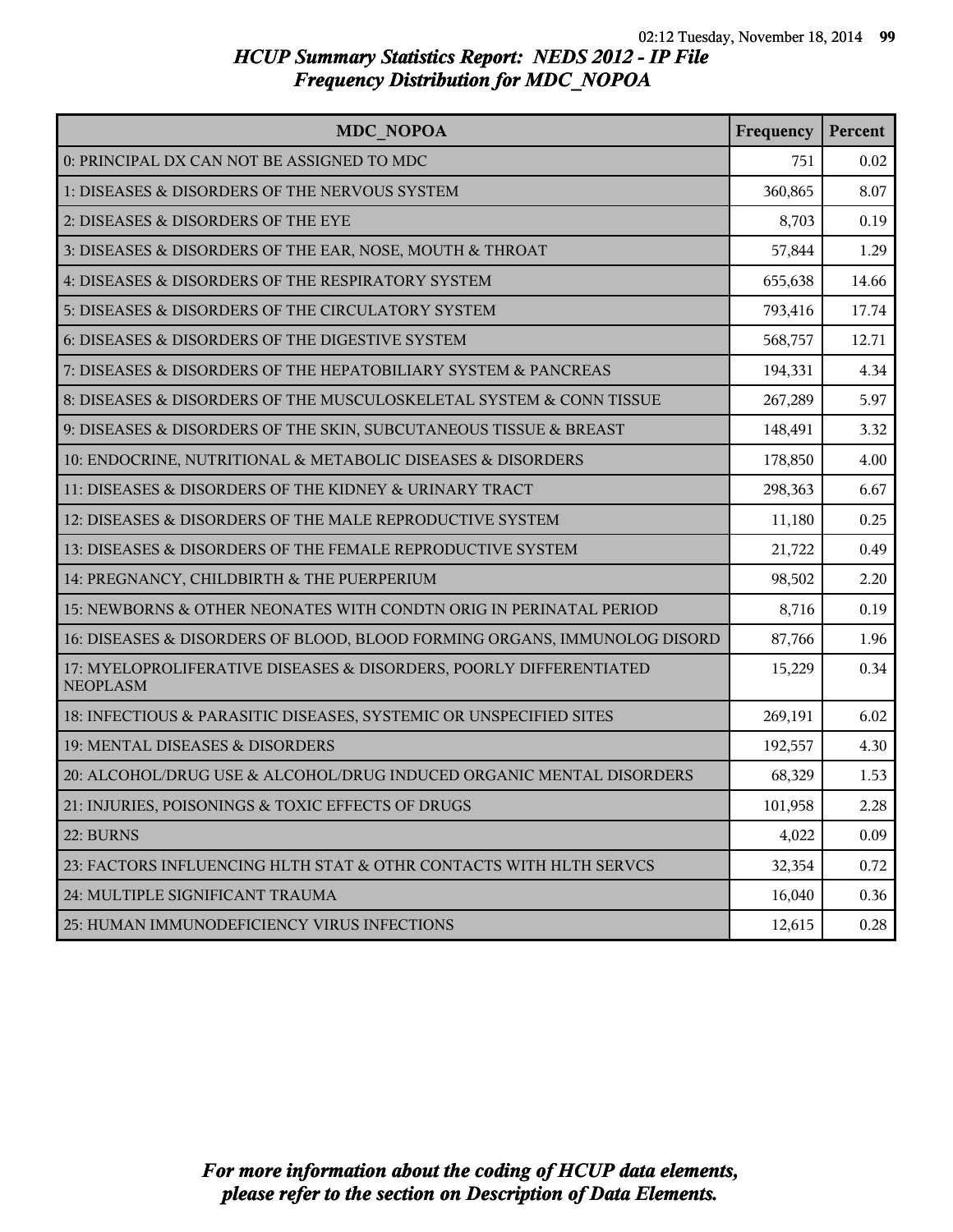| <b>MDC NOPOA</b>                                                                      | Frequency | Percent |
|---------------------------------------------------------------------------------------|-----------|---------|
| 0: PRINCIPAL DX CAN NOT BE ASSIGNED TO MDC                                            | 751       | 0.02    |
| 1: DISEASES & DISORDERS OF THE NERVOUS SYSTEM                                         | 360,865   | 8.07    |
| 2: DISEASES & DISORDERS OF THE EYE                                                    | 8,703     | 0.19    |
| 3: DISEASES & DISORDERS OF THE EAR, NOSE, MOUTH & THROAT                              | 57,844    | 1.29    |
| 4: DISEASES & DISORDERS OF THE RESPIRATORY SYSTEM                                     | 655,638   | 14.66   |
| 5: DISEASES & DISORDERS OF THE CIRCULATORY SYSTEM                                     | 793,416   | 17.74   |
| 6: DISEASES & DISORDERS OF THE DIGESTIVE SYSTEM                                       | 568,757   | 12.71   |
| 7: DISEASES & DISORDERS OF THE HEPATOBILIARY SYSTEM & PANCREAS                        | 194,331   | 4.34    |
| 8: DISEASES & DISORDERS OF THE MUSCULOSKELETAL SYSTEM & CONN TISSUE                   | 267,289   | 5.97    |
| 9: DISEASES & DISORDERS OF THE SKIN, SUBCUTANEOUS TISSUE & BREAST                     | 148,491   | 3.32    |
| 10: ENDOCRINE, NUTRITIONAL & METABOLIC DISEASES & DISORDERS                           | 178,850   | 4.00    |
| 11: DISEASES & DISORDERS OF THE KIDNEY & URINARY TRACT                                | 298,363   | 6.67    |
| 12: DISEASES & DISORDERS OF THE MALE REPRODUCTIVE SYSTEM                              | 11,180    | 0.25    |
| 13: DISEASES & DISORDERS OF THE FEMALE REPRODUCTIVE SYSTEM                            | 21,722    | 0.49    |
| 14: PREGNANCY, CHILDBIRTH & THE PUERPERIUM                                            | 98,502    | 2.20    |
| 15: NEWBORNS & OTHER NEONATES WITH CONDTN ORIG IN PERINATAL PERIOD                    | 8,716     | 0.19    |
| 16: DISEASES & DISORDERS OF BLOOD, BLOOD FORMING ORGANS, IMMUNOLOG DISORD             | 87,766    | 1.96    |
| 17: MYELOPROLIFERATIVE DISEASES & DISORDERS, POORLY DIFFERENTIATED<br><b>NEOPLASM</b> | 15,229    | 0.34    |
| 18: INFECTIOUS & PARASITIC DISEASES, SYSTEMIC OR UNSPECIFIED SITES                    | 269,191   | 6.02    |
| 19: MENTAL DISEASES & DISORDERS                                                       | 192,557   | 4.30    |
| 20: ALCOHOL/DRUG USE & ALCOHOL/DRUG INDUCED ORGANIC MENTAL DISORDERS                  | 68,329    | 1.53    |
| 21: INJURIES, POISONINGS & TOXIC EFFECTS OF DRUGS                                     | 101,958   | 2.28    |
| 22: BURNS                                                                             | 4,022     | 0.09    |
| 23: FACTORS INFLUENCING HLTH STAT & OTHR CONTACTS WITH HLTH SERVCS                    | 32,354    | 0.72    |
| 24: MULTIPLE SIGNIFICANT TRAUMA                                                       | 16,040    | 0.36    |
| 25: HUMAN IMMUNODEFICIENCY VIRUS INFECTIONS                                           | 12,615    | 0.28    |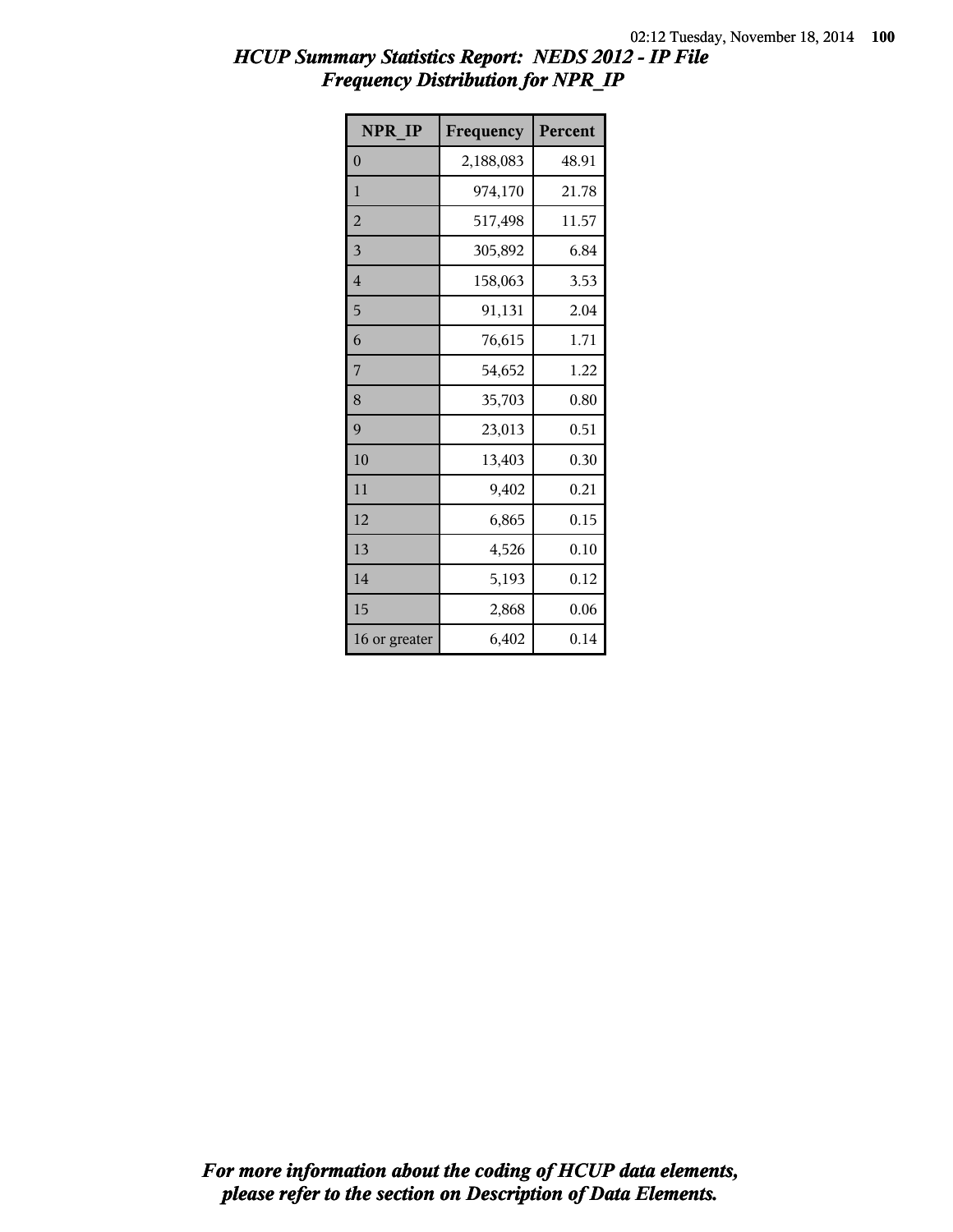| NPR IP         | Frequency | Percent |
|----------------|-----------|---------|
| $\overline{0}$ | 2,188,083 | 48.91   |
| 1              | 974,170   | 21.78   |
| $\overline{2}$ | 517,498   | 11.57   |
| 3              | 305,892   | 6.84    |
| 4              | 158,063   | 3.53    |
| 5              | 91,131    | 2.04    |
| 6              | 76,615    | 1.71    |
| 7              | 54,652    | 1.22    |
| 8              | 35,703    | 0.80    |
| 9              | 23,013    | 0.51    |
| 10             | 13,403    | 0.30    |
| 11             | 9,402     | 0.21    |
| 12             | 6,865     | 0.15    |
| 13             | 4,526     | 0.10    |
| 14             | 5,193     | 0.12    |
| 15             | 2,868     | 0.06    |
| 16 or greater  | 6,402     | 0.14    |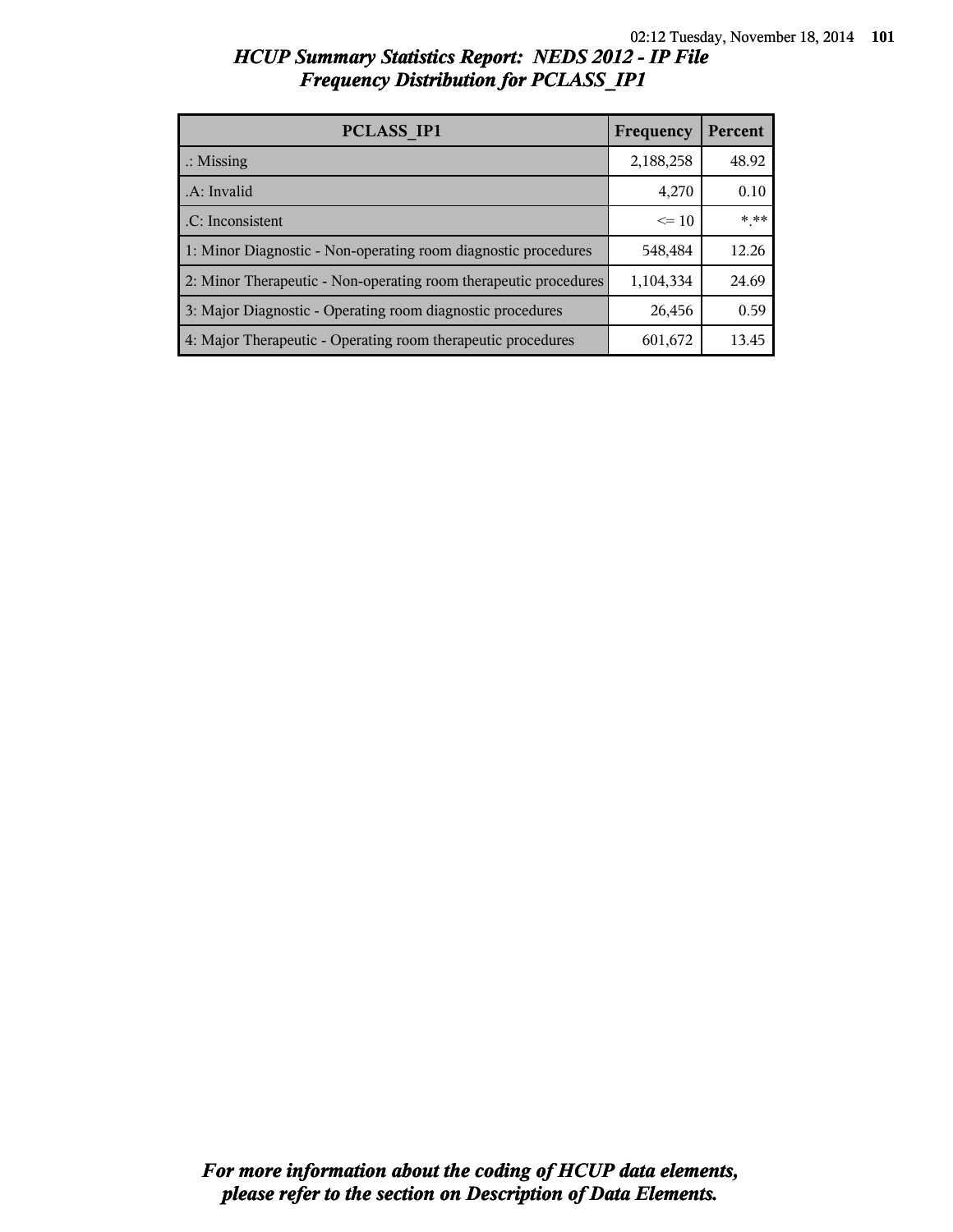| PCLASS IP1                                                       | Frequency | Percent |
|------------------------------------------------------------------|-----------|---------|
| $\therefore$ Missing                                             | 2,188,258 | 48.92   |
| A: Invalid                                                       | 4,270     | 0.10    |
| .C: Inconsistent                                                 | $\leq$ 10 | * **    |
| 1: Minor Diagnostic - Non-operating room diagnostic procedures   | 548,484   | 12.26   |
| 2: Minor Therapeutic - Non-operating room therapeutic procedures | 1,104,334 | 24.69   |
| 3: Major Diagnostic - Operating room diagnostic procedures       | 26,456    | 0.59    |
| 4: Major Therapeutic - Operating room therapeutic procedures     | 601,672   | 13.45   |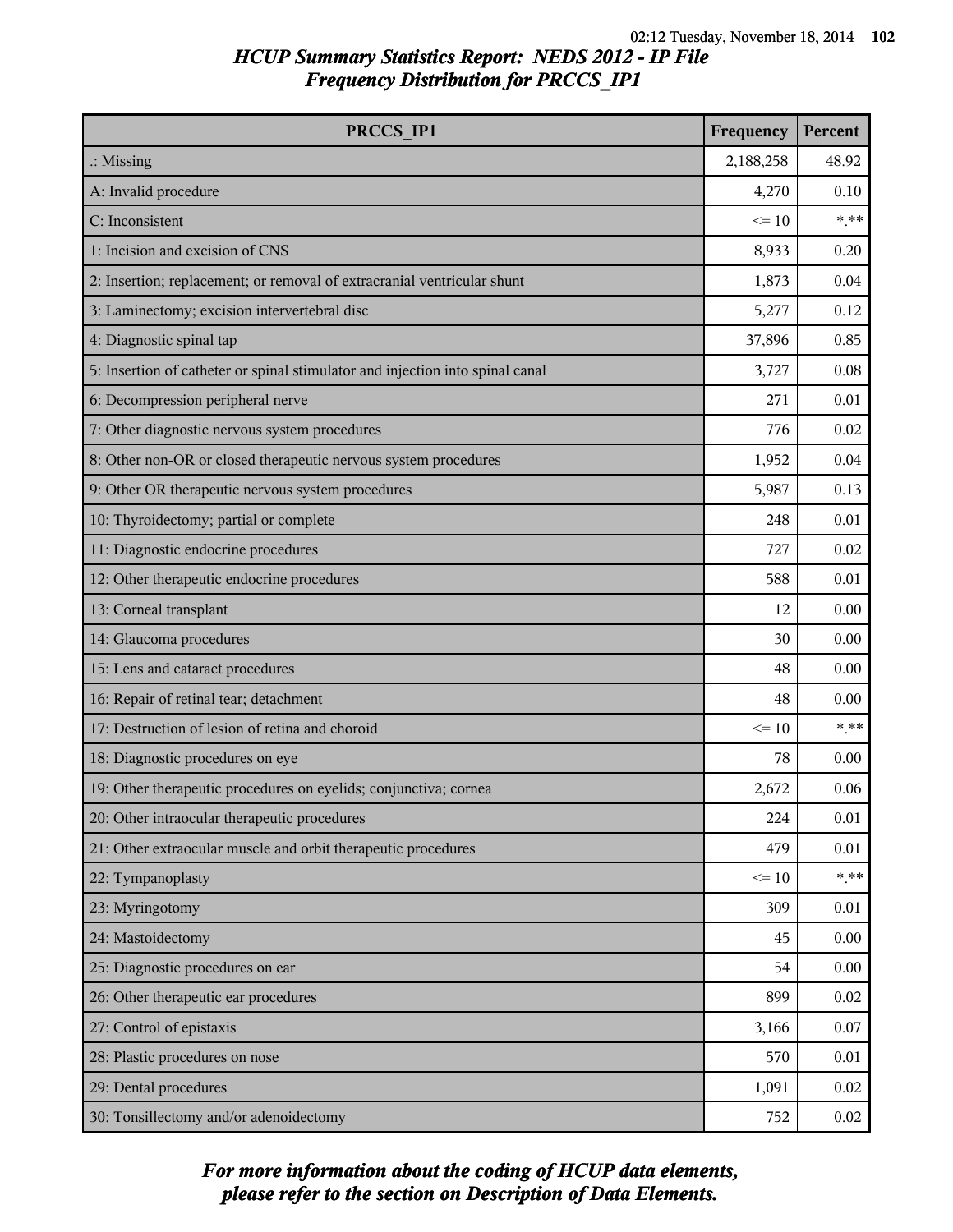| <b>PRCCS IP1</b>                                                              | Frequency | Percent |
|-------------------------------------------------------------------------------|-----------|---------|
| $\therefore$ Missing                                                          | 2,188,258 | 48.92   |
| A: Invalid procedure                                                          | 4,270     | 0.10    |
| C: Inconsistent                                                               | $\leq 10$ | $***$   |
| 1: Incision and excision of CNS                                               | 8,933     | 0.20    |
| 2: Insertion; replacement; or removal of extracranial ventricular shunt       | 1,873     | 0.04    |
| 3: Laminectomy; excision intervertebral disc                                  | 5,277     | 0.12    |
| 4: Diagnostic spinal tap                                                      | 37,896    | 0.85    |
| 5: Insertion of catheter or spinal stimulator and injection into spinal canal | 3,727     | 0.08    |
| 6: Decompression peripheral nerve                                             | 271       | 0.01    |
| 7: Other diagnostic nervous system procedures                                 | 776       | 0.02    |
| 8: Other non-OR or closed therapeutic nervous system procedures               | 1,952     | 0.04    |
| 9: Other OR therapeutic nervous system procedures                             | 5,987     | 0.13    |
| 10: Thyroidectomy; partial or complete                                        | 248       | 0.01    |
| 11: Diagnostic endocrine procedures                                           | 727       | 0.02    |
| 12: Other therapeutic endocrine procedures                                    | 588       | 0.01    |
| 13: Corneal transplant                                                        | 12        | 0.00    |
| 14: Glaucoma procedures                                                       | 30        | 0.00    |
| 15: Lens and cataract procedures                                              | 48        | 0.00    |
| 16: Repair of retinal tear; detachment                                        | 48        | 0.00    |
| 17: Destruction of lesion of retina and choroid                               | $\leq 10$ | $***$   |
| 18: Diagnostic procedures on eye                                              | 78        | 0.00    |
| 19: Other therapeutic procedures on eyelids; conjunctiva; cornea              | 2,672     | 0.06    |
| 20: Other intraocular therapeutic procedures                                  | 224       | 0.01    |
| 21: Other extraocular muscle and orbit therapeutic procedures                 | 479       | 0.01    |
| 22: Tympanoplasty                                                             | $\leq 10$ | $***$   |
| 23: Myringotomy                                                               | 309       | 0.01    |
| 24: Mastoidectomy                                                             | 45        | 0.00    |
| 25: Diagnostic procedures on ear                                              | 54        | 0.00    |
| 26: Other therapeutic ear procedures                                          | 899       | 0.02    |
| 27: Control of epistaxis                                                      | 3,166     | 0.07    |
| 28: Plastic procedures on nose                                                | 570       | 0.01    |
| 29: Dental procedures                                                         | 1,091     | 0.02    |
| 30: Tonsillectomy and/or adenoidectomy                                        | 752       | 0.02    |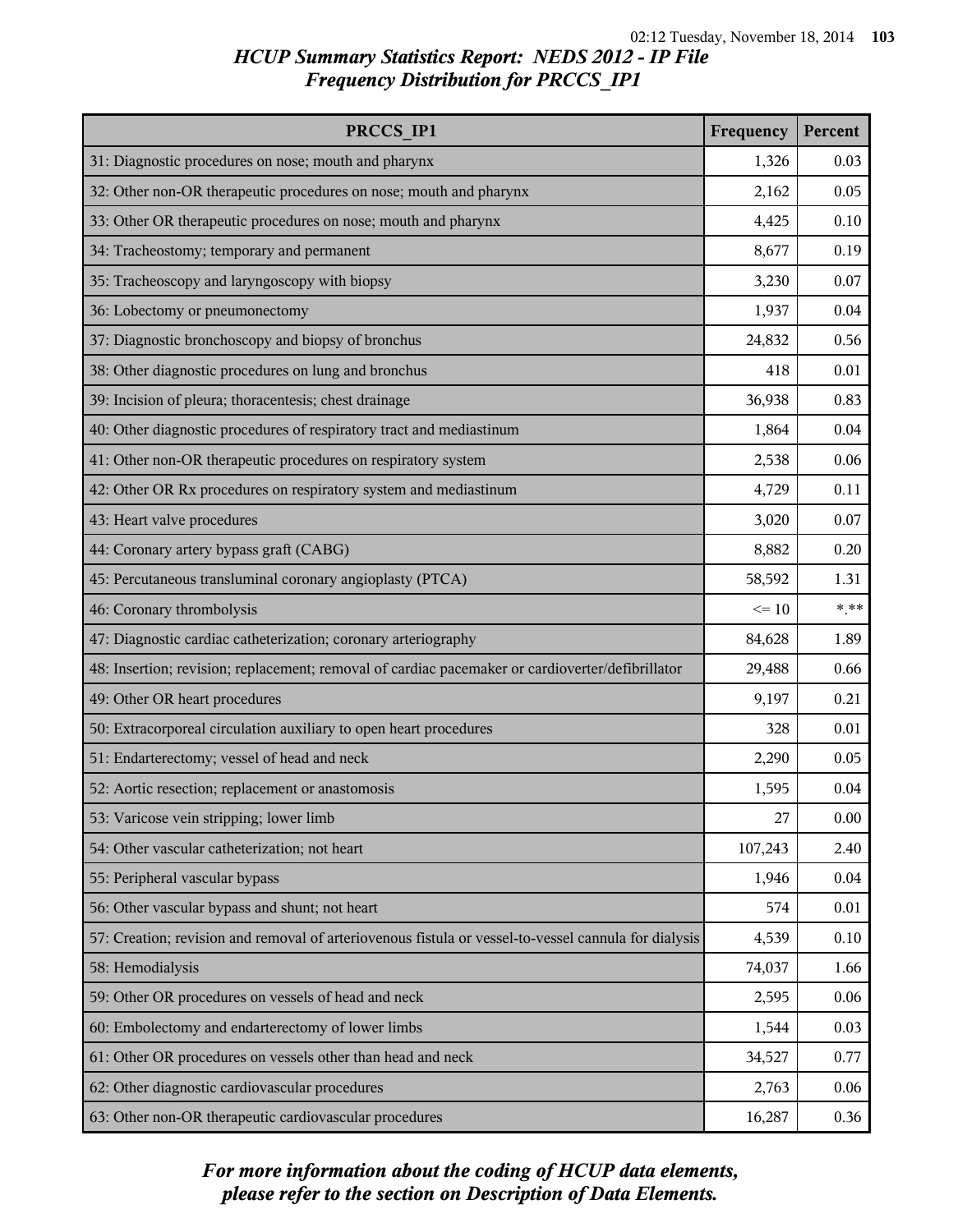| PRCCS IP1                                                                                            | Frequency | Percent |
|------------------------------------------------------------------------------------------------------|-----------|---------|
| 31: Diagnostic procedures on nose; mouth and pharynx                                                 | 1,326     | 0.03    |
| 32: Other non-OR therapeutic procedures on nose; mouth and pharynx                                   | 2,162     | 0.05    |
| 33: Other OR therapeutic procedures on nose; mouth and pharynx                                       | 4,425     | 0.10    |
| 34: Tracheostomy; temporary and permanent                                                            | 8,677     | 0.19    |
| 35: Tracheoscopy and laryngoscopy with biopsy                                                        | 3,230     | 0.07    |
| 36: Lobectomy or pneumonectomy                                                                       | 1,937     | 0.04    |
| 37: Diagnostic bronchoscopy and biopsy of bronchus                                                   | 24,832    | 0.56    |
| 38: Other diagnostic procedures on lung and bronchus                                                 | 418       | 0.01    |
| 39: Incision of pleura; thoracentesis; chest drainage                                                | 36,938    | 0.83    |
| 40: Other diagnostic procedures of respiratory tract and mediastinum                                 | 1,864     | 0.04    |
| 41: Other non-OR therapeutic procedures on respiratory system                                        | 2,538     | 0.06    |
| 42: Other OR Rx procedures on respiratory system and mediastinum                                     | 4,729     | 0.11    |
| 43: Heart valve procedures                                                                           | 3,020     | 0.07    |
| 44: Coronary artery bypass graft (CABG)                                                              | 8,882     | 0.20    |
| 45: Percutaneous transluminal coronary angioplasty (PTCA)                                            | 58,592    | 1.31    |
| 46: Coronary thrombolysis                                                                            | $\leq 10$ | $***$   |
| 47: Diagnostic cardiac catheterization; coronary arteriography                                       | 84,628    | 1.89    |
| 48: Insertion; revision; replacement; removal of cardiac pacemaker or cardioverter/defibrillator     | 29,488    | 0.66    |
| 49: Other OR heart procedures                                                                        | 9,197     | 0.21    |
| 50: Extracorporeal circulation auxiliary to open heart procedures                                    | 328       | 0.01    |
| 51: Endarterectomy; vessel of head and neck                                                          | 2,290     | 0.05    |
| 52: Aortic resection; replacement or anastomosis                                                     | 1,595     | 0.04    |
| 53: Varicose vein stripping; lower limb                                                              | 27        | 0.00    |
| 54: Other vascular catheterization; not heart                                                        | 107,243   | 2.40    |
| 55: Peripheral vascular bypass                                                                       | 1,946     | 0.04    |
| 56: Other vascular bypass and shunt; not heart                                                       | 574       | 0.01    |
| 57: Creation; revision and removal of arteriovenous fistula or vessel-to-vessel cannula for dialysis | 4,539     | 0.10    |
| 58: Hemodialysis                                                                                     | 74,037    | 1.66    |
| 59: Other OR procedures on vessels of head and neck                                                  | 2,595     | 0.06    |
| 60: Embolectomy and endarterectomy of lower limbs                                                    | 1,544     | 0.03    |
| 61: Other OR procedures on vessels other than head and neck                                          | 34,527    | 0.77    |
| 62: Other diagnostic cardiovascular procedures                                                       | 2,763     | 0.06    |
| 63: Other non-OR therapeutic cardiovascular procedures                                               | 16,287    | 0.36    |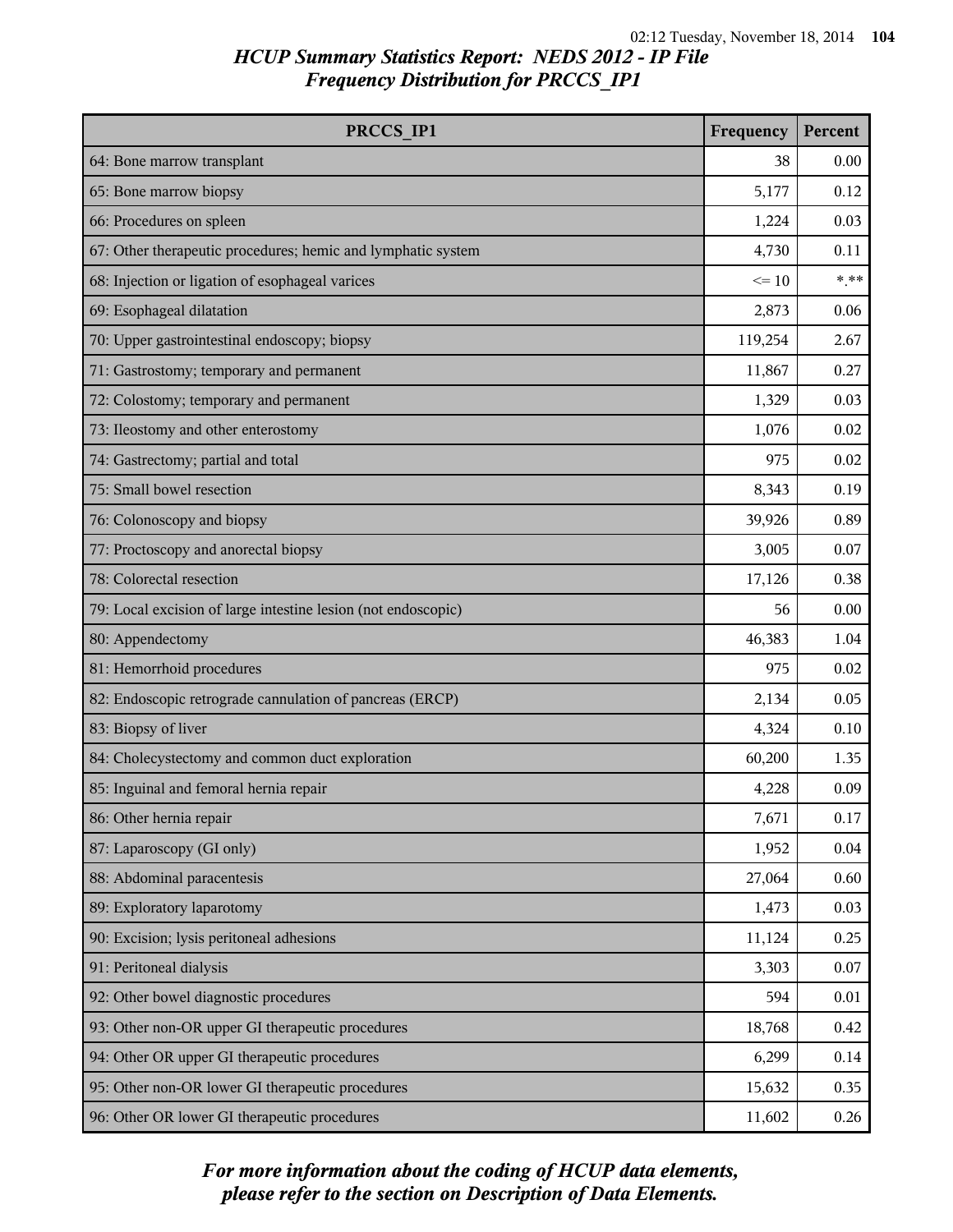| PRCCS IP1                                                     | Frequency | Percent |
|---------------------------------------------------------------|-----------|---------|
| 64: Bone marrow transplant                                    | 38        | 0.00    |
| 65: Bone marrow biopsy                                        | 5,177     | 0.12    |
| 66: Procedures on spleen                                      | 1,224     | 0.03    |
| 67: Other therapeutic procedures; hemic and lymphatic system  | 4,730     | 0.11    |
| 68: Injection or ligation of esophageal varices               | $\leq 10$ | $***$   |
| 69: Esophageal dilatation                                     | 2,873     | 0.06    |
| 70: Upper gastrointestinal endoscopy; biopsy                  | 119,254   | 2.67    |
| 71: Gastrostomy; temporary and permanent                      | 11,867    | 0.27    |
| 72: Colostomy; temporary and permanent                        | 1,329     | 0.03    |
| 73: Ileostomy and other enterostomy                           | 1,076     | 0.02    |
| 74: Gastrectomy; partial and total                            | 975       | 0.02    |
| 75: Small bowel resection                                     | 8,343     | 0.19    |
| 76: Colonoscopy and biopsy                                    | 39,926    | 0.89    |
| 77: Proctoscopy and anorectal biopsy                          | 3,005     | 0.07    |
| 78: Colorectal resection                                      | 17,126    | 0.38    |
| 79: Local excision of large intestine lesion (not endoscopic) | 56        | 0.00    |
| 80: Appendectomy                                              | 46,383    | 1.04    |
| 81: Hemorrhoid procedures                                     | 975       | 0.02    |
| 82: Endoscopic retrograde cannulation of pancreas (ERCP)      | 2,134     | 0.05    |
| 83: Biopsy of liver                                           | 4,324     | 0.10    |
| 84: Cholecystectomy and common duct exploration               | 60,200    | 1.35    |
| 85: Inguinal and femoral hernia repair                        | 4,228     | 0.09    |
| 86: Other hernia repair                                       | 7,671     | 0.17    |
| 87: Laparoscopy (GI only)                                     | 1,952     | 0.04    |
| 88: Abdominal paracentesis                                    | 27,064    | 0.60    |
| 89: Exploratory laparotomy                                    | 1,473     | 0.03    |
| 90: Excision; lysis peritoneal adhesions                      | 11,124    | 0.25    |
| 91: Peritoneal dialysis                                       | 3,303     | 0.07    |
| 92: Other bowel diagnostic procedures                         | 594       | 0.01    |
| 93: Other non-OR upper GI therapeutic procedures              | 18,768    | 0.42    |
| 94: Other OR upper GI therapeutic procedures                  | 6,299     | 0.14    |
| 95: Other non-OR lower GI therapeutic procedures              | 15,632    | 0.35    |
| 96: Other OR lower GI therapeutic procedures                  | 11,602    | 0.26    |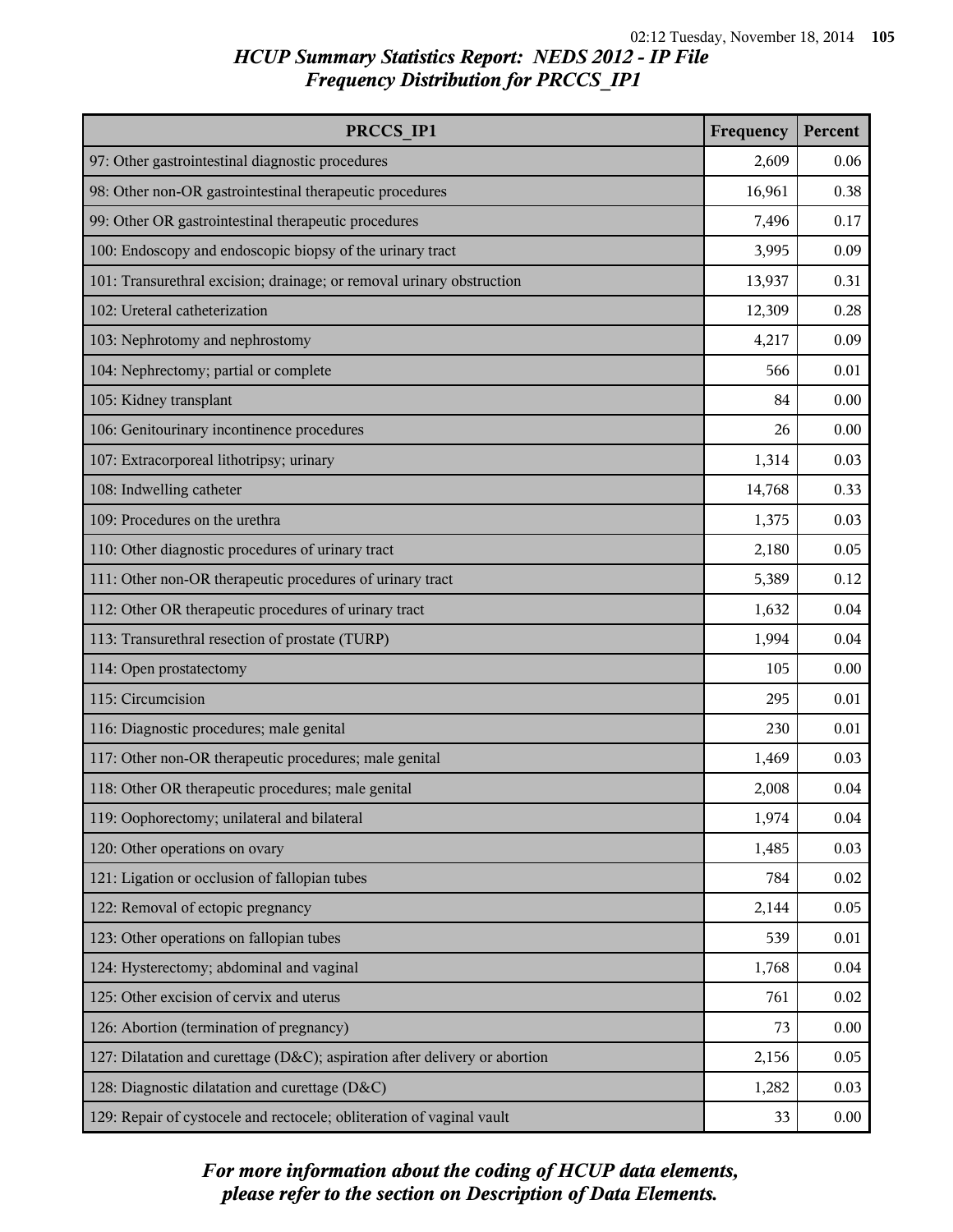| PRCCS IP1                                                                  | Frequency | Percent |
|----------------------------------------------------------------------------|-----------|---------|
| 97: Other gastrointestinal diagnostic procedures                           | 2,609     | 0.06    |
| 98: Other non-OR gastrointestinal therapeutic procedures                   | 16,961    | 0.38    |
| 99: Other OR gastrointestinal therapeutic procedures                       | 7,496     | 0.17    |
| 100: Endoscopy and endoscopic biopsy of the urinary tract                  | 3,995     | 0.09    |
| 101: Transurethral excision; drainage; or removal urinary obstruction      | 13,937    | 0.31    |
| 102: Ureteral catheterization                                              | 12,309    | 0.28    |
| 103: Nephrotomy and nephrostomy                                            | 4,217     | 0.09    |
| 104: Nephrectomy; partial or complete                                      | 566       | 0.01    |
| 105: Kidney transplant                                                     | 84        | 0.00    |
| 106: Genitourinary incontinence procedures                                 | 26        | 0.00    |
| 107: Extracorporeal lithotripsy; urinary                                   | 1,314     | 0.03    |
| 108: Indwelling catheter                                                   | 14,768    | 0.33    |
| 109: Procedures on the urethra                                             | 1,375     | 0.03    |
| 110: Other diagnostic procedures of urinary tract                          | 2,180     | 0.05    |
| 111: Other non-OR therapeutic procedures of urinary tract                  | 5,389     | 0.12    |
| 112: Other OR therapeutic procedures of urinary tract                      | 1,632     | 0.04    |
| 113: Transurethral resection of prostate (TURP)                            | 1,994     | 0.04    |
| 114: Open prostatectomy                                                    | 105       | 0.00    |
| 115: Circumcision                                                          | 295       | 0.01    |
| 116: Diagnostic procedures; male genital                                   | 230       | 0.01    |
| 117: Other non-OR therapeutic procedures; male genital                     | 1,469     | 0.03    |
| 118: Other OR therapeutic procedures; male genital                         | 2,008     | 0.04    |
| 119: Oophorectomy; unilateral and bilateral                                | 1,974     | 0.04    |
| 120: Other operations on ovary                                             | 1,485     | 0.03    |
| 121: Ligation or occlusion of fallopian tubes                              | 784       | 0.02    |
| 122: Removal of ectopic pregnancy                                          | 2,144     | 0.05    |
| 123: Other operations on fallopian tubes                                   | 539       | 0.01    |
| 124: Hysterectomy; abdominal and vaginal                                   | 1,768     | 0.04    |
| 125: Other excision of cervix and uterus                                   | 761       | 0.02    |
| 126: Abortion (termination of pregnancy)                                   | 73        | 0.00    |
| 127: Dilatation and curettage (D&C); aspiration after delivery or abortion | 2,156     | 0.05    |
| 128: Diagnostic dilatation and curettage (D&C)                             | 1,282     | 0.03    |
| 129: Repair of cystocele and rectocele; obliteration of vaginal vault      | 33        | 0.00    |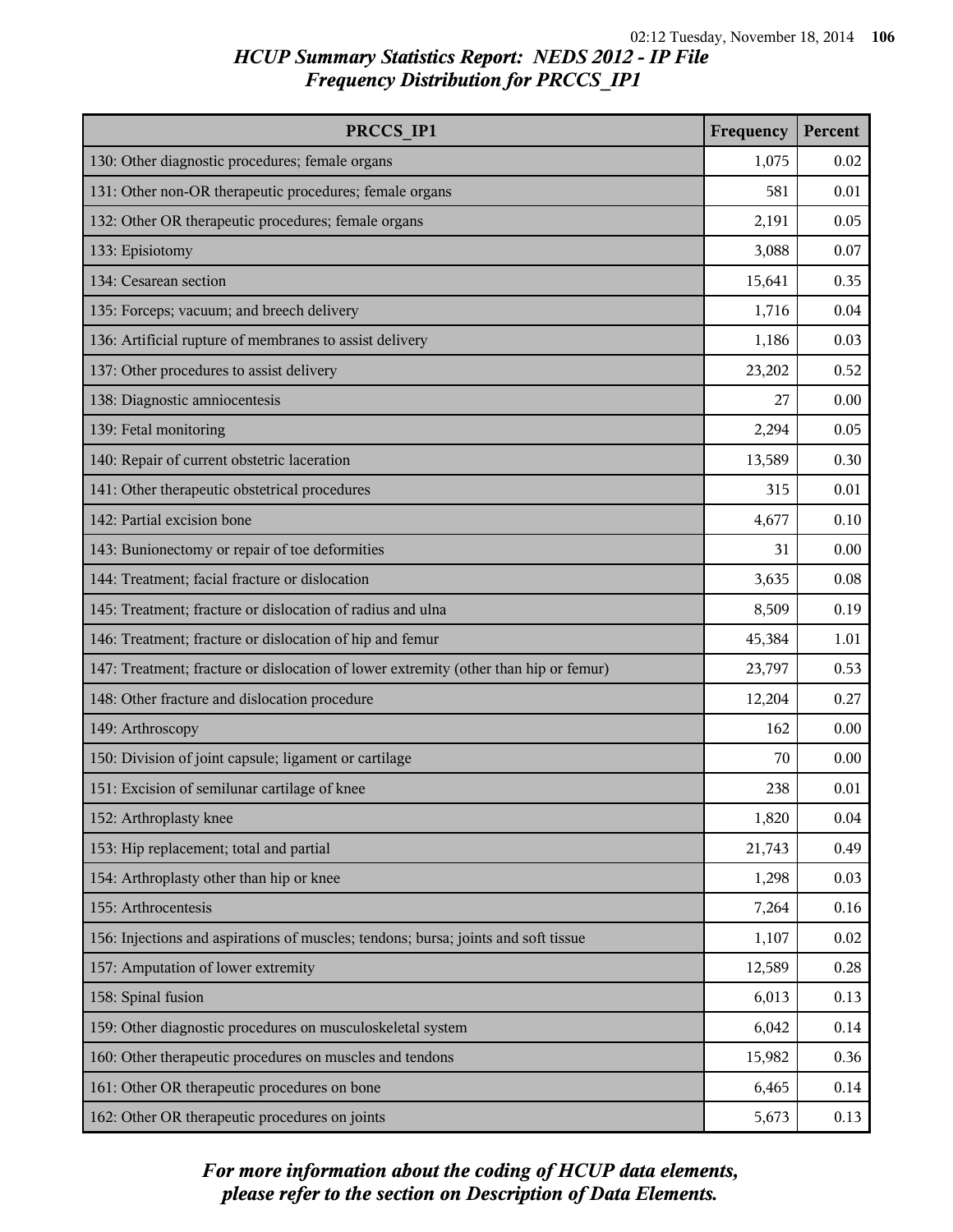| PRCCS IP1                                                                            | Frequency | Percent |
|--------------------------------------------------------------------------------------|-----------|---------|
| 130: Other diagnostic procedures; female organs                                      | 1,075     | 0.02    |
| 131: Other non-OR therapeutic procedures; female organs                              | 581       | 0.01    |
| 132: Other OR therapeutic procedures; female organs                                  | 2,191     | 0.05    |
| 133: Episiotomy                                                                      | 3,088     | 0.07    |
| 134: Cesarean section                                                                | 15,641    | 0.35    |
| 135: Forceps; vacuum; and breech delivery                                            | 1,716     | 0.04    |
| 136: Artificial rupture of membranes to assist delivery                              | 1,186     | 0.03    |
| 137: Other procedures to assist delivery                                             | 23,202    | 0.52    |
| 138: Diagnostic amniocentesis                                                        | 27        | 0.00    |
| 139: Fetal monitoring                                                                | 2,294     | 0.05    |
| 140: Repair of current obstetric laceration                                          | 13,589    | 0.30    |
| 141: Other therapeutic obstetrical procedures                                        | 315       | 0.01    |
| 142: Partial excision bone                                                           | 4,677     | 0.10    |
| 143: Bunionectomy or repair of toe deformities                                       | 31        | 0.00    |
| 144: Treatment; facial fracture or dislocation                                       | 3,635     | 0.08    |
| 145: Treatment; fracture or dislocation of radius and ulna                           | 8,509     | 0.19    |
| 146: Treatment; fracture or dislocation of hip and femur                             | 45,384    | 1.01    |
| 147: Treatment; fracture or dislocation of lower extremity (other than hip or femur) | 23,797    | 0.53    |
| 148: Other fracture and dislocation procedure                                        | 12,204    | 0.27    |
| 149: Arthroscopy                                                                     | 162       | 0.00    |
| 150: Division of joint capsule; ligament or cartilage                                | 70        | 0.00    |
| 151: Excision of semilunar cartilage of knee                                         | 238       | 0.01    |
| 152: Arthroplasty knee                                                               | 1,820     | 0.04    |
| 153: Hip replacement; total and partial                                              | 21,743    | 0.49    |
| 154: Arthroplasty other than hip or knee                                             | 1,298     | 0.03    |
| 155: Arthrocentesis                                                                  | 7,264     | 0.16    |
| 156: Injections and aspirations of muscles; tendons; bursa; joints and soft tissue   | 1,107     | 0.02    |
| 157: Amputation of lower extremity                                                   | 12,589    | 0.28    |
| 158: Spinal fusion                                                                   | 6,013     | 0.13    |
| 159: Other diagnostic procedures on musculoskeletal system                           | 6,042     | 0.14    |
| 160: Other therapeutic procedures on muscles and tendons                             | 15,982    | 0.36    |
| 161: Other OR therapeutic procedures on bone                                         | 6,465     | 0.14    |
| 162: Other OR therapeutic procedures on joints                                       | 5,673     | 0.13    |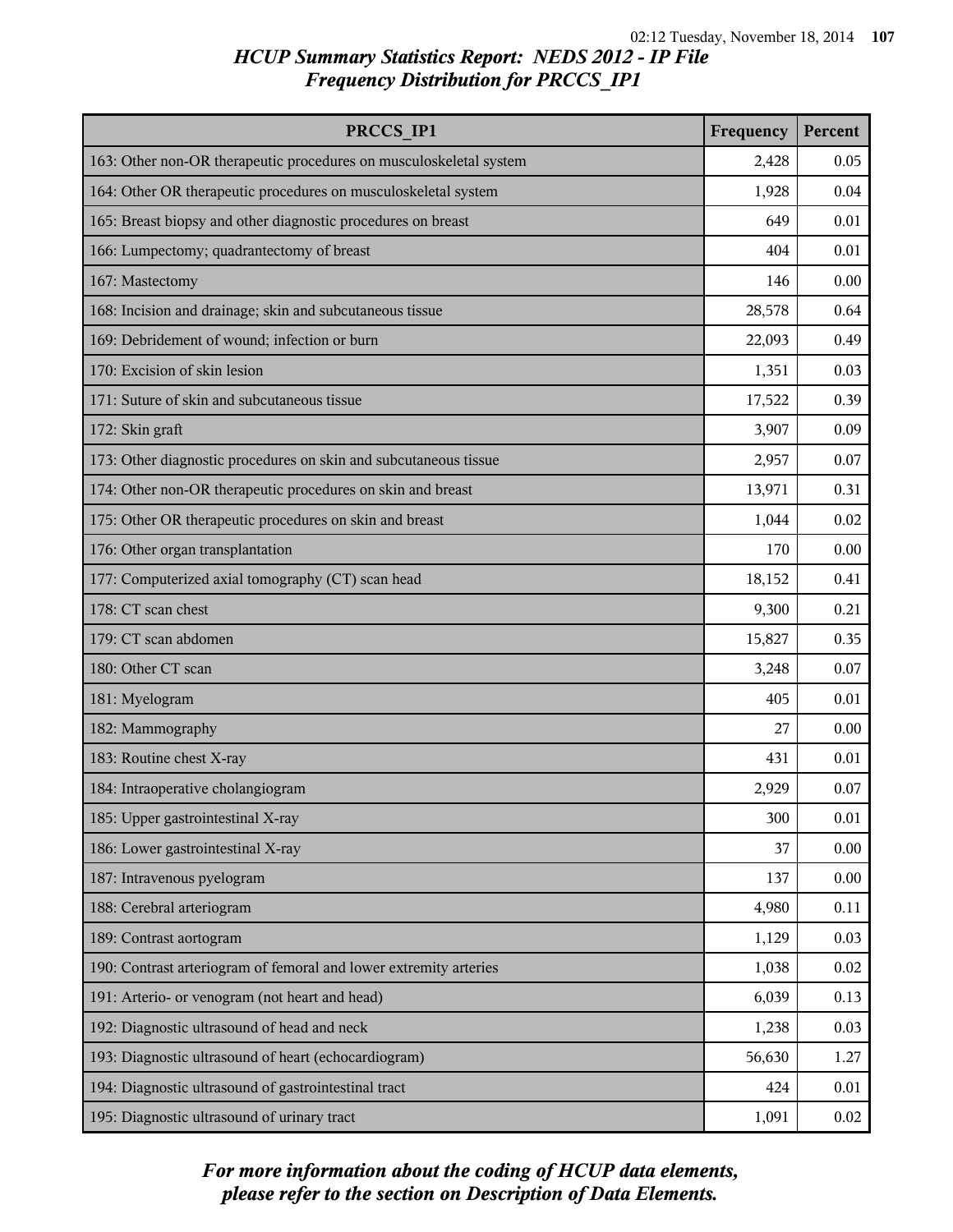| PRCCS IP1                                                          | Frequency | Percent |
|--------------------------------------------------------------------|-----------|---------|
| 163: Other non-OR therapeutic procedures on musculoskeletal system | 2,428     | 0.05    |
| 164: Other OR therapeutic procedures on musculoskeletal system     | 1,928     | 0.04    |
| 165: Breast biopsy and other diagnostic procedures on breast       | 649       | 0.01    |
| 166: Lumpectomy; quadrantectomy of breast                          | 404       | 0.01    |
| 167: Mastectomy                                                    | 146       | 0.00    |
| 168: Incision and drainage; skin and subcutaneous tissue           | 28,578    | 0.64    |
| 169: Debridement of wound; infection or burn                       | 22,093    | 0.49    |
| 170: Excision of skin lesion                                       | 1,351     | 0.03    |
| 171: Suture of skin and subcutaneous tissue                        | 17,522    | 0.39    |
| 172: Skin graft                                                    | 3,907     | 0.09    |
| 173: Other diagnostic procedures on skin and subcutaneous tissue   | 2,957     | 0.07    |
| 174: Other non-OR therapeutic procedures on skin and breast        | 13,971    | 0.31    |
| 175: Other OR therapeutic procedures on skin and breast            | 1,044     | 0.02    |
| 176: Other organ transplantation                                   | 170       | 0.00    |
| 177: Computerized axial tomography (CT) scan head                  | 18,152    | 0.41    |
| 178: CT scan chest                                                 | 9,300     | 0.21    |
| 179: CT scan abdomen                                               | 15,827    | 0.35    |
| 180: Other CT scan                                                 | 3,248     | 0.07    |
| 181: Myelogram                                                     | 405       | 0.01    |
| 182: Mammography                                                   | 27        | 0.00    |
| 183: Routine chest X-ray                                           | 431       | 0.01    |
| 184: Intraoperative cholangiogram                                  | 2,929     | 0.07    |
| 185: Upper gastrointestinal X-ray                                  | 300       | 0.01    |
| 186: Lower gastrointestinal X-ray                                  | 37        | 0.00    |
| 187: Intravenous pyelogram                                         | 137       | 0.00    |
| 188: Cerebral arteriogram                                          | 4,980     | 0.11    |
| 189: Contrast aortogram                                            | 1,129     | 0.03    |
| 190: Contrast arteriogram of femoral and lower extremity arteries  | 1,038     | 0.02    |
| 191: Arterio- or venogram (not heart and head)                     | 6,039     | 0.13    |
| 192: Diagnostic ultrasound of head and neck                        | 1,238     | 0.03    |
| 193: Diagnostic ultrasound of heart (echocardiogram)               | 56,630    | 1.27    |
| 194: Diagnostic ultrasound of gastrointestinal tract               | 424       | 0.01    |
| 195: Diagnostic ultrasound of urinary tract                        | 1,091     | 0.02    |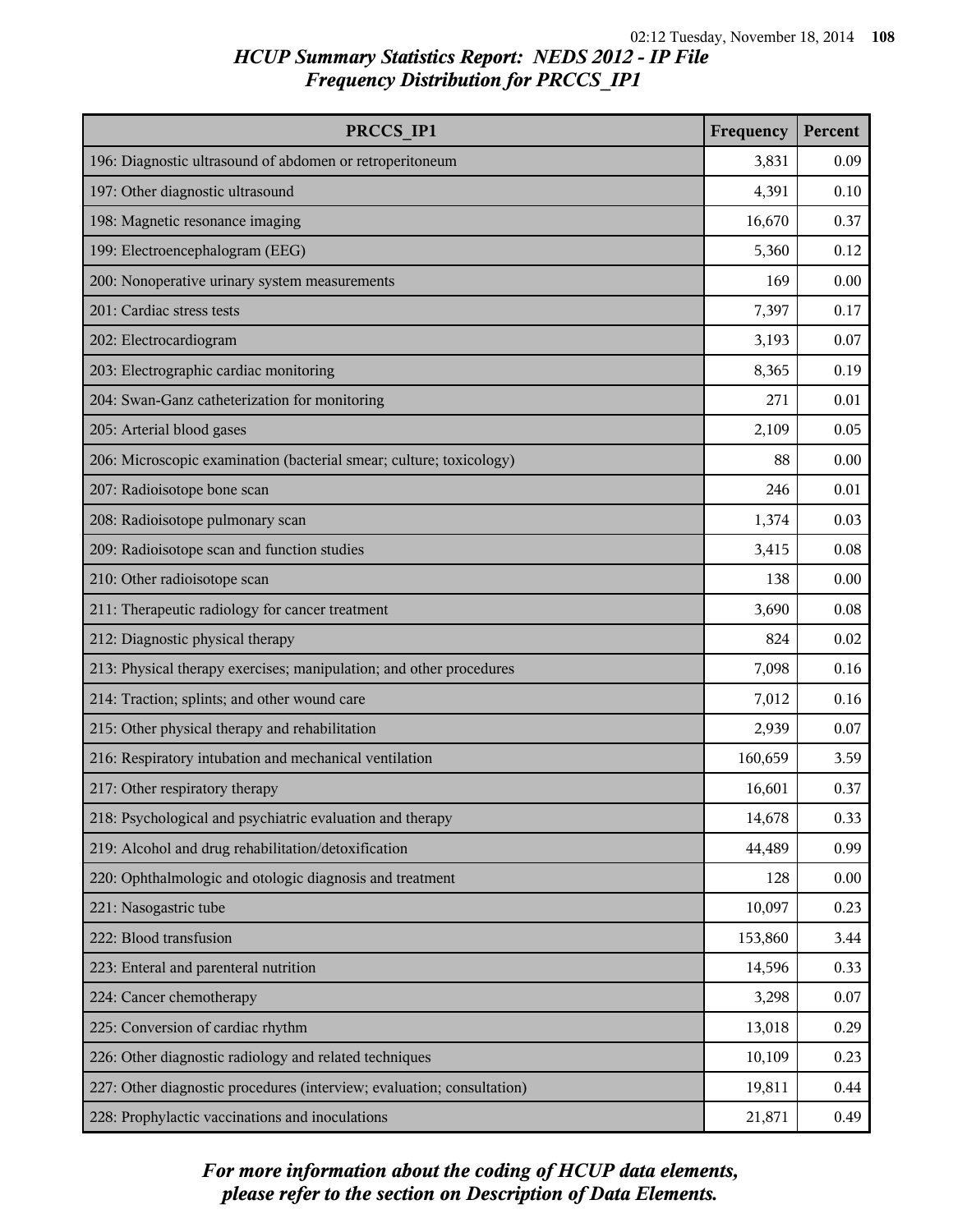| PRCCS IP1                                                              | Frequency | Percent |
|------------------------------------------------------------------------|-----------|---------|
| 196: Diagnostic ultrasound of abdomen or retroperitoneum               | 3,831     | 0.09    |
| 197: Other diagnostic ultrasound                                       | 4,391     | 0.10    |
| 198: Magnetic resonance imaging                                        | 16,670    | 0.37    |
| 199: Electroencephalogram (EEG)                                        | 5,360     | 0.12    |
| 200: Nonoperative urinary system measurements                          | 169       | 0.00    |
| 201: Cardiac stress tests                                              | 7,397     | 0.17    |
| 202: Electrocardiogram                                                 | 3,193     | 0.07    |
| 203: Electrographic cardiac monitoring                                 | 8,365     | 0.19    |
| 204: Swan-Ganz catheterization for monitoring                          | 271       | 0.01    |
| 205: Arterial blood gases                                              | 2,109     | 0.05    |
| 206: Microscopic examination (bacterial smear; culture; toxicology)    | 88        | 0.00    |
| 207: Radioisotope bone scan                                            | 246       | 0.01    |
| 208: Radioisotope pulmonary scan                                       | 1,374     | 0.03    |
| 209: Radioisotope scan and function studies                            | 3,415     | 0.08    |
| 210: Other radioisotope scan                                           | 138       | 0.00    |
| 211: Therapeutic radiology for cancer treatment                        | 3,690     | 0.08    |
| 212: Diagnostic physical therapy                                       | 824       | 0.02    |
| 213: Physical therapy exercises; manipulation; and other procedures    | 7,098     | 0.16    |
| 214: Traction; splints; and other wound care                           | 7,012     | 0.16    |
| 215: Other physical therapy and rehabilitation                         | 2,939     | 0.07    |
| 216: Respiratory intubation and mechanical ventilation                 | 160,659   | 3.59    |
| 217: Other respiratory therapy                                         | 16,601    | 0.37    |
| 218: Psychological and psychiatric evaluation and therapy              | 14,678    | 0.33    |
| 219: Alcohol and drug rehabilitation/detoxification                    | 44,489    | 0.99    |
| 220: Ophthalmologic and otologic diagnosis and treatment               | 128       | 0.00    |
| 221: Nasogastric tube                                                  | 10,097    | 0.23    |
| 222: Blood transfusion                                                 | 153,860   | 3.44    |
| 223: Enteral and parenteral nutrition                                  | 14,596    | 0.33    |
| 224: Cancer chemotherapy                                               | 3,298     | 0.07    |
| 225: Conversion of cardiac rhythm                                      | 13,018    | 0.29    |
| 226: Other diagnostic radiology and related techniques                 | 10,109    | 0.23    |
| 227: Other diagnostic procedures (interview; evaluation; consultation) | 19,811    | 0.44    |
| 228: Prophylactic vaccinations and inoculations                        | 21,871    | 0.49    |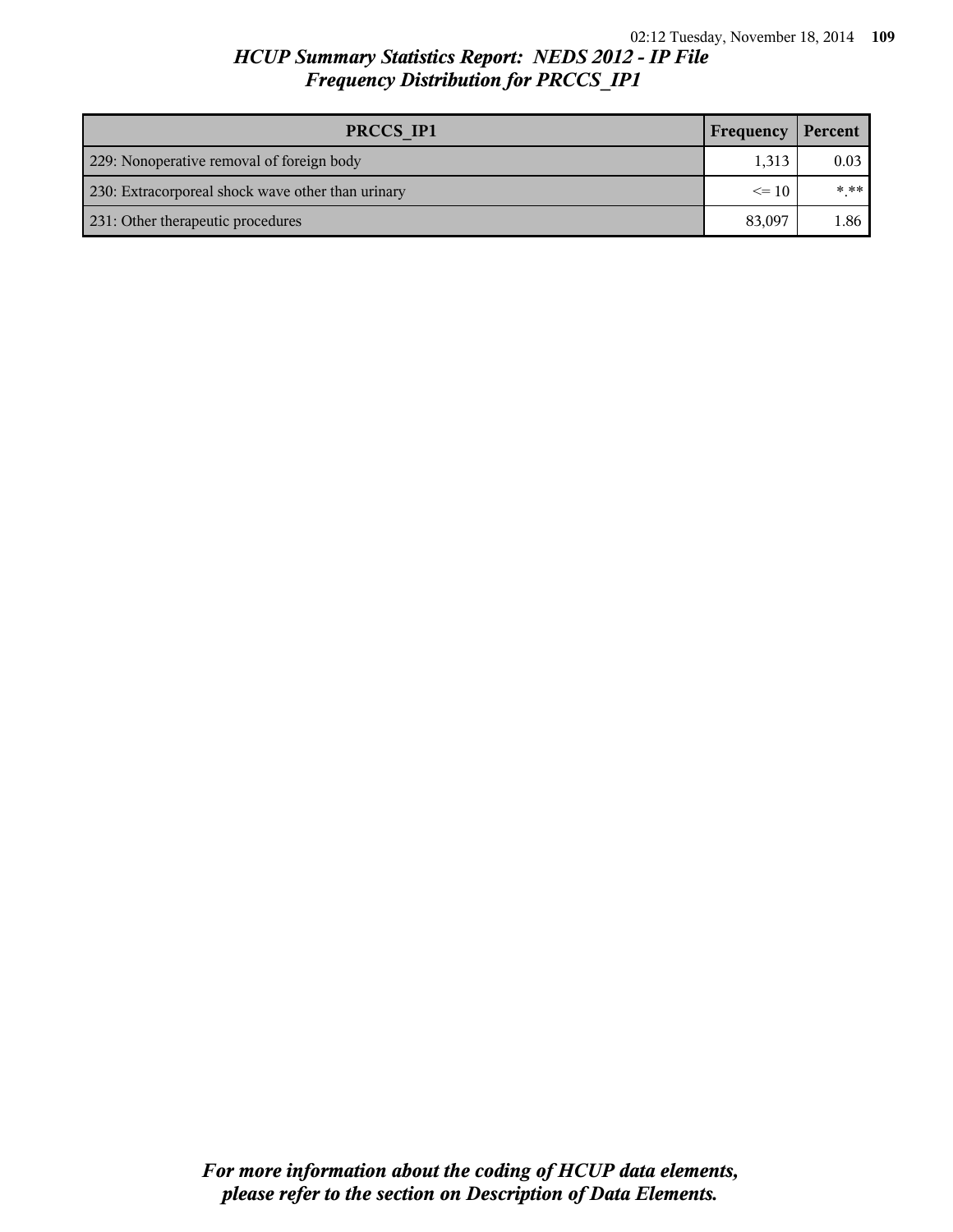## *HCUP Summary Statistics Report: NEDS 2012 - IP File Frequency Distribution for PRCCS\_IP1*

| PRCCS IP1                                         | <b>Frequency</b> | Percent |
|---------------------------------------------------|------------------|---------|
| 229: Nonoperative removal of foreign body         | 1.313            | 0.03    |
| 230: Extracorporeal shock wave other than urinary | $\leq$ 10        | * **    |
| 231: Other therapeutic procedures                 |                  | 1.86    |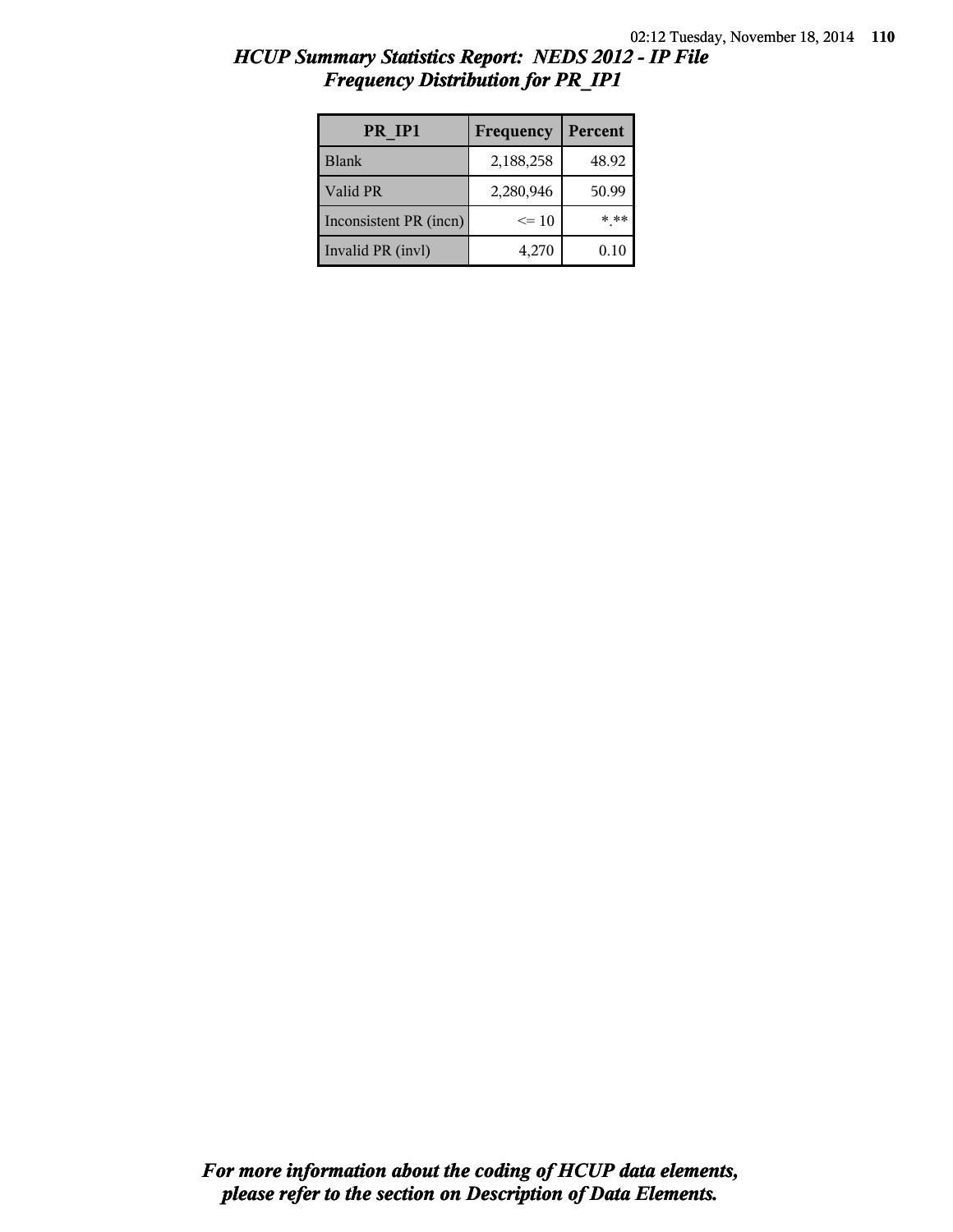| HCUP Summary Statistics Report: NEDS 2012 - IP File |  |  |
|-----------------------------------------------------|--|--|
| <b>Frequency Distribution for PR IP1</b>            |  |  |

| PR IP1                 | Frequency | Percent  |
|------------------------|-----------|----------|
| <b>Blank</b>           | 2,188,258 | 48.92    |
| Valid PR               | 2,280,946 | 50.99    |
| Inconsistent PR (incn) | $\leq 10$ | * **     |
| Invalid PR (invl)      | 4,270     | $0.10\,$ |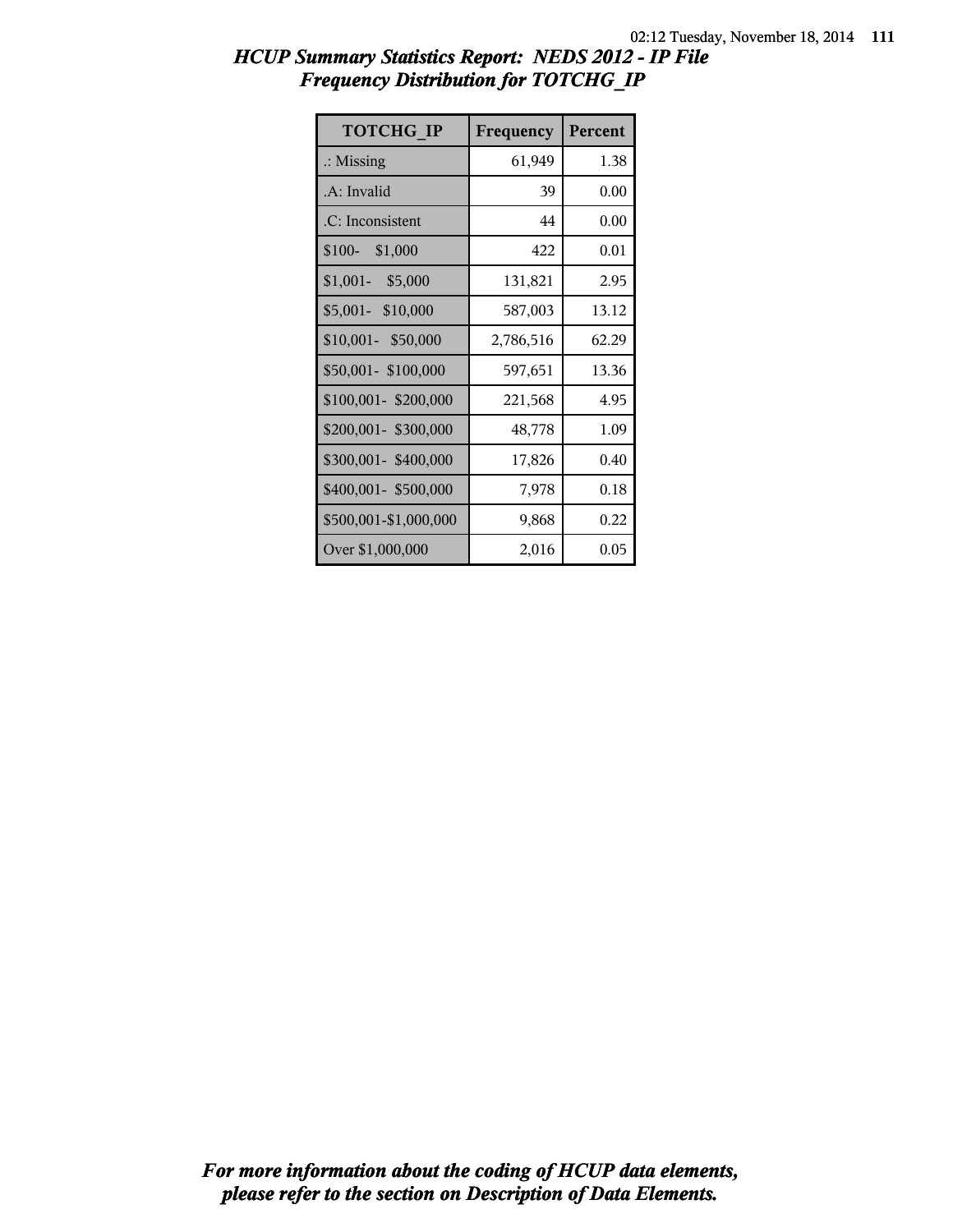| HCUP Summary Statistics Report: NEDS 2012 - IP File |  |
|-----------------------------------------------------|--|
| <b>Frequency Distribution for TOTCHG IP</b>         |  |

| <b>TOTCHG IP</b>      | Frequency | Percent |
|-----------------------|-----------|---------|
| $\therefore$ Missing  | 61,949    | 1.38    |
| .A: Invalid           | 39        | 0.00    |
| .C: Inconsistent      | 44        | 0.00    |
| $$100-$<br>\$1,000    | 422       | 0.01    |
| $$1,001-$<br>\$5,000  | 131,821   | 2.95    |
| \$5,001- \$10,000     | 587,003   | 13.12   |
| \$10,001- \$50,000    | 2,786,516 | 62.29   |
| \$50,001-\$100,000    | 597,651   | 13.36   |
| \$100,001-\$200,000   | 221,568   | 4.95    |
| \$200,001- \$300,000  | 48,778    | 1.09    |
| \$300,001-\$400,000   | 17,826    | 0.40    |
| \$400,001- \$500,000  | 7,978     | 0.18    |
| \$500,001-\$1,000,000 | 9,868     | 0.22    |
| Over \$1,000,000      | 2,016     | 0.05    |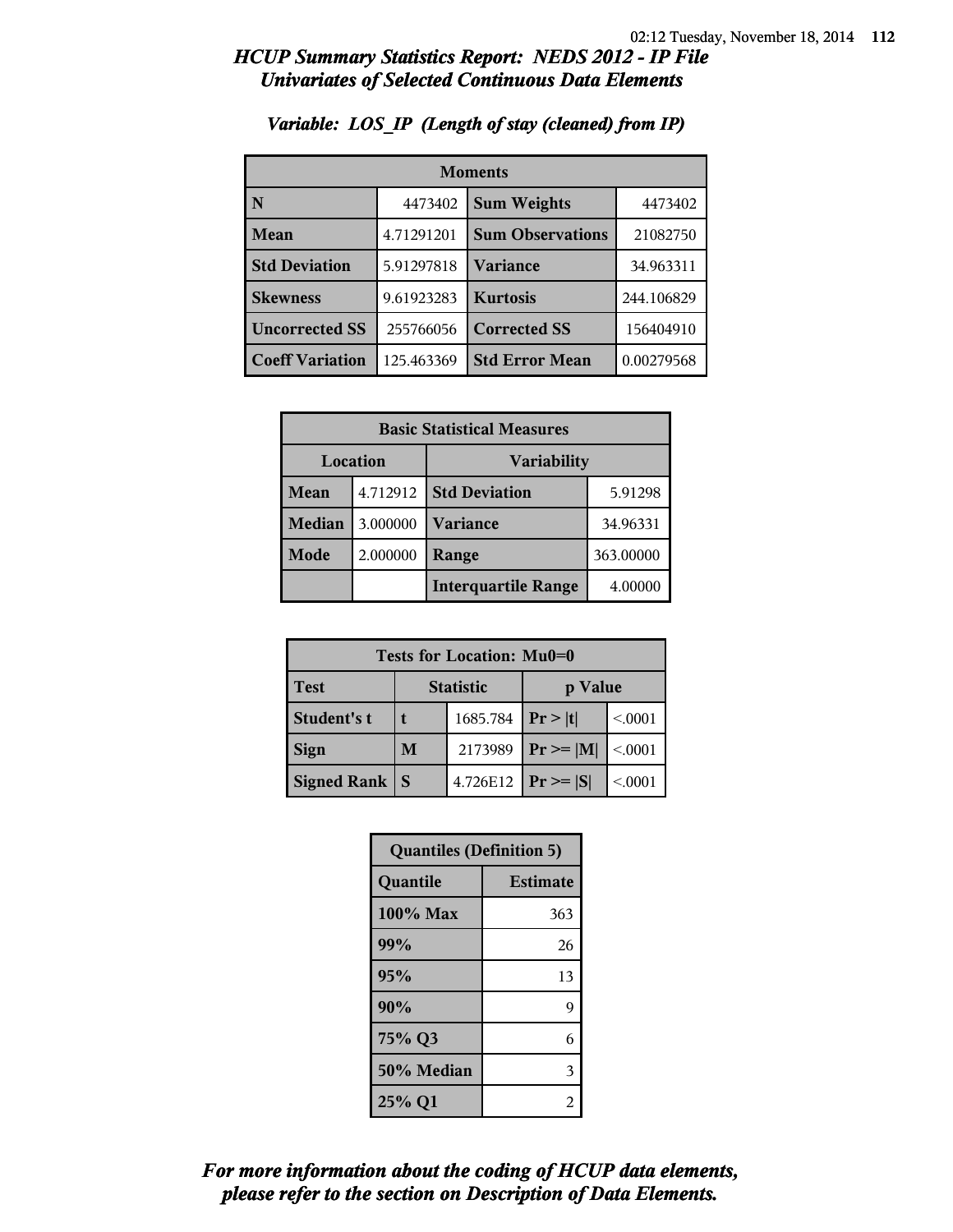| <b>Moments</b>         |            |                         |            |  |
|------------------------|------------|-------------------------|------------|--|
| N                      | 4473402    | <b>Sum Weights</b>      | 4473402    |  |
| Mean                   | 4.71291201 | <b>Sum Observations</b> | 21082750   |  |
| <b>Std Deviation</b>   | 5.91297818 | Variance                | 34.963311  |  |
| <b>Skewness</b>        | 9.61923283 | <b>Kurtosis</b>         | 244.106829 |  |
| <b>Uncorrected SS</b>  | 255766056  | <b>Corrected SS</b>     | 156404910  |  |
| <b>Coeff Variation</b> | 125.463369 | <b>Std Error Mean</b>   | 0.00279568 |  |

#### *Variable: LOS\_IP (Length of stay (cleaned) from IP)*

| <b>Basic Statistical Measures</b> |          |                            |           |
|-----------------------------------|----------|----------------------------|-----------|
| Location<br><b>Variability</b>    |          |                            |           |
| Mean                              | 4.712912 | <b>Std Deviation</b>       | 5.91298   |
| <b>Median</b>                     | 3.000000 | <b>Variance</b>            | 34.96331  |
| Mode                              | 2.000000 | Range                      | 363.00000 |
|                                   |          | <b>Interquartile Range</b> | 4.00000   |

| Tests for Location: Mu0=0 |                             |          |                |         |  |
|---------------------------|-----------------------------|----------|----------------|---------|--|
| Test                      | <b>Statistic</b><br>p Value |          |                |         |  |
| Student's t               | 1685.784                    |          | Pr >  t        | < 0.001 |  |
| <b>Sign</b>               | M                           | 2173989  | $Pr \ge =  M $ | < 0001  |  |
| <b>Signed Rank</b>        | S                           | 4.726E12 | $ Pr \geq  S $ | < 0.001 |  |

| <b>Quantiles (Definition 5)</b> |                 |  |  |
|---------------------------------|-----------------|--|--|
| Quantile                        | <b>Estimate</b> |  |  |
| 100% Max                        | 363             |  |  |
| 99%                             | 26              |  |  |
| 95%                             | 13              |  |  |
| 90%                             | 9               |  |  |
| 75% Q3                          | 6               |  |  |
| 50% Median                      | 3               |  |  |
| 25% Q1                          | 2               |  |  |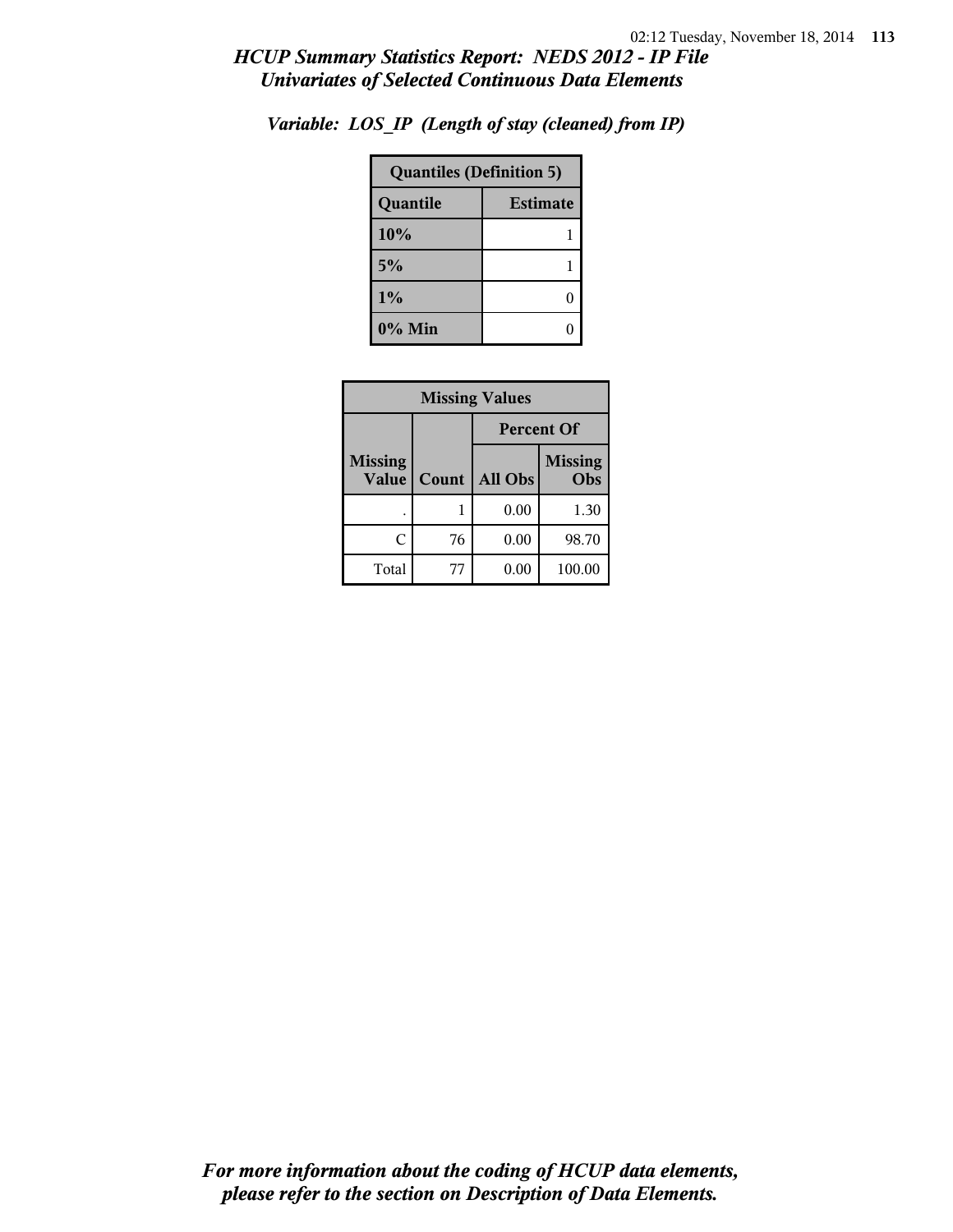| <b>Quantiles (Definition 5)</b> |   |  |
|---------------------------------|---|--|
| <b>Estimate</b><br>Quantile     |   |  |
| 10%                             |   |  |
| 5%                              |   |  |
| 1%                              | O |  |
| $0\%$ Min                       |   |  |

*Variable: LOS\_IP (Length of stay (cleaned) from IP)*

| <b>Missing Values</b>          |       |                                  |        |  |
|--------------------------------|-------|----------------------------------|--------|--|
|                                |       | <b>Percent Of</b>                |        |  |
| <b>Missing</b><br><b>Value</b> | Count | <b>Missing</b><br>All Obs<br>Obs |        |  |
|                                |       | 0.00                             | 1.30   |  |
| C                              | 76    | 0.00                             | 98.70  |  |
| Total                          | 77    | 0.00                             | 100.00 |  |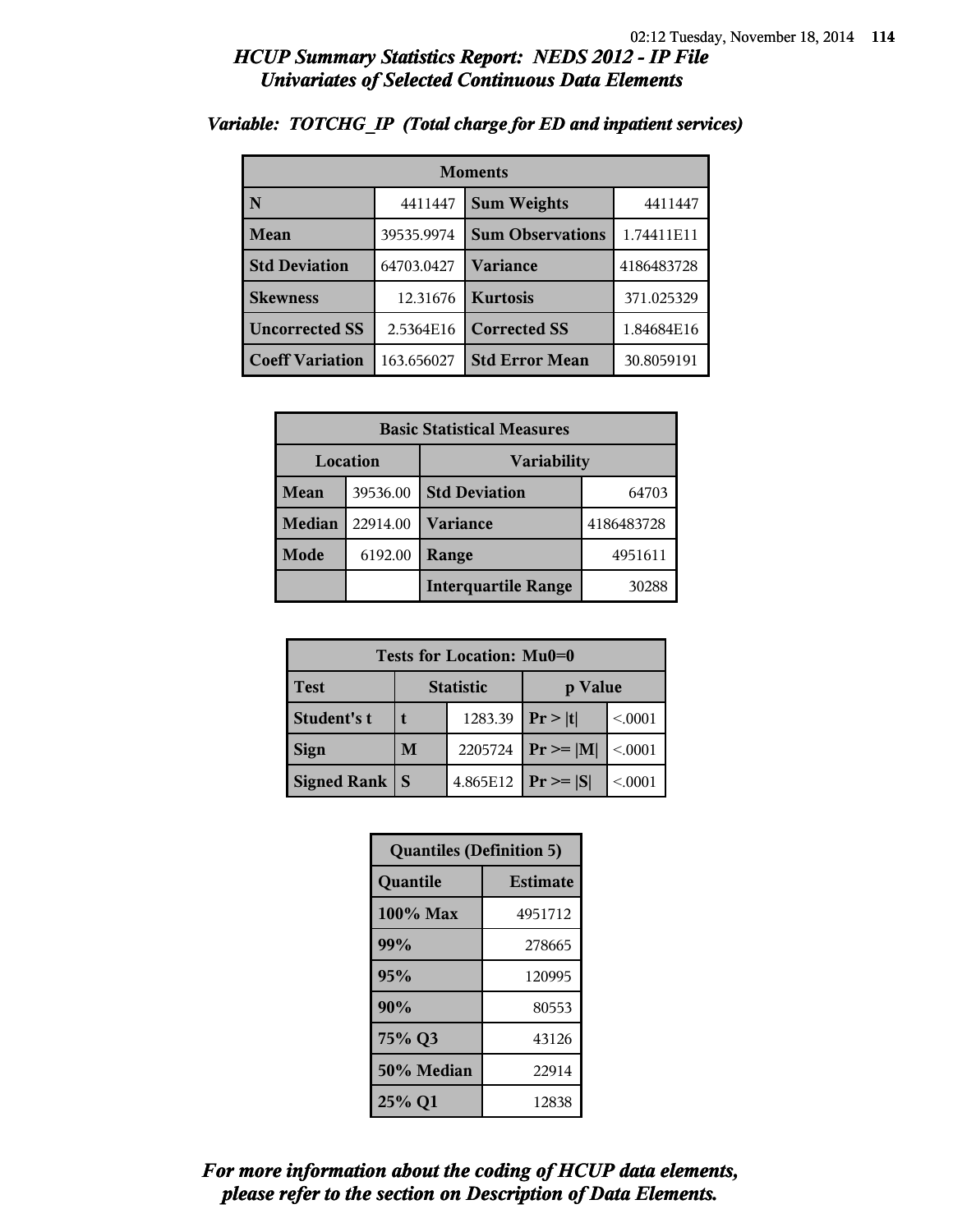| <b>Moments</b>         |            |                         |            |  |
|------------------------|------------|-------------------------|------------|--|
| N                      | 4411447    | <b>Sum Weights</b>      | 4411447    |  |
| Mean                   | 39535.9974 | <b>Sum Observations</b> | 1.74411E11 |  |
| <b>Std Deviation</b>   | 64703.0427 | Variance                | 4186483728 |  |
| <b>Skewness</b>        | 12.31676   | <b>Kurtosis</b>         | 371.025329 |  |
| <b>Uncorrected SS</b>  | 2.5364E16  | <b>Corrected SS</b>     | 1.84684E16 |  |
| <b>Coeff Variation</b> | 163.656027 | <b>Std Error Mean</b>   | 30.8059191 |  |

#### *Variable: TOTCHG\_IP (Total charge for ED and inpatient services)*

| <b>Basic Statistical Measures</b> |          |                            |            |  |  |  |
|-----------------------------------|----------|----------------------------|------------|--|--|--|
| Location                          |          | <b>Variability</b>         |            |  |  |  |
| Mean                              | 39536.00 | <b>Std Deviation</b>       | 64703      |  |  |  |
| <b>Median</b>                     | 22914.00 | <b>Variance</b>            | 4186483728 |  |  |  |
| Mode                              | 6192.00  | Range                      | 4951611    |  |  |  |
|                                   |          | <b>Interquartile Range</b> | 30288      |  |  |  |

| <b>Tests for Location: Mu0=0</b> |                  |          |                |         |  |  |  |
|----------------------------------|------------------|----------|----------------|---------|--|--|--|
| <b>Test</b>                      | <b>Statistic</b> |          | p Value        |         |  |  |  |
| Student's t                      |                  | 1283.39  | Pr >  t        | < .0001 |  |  |  |
| <b>Sign</b>                      | M                | 2205724  | $Pr \geq  M $  | < 0001  |  |  |  |
| <b>Signed Rank</b>               | S                | 4.865E12 | $ Pr \geq  S $ | < 0.001 |  |  |  |

| <b>Quantiles (Definition 5)</b> |                 |  |  |  |
|---------------------------------|-----------------|--|--|--|
| Quantile                        | <b>Estimate</b> |  |  |  |
| 100% Max                        | 4951712         |  |  |  |
| 99%                             | 278665          |  |  |  |
| 95%                             | 120995          |  |  |  |
| 90%                             | 80553           |  |  |  |
| 75% Q3                          | 43126           |  |  |  |
| 50% Median                      | 22914           |  |  |  |
| 25% Q1                          | 12838           |  |  |  |